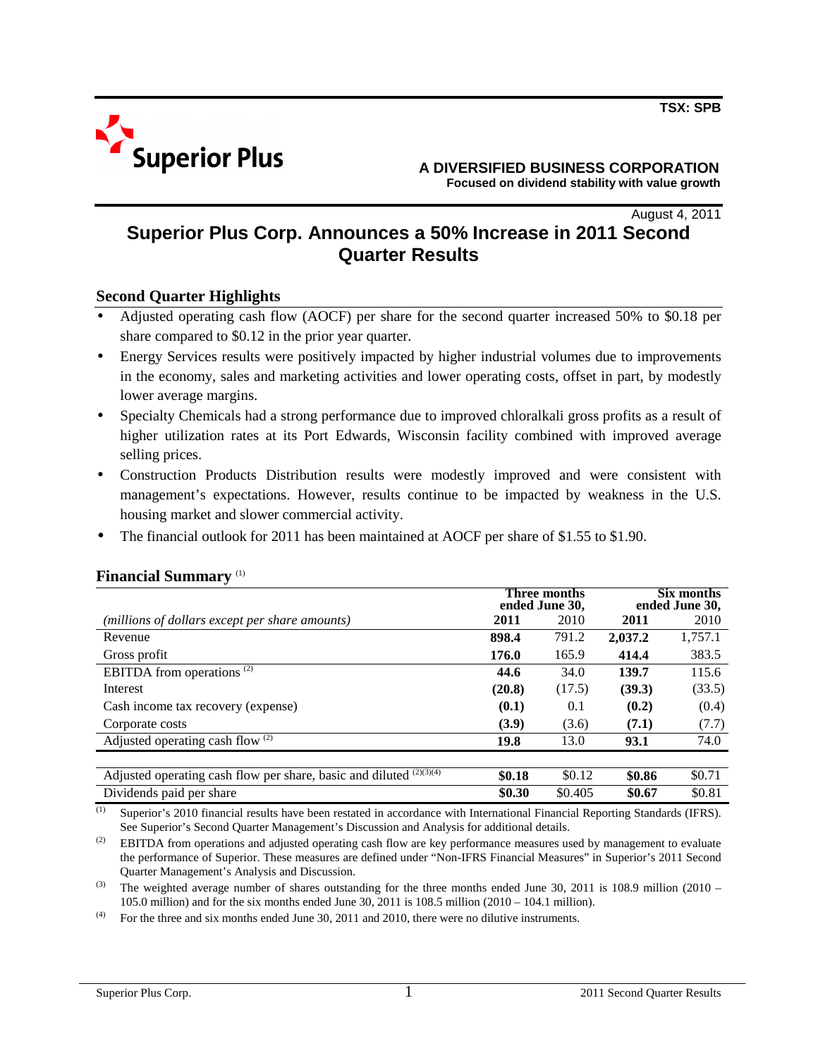

 **Focused on dividend stability with value growth** 

August 4, 2011

# **Superior Plus Corp. Announces a 50% Increase in 2011 Second Quarter Results**

# **Second Quarter Highlights**

- Adjusted operating cash flow (AOCF) per share for the second quarter increased 50% to \$0.18 per share compared to \$0.12 in the prior year quarter.
- Energy Services results were positively impacted by higher industrial volumes due to improvements in the economy, sales and marketing activities and lower operating costs, offset in part, by modestly lower average margins.
- Specialty Chemicals had a strong performance due to improved chloralkali gross profits as a result of higher utilization rates at its Port Edwards, Wisconsin facility combined with improved average selling prices.
- Construction Products Distribution results were modestly improved and were consistent with management's expectations. However, results continue to be impacted by weakness in the U.S. housing market and slower commercial activity.
- The financial outlook for 2011 has been maintained at AOCF per share of \$1.55 to \$1.90.

# **Financial Summary** (1)

|                                                                       | Three months<br>ended June 30, |        | Six months<br>ended June 30, |         |  |
|-----------------------------------------------------------------------|--------------------------------|--------|------------------------------|---------|--|
| (millions of dollars except per share amounts)                        | 2011                           | 2010   | 2011                         | 2010    |  |
| Revenue                                                               | 898.4                          | 791.2  | 2,037.2                      | 1,757.1 |  |
| Gross profit                                                          | 176.0                          | 165.9  | 414.4                        | 383.5   |  |
| EBITDA from operations $(2)$                                          | 44.6                           | 34.0   | 139.7                        | 115.6   |  |
| Interest                                                              | (20.8)                         | (17.5) | (39.3)                       | (33.5)  |  |
| Cash income tax recovery (expense)                                    | (0.1)                          | 0.1    | (0.2)                        | (0.4)   |  |
| Corporate costs                                                       | (3.9)                          | (3.6)  | (7.1)                        | (7.7)   |  |
| Adjusted operating cash flow $(2)$                                    | 19.8                           | 13.0   | 93.1                         | 74.0    |  |
| Adjusted operating cash flow per share, basic and diluted $(2)(3)(4)$ | \$0.18                         | \$0.12 | \$0.86                       | \$0.71  |  |

Dividends paid per share **\$0.30** \$0.405 **\$0.67** \$0.81 (1) Superior's 2010 financial results have been restated in accordance with International Financial Reporting Standards (IFRS).

 $^{(4)}$  For the three and six months ended June 30, 2011 and 2010, there were no dilutive instruments.

See Superior's Second Quarter Management's Discussion and Analysis for additional details.  $(2)$  EBITDA from operations and adjusted operating cash flow are key performance measures used by management to evaluate the performance of Superior. These measures are defined under "Non-IFRS Financial Measures" in Superior's 2011 Second Quarter Management's Analysis and Discussion.

<sup>(3)</sup> The weighted average number of shares outstanding for the three months ended June 30, 2011 is 108.9 million (2010 – 105.0 million) and for the six months ended June 30, 2011 is 108.5 million (2010 – 104.1 million).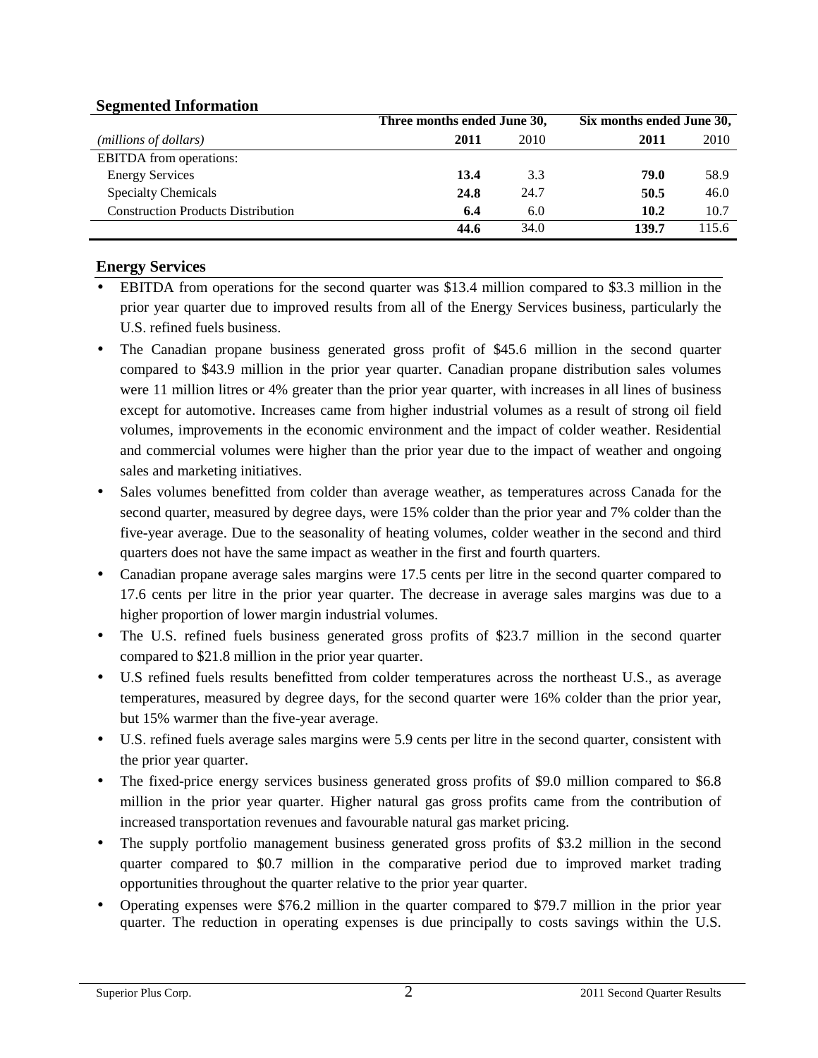|                                           | Three months ended June 30, |      | Six months ended June 30, |       |  |
|-------------------------------------------|-----------------------------|------|---------------------------|-------|--|
| (millions of dollars)                     | 2011                        | 2010 | 2011                      | 2010  |  |
| <b>EBITDA</b> from operations:            |                             |      |                           |       |  |
| <b>Energy Services</b>                    | 13.4                        | 3.3  | 79.0                      | 58.9  |  |
| <b>Specialty Chemicals</b>                | 24.8                        | 24.7 | 50.5                      | 46.0  |  |
| <b>Construction Products Distribution</b> | 6.4                         | 6.0  | 10.2                      | 10.7  |  |
|                                           | 44.6                        | 34.0 | 139.7                     | 115.6 |  |

### **Segmented Information**

# **Energy Services**

- EBITDA from operations for the second quarter was \$13.4 million compared to \$3.3 million in the prior year quarter due to improved results from all of the Energy Services business, particularly the U.S. refined fuels business.
- The Canadian propane business generated gross profit of \$45.6 million in the second quarter compared to \$43.9 million in the prior year quarter. Canadian propane distribution sales volumes were 11 million litres or 4% greater than the prior year quarter, with increases in all lines of business except for automotive. Increases came from higher industrial volumes as a result of strong oil field volumes, improvements in the economic environment and the impact of colder weather. Residential and commercial volumes were higher than the prior year due to the impact of weather and ongoing sales and marketing initiatives.
- Sales volumes benefitted from colder than average weather, as temperatures across Canada for the second quarter, measured by degree days, were 15% colder than the prior year and 7% colder than the five-year average. Due to the seasonality of heating volumes, colder weather in the second and third quarters does not have the same impact as weather in the first and fourth quarters.
- Canadian propane average sales margins were 17.5 cents per litre in the second quarter compared to 17.6 cents per litre in the prior year quarter. The decrease in average sales margins was due to a higher proportion of lower margin industrial volumes.
- The U.S. refined fuels business generated gross profits of \$23.7 million in the second quarter compared to \$21.8 million in the prior year quarter.
- U.S refined fuels results benefitted from colder temperatures across the northeast U.S., as average temperatures, measured by degree days, for the second quarter were 16% colder than the prior year, but 15% warmer than the five-year average.
- U.S. refined fuels average sales margins were 5.9 cents per litre in the second quarter, consistent with the prior year quarter.
- The fixed-price energy services business generated gross profits of \$9.0 million compared to \$6.8 million in the prior year quarter. Higher natural gas gross profits came from the contribution of increased transportation revenues and favourable natural gas market pricing.
- The supply portfolio management business generated gross profits of \$3.2 million in the second quarter compared to \$0.7 million in the comparative period due to improved market trading opportunities throughout the quarter relative to the prior year quarter.
- Operating expenses were \$76.2 million in the quarter compared to \$79.7 million in the prior year quarter. The reduction in operating expenses is due principally to costs savings within the U.S.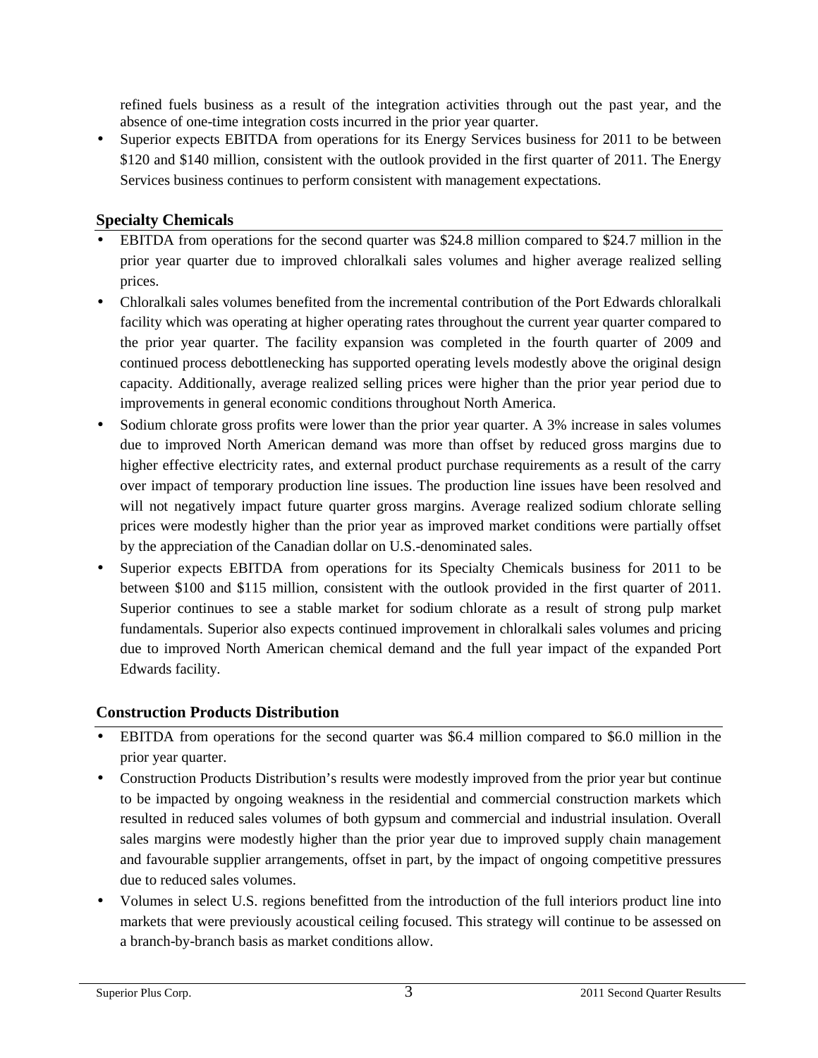refined fuels business as a result of the integration activities through out the past year, and the absence of one-time integration costs incurred in the prior year quarter.

Superior expects EBITDA from operations for its Energy Services business for 2011 to be between \$120 and \$140 million, consistent with the outlook provided in the first quarter of 2011. The Energy Services business continues to perform consistent with management expectations.

# **Specialty Chemicals**

- EBITDA from operations for the second quarter was \$24.8 million compared to \$24.7 million in the prior year quarter due to improved chloralkali sales volumes and higher average realized selling prices.
- Chloralkali sales volumes benefited from the incremental contribution of the Port Edwards chloralkali facility which was operating at higher operating rates throughout the current year quarter compared to the prior year quarter. The facility expansion was completed in the fourth quarter of 2009 and continued process debottlenecking has supported operating levels modestly above the original design capacity. Additionally, average realized selling prices were higher than the prior year period due to improvements in general economic conditions throughout North America.
- Sodium chlorate gross profits were lower than the prior year quarter. A 3% increase in sales volumes due to improved North American demand was more than offset by reduced gross margins due to higher effective electricity rates, and external product purchase requirements as a result of the carry over impact of temporary production line issues. The production line issues have been resolved and will not negatively impact future quarter gross margins. Average realized sodium chlorate selling prices were modestly higher than the prior year as improved market conditions were partially offset by the appreciation of the Canadian dollar on U.S.-denominated sales.
- Superior expects EBITDA from operations for its Specialty Chemicals business for 2011 to be between \$100 and \$115 million, consistent with the outlook provided in the first quarter of 2011. Superior continues to see a stable market for sodium chlorate as a result of strong pulp market fundamentals. Superior also expects continued improvement in chloralkali sales volumes and pricing due to improved North American chemical demand and the full year impact of the expanded Port Edwards facility.

# **Construction Products Distribution**

- EBITDA from operations for the second quarter was \$6.4 million compared to \$6.0 million in the prior year quarter.
- Construction Products Distribution's results were modestly improved from the prior year but continue to be impacted by ongoing weakness in the residential and commercial construction markets which resulted in reduced sales volumes of both gypsum and commercial and industrial insulation. Overall sales margins were modestly higher than the prior year due to improved supply chain management and favourable supplier arrangements, offset in part, by the impact of ongoing competitive pressures due to reduced sales volumes.
- Volumes in select U.S. regions benefitted from the introduction of the full interiors product line into markets that were previously acoustical ceiling focused. This strategy will continue to be assessed on a branch-by-branch basis as market conditions allow.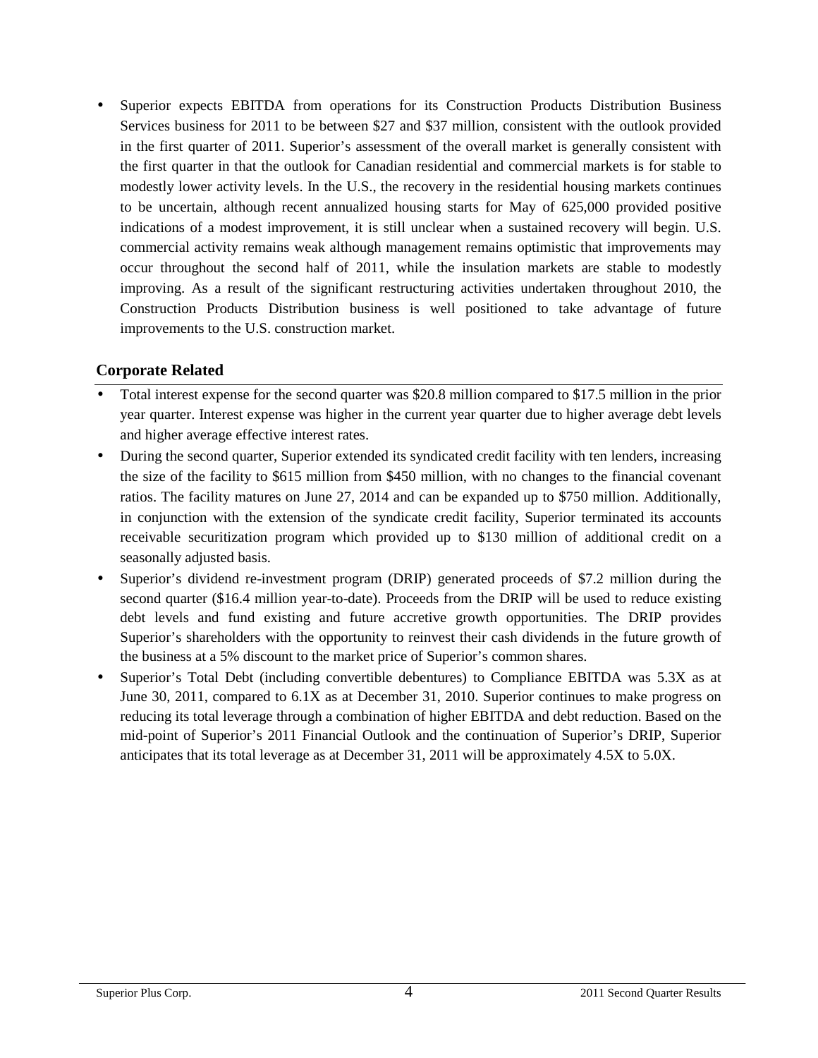• Superior expects EBITDA from operations for its Construction Products Distribution Business Services business for 2011 to be between \$27 and \$37 million, consistent with the outlook provided in the first quarter of 2011. Superior's assessment of the overall market is generally consistent with the first quarter in that the outlook for Canadian residential and commercial markets is for stable to modestly lower activity levels. In the U.S., the recovery in the residential housing markets continues to be uncertain, although recent annualized housing starts for May of 625,000 provided positive indications of a modest improvement, it is still unclear when a sustained recovery will begin. U.S. commercial activity remains weak although management remains optimistic that improvements may occur throughout the second half of 2011, while the insulation markets are stable to modestly improving. As a result of the significant restructuring activities undertaken throughout 2010, the Construction Products Distribution business is well positioned to take advantage of future improvements to the U.S. construction market.

# **Corporate Related**

- Total interest expense for the second quarter was \$20.8 million compared to \$17.5 million in the prior year quarter. Interest expense was higher in the current year quarter due to higher average debt levels and higher average effective interest rates.
- During the second quarter, Superior extended its syndicated credit facility with ten lenders, increasing the size of the facility to \$615 million from \$450 million, with no changes to the financial covenant ratios. The facility matures on June 27, 2014 and can be expanded up to \$750 million. Additionally, in conjunction with the extension of the syndicate credit facility, Superior terminated its accounts receivable securitization program which provided up to \$130 million of additional credit on a seasonally adjusted basis.
- Superior's dividend re-investment program (DRIP) generated proceeds of \$7.2 million during the second quarter (\$16.4 million year-to-date). Proceeds from the DRIP will be used to reduce existing debt levels and fund existing and future accretive growth opportunities. The DRIP provides Superior's shareholders with the opportunity to reinvest their cash dividends in the future growth of the business at a 5% discount to the market price of Superior's common shares.
- Superior's Total Debt (including convertible debentures) to Compliance EBITDA was 5.3X as at June 30, 2011, compared to 6.1X as at December 31, 2010. Superior continues to make progress on reducing its total leverage through a combination of higher EBITDA and debt reduction. Based on the mid-point of Superior's 2011 Financial Outlook and the continuation of Superior's DRIP, Superior anticipates that its total leverage as at December 31, 2011 will be approximately 4.5X to 5.0X.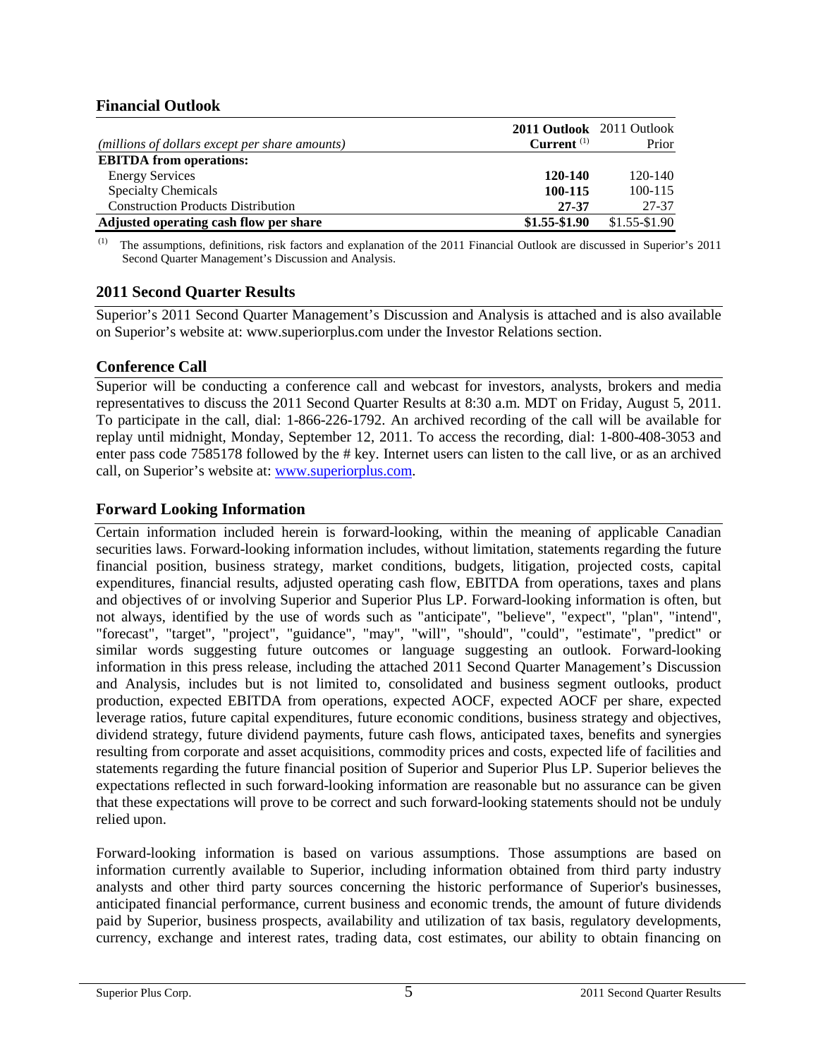# **Financial Outlook**

| (millions of dollars except per share amounts) | 2011 Outlook 2011 Outlook<br>Current $(1)$ | Prior           |
|------------------------------------------------|--------------------------------------------|-----------------|
| <b>EBITDA</b> from operations:                 |                                            |                 |
| <b>Energy Services</b>                         | 120-140                                    | 120-140         |
| <b>Specialty Chemicals</b>                     | 100-115                                    | $100 - 115$     |
| <b>Construction Products Distribution</b>      | 27-37                                      | 27-37           |
| Adjusted operating cash flow per share         | $$1.55 - $1.90$                            | $$1.55 - $1.90$ |

(1) The assumptions, definitions, risk factors and explanation of the 2011 Financial Outlook are discussed in Superior's 2011 Second Quarter Management's Discussion and Analysis.

# **2011 Second Quarter Results**

Superior's 2011 Second Quarter Management's Discussion and Analysis is attached and is also available on Superior's website at: www.superiorplus.com under the Investor Relations section.

# **Conference Call**

Superior will be conducting a conference call and webcast for investors, analysts, brokers and media representatives to discuss the 2011 Second Quarter Results at 8:30 a.m. MDT on Friday, August 5, 2011. To participate in the call, dial: 1-866-226-1792. An archived recording of the call will be available for replay until midnight, Monday, September 12, 2011. To access the recording, dial: 1-800-408-3053 and enter pass code 7585178 followed by the # key. Internet users can listen to the call live, or as an archived call, on Superior's website at: www.superiorplus.com.

# **Forward Looking Information**

Certain information included herein is forward-looking, within the meaning of applicable Canadian securities laws. Forward-looking information includes, without limitation, statements regarding the future financial position, business strategy, market conditions, budgets, litigation, projected costs, capital expenditures, financial results, adjusted operating cash flow, EBITDA from operations, taxes and plans and objectives of or involving Superior and Superior Plus LP. Forward-looking information is often, but not always, identified by the use of words such as "anticipate", "believe", "expect", "plan", "intend", "forecast", "target", "project", "guidance", "may", "will", "should", "could", "estimate", "predict" or similar words suggesting future outcomes or language suggesting an outlook. Forward-looking information in this press release, including the attached 2011 Second Quarter Management's Discussion and Analysis, includes but is not limited to, consolidated and business segment outlooks, product production, expected EBITDA from operations, expected AOCF, expected AOCF per share, expected leverage ratios, future capital expenditures, future economic conditions, business strategy and objectives, dividend strategy, future dividend payments, future cash flows, anticipated taxes, benefits and synergies resulting from corporate and asset acquisitions, commodity prices and costs, expected life of facilities and statements regarding the future financial position of Superior and Superior Plus LP. Superior believes the expectations reflected in such forward-looking information are reasonable but no assurance can be given that these expectations will prove to be correct and such forward-looking statements should not be unduly relied upon.

Forward-looking information is based on various assumptions. Those assumptions are based on information currently available to Superior, including information obtained from third party industry analysts and other third party sources concerning the historic performance of Superior's businesses, anticipated financial performance, current business and economic trends, the amount of future dividends paid by Superior, business prospects, availability and utilization of tax basis, regulatory developments, currency, exchange and interest rates, trading data, cost estimates, our ability to obtain financing on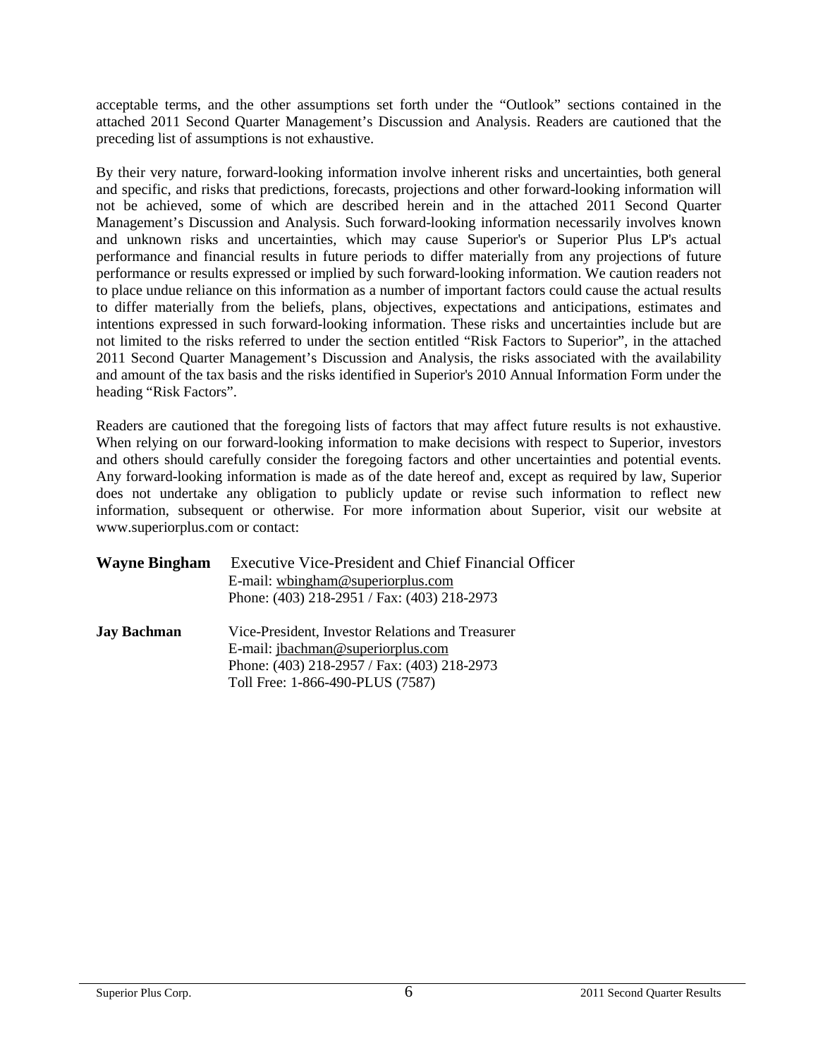acceptable terms, and the other assumptions set forth under the "Outlook" sections contained in the attached 2011 Second Quarter Management's Discussion and Analysis. Readers are cautioned that the preceding list of assumptions is not exhaustive.

By their very nature, forward-looking information involve inherent risks and uncertainties, both general and specific, and risks that predictions, forecasts, projections and other forward-looking information will not be achieved, some of which are described herein and in the attached 2011 Second Quarter Management's Discussion and Analysis. Such forward-looking information necessarily involves known and unknown risks and uncertainties, which may cause Superior's or Superior Plus LP's actual performance and financial results in future periods to differ materially from any projections of future performance or results expressed or implied by such forward-looking information. We caution readers not to place undue reliance on this information as a number of important factors could cause the actual results to differ materially from the beliefs, plans, objectives, expectations and anticipations, estimates and intentions expressed in such forward-looking information. These risks and uncertainties include but are not limited to the risks referred to under the section entitled "Risk Factors to Superior", in the attached 2011 Second Quarter Management's Discussion and Analysis, the risks associated with the availability and amount of the tax basis and the risks identified in Superior's 2010 Annual Information Form under the heading "Risk Factors".

Readers are cautioned that the foregoing lists of factors that may affect future results is not exhaustive. When relying on our forward-looking information to make decisions with respect to Superior, investors and others should carefully consider the foregoing factors and other uncertainties and potential events. Any forward-looking information is made as of the date hereof and, except as required by law, Superior does not undertake any obligation to publicly update or revise such information to reflect new information, subsequent or otherwise. For more information about Superior, visit our website at www.superiorplus.com or contact:

| <b>Wayne Bingham</b> | <b>Executive Vice-President and Chief Financial Officer</b><br>E-mail: whingham@superiorplus.com<br>Phone: (403) 218-2951 / Fax: (403) 218-2973                          |
|----------------------|--------------------------------------------------------------------------------------------------------------------------------------------------------------------------|
| <b>Jay Bachman</b>   | Vice-President, Investor Relations and Treasurer<br>E-mail: jbachman@superiorplus.com<br>Phone: (403) 218-2957 / Fax: (403) 218-2973<br>Toll Free: 1-866-490-PLUS (7587) |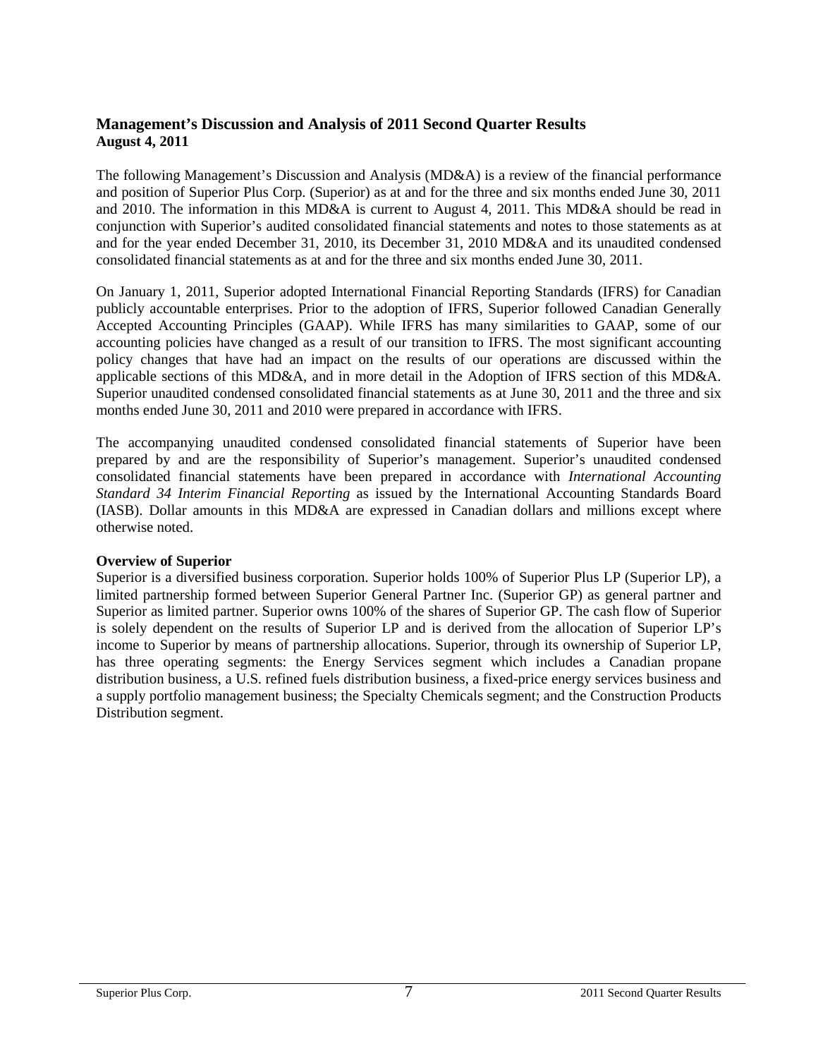# **Management's Discussion and Analysis of 2011 Second Quarter Results August 4, 2011**

The following Management's Discussion and Analysis (MD&A) is a review of the financial performance and position of Superior Plus Corp. (Superior) as at and for the three and six months ended June 30, 2011 and 2010. The information in this MD&A is current to August 4, 2011. This MD&A should be read in conjunction with Superior's audited consolidated financial statements and notes to those statements as at and for the year ended December 31, 2010, its December 31, 2010 MD&A and its unaudited condensed consolidated financial statements as at and for the three and six months ended June 30, 2011.

On January 1, 2011, Superior adopted International Financial Reporting Standards (IFRS) for Canadian publicly accountable enterprises. Prior to the adoption of IFRS, Superior followed Canadian Generally Accepted Accounting Principles (GAAP). While IFRS has many similarities to GAAP, some of our accounting policies have changed as a result of our transition to IFRS. The most significant accounting policy changes that have had an impact on the results of our operations are discussed within the applicable sections of this MD&A, and in more detail in the Adoption of IFRS section of this MD&A. Superior unaudited condensed consolidated financial statements as at June 30, 2011 and the three and six months ended June 30, 2011 and 2010 were prepared in accordance with IFRS.

The accompanying unaudited condensed consolidated financial statements of Superior have been prepared by and are the responsibility of Superior's management. Superior's unaudited condensed consolidated financial statements have been prepared in accordance with *International Accounting Standard 34 Interim Financial Reporting* as issued by the International Accounting Standards Board (IASB). Dollar amounts in this MD&A are expressed in Canadian dollars and millions except where otherwise noted.

#### **Overview of Superior**

Superior is a diversified business corporation. Superior holds 100% of Superior Plus LP (Superior LP), a limited partnership formed between Superior General Partner Inc. (Superior GP) as general partner and Superior as limited partner. Superior owns 100% of the shares of Superior GP. The cash flow of Superior is solely dependent on the results of Superior LP and is derived from the allocation of Superior LP's income to Superior by means of partnership allocations. Superior, through its ownership of Superior LP, has three operating segments: the Energy Services segment which includes a Canadian propane distribution business, a U.S. refined fuels distribution business, a fixed-price energy services business and a supply portfolio management business; the Specialty Chemicals segment; and the Construction Products Distribution segment.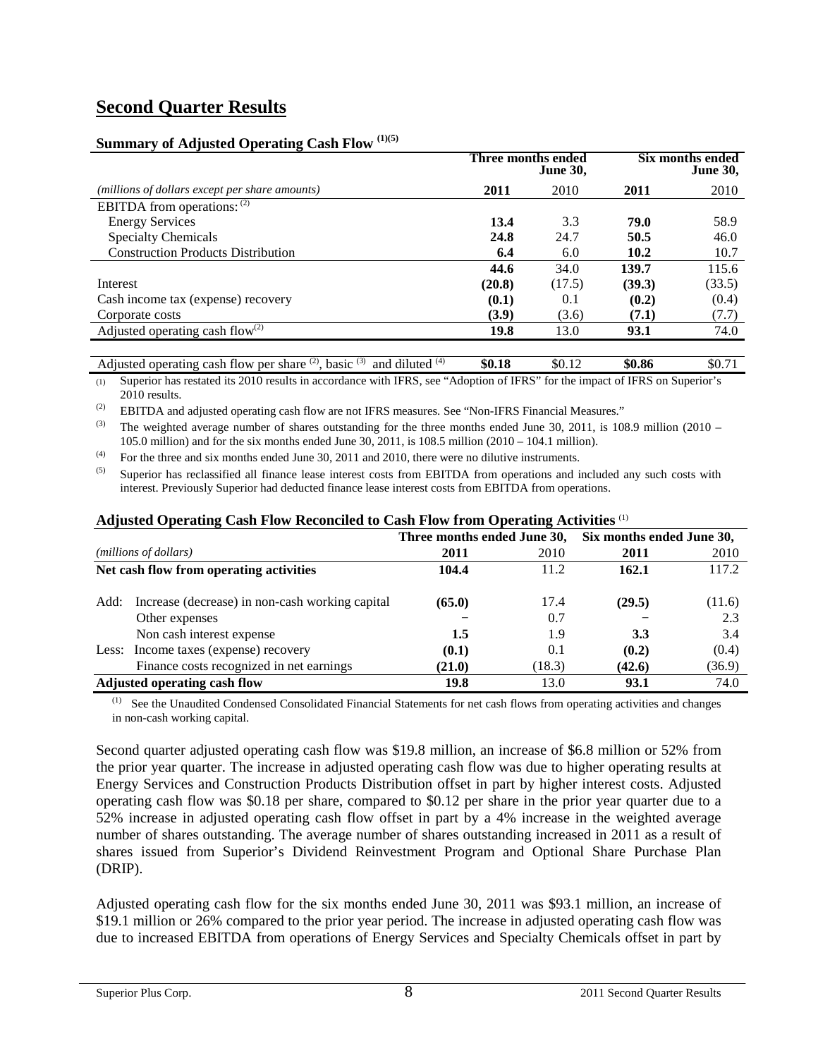# **Second Quarter Results**

# **Summary of Adjusted Operating Cash Flow (1)(5)**

|                                                | Three months ended<br><b>June 30,</b> |        | Six months ended<br><b>June 30,</b> |        |
|------------------------------------------------|---------------------------------------|--------|-------------------------------------|--------|
| (millions of dollars except per share amounts) | 2011                                  | 2010   | 2011                                | 2010   |
| EBITDA from operations: $(2)$                  |                                       |        |                                     |        |
| <b>Energy Services</b>                         | 13.4                                  | 3.3    | 79.0                                | 58.9   |
| <b>Specialty Chemicals</b>                     | 24.8                                  | 24.7   | 50.5                                | 46.0   |
| <b>Construction Products Distribution</b>      | 6.4                                   | 6.0    | 10.2                                | 10.7   |
|                                                | 44.6                                  | 34.0   | 139.7                               | 115.6  |
| Interest                                       | (20.8)                                | (17.5) | (39.3)                              | (33.5) |
| Cash income tax (expense) recovery             | (0.1)                                 | 0.1    | (0.2)                               | (0.4)  |
| Corporate costs                                | (3.9)                                 | (3.6)  | (7.1)                               | (7.7)  |
| Adjusted operating cash flow $^{(2)}$          | 19.8                                  | 13.0   | 93.1                                | 74.0   |
|                                                |                                       |        |                                     |        |

Adjusted operating cash flow per share <sup>(2)</sup>, basic <sup>(3)</sup> and diluted <sup>(4)</sup>  $\text{\$0.18}$  \$0.12  $\text{\$0.86}$  \$0.71

(1) Superior has restated its 2010 results in accordance with IFRS, see "Adoption of IFRS" for the impact of IFRS on Superior's 2010 results.

<sup>(2)</sup> EBITDA and adjusted operating cash flow are not IFRS measures. See "Non-IFRS Financial Measures."

(3) The weighted average number of shares outstanding for the three months ended June 30, 2011, is 108.9 million (2010 – 105.0 million) and for the six months ended June 30, 2011, is 108.5 million (2010 – 104.1 million).

 $^{(4)}$  For the three and six months ended June 30, 2011 and 2010, there were no dilutive instruments.

 $<sup>(5)</sup>$  Superior has reclassified all finance lease interest costs from EBITDA from operations and included any such costs with</sup> interest. Previously Superior had deducted finance lease interest costs from EBITDA from operations.

#### **Adjusted Operating Cash Flow Reconciled to Cash Flow from Operating Activities** (1)

|      |                                                 | Three months ended June 30, |        | Six months ended June 30, |        |
|------|-------------------------------------------------|-----------------------------|--------|---------------------------|--------|
|      | (millions of dollars)                           | 2011                        | 2010   | 2011                      | 2010   |
|      | Net cash flow from operating activities         | 104.4                       | 11.2   | 162.1                     | 117.2  |
| Add: | Increase (decrease) in non-cash working capital | (65.0)                      | 17.4   | (29.5)                    | (11.6) |
|      | Other expenses                                  |                             | 0.7    |                           | 2.3    |
|      | Non cash interest expense                       | 1.5                         | 1.9    | 3.3                       | 3.4    |
|      | Less: Income taxes (expense) recovery           | (0.1)                       | 0.1    | (0.2)                     | (0.4)  |
|      | Finance costs recognized in net earnings        | (21.0)                      | (18.3) | (42.6)                    | (36.9) |
|      | <b>Adjusted operating cash flow</b>             | 19.8                        | 13.0   | 93.1                      | 74.0   |

(1) See the Unaudited Condensed Consolidated Financial Statements for net cash flows from operating activities and changes in non-cash working capital.

Second quarter adjusted operating cash flow was \$19.8 million, an increase of \$6.8 million or 52% from the prior year quarter. The increase in adjusted operating cash flow was due to higher operating results at Energy Services and Construction Products Distribution offset in part by higher interest costs. Adjusted operating cash flow was \$0.18 per share, compared to \$0.12 per share in the prior year quarter due to a 52% increase in adjusted operating cash flow offset in part by a 4% increase in the weighted average number of shares outstanding. The average number of shares outstanding increased in 2011 as a result of shares issued from Superior's Dividend Reinvestment Program and Optional Share Purchase Plan (DRIP).

Adjusted operating cash flow for the six months ended June 30, 2011 was \$93.1 million, an increase of \$19.1 million or 26% compared to the prior year period. The increase in adjusted operating cash flow was due to increased EBITDA from operations of Energy Services and Specialty Chemicals offset in part by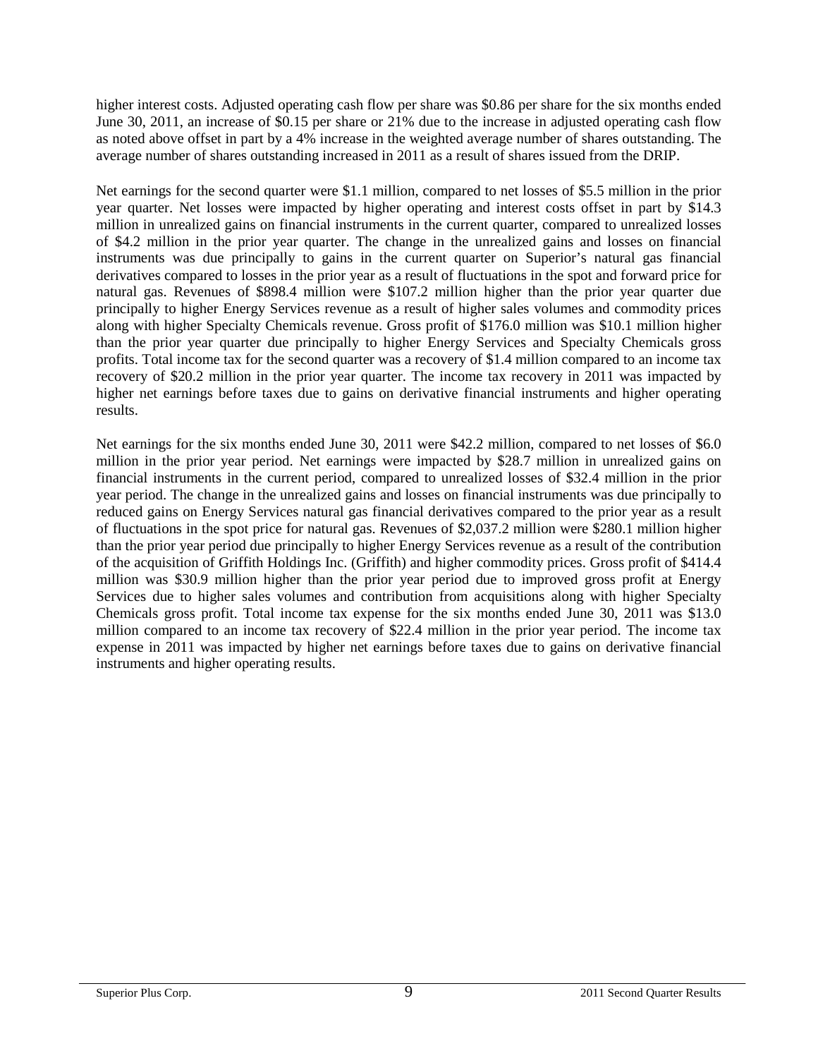higher interest costs. Adjusted operating cash flow per share was \$0.86 per share for the six months ended June 30, 2011, an increase of \$0.15 per share or 21% due to the increase in adjusted operating cash flow as noted above offset in part by a 4% increase in the weighted average number of shares outstanding. The average number of shares outstanding increased in 2011 as a result of shares issued from the DRIP.

Net earnings for the second quarter were \$1.1 million, compared to net losses of \$5.5 million in the prior year quarter. Net losses were impacted by higher operating and interest costs offset in part by \$14.3 million in unrealized gains on financial instruments in the current quarter, compared to unrealized losses of \$4.2 million in the prior year quarter. The change in the unrealized gains and losses on financial instruments was due principally to gains in the current quarter on Superior's natural gas financial derivatives compared to losses in the prior year as a result of fluctuations in the spot and forward price for natural gas. Revenues of \$898.4 million were \$107.2 million higher than the prior year quarter due principally to higher Energy Services revenue as a result of higher sales volumes and commodity prices along with higher Specialty Chemicals revenue. Gross profit of \$176.0 million was \$10.1 million higher than the prior year quarter due principally to higher Energy Services and Specialty Chemicals gross profits. Total income tax for the second quarter was a recovery of \$1.4 million compared to an income tax recovery of \$20.2 million in the prior year quarter. The income tax recovery in 2011 was impacted by higher net earnings before taxes due to gains on derivative financial instruments and higher operating results.

Net earnings for the six months ended June 30, 2011 were \$42.2 million, compared to net losses of \$6.0 million in the prior year period. Net earnings were impacted by \$28.7 million in unrealized gains on financial instruments in the current period, compared to unrealized losses of \$32.4 million in the prior year period. The change in the unrealized gains and losses on financial instruments was due principally to reduced gains on Energy Services natural gas financial derivatives compared to the prior year as a result of fluctuations in the spot price for natural gas. Revenues of \$2,037.2 million were \$280.1 million higher than the prior year period due principally to higher Energy Services revenue as a result of the contribution of the acquisition of Griffith Holdings Inc. (Griffith) and higher commodity prices. Gross profit of \$414.4 million was \$30.9 million higher than the prior year period due to improved gross profit at Energy Services due to higher sales volumes and contribution from acquisitions along with higher Specialty Chemicals gross profit. Total income tax expense for the six months ended June 30, 2011 was \$13.0 million compared to an income tax recovery of \$22.4 million in the prior year period. The income tax expense in 2011 was impacted by higher net earnings before taxes due to gains on derivative financial instruments and higher operating results.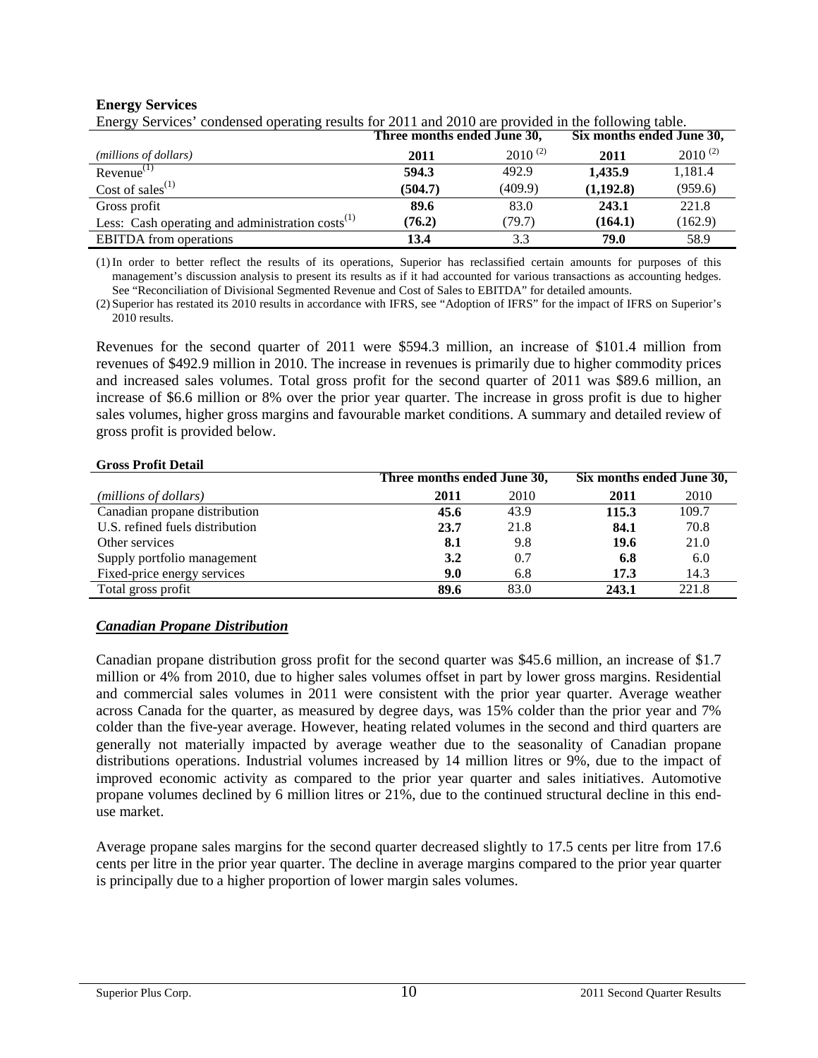### **Energy Services**

**Gross Profit Detail** 

| Energy between condensed operating results for 2011 and 2010 are provided in the following table. |                             |              |                           |              |  |  |
|---------------------------------------------------------------------------------------------------|-----------------------------|--------------|---------------------------|--------------|--|--|
|                                                                                                   | Three months ended June 30, |              | Six months ended June 30, |              |  |  |
| (millions of dollars)                                                                             | 2011                        | $2010^{(2)}$ | 2011                      | $2010^{(2)}$ |  |  |
| $Revenue$ <sup>(1)</sup>                                                                          | 594.3                       | 492.9        | 1,435.9                   | 1,181.4      |  |  |
| Cost of sales <sup><math>(1)</math></sup>                                                         | (504.7)                     | (409.9)      | (1,192.8)                 | (959.6)      |  |  |
| Gross profit                                                                                      | 89.6                        | 83.0         | 243.1                     | 221.8        |  |  |
| Less: Cash operating and administration $costs^{(1)}$                                             | (76.2)                      | (79.7)       | (164.1)                   | (162.9)      |  |  |
| <b>EBITDA</b> from operations                                                                     | 13.4                        | 3.3          | 79.0                      | 58.9         |  |  |

Energy Services' condensed operating results for 2011 and 2010 are provided in the following table.

(1)In order to better reflect the results of its operations, Superior has reclassified certain amounts for purposes of this management's discussion analysis to present its results as if it had accounted for various transactions as accounting hedges. See "Reconciliation of Divisional Segmented Revenue and Cost of Sales to EBITDA" for detailed amounts.

(2) Superior has restated its 2010 results in accordance with IFRS, see "Adoption of IFRS" for the impact of IFRS on Superior's 2010 results.

Revenues for the second quarter of 2011 were \$594.3 million, an increase of \$101.4 million from revenues of \$492.9 million in 2010. The increase in revenues is primarily due to higher commodity prices and increased sales volumes. Total gross profit for the second quarter of 2011 was \$89.6 million, an increase of \$6.6 million or 8% over the prior year quarter. The increase in gross profit is due to higher sales volumes, higher gross margins and favourable market conditions. A summary and detailed review of gross profit is provided below.

| ATUSS I TULIU DUGLAH            |                             |      |                           |       |  |
|---------------------------------|-----------------------------|------|---------------------------|-------|--|
|                                 | Three months ended June 30, |      | Six months ended June 30, |       |  |
| (millions of dollars)           | 2011                        | 2010 | 2011                      | 2010  |  |
| Canadian propane distribution   | 45.6                        | 43.9 | 115.3                     | 109.7 |  |
| U.S. refined fuels distribution | 23.7                        | 21.8 | 84.1                      | 70.8  |  |
| Other services                  | 8.1                         | 9.8  | 19.6                      | 21.0  |  |
| Supply portfolio management     | 3.2                         | 0.7  | 6.8                       | 6.0   |  |
| Fixed-price energy services     | 9.0                         | 6.8  | 17.3                      | 14.3  |  |
| Total gross profit              | 89.6                        | 83.0 | 243.1                     | 221.8 |  |

# *Canadian Propane Distribution*

Canadian propane distribution gross profit for the second quarter was \$45.6 million, an increase of \$1.7 million or 4% from 2010, due to higher sales volumes offset in part by lower gross margins. Residential and commercial sales volumes in 2011 were consistent with the prior year quarter. Average weather across Canada for the quarter, as measured by degree days, was 15% colder than the prior year and 7% colder than the five-year average. However, heating related volumes in the second and third quarters are generally not materially impacted by average weather due to the seasonality of Canadian propane distributions operations. Industrial volumes increased by 14 million litres or 9%, due to the impact of improved economic activity as compared to the prior year quarter and sales initiatives. Automotive propane volumes declined by 6 million litres or 21%, due to the continued structural decline in this enduse market.

Average propane sales margins for the second quarter decreased slightly to 17.5 cents per litre from 17.6 cents per litre in the prior year quarter. The decline in average margins compared to the prior year quarter is principally due to a higher proportion of lower margin sales volumes.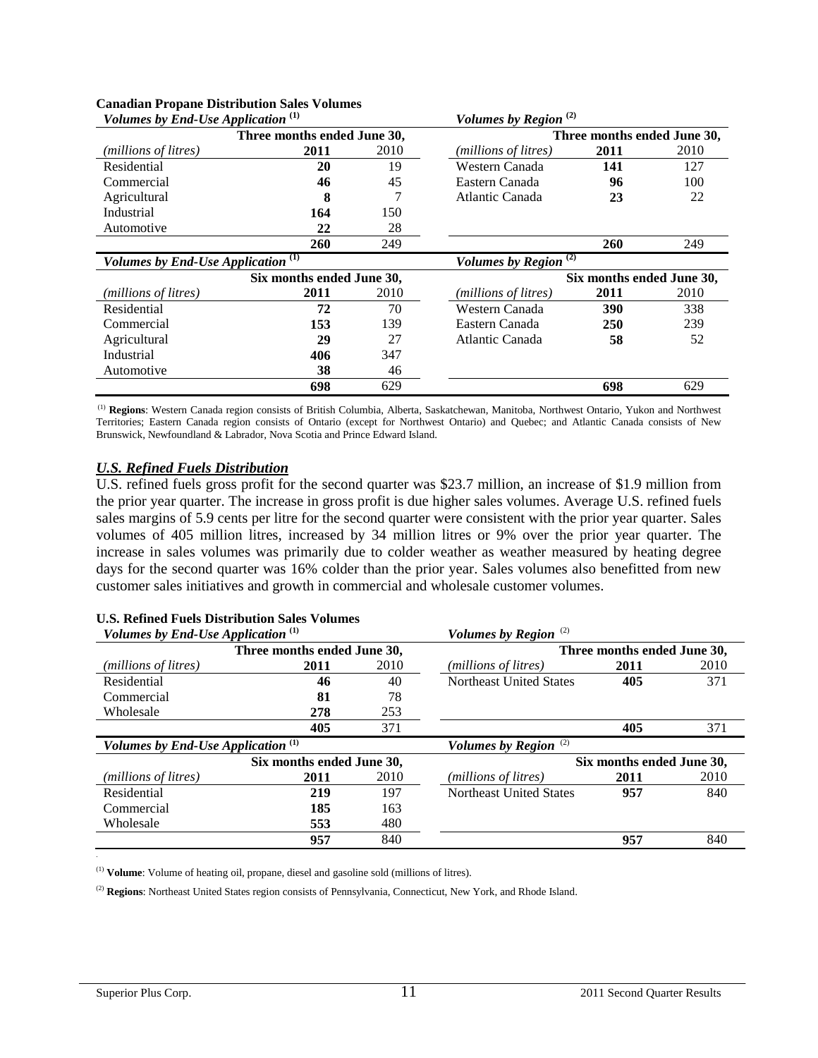| Volumes by End-Use Application <sup>(1)</sup> |                             |      | Volumes by Region <sup>(2)</sup> |      |      |  |
|-----------------------------------------------|-----------------------------|------|----------------------------------|------|------|--|
|                                               | Three months ended June 30, |      | Three months ended June 30,      |      |      |  |
| (millions of litres)                          | 2011                        | 2010 | (millions of litres)             | 2011 | 2010 |  |
| Residential                                   | 20                          | 19   | Western Canada                   | 141  | 127  |  |
| Commercial                                    | 46                          | 45   | Eastern Canada                   | 96   | 100  |  |
| Agricultural                                  | 8                           |      | Atlantic Canada                  | 23   | 22   |  |
| Industrial                                    | 164                         | 150  |                                  |      |      |  |
| Automotive                                    | 22                          | 28   |                                  |      |      |  |
|                                               | 260                         | 249  |                                  | 260  | 249  |  |
| Volumes by End-Use Application <sup>(1)</sup> |                             |      | (2)<br><b>Volumes by Region</b>  |      |      |  |
|                                               | Six months ended June 30,   |      | Six months ended June 30,        |      |      |  |
| (millions of litres)                          | 2011                        | 2010 | (millions of litres)             | 2011 | 2010 |  |
| Residential                                   | 72                          | 70   | Western Canada                   | 390  | 338  |  |
| Commercial                                    | 153                         | 139  | Eastern Canada                   | 250  | 239  |  |
|                                               |                             |      | Atlantic Canada                  | 58   | 52   |  |
| Agricultural                                  | 29                          | 27   |                                  |      |      |  |
| Industrial                                    | 406                         | 347  |                                  |      |      |  |
| Automotive                                    | 38                          | 46   |                                  |      |      |  |

# **Canadian Propane Distribution Sales Volumes**

 (1) **Regions**: Western Canada region consists of British Columbia, Alberta, Saskatchewan, Manitoba, Northwest Ontario, Yukon and Northwest Territories; Eastern Canada region consists of Ontario (except for Northwest Ontario) and Quebec; and Atlantic Canada consists of New Brunswick, Newfoundland & Labrador, Nova Scotia and Prince Edward Island.

#### *U.S. Refined Fuels Distribution*

U.S. refined fuels gross profit for the second quarter was \$23.7 million, an increase of \$1.9 million from the prior year quarter. The increase in gross profit is due higher sales volumes. Average U.S. refined fuels sales margins of 5.9 cents per litre for the second quarter were consistent with the prior year quarter. Sales volumes of 405 million litres, increased by 34 million litres or 9% over the prior year quarter. The increase in sales volumes was primarily due to colder weather as weather measured by heating degree days for the second quarter was 16% colder than the prior year. Sales volumes also benefitted from new customer sales initiatives and growth in commercial and wholesale customer volumes.

| Volumes by End-Use Application $(1)$ |                             |      | Volumes by Region $(2)$          |                             |      |
|--------------------------------------|-----------------------------|------|----------------------------------|-----------------------------|------|
|                                      | Three months ended June 30, |      |                                  | Three months ended June 30, |      |
| (millions of litres)                 | 2011                        | 2010 | (millions of litres)             | 2011                        | 2010 |
| Residential                          | 46                          | 40   | <b>Northeast United States</b>   | 405                         | 371  |
| Commercial                           | 81                          | 78   |                                  |                             |      |
| Wholesale                            | 278                         | 253  |                                  |                             |      |
|                                      | 405                         | 371  |                                  | 405                         | 371  |
| Volumes by End-Use Application $(1)$ |                             |      | Volumes by Region <sup>(2)</sup> |                             |      |
|                                      | Six months ended June 30,   |      |                                  | Six months ended June 30,   |      |
| (millions of litres)                 | 2011                        | 2010 | (millions of litres)             | 2011                        | 2010 |
| Residential                          | 219                         | 197  | <b>Northeast United States</b>   | 957                         | 840  |
|                                      |                             |      |                                  |                             |      |
| Commercial                           | 185                         | 163  |                                  |                             |      |
| Wholesale                            | 553                         | 480  |                                  |                             |      |

### **U.S. Refined Fuels Distribution Sales Volumes**

(1) **Volume**: Volume of heating oil, propane, diesel and gasoline sold (millions of litres).

(2) **Regions**: Northeast United States region consists of Pennsylvania, Connecticut, New York, and Rhode Island.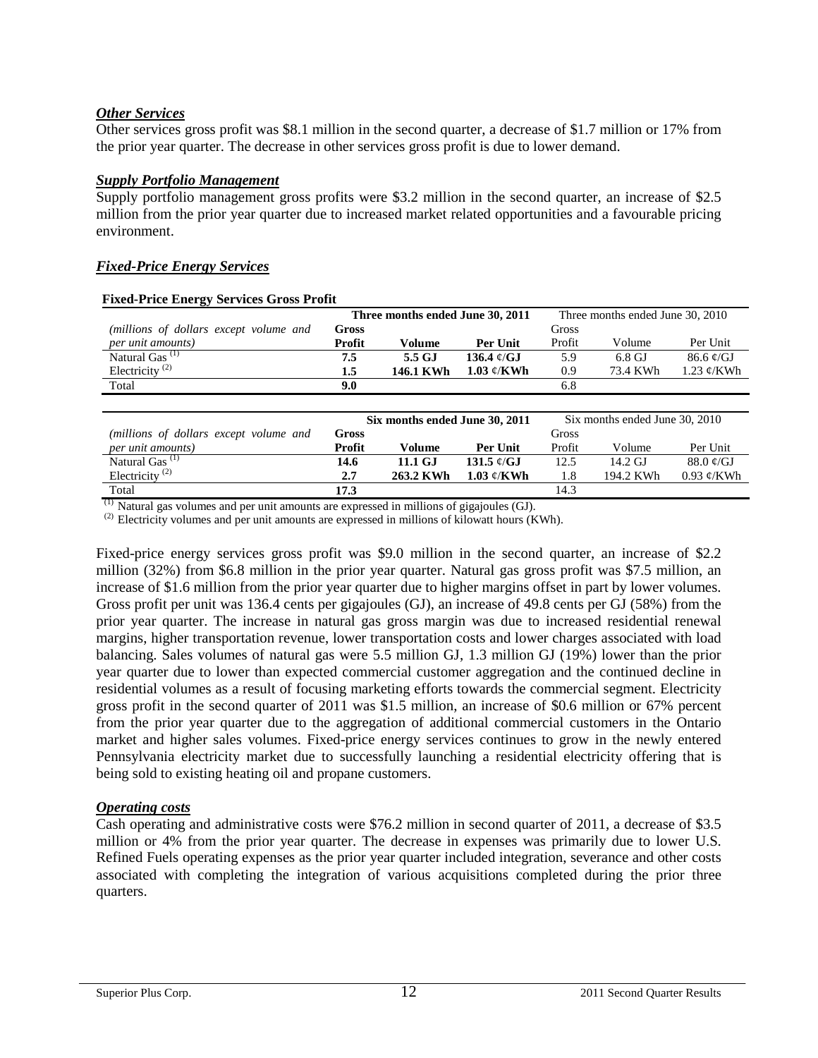# *Other Services*

Other services gross profit was \$8.1 million in the second quarter, a decrease of \$1.7 million or 17% from the prior year quarter. The decrease in other services gross profit is due to lower demand.

### *Supply Portfolio Management*

Supply portfolio management gross profits were \$3.2 million in the second quarter, an increase of \$2.5 million from the prior year quarter due to increased market related opportunities and a favourable pricing environment.

# *Fixed-Price Energy Services*

| <b>Fixed-Price Energy Services Gross Profit</b> |  |  |
|-------------------------------------------------|--|--|
|                                                 |  |  |

|                                         | Three months ended June 30, 2011 |                                |                        | Three months ended June 30, 2010 |                                |                                      |
|-----------------------------------------|----------------------------------|--------------------------------|------------------------|----------------------------------|--------------------------------|--------------------------------------|
| (millions of dollars except volume and  | Gross                            |                                |                        | Gross                            |                                |                                      |
| per unit amounts)                       | <b>Profit</b>                    | Volume                         | Per Unit               | Profit                           | Volume                         | Per Unit                             |
| Natural Gas $(1)$                       | 7.5                              | 5.5 GJ                         | 136.4 $\mathcal{C}/GJ$ | 5.9                              | 6.8 GJ                         | $86.6 \text{ }\mathcal{C}/\text{GJ}$ |
| Electricity <sup><math>(2)</math></sup> | 1.5                              | <b>146.1 KWh</b>               | 1.03 $\mathcal{C}/KWh$ | 0.9                              | 73.4 KWh                       | $1.23 \text{ } \mathcal{C}/KWh$      |
| Total                                   | 9.0                              |                                |                        | 6.8                              |                                |                                      |
|                                         |                                  |                                |                        |                                  |                                |                                      |
|                                         |                                  | Six months ended June 30, 2011 |                        |                                  | Six months ended June 30, 2010 |                                      |
| (millions of dollars except volume and  | <b>Gross</b>                     |                                |                        | Gross                            |                                |                                      |
| per unit amounts)                       | <b>Profit</b>                    | Volume                         | Per Unit               | Profit                           | Volume                         | Per Unit                             |
| Natural Gas <sup>(1)</sup>              | 14.6                             | 11.1 GJ                        | 131.5 $\mathcal{C}/GJ$ | 12.5                             | $14.2 \text{ GJ}$              | $88.0 \text{ }\mathcal{C}/\text{GJ}$ |
| Electricity <sup><math>(2)</math></sup> | 2.7                              | 263.2 KWh                      | 1.03 $\mathcal{C}/KWh$ | 1.8                              | 194.2 KWh                      | $0.93 \, \text{e/KWh}$               |
| Total                                   | 17.3                             |                                |                        | 14.3                             |                                |                                      |

 $\overline{^{(1)}}$  Natural gas volumes and per unit amounts are expressed in millions of gigajoules (GJ).

 $^{(2)}$  Electricity volumes and per unit amounts are expressed in millions of kilowatt hours (KWh).

Fixed-price energy services gross profit was \$9.0 million in the second quarter, an increase of \$2.2 million (32%) from \$6.8 million in the prior year quarter. Natural gas gross profit was \$7.5 million, an increase of \$1.6 million from the prior year quarter due to higher margins offset in part by lower volumes. Gross profit per unit was 136.4 cents per gigajoules (GJ), an increase of 49.8 cents per GJ (58%) from the prior year quarter. The increase in natural gas gross margin was due to increased residential renewal margins, higher transportation revenue, lower transportation costs and lower charges associated with load balancing. Sales volumes of natural gas were 5.5 million GJ, 1.3 million GJ (19%) lower than the prior year quarter due to lower than expected commercial customer aggregation and the continued decline in residential volumes as a result of focusing marketing efforts towards the commercial segment. Electricity gross profit in the second quarter of 2011 was \$1.5 million, an increase of \$0.6 million or 67% percent from the prior year quarter due to the aggregation of additional commercial customers in the Ontario market and higher sales volumes. Fixed-price energy services continues to grow in the newly entered Pennsylvania electricity market due to successfully launching a residential electricity offering that is being sold to existing heating oil and propane customers.

# *Operating costs*

Cash operating and administrative costs were \$76.2 million in second quarter of 2011, a decrease of \$3.5 million or 4% from the prior year quarter. The decrease in expenses was primarily due to lower U.S. Refined Fuels operating expenses as the prior year quarter included integration, severance and other costs associated with completing the integration of various acquisitions completed during the prior three quarters.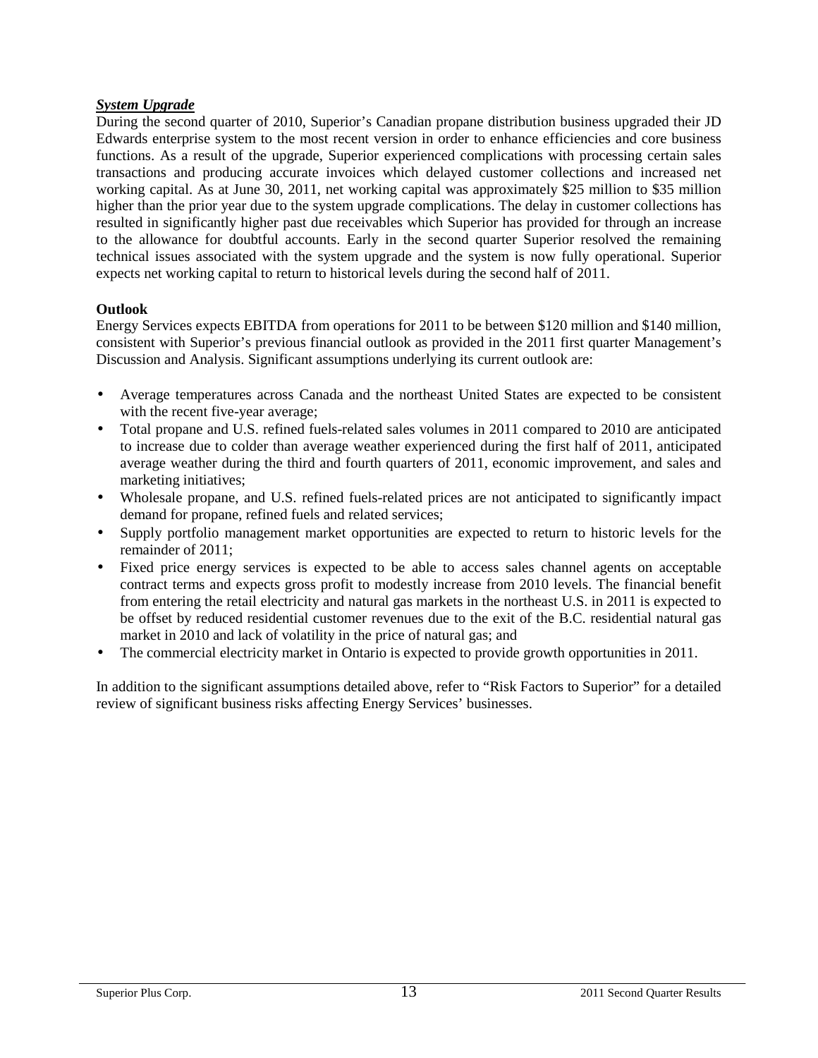# *System Upgrade*

During the second quarter of 2010, Superior's Canadian propane distribution business upgraded their JD Edwards enterprise system to the most recent version in order to enhance efficiencies and core business functions. As a result of the upgrade, Superior experienced complications with processing certain sales transactions and producing accurate invoices which delayed customer collections and increased net working capital. As at June 30, 2011, net working capital was approximately \$25 million to \$35 million higher than the prior year due to the system upgrade complications. The delay in customer collections has resulted in significantly higher past due receivables which Superior has provided for through an increase to the allowance for doubtful accounts. Early in the second quarter Superior resolved the remaining technical issues associated with the system upgrade and the system is now fully operational. Superior expects net working capital to return to historical levels during the second half of 2011.

# **Outlook**

Energy Services expects EBITDA from operations for 2011 to be between \$120 million and \$140 million, consistent with Superior's previous financial outlook as provided in the 2011 first quarter Management's Discussion and Analysis. Significant assumptions underlying its current outlook are:

- Average temperatures across Canada and the northeast United States are expected to be consistent with the recent five-year average;
- Total propane and U.S. refined fuels-related sales volumes in 2011 compared to 2010 are anticipated to increase due to colder than average weather experienced during the first half of 2011, anticipated average weather during the third and fourth quarters of 2011, economic improvement, and sales and marketing initiatives;
- Wholesale propane, and U.S. refined fuels-related prices are not anticipated to significantly impact demand for propane, refined fuels and related services;
- Supply portfolio management market opportunities are expected to return to historic levels for the remainder of 2011;
- Fixed price energy services is expected to be able to access sales channel agents on acceptable contract terms and expects gross profit to modestly increase from 2010 levels. The financial benefit from entering the retail electricity and natural gas markets in the northeast U.S. in 2011 is expected to be offset by reduced residential customer revenues due to the exit of the B.C. residential natural gas market in 2010 and lack of volatility in the price of natural gas; and
- The commercial electricity market in Ontario is expected to provide growth opportunities in 2011.

In addition to the significant assumptions detailed above, refer to "Risk Factors to Superior" for a detailed review of significant business risks affecting Energy Services' businesses.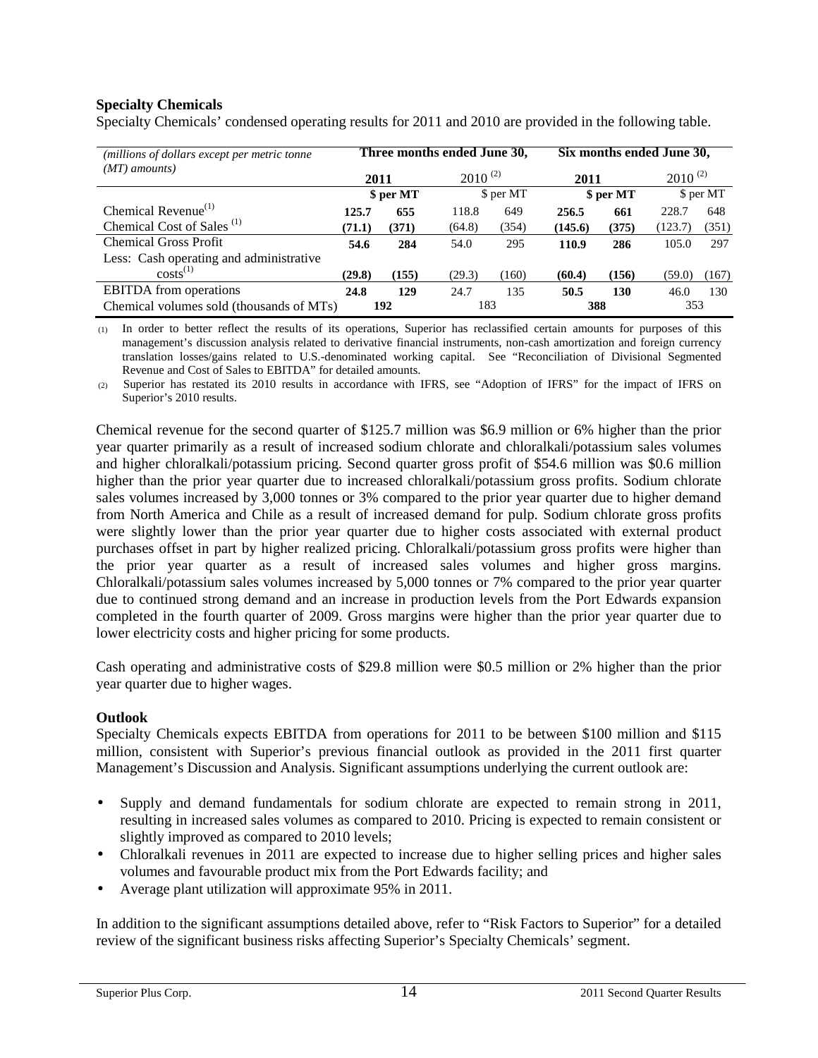# **Specialty Chemicals**

| Specialty Chemicals' condensed operating results for 2011 and 2010 are provided in the following table. |  |  |
|---------------------------------------------------------------------------------------------------------|--|--|
|                                                                                                         |  |  |

| (millions of dollars except per metric tonne | Three months ended June 30, |           |              |       | Six months ended June 30, |       |              |       |  |
|----------------------------------------------|-----------------------------|-----------|--------------|-------|---------------------------|-------|--------------|-------|--|
| $(MT)$ amounts)                              | 2011                        |           | $2010^{(2)}$ |       | 2011                      |       | $2010^{(2)}$ |       |  |
|                                              |                             | \$ per MT | \$ per MT    |       | \$ per MT                 |       | \$ per MT    |       |  |
| Chemical Revenue $(1)$                       | 125.7                       | 655       | 118.8        | 649   | 256.5                     | 661   | 228.7        | 648   |  |
| Chemical Cost of Sales <sup>(1)</sup>        | (71.1)                      | (371)     | (64.8)       | (354) | (145.6)                   | (375) | (123.7)      | (351) |  |
| <b>Chemical Gross Profit</b>                 | 54.6                        | 284       | 54.0         | 295   | 110.9                     | 286   | 105.0        | 297   |  |
| Less: Cash operating and administrative      |                             |           |              |       |                           |       |              |       |  |
| $costs^{(1)}$                                | (29.8)                      | (155)     | (29.3)       | (160) | (60.4)                    | (156) | (59.0)       | (167) |  |
| <b>EBITDA</b> from operations                | 24.8                        | 129       | 24.7         | 135   | 50.5                      | 130   | 46.0         | 130   |  |
| Chemical volumes sold (thousands of MTs)     |                             | 192       | 183          |       | 388                       |       | 353          |       |  |

(1) In order to better reflect the results of its operations, Superior has reclassified certain amounts for purposes of this management's discussion analysis related to derivative financial instruments, non-cash amortization and foreign currency translation losses/gains related to U.S.-denominated working capital. See "Reconciliation of Divisional Segmented Revenue and Cost of Sales to EBITDA" for detailed amounts.

(2) Superior has restated its 2010 results in accordance with IFRS, see "Adoption of IFRS" for the impact of IFRS on Superior's 2010 results.

Chemical revenue for the second quarter of \$125.7 million was \$6.9 million or 6% higher than the prior year quarter primarily as a result of increased sodium chlorate and chloralkali/potassium sales volumes and higher chloralkali/potassium pricing. Second quarter gross profit of \$54.6 million was \$0.6 million higher than the prior year quarter due to increased chloralkali/potassium gross profits. Sodium chlorate sales volumes increased by 3,000 tonnes or 3% compared to the prior year quarter due to higher demand from North America and Chile as a result of increased demand for pulp. Sodium chlorate gross profits were slightly lower than the prior year quarter due to higher costs associated with external product purchases offset in part by higher realized pricing. Chloralkali/potassium gross profits were higher than the prior year quarter as a result of increased sales volumes and higher gross margins. Chloralkali/potassium sales volumes increased by 5,000 tonnes or 7% compared to the prior year quarter due to continued strong demand and an increase in production levels from the Port Edwards expansion completed in the fourth quarter of 2009. Gross margins were higher than the prior year quarter due to lower electricity costs and higher pricing for some products.

Cash operating and administrative costs of \$29.8 million were \$0.5 million or 2% higher than the prior year quarter due to higher wages.

# **Outlook**

Specialty Chemicals expects EBITDA from operations for 2011 to be between \$100 million and \$115 million, consistent with Superior's previous financial outlook as provided in the 2011 first quarter Management's Discussion and Analysis. Significant assumptions underlying the current outlook are:

- Supply and demand fundamentals for sodium chlorate are expected to remain strong in 2011, resulting in increased sales volumes as compared to 2010. Pricing is expected to remain consistent or slightly improved as compared to 2010 levels;
- Chloralkali revenues in 2011 are expected to increase due to higher selling prices and higher sales volumes and favourable product mix from the Port Edwards facility; and
- Average plant utilization will approximate 95% in 2011.

In addition to the significant assumptions detailed above, refer to "Risk Factors to Superior" for a detailed review of the significant business risks affecting Superior's Specialty Chemicals' segment.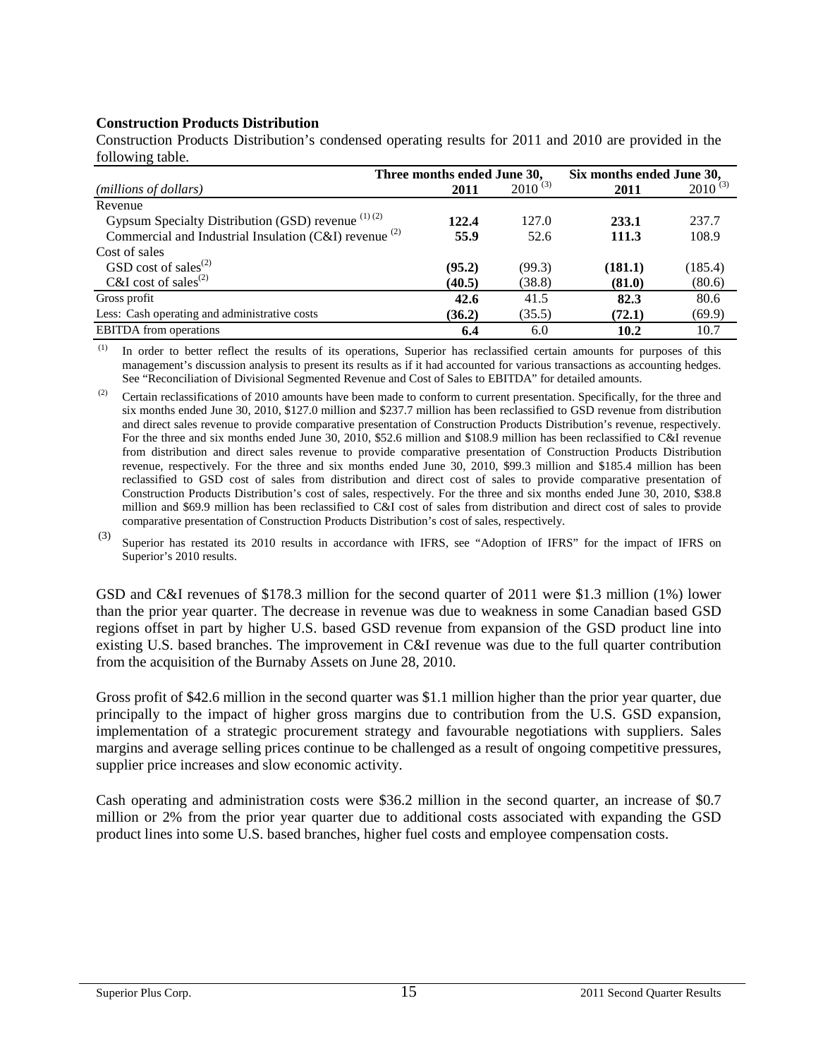### **Construction Products Distribution**

Construction Products Distribution's condensed operating results for 2011 and 2010 are provided in the following table.

|                                                             | Three months ended June 30, |              | Six months ended June 30, |              |  |  |
|-------------------------------------------------------------|-----------------------------|--------------|---------------------------|--------------|--|--|
| ( <i>millions of dollars</i> )                              | 2011                        | $2010^{(3)}$ | 2011                      | $2010^{(3)}$ |  |  |
| Revenue                                                     |                             |              |                           |              |  |  |
| Gypsum Specialty Distribution (GSD) revenue $(1)(2)$        | 122.4                       | 127.0        | 233.1                     | 237.7        |  |  |
| Commercial and Industrial Insulation (C&I) revenue $^{(2)}$ | 55.9                        | 52.6         | 111.3                     | 108.9        |  |  |
| Cost of sales                                               |                             |              |                           |              |  |  |
| GSD cost of sales <sup><math>(2)</math></sup>               | (95.2)                      | (99.3)       | (181.1)                   | (185.4)      |  |  |
| C&I cost of sales <sup>(2)</sup>                            | (40.5)                      | (38.8)       | (81.0)                    | (80.6)       |  |  |
| Gross profit                                                | 42.6                        | 41.5         | 82.3                      | 80.6         |  |  |
| Less: Cash operating and administrative costs               | (36.2)                      | (35.5)       | (72.1)                    | (69.9)       |  |  |
| <b>EBITDA</b> from operations                               | 6.4                         | 6.0          | 10.2                      | 10.7         |  |  |

(1) In order to better reflect the results of its operations, Superior has reclassified certain amounts for purposes of this management's discussion analysis to present its results as if it had accounted for various transactions as accounting hedges. See "Reconciliation of Divisional Segmented Revenue and Cost of Sales to EBITDA" for detailed amounts.

(2) Certain reclassifications of 2010 amounts have been made to conform to current presentation. Specifically, for the three and six months ended June 30, 2010, \$127.0 million and \$237.7 million has been reclassified to GSD revenue from distribution and direct sales revenue to provide comparative presentation of Construction Products Distribution's revenue, respectively. For the three and six months ended June 30, 2010, \$52.6 million and \$108.9 million has been reclassified to C&I revenue from distribution and direct sales revenue to provide comparative presentation of Construction Products Distribution revenue, respectively. For the three and six months ended June 30, 2010, \$99.3 million and \$185.4 million has been reclassified to GSD cost of sales from distribution and direct cost of sales to provide comparative presentation of Construction Products Distribution's cost of sales, respectively. For the three and six months ended June 30, 2010, \$38.8 million and \$69.9 million has been reclassified to C&I cost of sales from distribution and direct cost of sales to provide comparative presentation of Construction Products Distribution's cost of sales, respectively.

(3) Superior has restated its 2010 results in accordance with IFRS, see "Adoption of IFRS" for the impact of IFRS on Superior's 2010 results.

GSD and C&I revenues of \$178.3 million for the second quarter of 2011 were \$1.3 million (1%) lower than the prior year quarter. The decrease in revenue was due to weakness in some Canadian based GSD regions offset in part by higher U.S. based GSD revenue from expansion of the GSD product line into existing U.S. based branches. The improvement in C&I revenue was due to the full quarter contribution from the acquisition of the Burnaby Assets on June 28, 2010.

Gross profit of \$42.6 million in the second quarter was \$1.1 million higher than the prior year quarter, due principally to the impact of higher gross margins due to contribution from the U.S. GSD expansion, implementation of a strategic procurement strategy and favourable negotiations with suppliers. Sales margins and average selling prices continue to be challenged as a result of ongoing competitive pressures, supplier price increases and slow economic activity.

Cash operating and administration costs were \$36.2 million in the second quarter, an increase of \$0.7 million or 2% from the prior year quarter due to additional costs associated with expanding the GSD product lines into some U.S. based branches, higher fuel costs and employee compensation costs.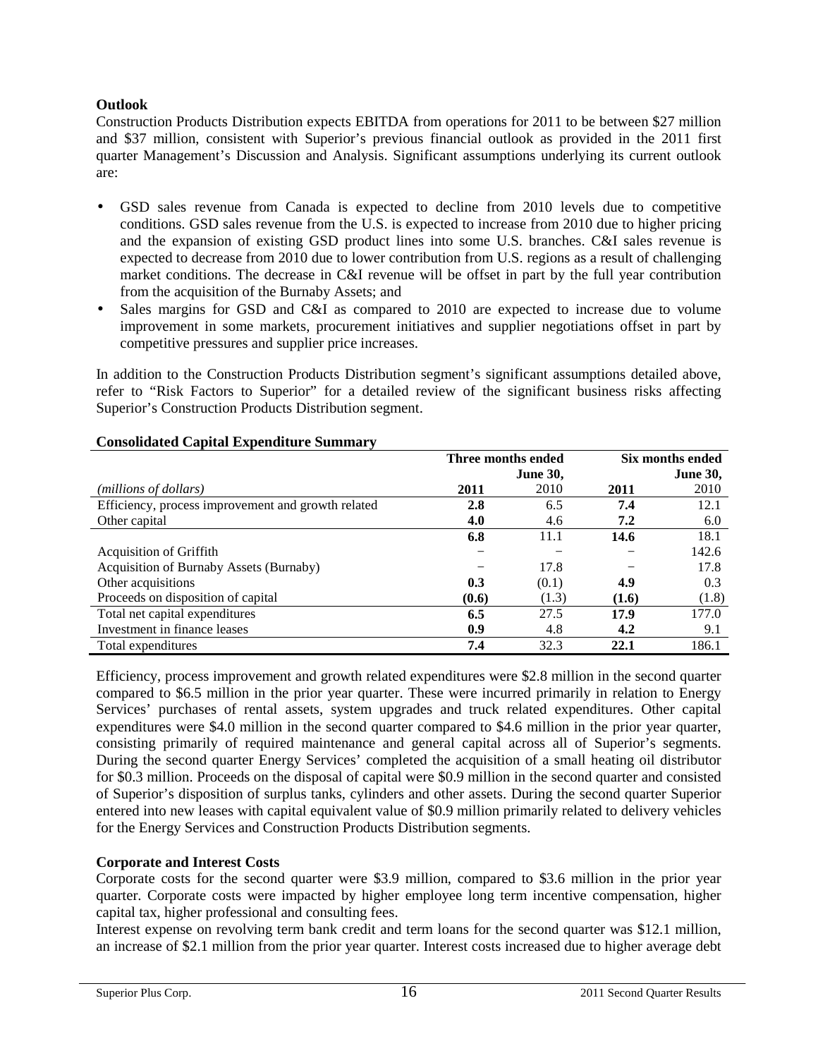# **Outlook**

Construction Products Distribution expects EBITDA from operations for 2011 to be between \$27 million and \$37 million, consistent with Superior's previous financial outlook as provided in the 2011 first quarter Management's Discussion and Analysis. Significant assumptions underlying its current outlook are:

- GSD sales revenue from Canada is expected to decline from 2010 levels due to competitive conditions. GSD sales revenue from the U.S. is expected to increase from 2010 due to higher pricing and the expansion of existing GSD product lines into some U.S. branches. C&I sales revenue is expected to decrease from 2010 due to lower contribution from U.S. regions as a result of challenging market conditions. The decrease in C&I revenue will be offset in part by the full year contribution from the acquisition of the Burnaby Assets; and
- Sales margins for GSD and C&I as compared to 2010 are expected to increase due to volume improvement in some markets, procurement initiatives and supplier negotiations offset in part by competitive pressures and supplier price increases.

In addition to the Construction Products Distribution segment's significant assumptions detailed above, refer to "Risk Factors to Superior" for a detailed review of the significant business risks affecting Superior's Construction Products Distribution segment.

|                                                    | Three months ended |                 | Six months ended |                 |  |
|----------------------------------------------------|--------------------|-----------------|------------------|-----------------|--|
|                                                    |                    | <b>June 30,</b> |                  | <b>June 30,</b> |  |
| (millions of dollars)                              | 2011               | 2010            | 2011             | 2010            |  |
| Efficiency, process improvement and growth related | 2.8                | 6.5             | 7.4              | 12.1            |  |
| Other capital                                      | 4.0                | 4.6             | 7.2              | 6.0             |  |
|                                                    | 6.8                | 11.1            | 14.6             | 18.1            |  |
| Acquisition of Griffith                            |                    |                 |                  | 142.6           |  |
| Acquisition of Burnaby Assets (Burnaby)            |                    | 17.8            |                  | 17.8            |  |
| Other acquisitions                                 | 0.3                | (0.1)           | 4.9              | 0.3             |  |
| Proceeds on disposition of capital                 | (0.6)              | (1.3)           | (1.6)            | (1.8)           |  |
| Total net capital expenditures                     | 6.5                | 27.5            | 17.9             | 177.0           |  |
| Investment in finance leases                       | 0.9                | 4.8             | 4.2              | 9.1             |  |
| Total expenditures                                 | 7.4                | 32.3            | 22.1             | 186.1           |  |

# **Consolidated Capital Expenditure Summary**

Efficiency, process improvement and growth related expenditures were \$2.8 million in the second quarter compared to \$6.5 million in the prior year quarter. These were incurred primarily in relation to Energy Services' purchases of rental assets, system upgrades and truck related expenditures. Other capital expenditures were \$4.0 million in the second quarter compared to \$4.6 million in the prior year quarter, consisting primarily of required maintenance and general capital across all of Superior's segments. During the second quarter Energy Services' completed the acquisition of a small heating oil distributor for \$0.3 million. Proceeds on the disposal of capital were \$0.9 million in the second quarter and consisted of Superior's disposition of surplus tanks, cylinders and other assets. During the second quarter Superior entered into new leases with capital equivalent value of \$0.9 million primarily related to delivery vehicles for the Energy Services and Construction Products Distribution segments.

# **Corporate and Interest Costs**

Corporate costs for the second quarter were \$3.9 million, compared to \$3.6 million in the prior year quarter. Corporate costs were impacted by higher employee long term incentive compensation, higher capital tax, higher professional and consulting fees.

Interest expense on revolving term bank credit and term loans for the second quarter was \$12.1 million, an increase of \$2.1 million from the prior year quarter. Interest costs increased due to higher average debt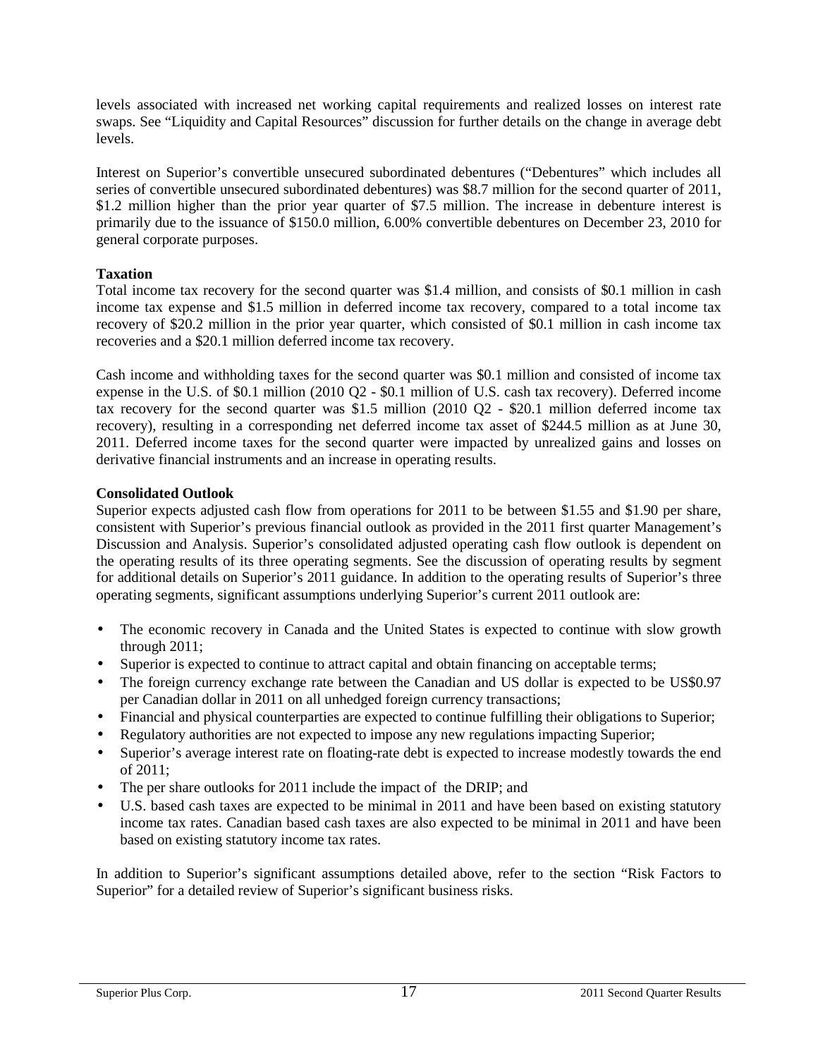levels associated with increased net working capital requirements and realized losses on interest rate swaps. See "Liquidity and Capital Resources" discussion for further details on the change in average debt levels.

Interest on Superior's convertible unsecured subordinated debentures ("Debentures" which includes all series of convertible unsecured subordinated debentures) was \$8.7 million for the second quarter of 2011, \$1.2 million higher than the prior year quarter of \$7.5 million. The increase in debenture interest is primarily due to the issuance of \$150.0 million, 6.00% convertible debentures on December 23, 2010 for general corporate purposes.

# **Taxation**

Total income tax recovery for the second quarter was \$1.4 million, and consists of \$0.1 million in cash income tax expense and \$1.5 million in deferred income tax recovery, compared to a total income tax recovery of \$20.2 million in the prior year quarter, which consisted of \$0.1 million in cash income tax recoveries and a \$20.1 million deferred income tax recovery.

Cash income and withholding taxes for the second quarter was \$0.1 million and consisted of income tax expense in the U.S. of \$0.1 million (2010 Q2 - \$0.1 million of U.S. cash tax recovery). Deferred income tax recovery for the second quarter was \$1.5 million (2010 Q2 - \$20.1 million deferred income tax recovery), resulting in a corresponding net deferred income tax asset of \$244.5 million as at June 30, 2011. Deferred income taxes for the second quarter were impacted by unrealized gains and losses on derivative financial instruments and an increase in operating results.

# **Consolidated Outlook**

Superior expects adjusted cash flow from operations for 2011 to be between \$1.55 and \$1.90 per share, consistent with Superior's previous financial outlook as provided in the 2011 first quarter Management's Discussion and Analysis. Superior's consolidated adjusted operating cash flow outlook is dependent on the operating results of its three operating segments. See the discussion of operating results by segment for additional details on Superior's 2011 guidance. In addition to the operating results of Superior's three operating segments, significant assumptions underlying Superior's current 2011 outlook are:

- The economic recovery in Canada and the United States is expected to continue with slow growth through 2011;
- Superior is expected to continue to attract capital and obtain financing on acceptable terms;
- The foreign currency exchange rate between the Canadian and US dollar is expected to be US\$0.97 per Canadian dollar in 2011 on all unhedged foreign currency transactions;
- Financial and physical counterparties are expected to continue fulfilling their obligations to Superior;
- Regulatory authorities are not expected to impose any new regulations impacting Superior;
- Superior's average interest rate on floating-rate debt is expected to increase modestly towards the end of 2011;
- The per share outlooks for 2011 include the impact of the DRIP; and
- U.S. based cash taxes are expected to be minimal in 2011 and have been based on existing statutory income tax rates. Canadian based cash taxes are also expected to be minimal in 2011 and have been based on existing statutory income tax rates.

In addition to Superior's significant assumptions detailed above, refer to the section "Risk Factors to Superior" for a detailed review of Superior's significant business risks.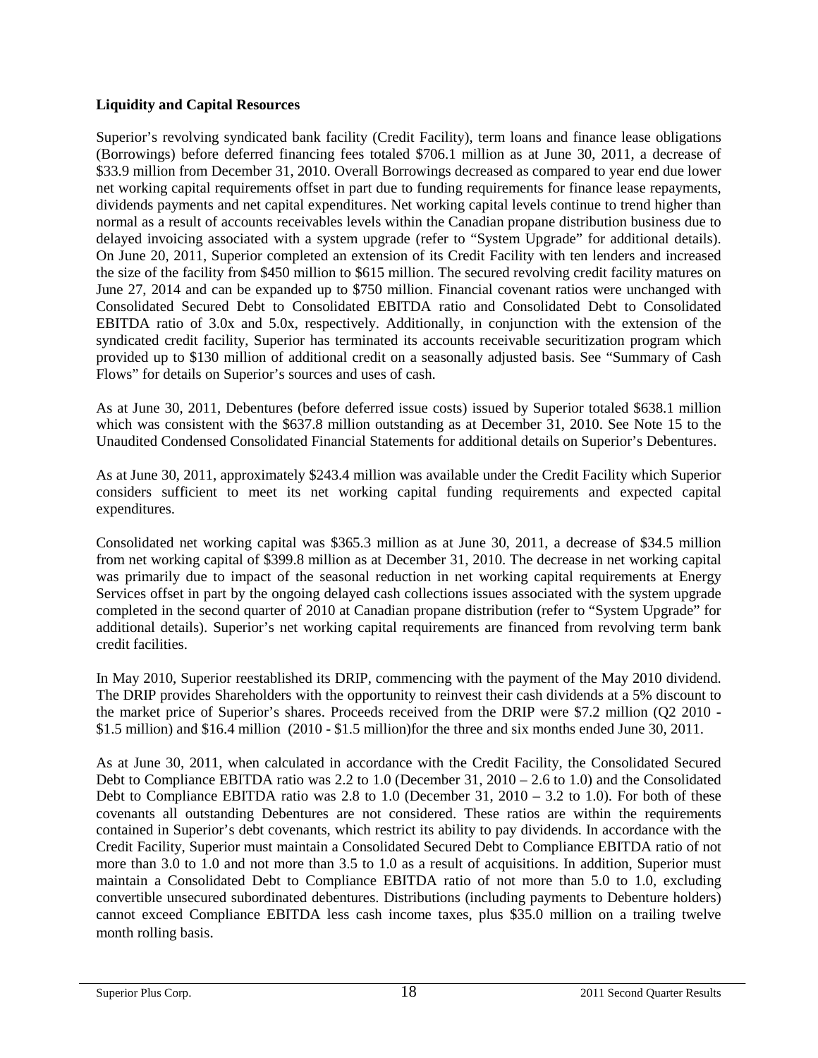# **Liquidity and Capital Resources**

Superior's revolving syndicated bank facility (Credit Facility), term loans and finance lease obligations (Borrowings) before deferred financing fees totaled \$706.1 million as at June 30, 2011, a decrease of \$33.9 million from December 31, 2010. Overall Borrowings decreased as compared to year end due lower net working capital requirements offset in part due to funding requirements for finance lease repayments, dividends payments and net capital expenditures. Net working capital levels continue to trend higher than normal as a result of accounts receivables levels within the Canadian propane distribution business due to delayed invoicing associated with a system upgrade (refer to "System Upgrade" for additional details). On June 20, 2011, Superior completed an extension of its Credit Facility with ten lenders and increased the size of the facility from \$450 million to \$615 million. The secured revolving credit facility matures on June 27, 2014 and can be expanded up to \$750 million. Financial covenant ratios were unchanged with Consolidated Secured Debt to Consolidated EBITDA ratio and Consolidated Debt to Consolidated EBITDA ratio of 3.0x and 5.0x, respectively. Additionally, in conjunction with the extension of the syndicated credit facility, Superior has terminated its accounts receivable securitization program which provided up to \$130 million of additional credit on a seasonally adjusted basis. See "Summary of Cash Flows" for details on Superior's sources and uses of cash.

As at June 30, 2011, Debentures (before deferred issue costs) issued by Superior totaled \$638.1 million which was consistent with the \$637.8 million outstanding as at December 31, 2010. See Note 15 to the Unaudited Condensed Consolidated Financial Statements for additional details on Superior's Debentures.

As at June 30, 2011, approximately \$243.4 million was available under the Credit Facility which Superior considers sufficient to meet its net working capital funding requirements and expected capital expenditures.

Consolidated net working capital was \$365.3 million as at June 30, 2011, a decrease of \$34.5 million from net working capital of \$399.8 million as at December 31, 2010. The decrease in net working capital was primarily due to impact of the seasonal reduction in net working capital requirements at Energy Services offset in part by the ongoing delayed cash collections issues associated with the system upgrade completed in the second quarter of 2010 at Canadian propane distribution (refer to "System Upgrade" for additional details). Superior's net working capital requirements are financed from revolving term bank credit facilities.

In May 2010, Superior reestablished its DRIP, commencing with the payment of the May 2010 dividend. The DRIP provides Shareholders with the opportunity to reinvest their cash dividends at a 5% discount to the market price of Superior's shares. Proceeds received from the DRIP were \$7.2 million (Q2 2010 - \$1.5 million) and \$16.4 million (2010 - \$1.5 million) for the three and six months ended June 30, 2011.

As at June 30, 2011, when calculated in accordance with the Credit Facility, the Consolidated Secured Debt to Compliance EBITDA ratio was 2.2 to 1.0 (December 31, 2010 – 2.6 to 1.0) and the Consolidated Debt to Compliance EBITDA ratio was 2.8 to 1.0 (December 31,  $2010 - 3.2$  to 1.0). For both of these covenants all outstanding Debentures are not considered. These ratios are within the requirements contained in Superior's debt covenants, which restrict its ability to pay dividends. In accordance with the Credit Facility, Superior must maintain a Consolidated Secured Debt to Compliance EBITDA ratio of not more than 3.0 to 1.0 and not more than 3.5 to 1.0 as a result of acquisitions. In addition, Superior must maintain a Consolidated Debt to Compliance EBITDA ratio of not more than 5.0 to 1.0, excluding convertible unsecured subordinated debentures. Distributions (including payments to Debenture holders) cannot exceed Compliance EBITDA less cash income taxes, plus \$35.0 million on a trailing twelve month rolling basis.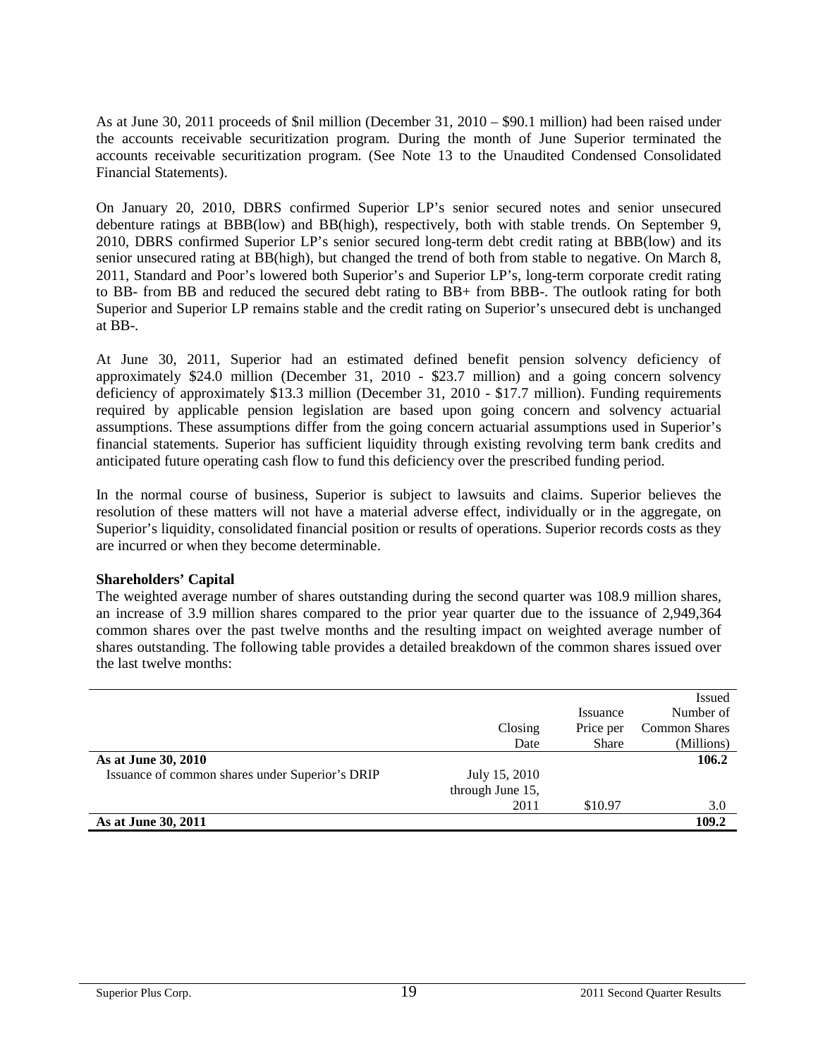As at June 30, 2011 proceeds of \$nil million (December 31, 2010 – \$90.1 million) had been raised under the accounts receivable securitization program. During the month of June Superior terminated the accounts receivable securitization program. (See Note 13 to the Unaudited Condensed Consolidated Financial Statements).

On January 20, 2010, DBRS confirmed Superior LP's senior secured notes and senior unsecured debenture ratings at BBB(low) and BB(high), respectively, both with stable trends. On September 9, 2010, DBRS confirmed Superior LP's senior secured long-term debt credit rating at BBB(low) and its senior unsecured rating at BB(high), but changed the trend of both from stable to negative. On March 8, 2011, Standard and Poor's lowered both Superior's and Superior LP's, long-term corporate credit rating to BB- from BB and reduced the secured debt rating to BB+ from BBB-. The outlook rating for both Superior and Superior LP remains stable and the credit rating on Superior's unsecured debt is unchanged at BB-.

At June 30, 2011, Superior had an estimated defined benefit pension solvency deficiency of approximately \$24.0 million (December 31, 2010 - \$23.7 million) and a going concern solvency deficiency of approximately \$13.3 million (December 31, 2010 - \$17.7 million). Funding requirements required by applicable pension legislation are based upon going concern and solvency actuarial assumptions. These assumptions differ from the going concern actuarial assumptions used in Superior's financial statements. Superior has sufficient liquidity through existing revolving term bank credits and anticipated future operating cash flow to fund this deficiency over the prescribed funding period.

In the normal course of business, Superior is subject to lawsuits and claims. Superior believes the resolution of these matters will not have a material adverse effect, individually or in the aggregate, on Superior's liquidity, consolidated financial position or results of operations. Superior records costs as they are incurred or when they become determinable.

#### **Shareholders' Capital**

The weighted average number of shares outstanding during the second quarter was 108.9 million shares, an increase of 3.9 million shares compared to the prior year quarter due to the issuance of 2,949,364 common shares over the past twelve months and the resulting impact on weighted average number of shares outstanding. The following table provides a detailed breakdown of the common shares issued over the last twelve months:

|                                                 |                  |              | Issued               |
|-------------------------------------------------|------------------|--------------|----------------------|
|                                                 |                  | Issuance     | Number of            |
|                                                 | Closing          | Price per    | <b>Common Shares</b> |
|                                                 | Date             | <b>Share</b> | (Millions)           |
| As at June 30, 2010                             |                  |              | 106.2                |
| Issuance of common shares under Superior's DRIP | July 15, 2010    |              |                      |
|                                                 | through June 15, |              |                      |
|                                                 | 2011             | \$10.97      | 3.0                  |
| As at June 30, 2011                             |                  |              | 109.2                |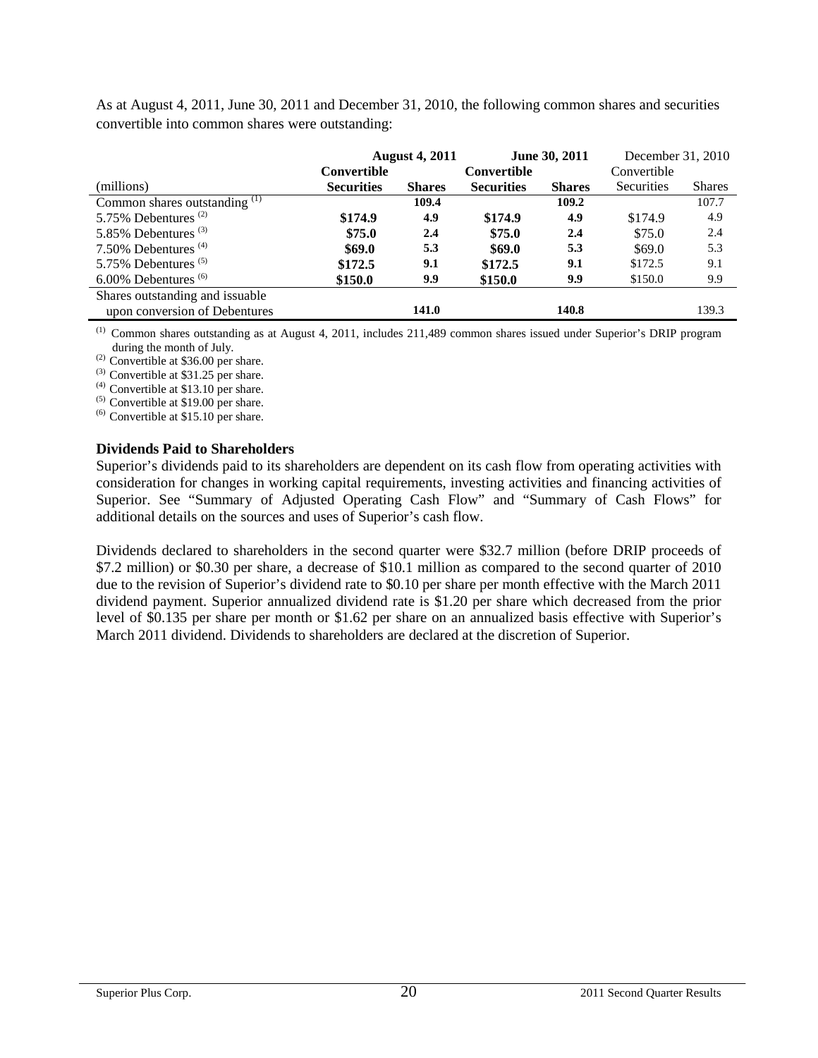As at August 4, 2011, June 30, 2011 and December 31, 2010, the following common shares and securities convertible into common shares were outstanding:

|                                                 |                   | <b>August 4, 2011</b> |                   | <b>June 30, 2011</b> | December 31, 2010 |               |
|-------------------------------------------------|-------------------|-----------------------|-------------------|----------------------|-------------------|---------------|
|                                                 | Convertible       |                       | Convertible       |                      | Convertible       |               |
| (millions)                                      | <b>Securities</b> | <b>Shares</b>         | <b>Securities</b> | <b>Shares</b>        | <b>Securities</b> | <b>Shares</b> |
| Common shares outstanding $(1)$                 |                   | 109.4                 |                   | 109.2                |                   | 107.7         |
| 5.75% Debentures $(2)$                          | \$174.9           | 4.9                   | \$174.9           | 4.9                  | \$174.9           | 4.9           |
| 5.85% Debentures <sup>(3)</sup>                 | \$75.0            | 2.4                   | \$75.0            | 2.4                  | \$75.0            | 2.4           |
| 7.50% Debentures $(4)$                          | \$69.0            | 5.3                   | \$69.0            | 5.3                  | \$69.0            | 5.3           |
| 5.75% Debentures <sup>(5)</sup>                 | \$172.5           | 9.1                   | \$172.5           | 9.1                  | \$172.5           | 9.1           |
| $6.00\%$ Debentures <sup><math>(6)</math></sup> | \$150.0           | 9.9                   | \$150.0           | 9.9                  | \$150.0           | 9.9           |
| Shares outstanding and issuable                 |                   |                       |                   |                      |                   |               |
| upon conversion of Debentures                   |                   | 141.0                 |                   | 140.8                |                   | 139.3         |

 $<sup>(1)</sup>$  Common shares outstanding as at August 4, 2011, includes 211,489 common shares issued under Superior's DRIP program</sup> during the month of July.

(2) Convertible at \$36.00 per share.

 $^{(3)}$  Convertible at \$31.25 per share.

 $^{(4)}$  Convertible at \$13.10 per share.

 $(5)$  Convertible at \$19.00 per share.

 $^{(6)}$  Convertible at \$15.10 per share.

### **Dividends Paid to Shareholders**

Superior's dividends paid to its shareholders are dependent on its cash flow from operating activities with consideration for changes in working capital requirements, investing activities and financing activities of Superior. See "Summary of Adjusted Operating Cash Flow" and "Summary of Cash Flows" for additional details on the sources and uses of Superior's cash flow.

Dividends declared to shareholders in the second quarter were \$32.7 million (before DRIP proceeds of \$7.2 million) or \$0.30 per share, a decrease of \$10.1 million as compared to the second quarter of 2010 due to the revision of Superior's dividend rate to \$0.10 per share per month effective with the March 2011 dividend payment. Superior annualized dividend rate is \$1.20 per share which decreased from the prior level of \$0.135 per share per month or \$1.62 per share on an annualized basis effective with Superior's March 2011 dividend. Dividends to shareholders are declared at the discretion of Superior.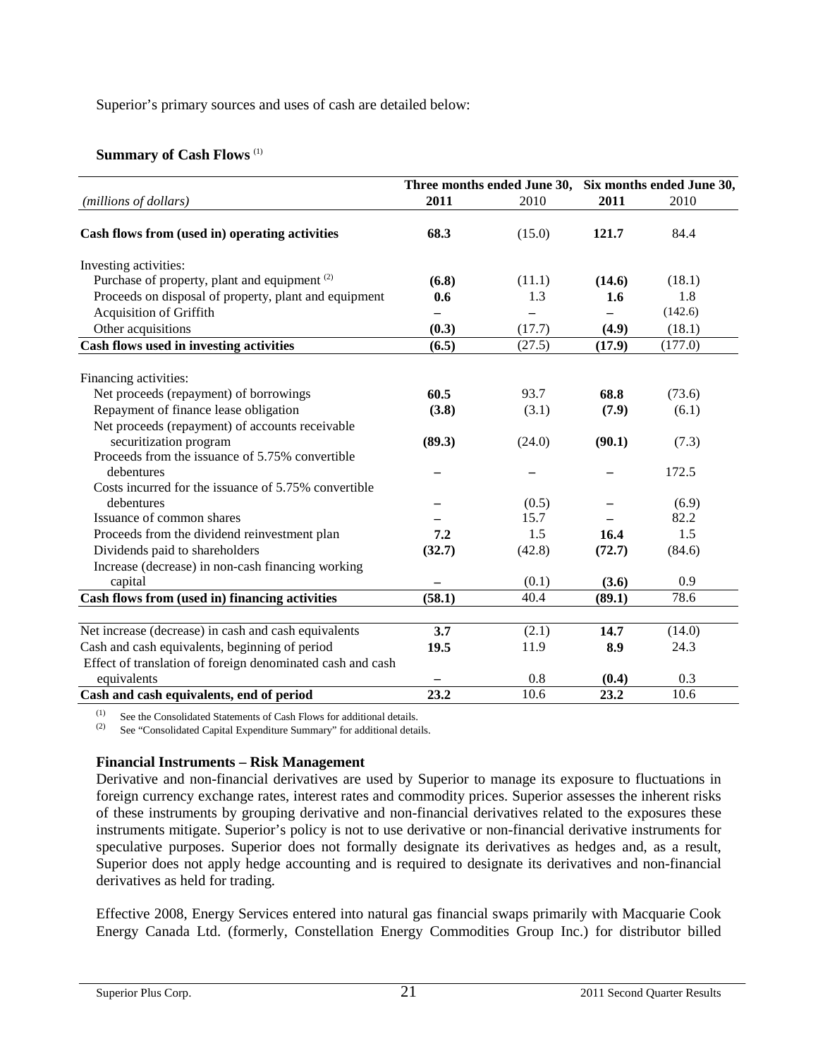Superior's primary sources and uses of cash are detailed below:

# **Summary of Cash Flows** (1)

|                                                            |                   | Three months ended June 30, |        | Six months ended June 30, |
|------------------------------------------------------------|-------------------|-----------------------------|--------|---------------------------|
| (millions of dollars)                                      | 2011              | 2010                        | 2011   | 2010                      |
| Cash flows from (used in) operating activities             | 68.3              | (15.0)                      | 121.7  | 84.4                      |
| Investing activities:                                      |                   |                             |        |                           |
| Purchase of property, plant and equipment <sup>(2)</sup>   | (6.8)             | (11.1)                      | (14.6) | (18.1)                    |
| Proceeds on disposal of property, plant and equipment      | 0.6               | 1.3                         | 1.6    | 1.8                       |
| Acquisition of Griffith                                    |                   |                             |        | (142.6)                   |
| Other acquisitions                                         | (0.3)             | (17.7)                      | (4.9)  | (18.1)                    |
| Cash flows used in investing activities                    | (6.5)             | (27.5)                      | (17.9) | (177.0)                   |
| Financing activities:                                      |                   |                             |        |                           |
| Net proceeds (repayment) of borrowings                     | 60.5              | 93.7                        | 68.8   | (73.6)                    |
| Repayment of finance lease obligation                      | (3.8)             | (3.1)                       | (7.9)  | (6.1)                     |
| Net proceeds (repayment) of accounts receivable            |                   |                             |        |                           |
| securitization program                                     | (89.3)            | (24.0)                      | (90.1) | (7.3)                     |
| Proceeds from the issuance of 5.75% convertible            |                   |                             |        |                           |
| debentures                                                 |                   |                             |        | 172.5                     |
| Costs incurred for the issuance of 5.75% convertible       |                   |                             |        |                           |
| debentures                                                 |                   | (0.5)                       |        | (6.9)                     |
| Issuance of common shares                                  |                   | 15.7                        |        | 82.2                      |
| Proceeds from the dividend reinvestment plan               | 7.2               | 1.5                         | 16.4   | 1.5                       |
| Dividends paid to shareholders                             | (32.7)            | (42.8)                      | (72.7) | (84.6)                    |
| Increase (decrease) in non-cash financing working          |                   |                             |        |                           |
| capital                                                    |                   | (0.1)                       | (3.6)  | 0.9                       |
| Cash flows from (used in) financing activities             | (58.1)            | 40.4                        | (89.1) | 78.6                      |
| Net increase (decrease) in cash and cash equivalents       | 3.7               | (2.1)                       | 14.7   | (14.0)                    |
| Cash and cash equivalents, beginning of period             | 19.5              | 11.9                        | 8.9    | 24.3                      |
| Effect of translation of foreign denominated cash and cash |                   |                             |        |                           |
| equivalents                                                |                   | 0.8                         | (0.4)  | 0.3                       |
| Cash and cash equivalents, end of period                   | $\overline{23.2}$ | 10.6                        | 23.2   | 10.6                      |
|                                                            |                   |                             |        |                           |

 $(1)$ (1) See the Consolidated Statements of Cash Flows for additional details.<br>(2) See "Consolidated Capital Expenditure Summary" for additional details.

See "Consolidated Capital Expenditure Summary" for additional details.

# **Financial Instruments – Risk Management**

Derivative and non-financial derivatives are used by Superior to manage its exposure to fluctuations in foreign currency exchange rates, interest rates and commodity prices. Superior assesses the inherent risks of these instruments by grouping derivative and non-financial derivatives related to the exposures these instruments mitigate. Superior's policy is not to use derivative or non-financial derivative instruments for speculative purposes. Superior does not formally designate its derivatives as hedges and, as a result, Superior does not apply hedge accounting and is required to designate its derivatives and non-financial derivatives as held for trading.

Effective 2008, Energy Services entered into natural gas financial swaps primarily with Macquarie Cook Energy Canada Ltd. (formerly, Constellation Energy Commodities Group Inc.) for distributor billed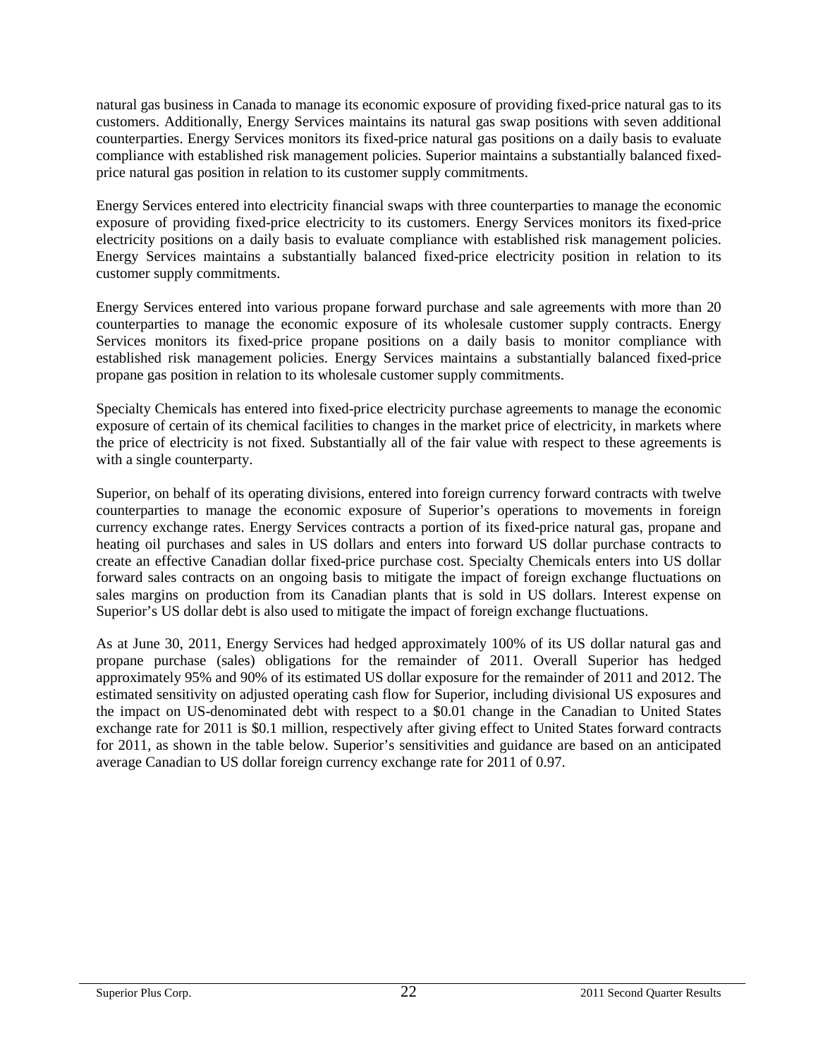natural gas business in Canada to manage its economic exposure of providing fixed-price natural gas to its customers. Additionally, Energy Services maintains its natural gas swap positions with seven additional counterparties. Energy Services monitors its fixed-price natural gas positions on a daily basis to evaluate compliance with established risk management policies. Superior maintains a substantially balanced fixedprice natural gas position in relation to its customer supply commitments.

Energy Services entered into electricity financial swaps with three counterparties to manage the economic exposure of providing fixed-price electricity to its customers. Energy Services monitors its fixed-price electricity positions on a daily basis to evaluate compliance with established risk management policies. Energy Services maintains a substantially balanced fixed-price electricity position in relation to its customer supply commitments.

Energy Services entered into various propane forward purchase and sale agreements with more than 20 counterparties to manage the economic exposure of its wholesale customer supply contracts. Energy Services monitors its fixed-price propane positions on a daily basis to monitor compliance with established risk management policies. Energy Services maintains a substantially balanced fixed-price propane gas position in relation to its wholesale customer supply commitments.

Specialty Chemicals has entered into fixed-price electricity purchase agreements to manage the economic exposure of certain of its chemical facilities to changes in the market price of electricity, in markets where the price of electricity is not fixed. Substantially all of the fair value with respect to these agreements is with a single counterparty.

Superior, on behalf of its operating divisions, entered into foreign currency forward contracts with twelve counterparties to manage the economic exposure of Superior's operations to movements in foreign currency exchange rates. Energy Services contracts a portion of its fixed-price natural gas, propane and heating oil purchases and sales in US dollars and enters into forward US dollar purchase contracts to create an effective Canadian dollar fixed-price purchase cost. Specialty Chemicals enters into US dollar forward sales contracts on an ongoing basis to mitigate the impact of foreign exchange fluctuations on sales margins on production from its Canadian plants that is sold in US dollars. Interest expense on Superior's US dollar debt is also used to mitigate the impact of foreign exchange fluctuations.

As at June 30, 2011, Energy Services had hedged approximately 100% of its US dollar natural gas and propane purchase (sales) obligations for the remainder of 2011. Overall Superior has hedged approximately 95% and 90% of its estimated US dollar exposure for the remainder of 2011 and 2012. The estimated sensitivity on adjusted operating cash flow for Superior, including divisional US exposures and the impact on US-denominated debt with respect to a \$0.01 change in the Canadian to United States exchange rate for 2011 is \$0.1 million, respectively after giving effect to United States forward contracts for 2011, as shown in the table below. Superior's sensitivities and guidance are based on an anticipated average Canadian to US dollar foreign currency exchange rate for 2011 of 0.97.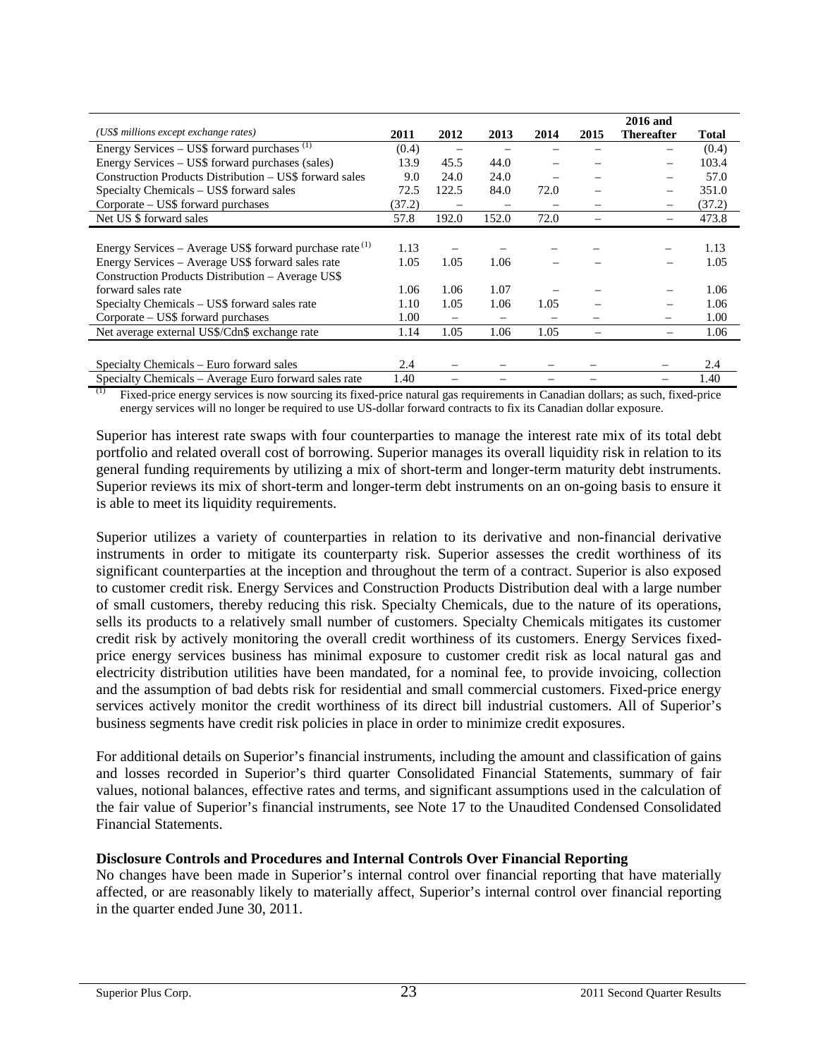|                                                            |        |                          |                          |      |      | 2016 and          |              |
|------------------------------------------------------------|--------|--------------------------|--------------------------|------|------|-------------------|--------------|
| (US\$ millions except exchange rates)                      | 2011   | 2012                     | 2013                     | 2014 | 2015 | <b>Thereafter</b> | <b>Total</b> |
| Energy Services $-$ US\$ forward purchases $(1)$           | (0.4)  | $\overline{\phantom{0}}$ |                          |      |      |                   | (0.4)        |
| Energy Services – US\$ forward purchases (sales)           | 13.9   | 45.5                     | 44.0                     |      |      |                   | 103.4        |
| Construction Products Distribution – US\$ forward sales    | 9.0    | 24.0                     | 24.0                     |      |      |                   | 57.0         |
| Specialty Chemicals – US\$ forward sales                   | 72.5   | 122.5                    | 84.0                     | 72.0 |      |                   | 351.0        |
| Corporate – US\$ forward purchases                         | (37.2) |                          |                          |      |      |                   | (37.2)       |
| Net US \$ forward sales                                    | 57.8   | 192.0                    | 152.0                    | 72.0 |      |                   | 473.8        |
|                                                            |        |                          |                          |      |      |                   |              |
| Energy Services – Average US\$ forward purchase rate $(1)$ | 1.13   |                          |                          |      |      |                   | 1.13         |
| Energy Services - Average US\$ forward sales rate          | 1.05   | 1.05                     | 1.06                     |      |      |                   | 1.05         |
| Construction Products Distribution – Average US\$          |        |                          |                          |      |      |                   |              |
| forward sales rate                                         | 1.06   | 1.06                     | 1.07                     |      |      |                   | 1.06         |
| Specialty Chemicals – US\$ forward sales rate              | 1.10   | 1.05                     | 1.06                     | 1.05 |      |                   | 1.06         |
| Corporate - US\$ forward purchases                         | 1.00   | $\overline{\phantom{0}}$ | $\overline{\phantom{0}}$ |      |      |                   | 1.00         |
| Net average external US\$/Cdn\$ exchange rate              | 1.14   | 1.05                     | 1.06                     | 1.05 |      |                   | 1.06         |
|                                                            |        |                          |                          |      |      |                   |              |
| Specialty Chemicals – Euro forward sales                   | 2.4    |                          |                          |      |      |                   | 2.4          |
| Specialty Chemicals – Average Euro forward sales rate      | 1.40   |                          |                          |      |      |                   | 1.40         |

Fixed-price energy services is now sourcing its fixed-price natural gas requirements in Canadian dollars; as such, fixed-price energy services will no longer be required to use US-dollar forward contracts to fix its Canadian dollar exposure.

Superior has interest rate swaps with four counterparties to manage the interest rate mix of its total debt portfolio and related overall cost of borrowing. Superior manages its overall liquidity risk in relation to its general funding requirements by utilizing a mix of short-term and longer-term maturity debt instruments. Superior reviews its mix of short-term and longer-term debt instruments on an on-going basis to ensure it is able to meet its liquidity requirements.

Superior utilizes a variety of counterparties in relation to its derivative and non-financial derivative instruments in order to mitigate its counterparty risk. Superior assesses the credit worthiness of its significant counterparties at the inception and throughout the term of a contract. Superior is also exposed to customer credit risk. Energy Services and Construction Products Distribution deal with a large number of small customers, thereby reducing this risk. Specialty Chemicals, due to the nature of its operations, sells its products to a relatively small number of customers. Specialty Chemicals mitigates its customer credit risk by actively monitoring the overall credit worthiness of its customers. Energy Services fixedprice energy services business has minimal exposure to customer credit risk as local natural gas and electricity distribution utilities have been mandated, for a nominal fee, to provide invoicing, collection and the assumption of bad debts risk for residential and small commercial customers. Fixed-price energy services actively monitor the credit worthiness of its direct bill industrial customers. All of Superior's business segments have credit risk policies in place in order to minimize credit exposures.

For additional details on Superior's financial instruments, including the amount and classification of gains and losses recorded in Superior's third quarter Consolidated Financial Statements, summary of fair values, notional balances, effective rates and terms, and significant assumptions used in the calculation of the fair value of Superior's financial instruments, see Note 17 to the Unaudited Condensed Consolidated Financial Statements.

# **Disclosure Controls and Procedures and Internal Controls Over Financial Reporting**

No changes have been made in Superior's internal control over financial reporting that have materially affected, or are reasonably likely to materially affect, Superior's internal control over financial reporting in the quarter ended June 30, 2011.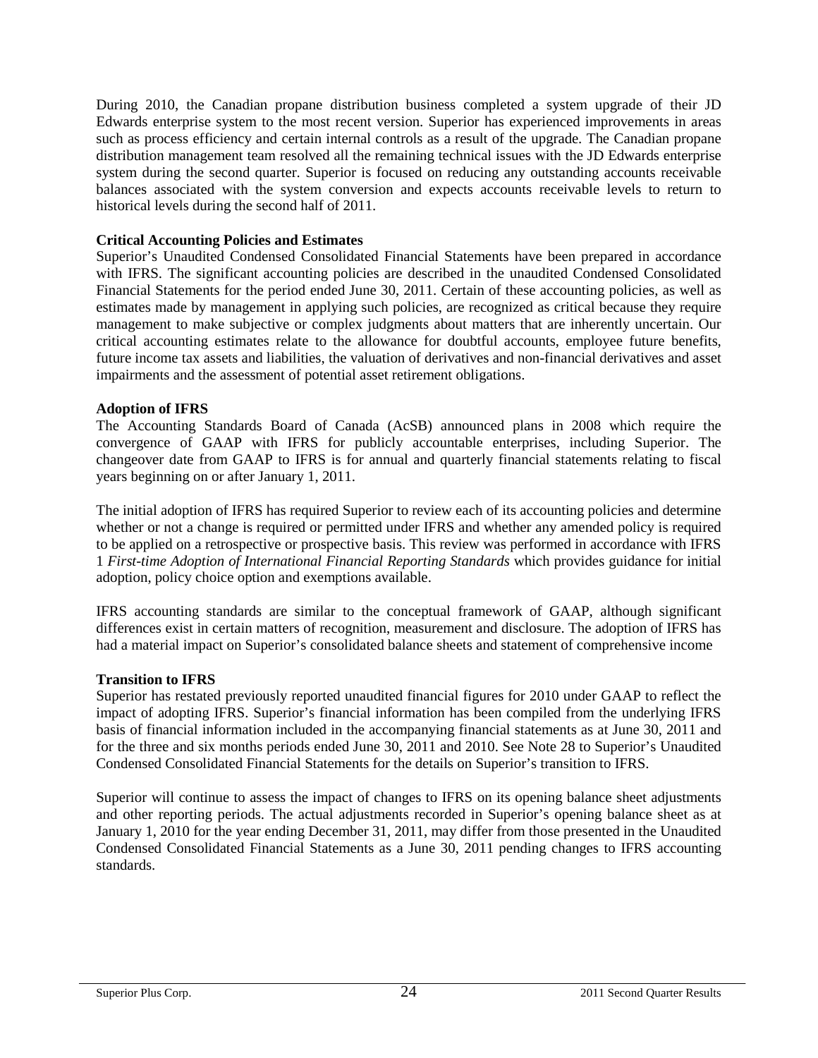During 2010, the Canadian propane distribution business completed a system upgrade of their JD Edwards enterprise system to the most recent version. Superior has experienced improvements in areas such as process efficiency and certain internal controls as a result of the upgrade. The Canadian propane distribution management team resolved all the remaining technical issues with the JD Edwards enterprise system during the second quarter. Superior is focused on reducing any outstanding accounts receivable balances associated with the system conversion and expects accounts receivable levels to return to historical levels during the second half of 2011.

### **Critical Accounting Policies and Estimates**

Superior's Unaudited Condensed Consolidated Financial Statements have been prepared in accordance with IFRS. The significant accounting policies are described in the unaudited Condensed Consolidated Financial Statements for the period ended June 30, 2011. Certain of these accounting policies, as well as estimates made by management in applying such policies, are recognized as critical because they require management to make subjective or complex judgments about matters that are inherently uncertain. Our critical accounting estimates relate to the allowance for doubtful accounts, employee future benefits, future income tax assets and liabilities, the valuation of derivatives and non-financial derivatives and asset impairments and the assessment of potential asset retirement obligations.

# **Adoption of IFRS**

The Accounting Standards Board of Canada (AcSB) announced plans in 2008 which require the convergence of GAAP with IFRS for publicly accountable enterprises, including Superior. The changeover date from GAAP to IFRS is for annual and quarterly financial statements relating to fiscal years beginning on or after January 1, 2011.

The initial adoption of IFRS has required Superior to review each of its accounting policies and determine whether or not a change is required or permitted under IFRS and whether any amended policy is required to be applied on a retrospective or prospective basis. This review was performed in accordance with IFRS 1 *First-time Adoption of International Financial Reporting Standards* which provides guidance for initial adoption, policy choice option and exemptions available.

IFRS accounting standards are similar to the conceptual framework of GAAP, although significant differences exist in certain matters of recognition, measurement and disclosure. The adoption of IFRS has had a material impact on Superior's consolidated balance sheets and statement of comprehensive income

# **Transition to IFRS**

Superior has restated previously reported unaudited financial figures for 2010 under GAAP to reflect the impact of adopting IFRS. Superior's financial information has been compiled from the underlying IFRS basis of financial information included in the accompanying financial statements as at June 30, 2011 and for the three and six months periods ended June 30, 2011 and 2010. See Note 28 to Superior's Unaudited Condensed Consolidated Financial Statements for the details on Superior's transition to IFRS.

Superior will continue to assess the impact of changes to IFRS on its opening balance sheet adjustments and other reporting periods. The actual adjustments recorded in Superior's opening balance sheet as at January 1, 2010 for the year ending December 31, 2011, may differ from those presented in the Unaudited Condensed Consolidated Financial Statements as a June 30, 2011 pending changes to IFRS accounting standards.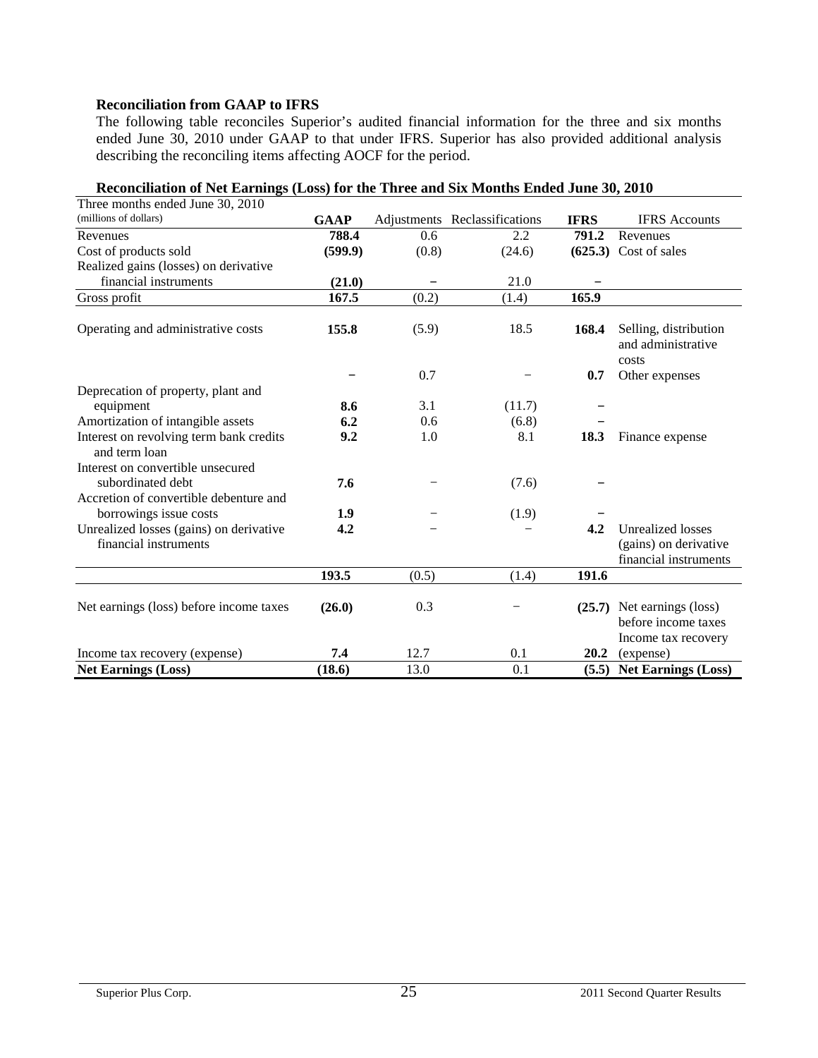### **Reconciliation from GAAP to IFRS**

The following table reconciles Superior's audited financial information for the three and six months ended June 30, 2010 under GAAP to that under IFRS. Superior has also provided additional analysis describing the reconciling items affecting AOCF for the period.

| Reconciliation of Net Earnings (Loss) for the Three and Six Months Ended June 30, 2010 |             |       |                               |             |                                                      |  |  |  |  |  |
|----------------------------------------------------------------------------------------|-------------|-------|-------------------------------|-------------|------------------------------------------------------|--|--|--|--|--|
| Three months ended June 30, 2010                                                       |             |       |                               |             |                                                      |  |  |  |  |  |
| (millions of dollars)                                                                  | <b>GAAP</b> |       | Adjustments Reclassifications | <b>IFRS</b> | <b>IFRS</b> Accounts                                 |  |  |  |  |  |
| Revenues                                                                               | 788.4       | 0.6   | 2.2                           | 791.2       | Revenues                                             |  |  |  |  |  |
| Cost of products sold                                                                  | (599.9)     | (0.8) | (24.6)                        |             | $(625.3)$ Cost of sales                              |  |  |  |  |  |
| Realized gains (losses) on derivative                                                  |             |       |                               |             |                                                      |  |  |  |  |  |
| financial instruments                                                                  | (21.0)      |       | 21.0                          |             |                                                      |  |  |  |  |  |
| Gross profit                                                                           | 167.5       | (0.2) | (1.4)                         | 165.9       |                                                      |  |  |  |  |  |
| Operating and administrative costs                                                     | 155.8       | (5.9) | 18.5                          | 168.4       | Selling, distribution<br>and administrative<br>costs |  |  |  |  |  |
|                                                                                        |             | 0.7   |                               | 0.7         | Other expenses                                       |  |  |  |  |  |
| Deprecation of property, plant and                                                     |             |       |                               |             |                                                      |  |  |  |  |  |
| equipment                                                                              | 8.6         | 3.1   | (11.7)                        |             |                                                      |  |  |  |  |  |
| Amortization of intangible assets                                                      | 6.2         | 0.6   | (6.8)                         |             |                                                      |  |  |  |  |  |
| Interest on revolving term bank credits<br>and term loan                               | 9.2         | 1.0   | 8.1                           | 18.3        | Finance expense                                      |  |  |  |  |  |
| Interest on convertible unsecured                                                      |             |       |                               |             |                                                      |  |  |  |  |  |
| subordinated debt                                                                      | 7.6         |       | (7.6)                         |             |                                                      |  |  |  |  |  |
| Accretion of convertible debenture and                                                 |             |       |                               |             |                                                      |  |  |  |  |  |
| borrowings issue costs                                                                 | 1.9         |       | (1.9)                         |             |                                                      |  |  |  |  |  |
| Unrealized losses (gains) on derivative                                                | 4.2         |       |                               | 4.2         | <b>Unrealized losses</b>                             |  |  |  |  |  |
| financial instruments                                                                  |             |       |                               |             | (gains) on derivative                                |  |  |  |  |  |
|                                                                                        |             |       |                               |             | financial instruments                                |  |  |  |  |  |
|                                                                                        | 193.5       | (0.5) | (1.4)                         | 191.6       |                                                      |  |  |  |  |  |
| Net earnings (loss) before income taxes                                                | (26.0)      | 0.3   |                               | (25.7)      | Net earnings (loss)<br>before income taxes           |  |  |  |  |  |
|                                                                                        |             |       |                               |             | Income tax recovery                                  |  |  |  |  |  |
| Income tax recovery (expense)                                                          | 7.4         | 12.7  | 0.1                           | 20.2        | (expense)                                            |  |  |  |  |  |
| <b>Net Earnings (Loss)</b>                                                             | (18.6)      | 13.0  | 0.1                           | (5.5)       | <b>Net Earnings (Loss)</b>                           |  |  |  |  |  |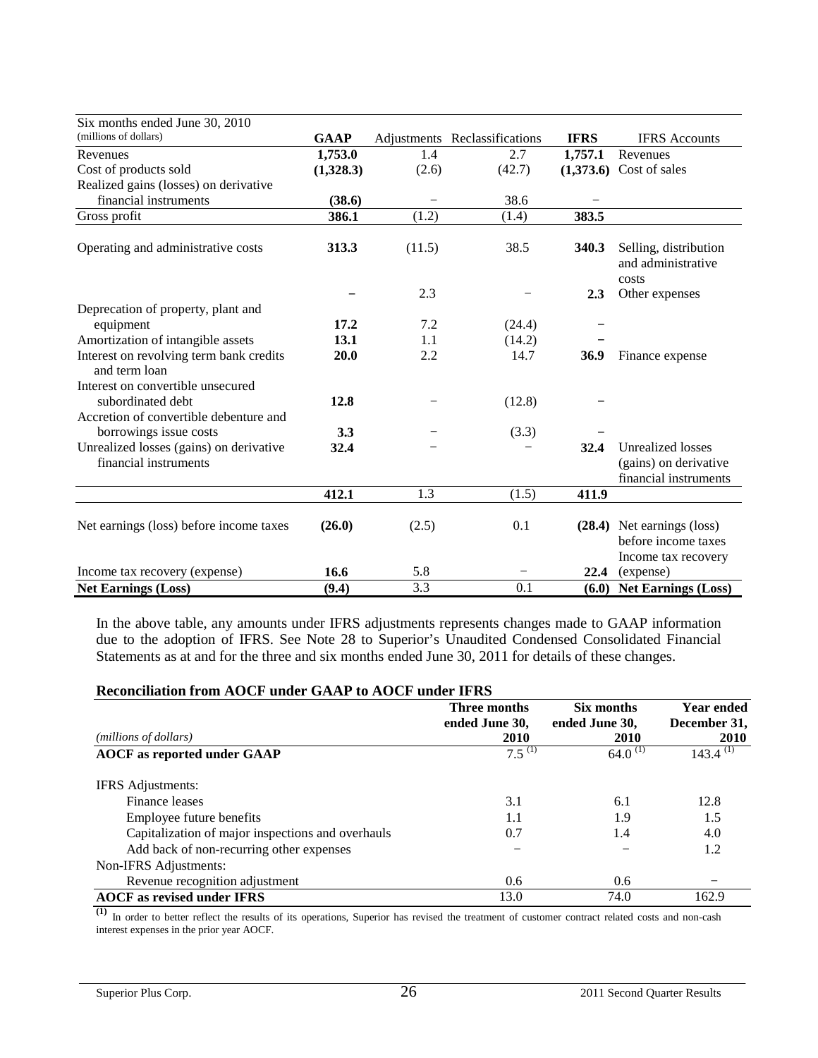| Six months ended June 30, 2010                                   |             |        |                               |             |                                                                          |
|------------------------------------------------------------------|-------------|--------|-------------------------------|-------------|--------------------------------------------------------------------------|
| (millions of dollars)                                            | <b>GAAP</b> |        | Adjustments Reclassifications | <b>IFRS</b> | <b>IFRS</b> Accounts                                                     |
| Revenues                                                         | 1,753.0     | 1.4    | 2.7                           | 1,757.1     | Revenues                                                                 |
| Cost of products sold                                            | (1,328.3)   | (2.6)  | (42.7)                        |             | $(1,373.6)$ Cost of sales                                                |
| Realized gains (losses) on derivative                            |             |        |                               |             |                                                                          |
| financial instruments                                            | (38.6)      |        | 38.6                          |             |                                                                          |
| Gross profit                                                     | 386.1       | (1.2)  | (1.4)                         | 383.5       |                                                                          |
| Operating and administrative costs                               | 313.3       | (11.5) | 38.5                          | 340.3       | Selling, distribution<br>and administrative<br>costs                     |
|                                                                  |             | 2.3    |                               | 2.3         | Other expenses                                                           |
| Deprecation of property, plant and<br>equipment                  | 17.2        | 7.2    | (24.4)                        |             |                                                                          |
| Amortization of intangible assets                                | 13.1        | 1.1    | (14.2)                        |             |                                                                          |
| Interest on revolving term bank credits<br>and term loan         | 20.0        | 2.2    | 14.7                          | 36.9        | Finance expense                                                          |
| Interest on convertible unsecured                                |             |        |                               |             |                                                                          |
| subordinated debt                                                | 12.8        |        | (12.8)                        |             |                                                                          |
| Accretion of convertible debenture and                           |             |        |                               |             |                                                                          |
| borrowings issue costs                                           | 3.3         |        | (3.3)                         |             |                                                                          |
| Unrealized losses (gains) on derivative<br>financial instruments | 32.4        |        |                               | 32.4        | Unrealized losses<br>(gains) on derivative<br>financial instruments      |
|                                                                  | 412.1       | 1.3    | (1.5)                         | 411.9       |                                                                          |
| Net earnings (loss) before income taxes                          | (26.0)      | (2.5)  | 0.1                           |             | (28.4) Net earnings (loss)<br>before income taxes<br>Income tax recovery |
| Income tax recovery (expense)                                    | 16.6        | 5.8    |                               | 22.4        | (expense)                                                                |
| <b>Net Earnings (Loss)</b>                                       | (9.4)       | 3.3    | 0.1                           | (6.0)       | <b>Net Earnings (Loss)</b>                                               |

In the above table, any amounts under IFRS adjustments represents changes made to GAAP information due to the adoption of IFRS. See Note 28 to Superior's Unaudited Condensed Consolidated Financial Statements as at and for the three and six months ended June 30, 2011 for details of these changes.

#### **Reconciliation from AOCF under GAAP to AOCF under IFRS**

|                                                   | <b>Three months</b> | Six months     | <b>Year ended</b> |
|---------------------------------------------------|---------------------|----------------|-------------------|
|                                                   | ended June 30,      | ended June 30, | December 31,      |
| (millions of dollars)                             | 2010                | 2010           | <b>2010</b>       |
| <b>AOCF</b> as reported under GAAP                | $7.5^{(1)}$         | $64.0^{(1)}$   | $143.4^{(1)}$     |
| IFRS Adjustments:                                 |                     |                |                   |
| Finance leases                                    | 3.1                 | 6.1            | 12.8              |
| Employee future benefits                          | 1.1                 | 1.9            | 1.5               |
| Capitalization of major inspections and overhauls | 0.7                 | 1.4            | 4.0               |
| Add back of non-recurring other expenses          |                     |                | 1.2               |
| Non-IFRS Adjustments:                             |                     |                |                   |
| Revenue recognition adjustment                    | 0.6                 | 0.6            |                   |
| <b>AOCF</b> as revised under IFRS                 | 13.0                | 74.0           | 162.9             |

**(1)** In order to better reflect the results of its operations, Superior has revised the treatment of customer contract related costs and non-cash interest expenses in the prior year AOCF.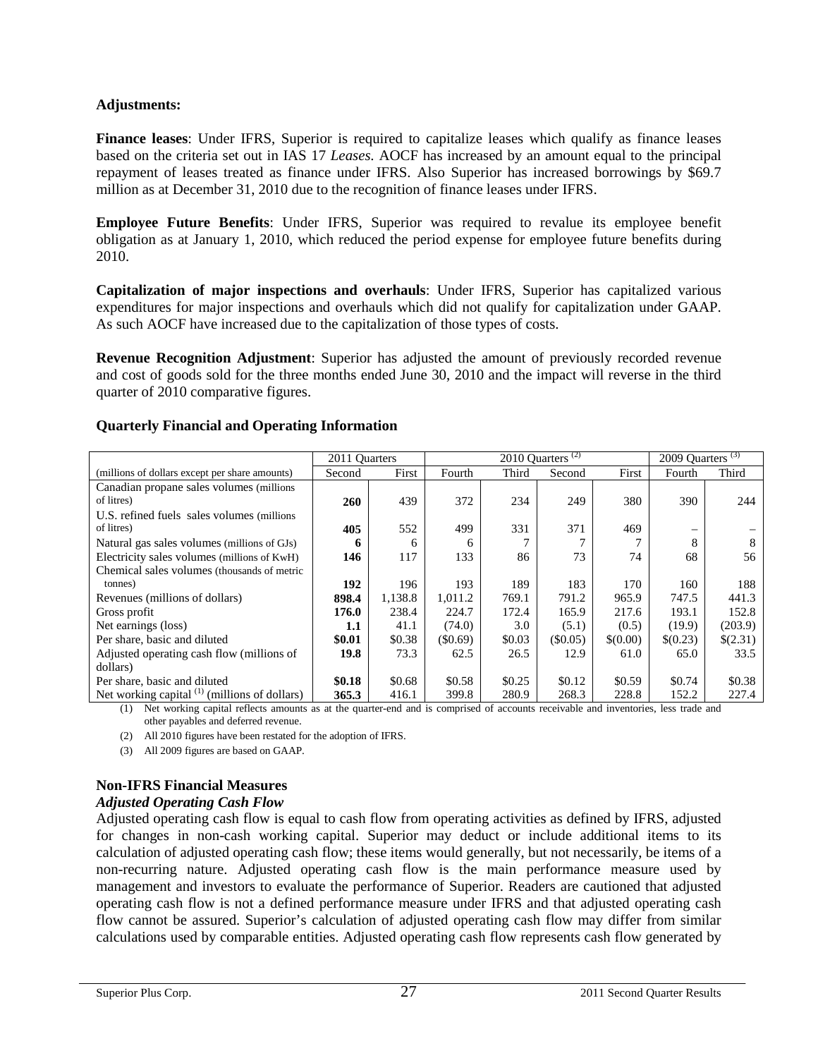# **Adjustments:**

**Finance leases**: Under IFRS, Superior is required to capitalize leases which qualify as finance leases based on the criteria set out in IAS 17 *Leases.* AOCF has increased by an amount equal to the principal repayment of leases treated as finance under IFRS. Also Superior has increased borrowings by \$69.7 million as at December 31, 2010 due to the recognition of finance leases under IFRS.

**Employee Future Benefits**: Under IFRS, Superior was required to revalue its employee benefit obligation as at January 1, 2010, which reduced the period expense for employee future benefits during 2010.

**Capitalization of major inspections and overhauls**: Under IFRS, Superior has capitalized various expenditures for major inspections and overhauls which did not qualify for capitalization under GAAP. As such AOCF have increased due to the capitalization of those types of costs.

**Revenue Recognition Adjustment**: Superior has adjusted the amount of previously recorded revenue and cost of goods sold for the three months ended June 30, 2010 and the impact will reverse in the third quarter of 2010 comparative figures.

# **Quarterly Financial and Operating Information**

|                                                 | 2011 Ouarters |         | $2010$ Quarters <sup>(2)</sup> |        |            |          | 2009 Quarters $(3)$ |          |
|-------------------------------------------------|---------------|---------|--------------------------------|--------|------------|----------|---------------------|----------|
| (millions of dollars except per share amounts)  | Second        | First   | Fourth                         | Third  | Second     | First    | Fourth              | Third    |
| Canadian propane sales volumes (millions)       |               |         |                                |        |            |          |                     |          |
| of litres)                                      | 260           | 439     | 372                            | 234    | 249        | 380      | 390                 | 244      |
| U.S. refined fuels sales volumes (millions)     |               |         |                                |        |            |          |                     |          |
| of litres)                                      | 405           | 552     | 499                            | 331    | 371        | 469      |                     |          |
| Natural gas sales volumes (millions of GJs)     | 6             | 6       | 6                              |        |            |          | 8                   | 8        |
| Electricity sales volumes (millions of KwH)     | 146           | 117     | 133                            | 86     | 73         | 74       | 68                  | 56       |
| Chemical sales volumes (thousands of metric     |               |         |                                |        |            |          |                     |          |
| tonnes)                                         | 192           | 196     | 193                            | 189    | 183        | 170      | 160                 | 188      |
| Revenues (millions of dollars)                  | 898.4         | 1,138.8 | 1,011.2                        | 769.1  | 791.2      | 965.9    | 747.5               | 441.3    |
| Gross profit                                    | 176.0         | 238.4   | 224.7                          | 172.4  | 165.9      | 217.6    | 193.1               | 152.8    |
| Net earnings (loss)                             | 1.1           | 41.1    | (74.0)                         | 3.0    | (5.1)      | (0.5)    | (19.9)              | (203.9)  |
| Per share, basic and diluted                    | \$0.01        | \$0.38  | (\$0.69)                       | \$0.03 | $(\$0.05)$ | \$(0.00) | \$(0.23)            | \$(2.31) |
| Adjusted operating cash flow (millions of       | 19.8          | 73.3    | 62.5                           | 26.5   | 12.9       | 61.0     | 65.0                | 33.5     |
| dollars)                                        |               |         |                                |        |            |          |                     |          |
| Per share, basic and diluted                    | \$0.18        | \$0.68  | \$0.58                         | \$0.25 | \$0.12     | \$0.59   | \$0.74              | \$0.38   |
| Net working capital $(1)$ (millions of dollars) | 365.3         | 416.1   | 399.8                          | 280.9  | 268.3      | 228.8    | 152.2               | 227.4    |

(1) Net working capital reflects amounts as at the quarter-end and is comprised of accounts receivable and inventories, less trade and other payables and deferred revenue.

(2) All 2010 figures have been restated for the adoption of IFRS.

(3) All 2009 figures are based on GAAP.

# **Non-IFRS Financial Measures**

# *Adjusted Operating Cash Flow*

Adjusted operating cash flow is equal to cash flow from operating activities as defined by IFRS, adjusted for changes in non-cash working capital. Superior may deduct or include additional items to its calculation of adjusted operating cash flow; these items would generally, but not necessarily, be items of a non-recurring nature. Adjusted operating cash flow is the main performance measure used by management and investors to evaluate the performance of Superior. Readers are cautioned that adjusted operating cash flow is not a defined performance measure under IFRS and that adjusted operating cash flow cannot be assured. Superior's calculation of adjusted operating cash flow may differ from similar calculations used by comparable entities. Adjusted operating cash flow represents cash flow generated by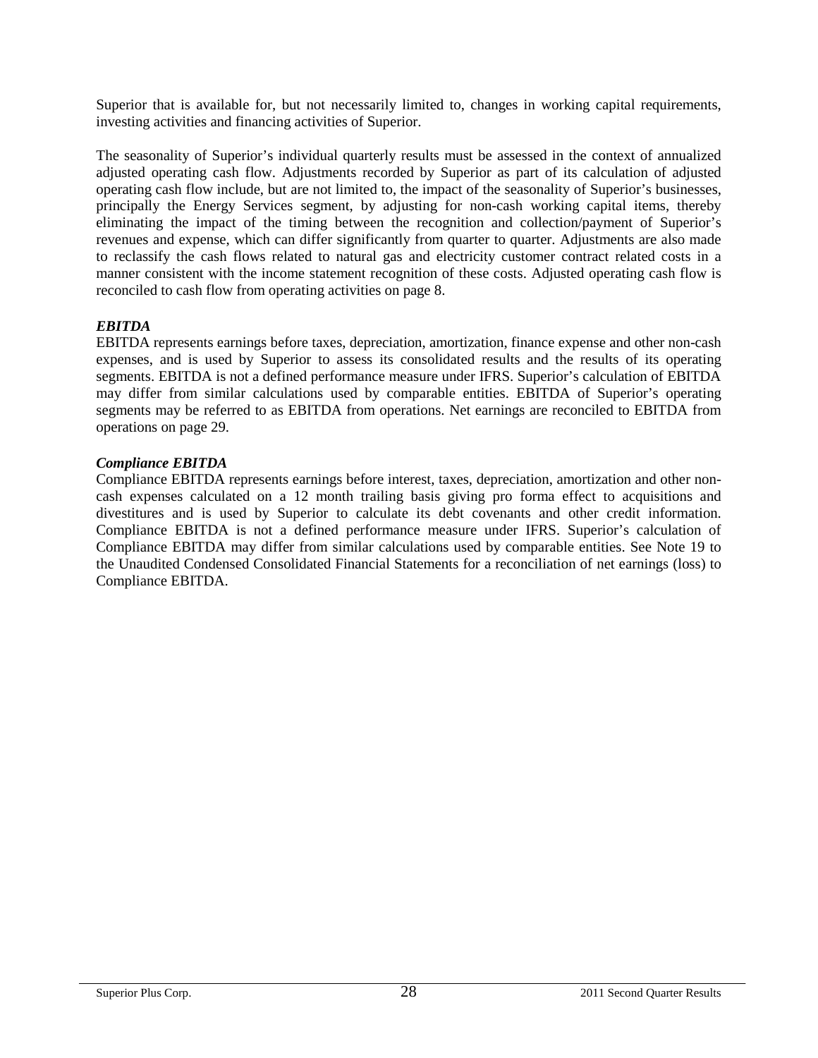Superior that is available for, but not necessarily limited to, changes in working capital requirements, investing activities and financing activities of Superior.

The seasonality of Superior's individual quarterly results must be assessed in the context of annualized adjusted operating cash flow. Adjustments recorded by Superior as part of its calculation of adjusted operating cash flow include, but are not limited to, the impact of the seasonality of Superior's businesses, principally the Energy Services segment, by adjusting for non-cash working capital items, thereby eliminating the impact of the timing between the recognition and collection/payment of Superior's revenues and expense, which can differ significantly from quarter to quarter. Adjustments are also made to reclassify the cash flows related to natural gas and electricity customer contract related costs in a manner consistent with the income statement recognition of these costs. Adjusted operating cash flow is reconciled to cash flow from operating activities on page 8.

# *EBITDA*

EBITDA represents earnings before taxes, depreciation, amortization, finance expense and other non-cash expenses, and is used by Superior to assess its consolidated results and the results of its operating segments. EBITDA is not a defined performance measure under IFRS. Superior's calculation of EBITDA may differ from similar calculations used by comparable entities. EBITDA of Superior's operating segments may be referred to as EBITDA from operations. Net earnings are reconciled to EBITDA from operations on page 29.

# *Compliance EBITDA*

Compliance EBITDA represents earnings before interest, taxes, depreciation, amortization and other noncash expenses calculated on a 12 month trailing basis giving pro forma effect to acquisitions and divestitures and is used by Superior to calculate its debt covenants and other credit information. Compliance EBITDA is not a defined performance measure under IFRS. Superior's calculation of Compliance EBITDA may differ from similar calculations used by comparable entities. See Note 19 to the Unaudited Condensed Consolidated Financial Statements for a reconciliation of net earnings (loss) to Compliance EBITDA.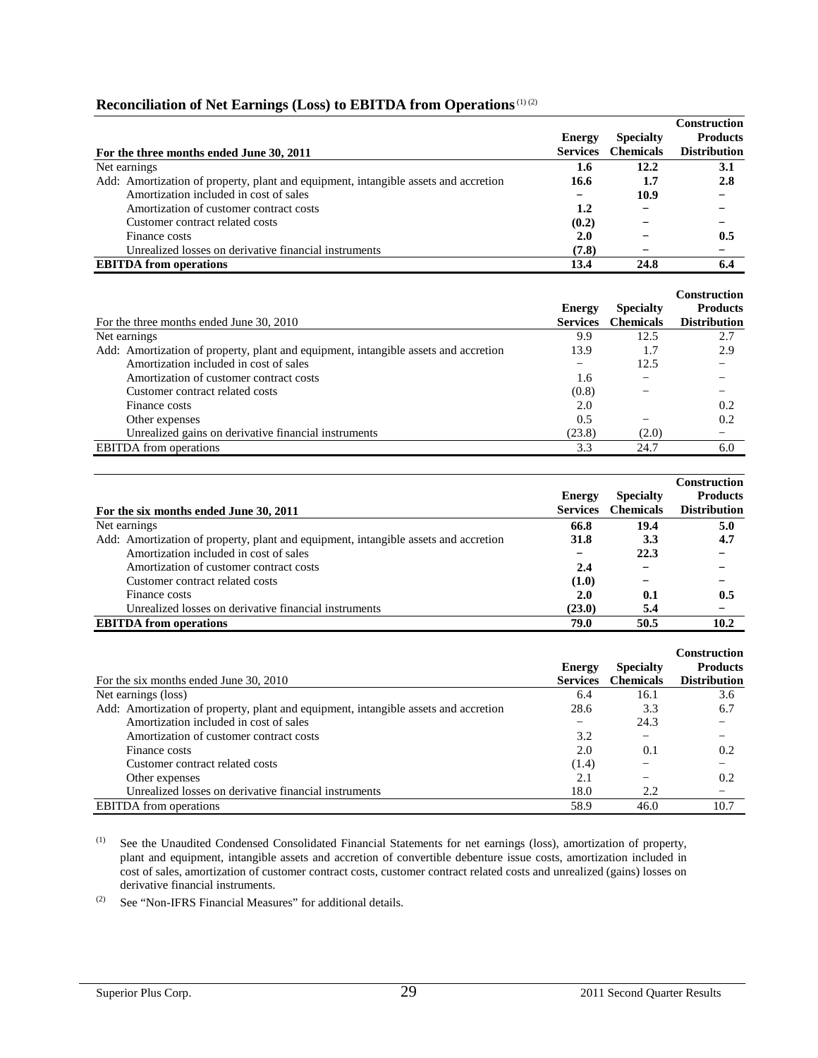| For the three months ended June 30, 2011                                            | <b>Energy</b><br><b>Services</b> | <b>Specialty</b><br><b>Chemicals</b> | Construction<br><b>Products</b><br><b>Distribution</b> |
|-------------------------------------------------------------------------------------|----------------------------------|--------------------------------------|--------------------------------------------------------|
| Net earnings                                                                        | 1.6                              | 12.2                                 | 3.1                                                    |
| Add: Amortization of property, plant and equipment, intangible assets and accretion | 16.6                             | 1.7                                  | 2.8                                                    |
| Amortization included in cost of sales                                              |                                  | 10.9                                 |                                                        |
| Amortization of customer contract costs                                             | 1.2                              |                                      |                                                        |
| Customer contract related costs                                                     | (0.2)                            |                                      |                                                        |
| Finance costs                                                                       | 2.0                              |                                      | 0.5                                                    |
| Unrealized losses on derivative financial instruments                               | (7.8)                            |                                      |                                                        |
| <b>EBITDA</b> from operations                                                       | 13.4                             | 24.8                                 | 6.4                                                    |

#### **Reconciliation of Net Earnings (Loss) to EBITDA from Operations** (1) (2)

|                                                                                     |                 |                  | <b>Construction</b> |
|-------------------------------------------------------------------------------------|-----------------|------------------|---------------------|
|                                                                                     | Energy          | <b>Specialty</b> | <b>Products</b>     |
| For the three months ended June 30, 2010                                            | <b>Services</b> | <b>Chemicals</b> | <b>Distribution</b> |
| Net earnings                                                                        | 9.9             | 12.5             | 2.7                 |
| Add: Amortization of property, plant and equipment, intangible assets and accretion | 13.9            | 1.7              | 2.9                 |
| Amortization included in cost of sales                                              |                 | 12.5             |                     |
| Amortization of customer contract costs                                             | 1.6             |                  |                     |
| Customer contract related costs                                                     | (0.8)           |                  |                     |
| Finance costs                                                                       | 2.0             |                  | 0.2                 |
| Other expenses                                                                      | 0.5             |                  | 0.2                 |
| Unrealized gains on derivative financial instruments                                | (23.8)          | (2.0)            |                     |
| <b>EBITDA</b> from operations                                                       | 3.3             | 24.7             | 6.0                 |

| For the six months ended June 30, 2011                                              | <b>Energy</b><br><b>Services</b> | <b>Specialty</b><br><b>Chemicals</b> | <b>Construction</b><br><b>Products</b><br><b>Distribution</b> |
|-------------------------------------------------------------------------------------|----------------------------------|--------------------------------------|---------------------------------------------------------------|
| Net earnings                                                                        | 66.8                             | 19.4                                 | 5.0                                                           |
| Add: Amortization of property, plant and equipment, intangible assets and accretion | 31.8                             | 3.3                                  | 4.7                                                           |
| Amortization included in cost of sales                                              |                                  | 22.3                                 |                                                               |
| Amortization of customer contract costs                                             | 2.4                              |                                      |                                                               |
| Customer contract related costs                                                     | (1.0)                            |                                      |                                                               |
| Finance costs                                                                       | 2.0                              | 0.1                                  | 0.5                                                           |
| Unrealized losses on derivative financial instruments                               | (23.0)                           | 5.4                                  |                                                               |
| <b>EBITDA</b> from operations                                                       | 79.0                             | 50.5                                 | 10.2                                                          |

|                                                                                     |                 |                  | <b>Construction</b> |
|-------------------------------------------------------------------------------------|-----------------|------------------|---------------------|
|                                                                                     | Energy          | <b>Specialty</b> | <b>Products</b>     |
| For the six months ended June 30, 2010                                              | <b>Services</b> | <b>Chemicals</b> | <b>Distribution</b> |
| Net earnings (loss)                                                                 | 6.4             | 16.1             | 3.6                 |
| Add: Amortization of property, plant and equipment, intangible assets and accretion | 28.6            | 3.3              | 6.7                 |
| Amortization included in cost of sales                                              |                 | 24.3             |                     |
| Amortization of customer contract costs                                             | 3.2             | -                |                     |
| Finance costs                                                                       | 2.0             | 0.1              | 0.2                 |
| Customer contract related costs                                                     | (1.4)           |                  |                     |
| Other expenses                                                                      | 2.1             |                  | 0.2                 |
| Unrealized losses on derivative financial instruments                               | 18.0            | 2.2              |                     |
| <b>EBITDA</b> from operations                                                       | 58.9            | 46.0             | 10.7                |

(1) See the Unaudited Condensed Consolidated Financial Statements for net earnings (loss), amortization of property, plant and equipment, intangible assets and accretion of convertible debenture issue costs, amortization included in cost of sales, amortization of customer contract costs, customer contract related costs and unrealized (gains) losses on derivative financial instruments.

(2) See "Non-IFRS Financial Measures" for additional details.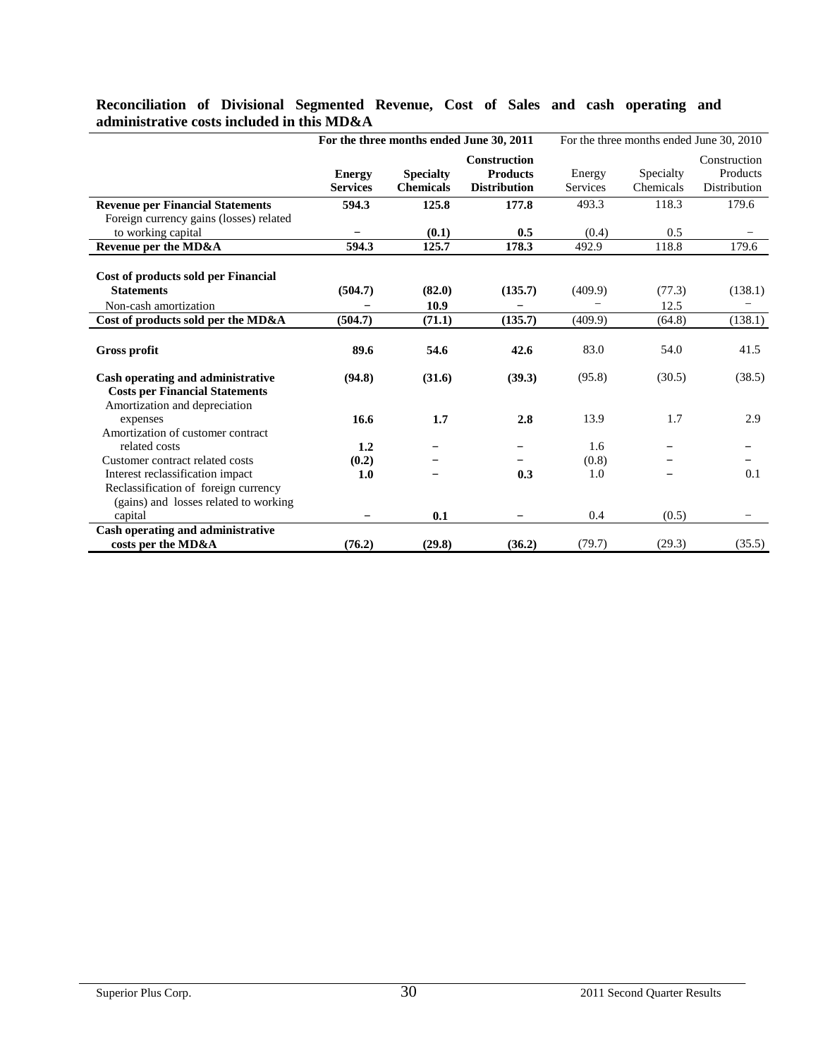|                                                                                                             | For the three months ended June 30, 2011 |                                      |                                                               | For the three months ended June 30, 2010 |                        |                                          |
|-------------------------------------------------------------------------------------------------------------|------------------------------------------|--------------------------------------|---------------------------------------------------------------|------------------------------------------|------------------------|------------------------------------------|
|                                                                                                             | <b>Energy</b><br><b>Services</b>         | <b>Specialty</b><br><b>Chemicals</b> | <b>Construction</b><br><b>Products</b><br><b>Distribution</b> | Energy<br>Services                       | Specialty<br>Chemicals | Construction<br>Products<br>Distribution |
| <b>Revenue per Financial Statements</b>                                                                     | 594.3                                    | 125.8                                | 177.8                                                         | 493.3                                    | 118.3                  | 179.6                                    |
| Foreign currency gains (losses) related                                                                     |                                          |                                      |                                                               |                                          |                        |                                          |
| to working capital                                                                                          |                                          | (0.1)                                | 0.5                                                           | (0.4)                                    | 0.5                    |                                          |
| Revenue per the MD&A                                                                                        | 594.3                                    | 125.7                                | 178.3                                                         | 492.9                                    | 118.8                  | 179.6                                    |
| Cost of products sold per Financial<br><b>Statements</b><br>Non-cash amortization                           | (504.7)                                  | (82.0)<br>10.9                       | (135.7)                                                       | (409.9)                                  | (77.3)<br>12.5         | (138.1)                                  |
| Cost of products sold per the MD&A                                                                          | (504.7)                                  | (71.1)                               | (135.7)                                                       | (409.9)                                  | (64.8)                 | (138.1)                                  |
| <b>Gross profit</b>                                                                                         | 89.6                                     | 54.6                                 | 42.6                                                          | 83.0                                     | 54.0                   | 41.5                                     |
| Cash operating and administrative<br><b>Costs per Financial Statements</b><br>Amortization and depreciation | (94.8)                                   | (31.6)                               | (39.3)                                                        | (95.8)                                   | (30.5)                 | (38.5)                                   |
| expenses<br>Amortization of customer contract                                                               | 16.6                                     | 1.7                                  | 2.8                                                           | 13.9                                     | 1.7                    | 2.9                                      |
| related costs                                                                                               | 1.2                                      |                                      |                                                               | 1.6                                      |                        |                                          |
| Customer contract related costs                                                                             | (0.2)                                    |                                      |                                                               | (0.8)                                    |                        |                                          |
| Interest reclassification impact                                                                            | 1.0                                      |                                      | 0.3                                                           | 1.0                                      |                        | 0.1                                      |
| Reclassification of foreign currency<br>(gains) and losses related to working<br>capital                    | -                                        | 0.1                                  |                                                               | 0.4                                      | (0.5)                  |                                          |
| Cash operating and administrative                                                                           |                                          |                                      |                                                               |                                          |                        |                                          |
| costs per the MD&A                                                                                          | (76.2)                                   | (29.8)                               | (36.2)                                                        | (79.7)                                   | (29.3)                 | (35.5)                                   |

#### **Reconciliation of Divisional Segmented Revenue, Cost of Sales and cash operating and administrative costs included in this MD&A**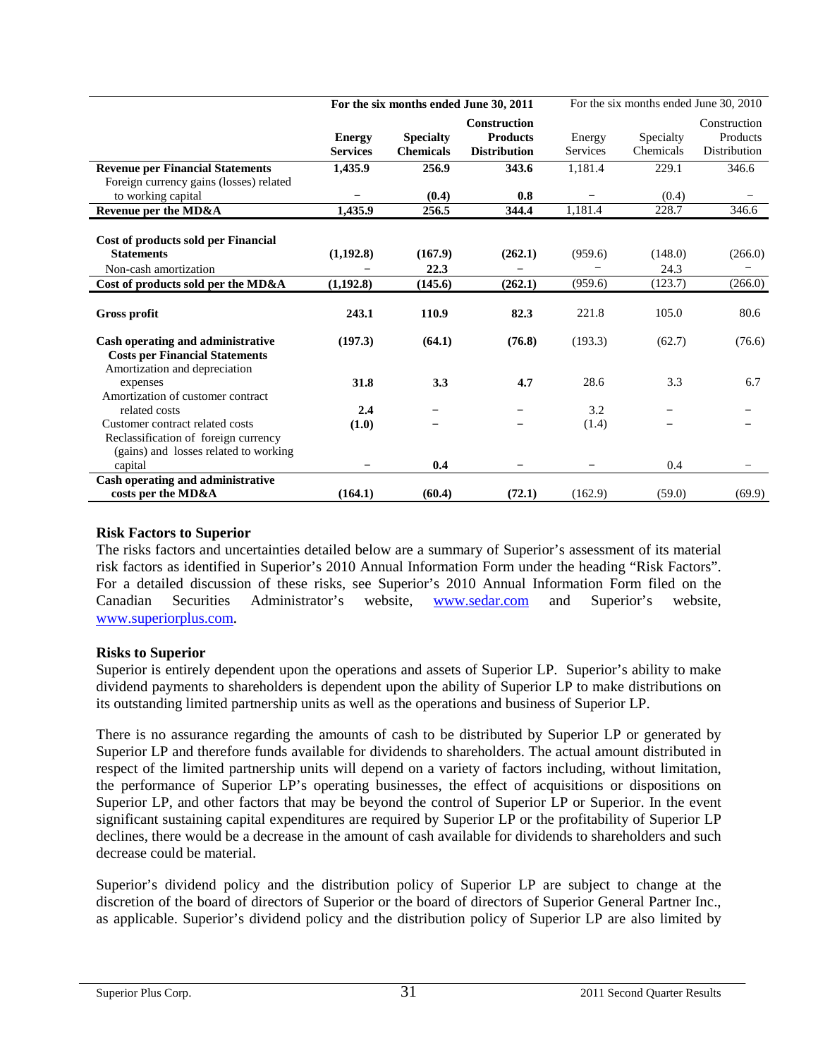|                                                                                | For the six months ended June 30, 2011 |                                      | For the six months ended June 30, 2010                        |                           |                        |                                          |
|--------------------------------------------------------------------------------|----------------------------------------|--------------------------------------|---------------------------------------------------------------|---------------------------|------------------------|------------------------------------------|
|                                                                                | <b>Energy</b><br><b>Services</b>       | <b>Specialty</b><br><b>Chemicals</b> | <b>Construction</b><br><b>Products</b><br><b>Distribution</b> | Energy<br><b>Services</b> | Specialty<br>Chemicals | Construction<br>Products<br>Distribution |
| <b>Revenue per Financial Statements</b>                                        | 1,435.9                                | 256.9                                | 343.6                                                         | 1,181.4                   | 229.1                  | 346.6                                    |
| Foreign currency gains (losses) related<br>to working capital                  |                                        | (0.4)                                | 0.8                                                           |                           | (0.4)                  |                                          |
| Revenue per the MD&A                                                           | 1,435.9                                | 256.5                                | 344.4                                                         | 1,181.4                   | 228.7                  | 346.6                                    |
| Cost of products sold per Financial<br><b>Statements</b>                       | (1,192.8)                              | (167.9)                              | (262.1)                                                       | (959.6)                   | (148.0)                | (266.0)                                  |
| Non-cash amortization                                                          |                                        | 22.3                                 |                                                               |                           | 24.3                   |                                          |
| Cost of products sold per the MD&A                                             | (1, 192.8)                             | (145.6)                              | (262.1)                                                       | (959.6)                   | (123.7)                | (266.0)                                  |
| <b>Gross profit</b>                                                            | 243.1                                  | 110.9                                | 82.3                                                          | 221.8                     | 105.0                  | 80.6                                     |
| Cash operating and administrative<br><b>Costs per Financial Statements</b>     | (197.3)                                | (64.1)                               | (76.8)                                                        | (193.3)                   | (62.7)                 | (76.6)                                   |
| Amortization and depreciation<br>expenses<br>Amortization of customer contract | 31.8                                   | 3.3                                  | 4.7                                                           | 28.6                      | 3.3                    | 6.7                                      |
| related costs                                                                  | 2.4                                    |                                      |                                                               | 3.2                       |                        |                                          |
| Customer contract related costs                                                | (1.0)                                  |                                      |                                                               | (1.4)                     |                        |                                          |
| Reclassification of foreign currency<br>(gains) and losses related to working  |                                        |                                      |                                                               |                           | 0.4                    |                                          |
| capital<br>Cash operating and administrative                                   |                                        | 0.4                                  |                                                               |                           |                        |                                          |
| costs per the MD&A                                                             | (164.1)                                | (60.4)                               | (72.1)                                                        | (162.9)                   | (59.0)                 | (69.9)                                   |

# **Risk Factors to Superior**

The risks factors and uncertainties detailed below are a summary of Superior's assessment of its material risk factors as identified in Superior's 2010 Annual Information Form under the heading "Risk Factors". For a detailed discussion of these risks, see Superior's 2010 Annual Information Form filed on the Canadian Securities Administrator's website, www.sedar.com and Superior's website, www.superiorplus.com.

# **Risks to Superior**

Superior is entirely dependent upon the operations and assets of Superior LP. Superior's ability to make dividend payments to shareholders is dependent upon the ability of Superior LP to make distributions on its outstanding limited partnership units as well as the operations and business of Superior LP.

There is no assurance regarding the amounts of cash to be distributed by Superior LP or generated by Superior LP and therefore funds available for dividends to shareholders. The actual amount distributed in respect of the limited partnership units will depend on a variety of factors including, without limitation, the performance of Superior LP's operating businesses, the effect of acquisitions or dispositions on Superior LP, and other factors that may be beyond the control of Superior LP or Superior. In the event significant sustaining capital expenditures are required by Superior LP or the profitability of Superior LP declines, there would be a decrease in the amount of cash available for dividends to shareholders and such decrease could be material.

Superior's dividend policy and the distribution policy of Superior LP are subject to change at the discretion of the board of directors of Superior or the board of directors of Superior General Partner Inc., as applicable. Superior's dividend policy and the distribution policy of Superior LP are also limited by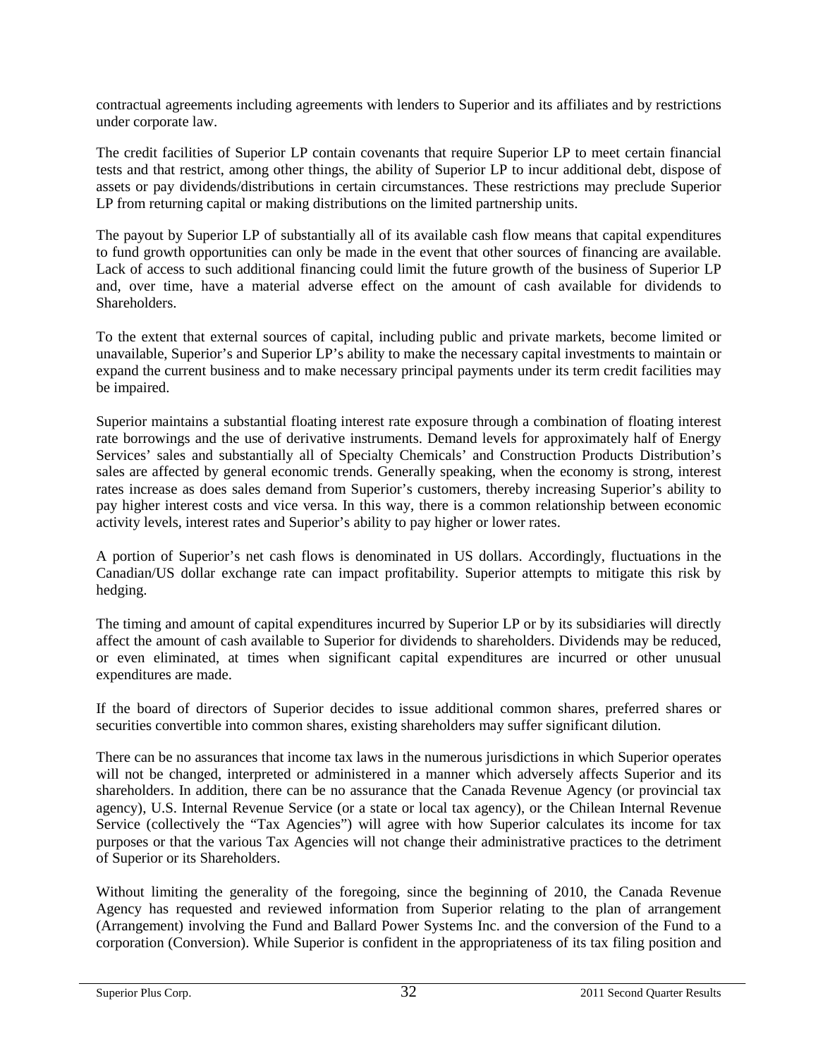contractual agreements including agreements with lenders to Superior and its affiliates and by restrictions under corporate law.

The credit facilities of Superior LP contain covenants that require Superior LP to meet certain financial tests and that restrict, among other things, the ability of Superior LP to incur additional debt, dispose of assets or pay dividends/distributions in certain circumstances. These restrictions may preclude Superior LP from returning capital or making distributions on the limited partnership units.

The payout by Superior LP of substantially all of its available cash flow means that capital expenditures to fund growth opportunities can only be made in the event that other sources of financing are available. Lack of access to such additional financing could limit the future growth of the business of Superior LP and, over time, have a material adverse effect on the amount of cash available for dividends to Shareholders.

To the extent that external sources of capital, including public and private markets, become limited or unavailable, Superior's and Superior LP's ability to make the necessary capital investments to maintain or expand the current business and to make necessary principal payments under its term credit facilities may be impaired.

Superior maintains a substantial floating interest rate exposure through a combination of floating interest rate borrowings and the use of derivative instruments. Demand levels for approximately half of Energy Services' sales and substantially all of Specialty Chemicals' and Construction Products Distribution's sales are affected by general economic trends. Generally speaking, when the economy is strong, interest rates increase as does sales demand from Superior's customers, thereby increasing Superior's ability to pay higher interest costs and vice versa. In this way, there is a common relationship between economic activity levels, interest rates and Superior's ability to pay higher or lower rates.

A portion of Superior's net cash flows is denominated in US dollars. Accordingly, fluctuations in the Canadian/US dollar exchange rate can impact profitability. Superior attempts to mitigate this risk by hedging.

The timing and amount of capital expenditures incurred by Superior LP or by its subsidiaries will directly affect the amount of cash available to Superior for dividends to shareholders. Dividends may be reduced, or even eliminated, at times when significant capital expenditures are incurred or other unusual expenditures are made.

If the board of directors of Superior decides to issue additional common shares, preferred shares or securities convertible into common shares, existing shareholders may suffer significant dilution.

There can be no assurances that income tax laws in the numerous jurisdictions in which Superior operates will not be changed, interpreted or administered in a manner which adversely affects Superior and its shareholders. In addition, there can be no assurance that the Canada Revenue Agency (or provincial tax agency), U.S. Internal Revenue Service (or a state or local tax agency), or the Chilean Internal Revenue Service (collectively the "Tax Agencies") will agree with how Superior calculates its income for tax purposes or that the various Tax Agencies will not change their administrative practices to the detriment of Superior or its Shareholders.

Without limiting the generality of the foregoing, since the beginning of 2010, the Canada Revenue Agency has requested and reviewed information from Superior relating to the plan of arrangement (Arrangement) involving the Fund and Ballard Power Systems Inc. and the conversion of the Fund to a corporation (Conversion). While Superior is confident in the appropriateness of its tax filing position and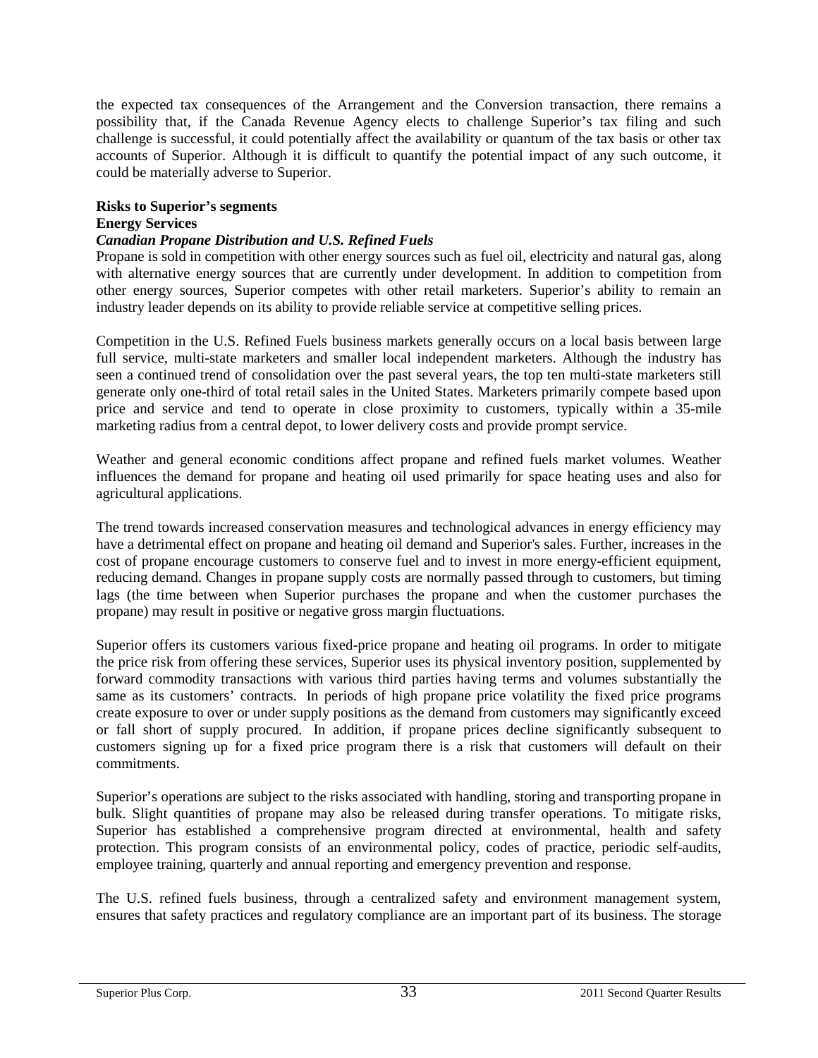the expected tax consequences of the Arrangement and the Conversion transaction, there remains a possibility that, if the Canada Revenue Agency elects to challenge Superior's tax filing and such challenge is successful, it could potentially affect the availability or quantum of the tax basis or other tax accounts of Superior. Although it is difficult to quantify the potential impact of any such outcome, it could be materially adverse to Superior.

# **Risks to Superior's segments**

#### **Energy Services**

### *Canadian Propane Distribution and U.S. Refined Fuels*

Propane is sold in competition with other energy sources such as fuel oil, electricity and natural gas, along with alternative energy sources that are currently under development. In addition to competition from other energy sources, Superior competes with other retail marketers. Superior's ability to remain an industry leader depends on its ability to provide reliable service at competitive selling prices.

Competition in the U.S. Refined Fuels business markets generally occurs on a local basis between large full service, multi-state marketers and smaller local independent marketers. Although the industry has seen a continued trend of consolidation over the past several years, the top ten multi-state marketers still generate only one-third of total retail sales in the United States. Marketers primarily compete based upon price and service and tend to operate in close proximity to customers, typically within a 35-mile marketing radius from a central depot, to lower delivery costs and provide prompt service.

Weather and general economic conditions affect propane and refined fuels market volumes. Weather influences the demand for propane and heating oil used primarily for space heating uses and also for agricultural applications.

The trend towards increased conservation measures and technological advances in energy efficiency may have a detrimental effect on propane and heating oil demand and Superior's sales. Further, increases in the cost of propane encourage customers to conserve fuel and to invest in more energy-efficient equipment, reducing demand. Changes in propane supply costs are normally passed through to customers, but timing lags (the time between when Superior purchases the propane and when the customer purchases the propane) may result in positive or negative gross margin fluctuations.

Superior offers its customers various fixed-price propane and heating oil programs. In order to mitigate the price risk from offering these services, Superior uses its physical inventory position, supplemented by forward commodity transactions with various third parties having terms and volumes substantially the same as its customers' contracts. In periods of high propane price volatility the fixed price programs create exposure to over or under supply positions as the demand from customers may significantly exceed or fall short of supply procured. In addition, if propane prices decline significantly subsequent to customers signing up for a fixed price program there is a risk that customers will default on their commitments.

Superior's operations are subject to the risks associated with handling, storing and transporting propane in bulk. Slight quantities of propane may also be released during transfer operations. To mitigate risks, Superior has established a comprehensive program directed at environmental, health and safety protection. This program consists of an environmental policy, codes of practice, periodic self-audits, employee training, quarterly and annual reporting and emergency prevention and response.

The U.S. refined fuels business, through a centralized safety and environment management system, ensures that safety practices and regulatory compliance are an important part of its business. The storage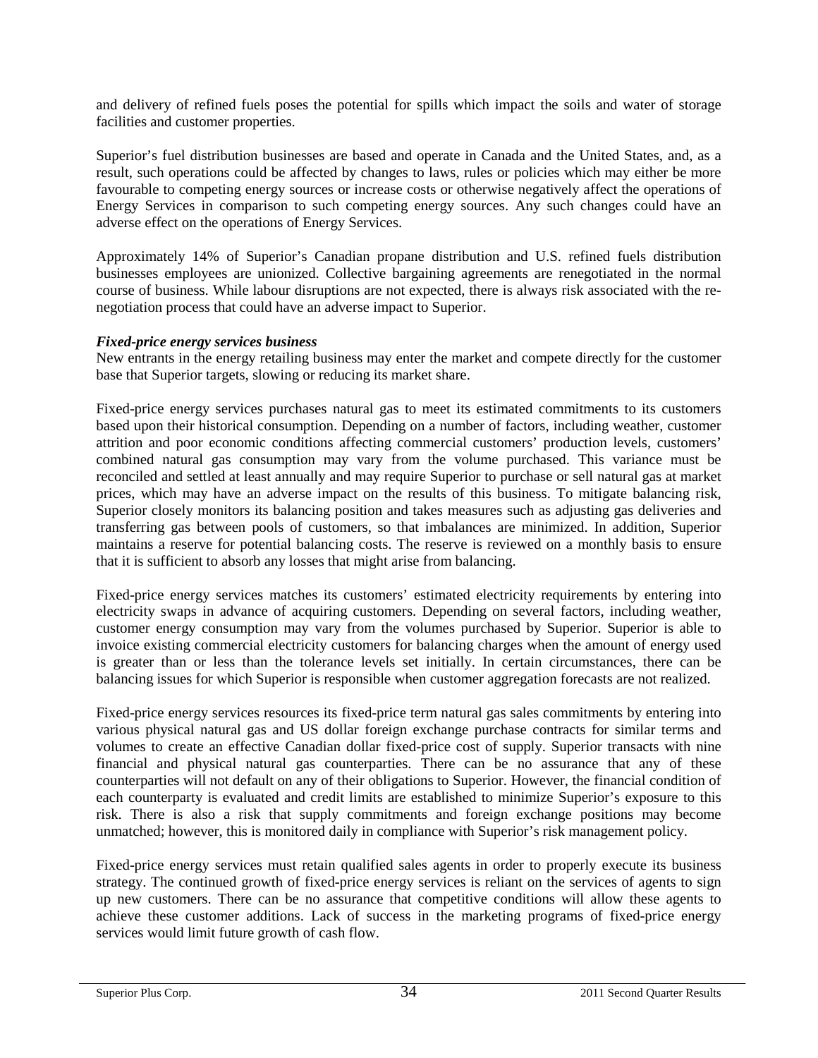and delivery of refined fuels poses the potential for spills which impact the soils and water of storage facilities and customer properties.

Superior's fuel distribution businesses are based and operate in Canada and the United States, and, as a result, such operations could be affected by changes to laws, rules or policies which may either be more favourable to competing energy sources or increase costs or otherwise negatively affect the operations of Energy Services in comparison to such competing energy sources. Any such changes could have an adverse effect on the operations of Energy Services.

Approximately 14% of Superior's Canadian propane distribution and U.S. refined fuels distribution businesses employees are unionized. Collective bargaining agreements are renegotiated in the normal course of business. While labour disruptions are not expected, there is always risk associated with the renegotiation process that could have an adverse impact to Superior.

# *Fixed-price energy services business*

New entrants in the energy retailing business may enter the market and compete directly for the customer base that Superior targets, slowing or reducing its market share.

Fixed-price energy services purchases natural gas to meet its estimated commitments to its customers based upon their historical consumption. Depending on a number of factors, including weather, customer attrition and poor economic conditions affecting commercial customers' production levels, customers' combined natural gas consumption may vary from the volume purchased. This variance must be reconciled and settled at least annually and may require Superior to purchase or sell natural gas at market prices, which may have an adverse impact on the results of this business. To mitigate balancing risk, Superior closely monitors its balancing position and takes measures such as adjusting gas deliveries and transferring gas between pools of customers, so that imbalances are minimized. In addition, Superior maintains a reserve for potential balancing costs. The reserve is reviewed on a monthly basis to ensure that it is sufficient to absorb any losses that might arise from balancing.

Fixed-price energy services matches its customers' estimated electricity requirements by entering into electricity swaps in advance of acquiring customers. Depending on several factors, including weather, customer energy consumption may vary from the volumes purchased by Superior. Superior is able to invoice existing commercial electricity customers for balancing charges when the amount of energy used is greater than or less than the tolerance levels set initially. In certain circumstances, there can be balancing issues for which Superior is responsible when customer aggregation forecasts are not realized.

Fixed-price energy services resources its fixed-price term natural gas sales commitments by entering into various physical natural gas and US dollar foreign exchange purchase contracts for similar terms and volumes to create an effective Canadian dollar fixed-price cost of supply. Superior transacts with nine financial and physical natural gas counterparties. There can be no assurance that any of these counterparties will not default on any of their obligations to Superior. However, the financial condition of each counterparty is evaluated and credit limits are established to minimize Superior's exposure to this risk. There is also a risk that supply commitments and foreign exchange positions may become unmatched; however, this is monitored daily in compliance with Superior's risk management policy.

Fixed-price energy services must retain qualified sales agents in order to properly execute its business strategy. The continued growth of fixed-price energy services is reliant on the services of agents to sign up new customers. There can be no assurance that competitive conditions will allow these agents to achieve these customer additions. Lack of success in the marketing programs of fixed-price energy services would limit future growth of cash flow.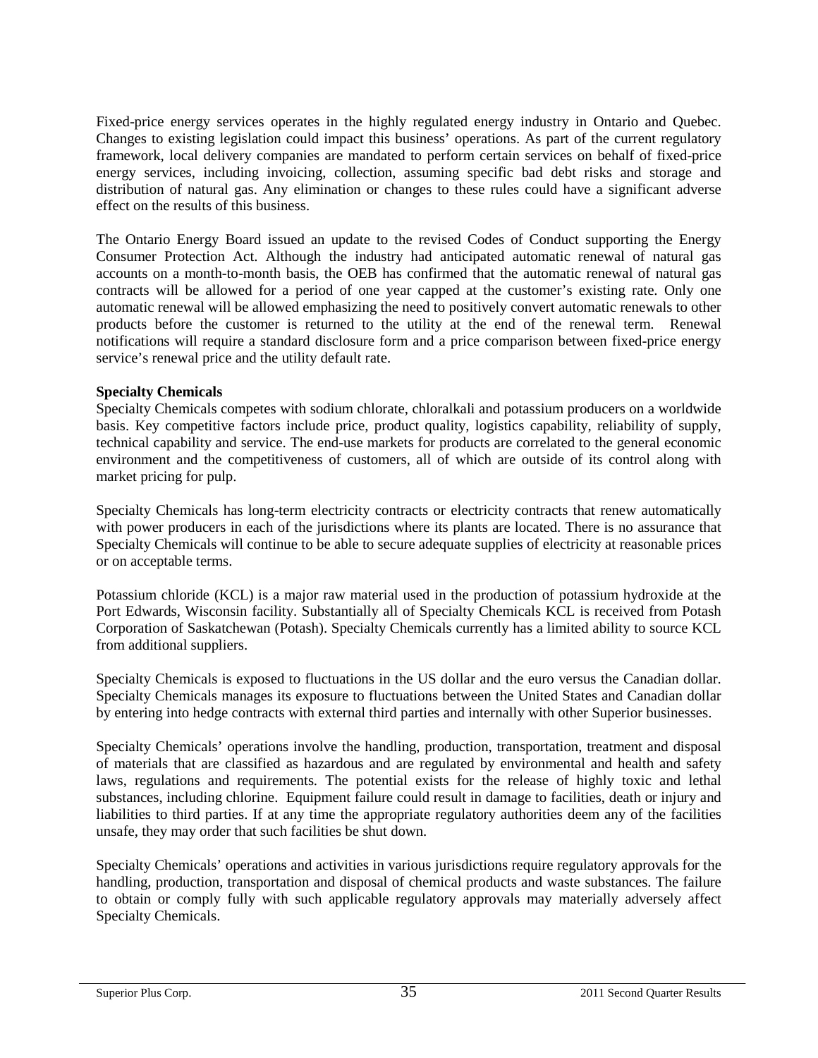Fixed-price energy services operates in the highly regulated energy industry in Ontario and Quebec. Changes to existing legislation could impact this business' operations. As part of the current regulatory framework, local delivery companies are mandated to perform certain services on behalf of fixed-price energy services, including invoicing, collection, assuming specific bad debt risks and storage and distribution of natural gas. Any elimination or changes to these rules could have a significant adverse effect on the results of this business.

The Ontario Energy Board issued an update to the revised Codes of Conduct supporting the Energy Consumer Protection Act. Although the industry had anticipated automatic renewal of natural gas accounts on a month-to-month basis, the OEB has confirmed that the automatic renewal of natural gas contracts will be allowed for a period of one year capped at the customer's existing rate. Only one automatic renewal will be allowed emphasizing the need to positively convert automatic renewals to other products before the customer is returned to the utility at the end of the renewal term. Renewal notifications will require a standard disclosure form and a price comparison between fixed-price energy service's renewal price and the utility default rate.

# **Specialty Chemicals**

Specialty Chemicals competes with sodium chlorate, chloralkali and potassium producers on a worldwide basis. Key competitive factors include price, product quality, logistics capability, reliability of supply, technical capability and service. The end-use markets for products are correlated to the general economic environment and the competitiveness of customers, all of which are outside of its control along with market pricing for pulp.

Specialty Chemicals has long-term electricity contracts or electricity contracts that renew automatically with power producers in each of the jurisdictions where its plants are located. There is no assurance that Specialty Chemicals will continue to be able to secure adequate supplies of electricity at reasonable prices or on acceptable terms.

Potassium chloride (KCL) is a major raw material used in the production of potassium hydroxide at the Port Edwards, Wisconsin facility. Substantially all of Specialty Chemicals KCL is received from Potash Corporation of Saskatchewan (Potash). Specialty Chemicals currently has a limited ability to source KCL from additional suppliers.

Specialty Chemicals is exposed to fluctuations in the US dollar and the euro versus the Canadian dollar. Specialty Chemicals manages its exposure to fluctuations between the United States and Canadian dollar by entering into hedge contracts with external third parties and internally with other Superior businesses.

Specialty Chemicals' operations involve the handling, production, transportation, treatment and disposal of materials that are classified as hazardous and are regulated by environmental and health and safety laws, regulations and requirements. The potential exists for the release of highly toxic and lethal substances, including chlorine. Equipment failure could result in damage to facilities, death or injury and liabilities to third parties. If at any time the appropriate regulatory authorities deem any of the facilities unsafe, they may order that such facilities be shut down.

Specialty Chemicals' operations and activities in various jurisdictions require regulatory approvals for the handling, production, transportation and disposal of chemical products and waste substances. The failure to obtain or comply fully with such applicable regulatory approvals may materially adversely affect Specialty Chemicals.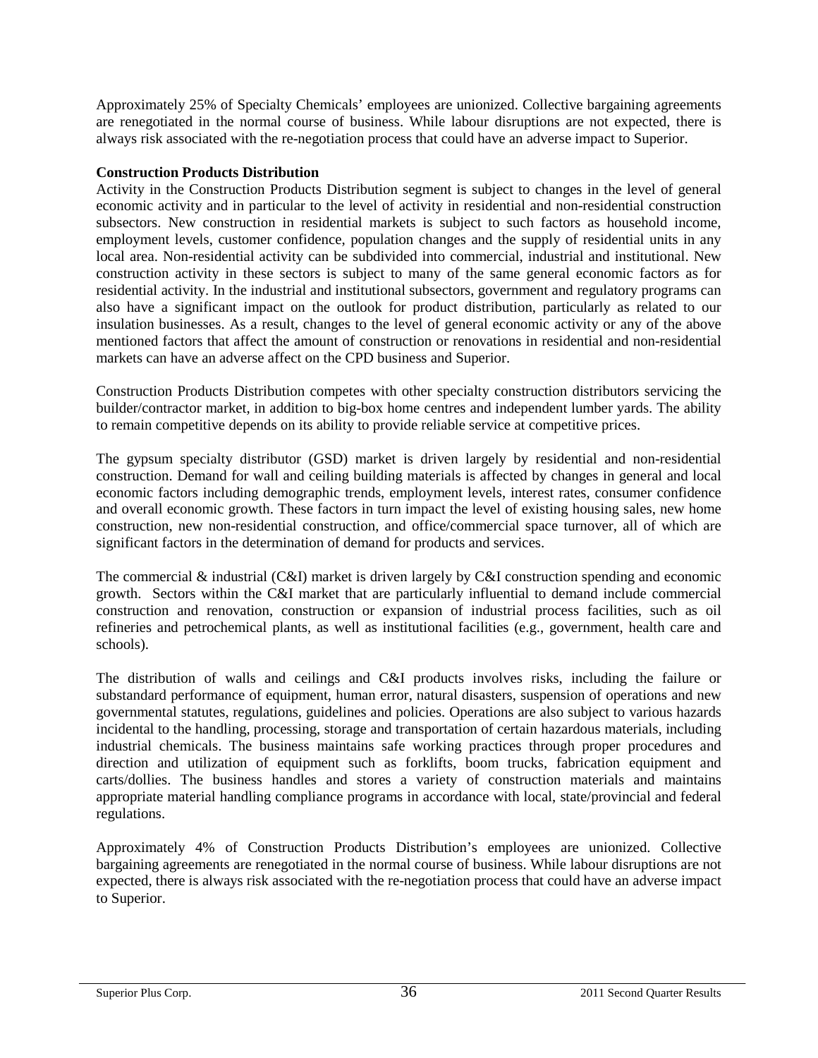Approximately 25% of Specialty Chemicals' employees are unionized. Collective bargaining agreements are renegotiated in the normal course of business. While labour disruptions are not expected, there is always risk associated with the re-negotiation process that could have an adverse impact to Superior.

### **Construction Products Distribution**

Activity in the Construction Products Distribution segment is subject to changes in the level of general economic activity and in particular to the level of activity in residential and non-residential construction subsectors. New construction in residential markets is subject to such factors as household income, employment levels, customer confidence, population changes and the supply of residential units in any local area. Non-residential activity can be subdivided into commercial, industrial and institutional. New construction activity in these sectors is subject to many of the same general economic factors as for residential activity. In the industrial and institutional subsectors, government and regulatory programs can also have a significant impact on the outlook for product distribution, particularly as related to our insulation businesses. As a result, changes to the level of general economic activity or any of the above mentioned factors that affect the amount of construction or renovations in residential and non-residential markets can have an adverse affect on the CPD business and Superior.

Construction Products Distribution competes with other specialty construction distributors servicing the builder/contractor market, in addition to big-box home centres and independent lumber yards. The ability to remain competitive depends on its ability to provide reliable service at competitive prices.

The gypsum specialty distributor (GSD) market is driven largely by residential and non-residential construction. Demand for wall and ceiling building materials is affected by changes in general and local economic factors including demographic trends, employment levels, interest rates, consumer confidence and overall economic growth. These factors in turn impact the level of existing housing sales, new home construction, new non-residential construction, and office/commercial space turnover, all of which are significant factors in the determination of demand for products and services.

The commercial  $\&$  industrial (C $\&$ I) market is driven largely by C $\&$ I construction spending and economic growth. Sectors within the C&I market that are particularly influential to demand include commercial construction and renovation, construction or expansion of industrial process facilities, such as oil refineries and petrochemical plants, as well as institutional facilities (e.g., government, health care and schools).

The distribution of walls and ceilings and C&I products involves risks, including the failure or substandard performance of equipment, human error, natural disasters, suspension of operations and new governmental statutes, regulations, guidelines and policies. Operations are also subject to various hazards incidental to the handling, processing, storage and transportation of certain hazardous materials, including industrial chemicals. The business maintains safe working practices through proper procedures and direction and utilization of equipment such as forklifts, boom trucks, fabrication equipment and carts/dollies. The business handles and stores a variety of construction materials and maintains appropriate material handling compliance programs in accordance with local, state/provincial and federal regulations.

Approximately 4% of Construction Products Distribution's employees are unionized. Collective bargaining agreements are renegotiated in the normal course of business. While labour disruptions are not expected, there is always risk associated with the re-negotiation process that could have an adverse impact to Superior.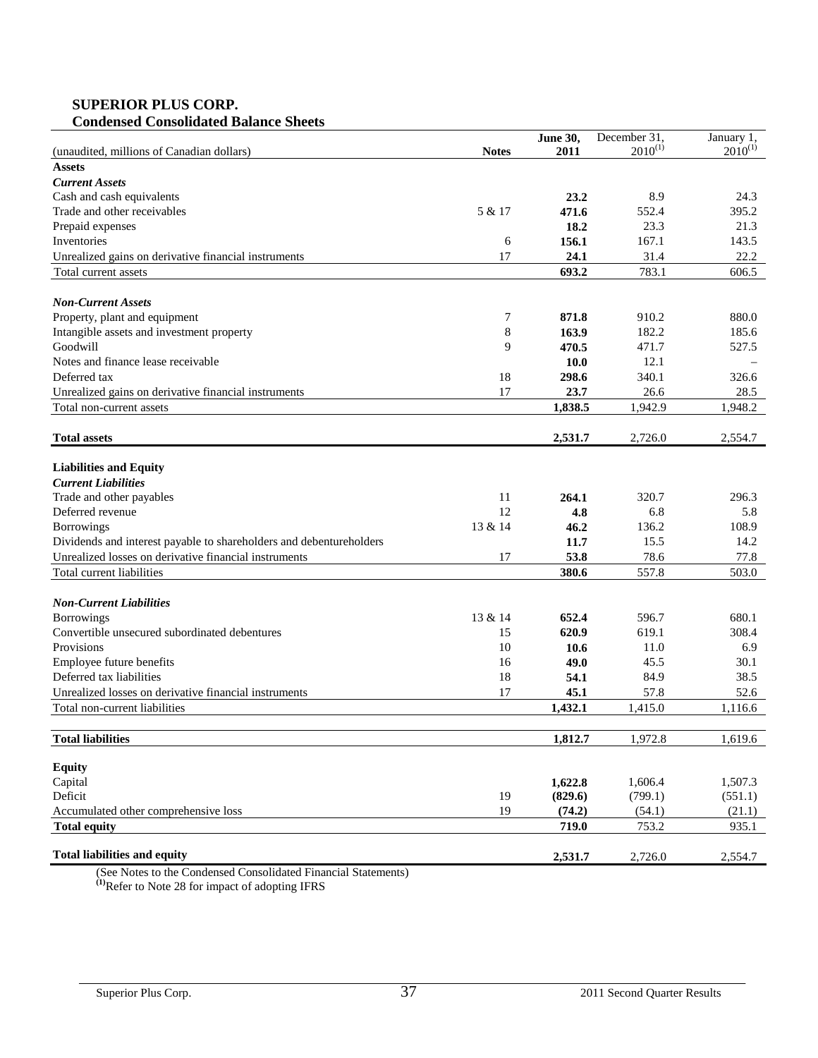# **SUPERIOR PLUS CORP. Condensed Consolidated Balance Sheets**

|                                                                     |              | <b>June 30,</b> | December 31, | January 1,   |
|---------------------------------------------------------------------|--------------|-----------------|--------------|--------------|
| (unaudited, millions of Canadian dollars)                           | <b>Notes</b> | 2011            | $2010^{(1)}$ | $2010^{(1)}$ |
| <b>Assets</b>                                                       |              |                 |              |              |
| <b>Current Assets</b>                                               |              |                 |              |              |
| Cash and cash equivalents                                           |              | 23.2            | 8.9          | 24.3         |
| Trade and other receivables                                         | 5 & 17       | 471.6           | 552.4        | 395.2        |
| Prepaid expenses                                                    |              | 18.2            | 23.3         | 21.3         |
| Inventories                                                         | 6            | 156.1           | 167.1        | 143.5        |
| Unrealized gains on derivative financial instruments                | 17           | 24.1            | 31.4         | 22.2         |
| Total current assets                                                |              | 693.2           | 783.1        | 606.5        |
|                                                                     |              |                 |              |              |
| <b>Non-Current Assets</b>                                           |              |                 |              |              |
| Property, plant and equipment                                       | 7            | 871.8           | 910.2        | 880.0        |
| Intangible assets and investment property                           | $\,$ 8 $\,$  | 163.9           | 182.2        | 185.6        |
| Goodwill                                                            | 9            | 470.5           | 471.7        | 527.5        |
| Notes and finance lease receivable                                  |              | <b>10.0</b>     | 12.1         |              |
| Deferred tax                                                        | 18           | 298.6           | 340.1        | 326.6        |
| Unrealized gains on derivative financial instruments                | 17           | 23.7            | 26.6         | 28.5         |
| Total non-current assets                                            |              | 1,838.5         | 1,942.9      | 1,948.2      |
|                                                                     |              |                 |              |              |
| <b>Total assets</b>                                                 |              | 2,531.7         | 2,726.0      | 2,554.7      |
|                                                                     |              |                 |              |              |
| <b>Liabilities and Equity</b>                                       |              |                 |              |              |
| <b>Current Liabilities</b>                                          |              |                 |              |              |
| Trade and other payables                                            | 11           | 264.1           | 320.7        | 296.3        |
| Deferred revenue                                                    | 12           | 4.8             | 6.8          | 5.8          |
| <b>Borrowings</b>                                                   | 13 & 14      | 46.2            | 136.2        | 108.9        |
| Dividends and interest payable to shareholders and debentureholders |              | 11.7            | 15.5         | 14.2         |
| Unrealized losses on derivative financial instruments               | 17           | 53.8            | 78.6         | 77.8         |
| Total current liabilities                                           |              | 380.6           | 557.8        | 503.0        |
|                                                                     |              |                 |              |              |
| <b>Non-Current Liabilities</b>                                      |              |                 |              |              |
| <b>Borrowings</b>                                                   | 13 & 14      | 652.4           | 596.7        | 680.1        |
| Convertible unsecured subordinated debentures                       | 15           | 620.9           | 619.1        | 308.4        |
| Provisions                                                          | 10           | 10.6            | 11.0         | 6.9          |
| Employee future benefits                                            | 16           | 49.0            | 45.5         | 30.1         |
| Deferred tax liabilities                                            | 18           | 54.1            | 84.9         | 38.5         |
| Unrealized losses on derivative financial instruments               | 17           | 45.1            | 57.8         | 52.6         |
| Total non-current liabilities                                       |              | 1,432.1         | 1,415.0      | 1,116.6      |
|                                                                     |              |                 |              |              |
| <b>Total liabilities</b>                                            |              | 1,812.7         | 1,972.8      | 1,619.6      |
|                                                                     |              |                 |              |              |
| <b>Equity</b>                                                       |              |                 |              |              |
| Capital                                                             |              | 1,622.8         | 1,606.4      | 1,507.3      |
| Deficit                                                             | 19           | (829.6)         | (799.1)      | (551.1)      |
| Accumulated other comprehensive loss                                | 19           | (74.2)          | (54.1)       | (21.1)       |
| <b>Total equity</b>                                                 |              | 719.0           | 753.2        | 935.1        |
|                                                                     |              |                 |              |              |
| <b>Total liabilities and equity</b>                                 |              | 2,531.7         | 2,726.0      | 2,554.7      |
|                                                                     |              |                 |              |              |

(See Notes to the Condensed Consolidated Financial Statements)

**(1)**Refer to Note 28 for impact of adopting IFRS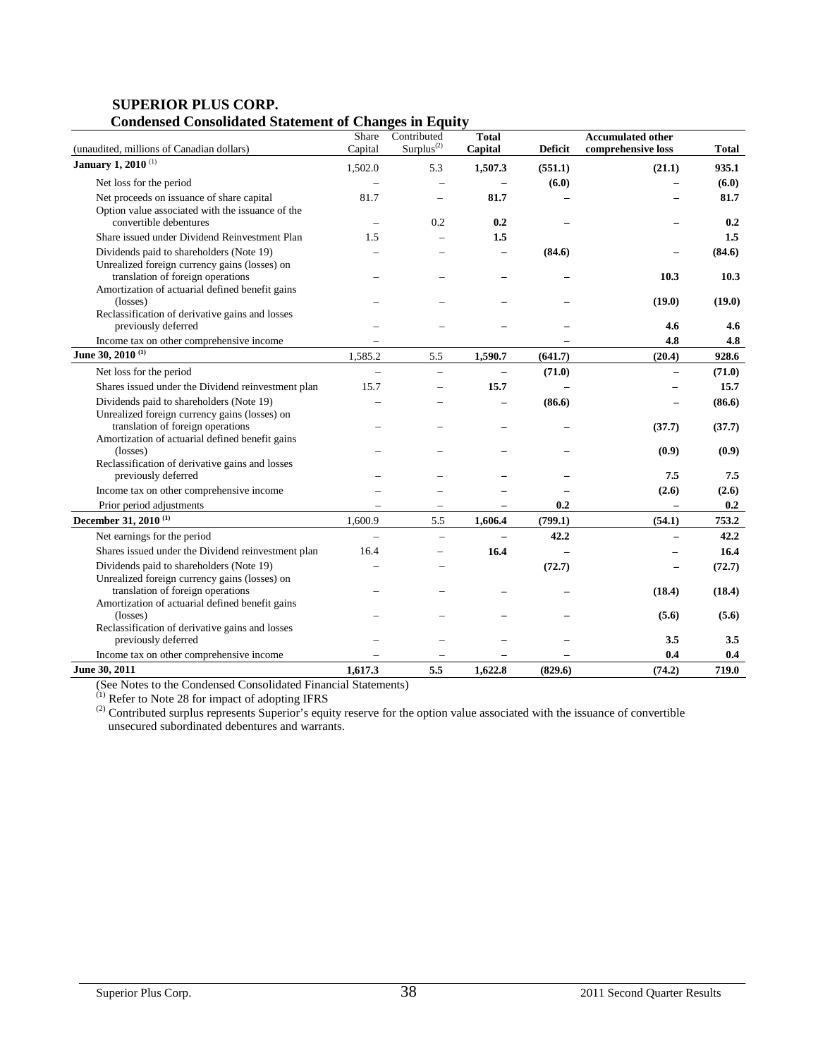| Condensed Consondated Statement of Changes in Equity                                 | Share          | Contributed              | <b>Total</b>             |                | <b>Accumulated other</b> |              |
|--------------------------------------------------------------------------------------|----------------|--------------------------|--------------------------|----------------|--------------------------|--------------|
| (unaudited, millions of Canadian dollars)                                            | Capital        | $Surplus^{(2)}$          | Capital                  | <b>Deficit</b> | comprehensive loss       | <b>Total</b> |
| January 1, 2010 <sup>(1)</sup>                                                       |                |                          |                          |                |                          |              |
|                                                                                      | 1,502.0        | 5.3                      | 1,507.3                  | (551.1)        | (21.1)                   | 935.1        |
| Net loss for the period                                                              |                |                          |                          | (6.0)          |                          | (6.0)        |
| Net proceeds on issuance of share capital                                            | 81.7           |                          | 81.7                     |                |                          | 81.7         |
| Option value associated with the issuance of the                                     |                |                          |                          |                |                          |              |
| convertible debentures                                                               |                | 0.2                      | 0.2                      |                |                          | 0.2          |
| Share issued under Dividend Reinvestment Plan                                        | 1.5            |                          | 1.5                      |                |                          | 1.5          |
| Dividends paid to shareholders (Note 19)                                             |                | $\overline{\phantom{0}}$ | $\overline{\phantom{0}}$ | (84.6)         |                          | (84.6)       |
| Unrealized foreign currency gains (losses) on                                        |                |                          |                          |                |                          |              |
| translation of foreign operations<br>Amortization of actuarial defined benefit gains |                |                          |                          |                | 10.3                     | 10.3         |
| (losses)                                                                             |                |                          |                          |                | (19.0)                   | (19.0)       |
| Reclassification of derivative gains and losses                                      |                |                          |                          |                |                          |              |
| previously deferred                                                                  |                |                          |                          |                | 4.6                      | 4.6          |
| Income tax on other comprehensive income                                             |                |                          |                          |                | 4.8                      | 4.8          |
| June 30, 2010 <sup>(1)</sup>                                                         | 1,585.2        | 5.5                      | 1,590.7                  | (641.7)        | (20.4)                   | 928.6        |
| Net loss for the period                                                              | $\overline{a}$ | $\overline{a}$           |                          | (71.0)         | $\equiv$                 | (71.0)       |
| Shares issued under the Dividend reinvestment plan                                   | 15.7           |                          | 15.7                     |                |                          | 15.7         |
| Dividends paid to shareholders (Note 19)                                             |                |                          |                          | (86.6)         |                          | (86.6)       |
| Unrealized foreign currency gains (losses) on                                        |                |                          |                          |                |                          |              |
| translation of foreign operations                                                    |                |                          |                          |                | (37.7)                   | (37.7)       |
| Amortization of actuarial defined benefit gains                                      |                |                          |                          |                |                          |              |
| $(\text{losses})$                                                                    |                |                          |                          |                | (0.9)                    | (0.9)        |
| Reclassification of derivative gains and losses                                      |                |                          |                          |                |                          |              |
| previously deferred                                                                  |                |                          |                          |                | 7.5                      | 7.5          |
| Income tax on other comprehensive income                                             |                |                          |                          |                | (2.6)                    | (2.6)        |
| Prior period adjustments                                                             |                | $\overline{\phantom{0}}$ |                          | 0.2            |                          | 0.2          |
| December 31, 2010 <sup>(1)</sup>                                                     | 1,600.9        | 5.5                      | 1,606.4                  | (799.1)        | (54.1)                   | 753.2        |
| Net earnings for the period                                                          | $\equiv$       | $\overline{\phantom{0}}$ |                          | 42.2           | $\equiv$                 | 42.2         |
| Shares issued under the Dividend reinvestment plan                                   | 16.4           |                          | 16.4                     |                |                          | 16.4         |
| Dividends paid to shareholders (Note 19)                                             |                |                          |                          | (72.7)         |                          | (72.7)       |
| Unrealized foreign currency gains (losses) on                                        |                |                          |                          |                |                          |              |
| translation of foreign operations                                                    |                |                          |                          |                | (18.4)                   | (18.4)       |
| Amortization of actuarial defined benefit gains                                      |                |                          |                          |                |                          |              |
| (losses)                                                                             |                |                          |                          |                | (5.6)                    | (5.6)        |
| Reclassification of derivative gains and losses                                      |                |                          |                          |                |                          |              |
| previously deferred                                                                  |                |                          |                          |                | 3.5                      | 3.5          |
| Income tax on other comprehensive income                                             |                |                          |                          |                | 0.4                      | 0.4          |
| June 30, 2011                                                                        | 1.617.3        | 5.5                      | 1.622.8                  | (829.6)        | (74.2)                   | 719.0        |

## **SUPERIOR PLUS CORP. Condensed Consolidated Statement of Changes in Equity**

(See Notes to the Condensed Consolidated Financial Statements)<br><sup>(1)</sup> Refer to Note 28 for impact of adopting IFRS

 $^{(2)}$  Contributed surplus represents Superior's equity reserve for the option value associated with the issuance of convertible unsecured subordinated debentures and warrants.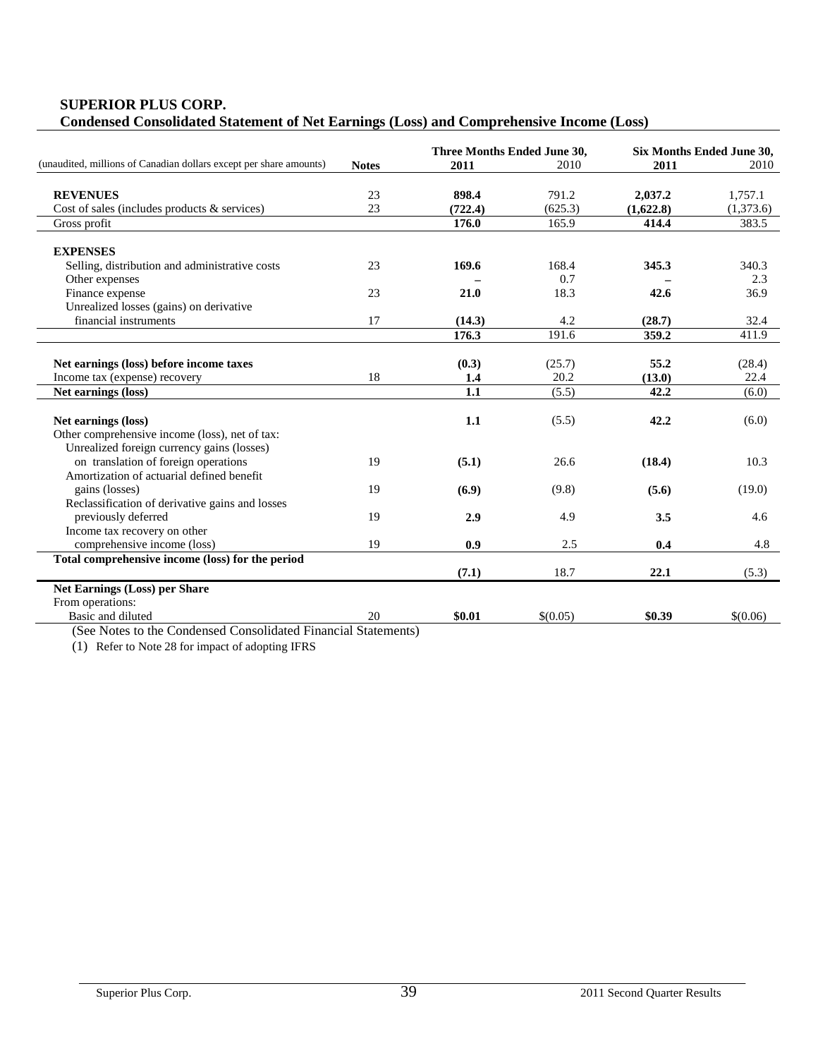# **SUPERIOR PLUS CORP. Condensed Consolidated Statement of Net Earnings (Loss) and Comprehensive Income (Loss)**

|                                                                    |              |         | Three Months Ended June 30, |           | Six Months Ended June 30, |
|--------------------------------------------------------------------|--------------|---------|-----------------------------|-----------|---------------------------|
| (unaudited, millions of Canadian dollars except per share amounts) | <b>Notes</b> | 2011    | 2010                        | 2011      | 2010                      |
|                                                                    |              |         |                             |           |                           |
| <b>REVENUES</b>                                                    | 23           | 898.4   | 791.2                       | 2,037.2   | 1,757.1                   |
| Cost of sales (includes products & services)                       | 23           | (722.4) | (625.3)                     | (1,622.8) | (1,373.6)                 |
| Gross profit                                                       |              | 176.0   | 165.9                       | 414.4     | 383.5                     |
|                                                                    |              |         |                             |           |                           |
| <b>EXPENSES</b>                                                    |              |         |                             |           |                           |
| Selling, distribution and administrative costs                     | 23           | 169.6   | 168.4                       | 345.3     | 340.3                     |
| Other expenses                                                     |              |         | 0.7                         |           | 2.3                       |
| Finance expense                                                    | 23           | 21.0    | 18.3                        | 42.6      | 36.9                      |
| Unrealized losses (gains) on derivative                            |              |         |                             |           |                           |
| financial instruments                                              | 17           | (14.3)  | 4.2                         | (28.7)    | 32.4                      |
|                                                                    |              | 176.3   | 191.6                       | 359.2     | 411.9                     |
|                                                                    |              |         |                             |           |                           |
| Net earnings (loss) before income taxes                            |              | (0.3)   | (25.7)                      | 55.2      | (28.4)                    |
| Income tax (expense) recovery                                      | 18           | 1.4     | 20.2                        | (13.0)    | 22.4                      |
| Net earnings (loss)                                                |              | 1.1     | (5.5)                       | 42.2      | (6.0)                     |
|                                                                    |              |         |                             |           |                           |
| Net earnings (loss)                                                |              | 1.1     | (5.5)                       | 42.2      | (6.0)                     |
| Other comprehensive income (loss), net of tax:                     |              |         |                             |           |                           |
| Unrealized foreign currency gains (losses)                         |              |         |                             |           |                           |
| on translation of foreign operations                               | 19           | (5.1)   | 26.6                        | (18.4)    | 10.3                      |
| Amortization of actuarial defined benefit                          |              |         |                             |           |                           |
| gains (losses)                                                     | 19           | (6.9)   | (9.8)                       | (5.6)     | (19.0)                    |
| Reclassification of derivative gains and losses                    |              |         |                             |           |                           |
| previously deferred                                                | 19           | 2.9     | 4.9                         | 3.5       | 4.6                       |
| Income tax recovery on other                                       |              |         |                             |           |                           |
| comprehensive income (loss)                                        | 19           | 0.9     | 2.5                         | 0.4       | 4.8                       |
| Total comprehensive income (loss) for the period                   |              |         |                             |           |                           |
|                                                                    |              | (7.1)   | 18.7                        | 22.1      | (5.3)                     |
| Net Earnings (Loss) per Share                                      |              |         |                             |           |                           |
| From operations:                                                   |              |         |                             |           |                           |
| Basic and diluted                                                  | 20           | \$0.01  | \$(0.05)                    | \$0.39    | \$(0.06)                  |
| (See Notes to the Condensed Consolidated Financial Statements)     |              |         |                             |           |                           |

(1) Refer to Note 28 for impact of adopting IFRS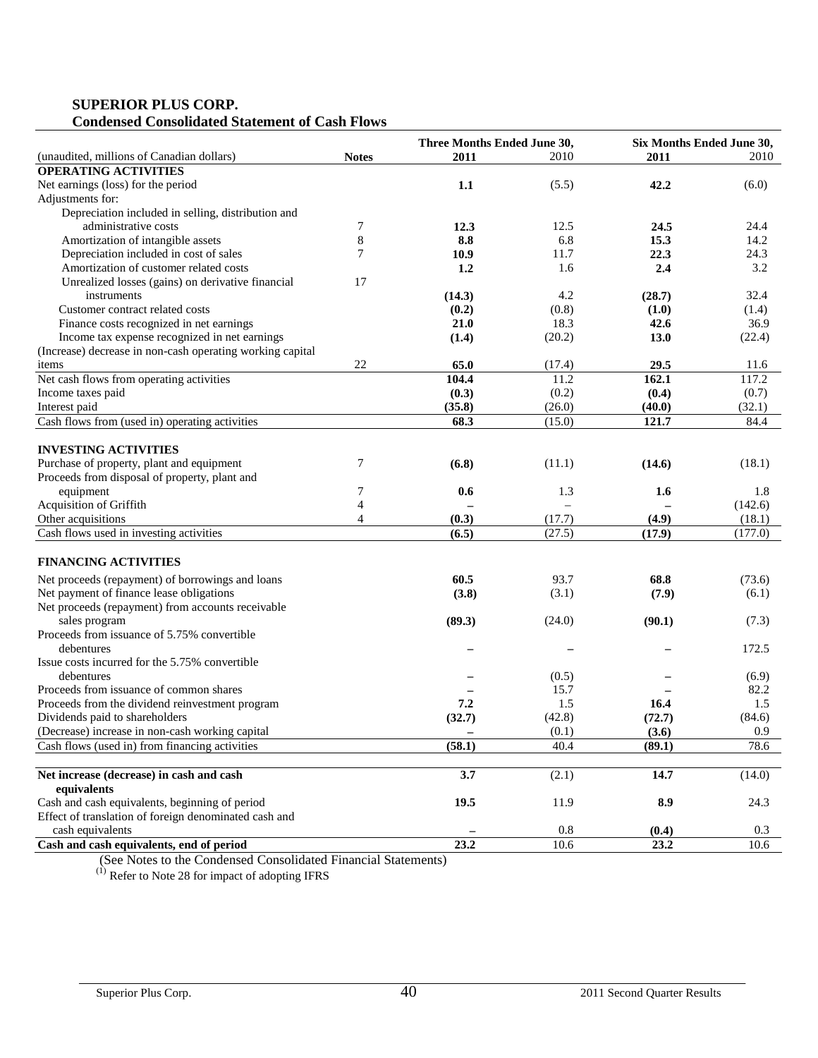# **SUPERIOR PLUS CORP. Condensed Consolidated Statement of Cash Flows**

|                                                                          |                | Three Months Ended June 30, |         | Six Months Ended June 30, |         |
|--------------------------------------------------------------------------|----------------|-----------------------------|---------|---------------------------|---------|
| (unaudited, millions of Canadian dollars)                                | <b>Notes</b>   | 2011                        | 2010    | 2011                      | 2010    |
| <b>OPERATING ACTIVITIES</b>                                              |                |                             |         |                           |         |
| Net earnings (loss) for the period                                       |                | 1.1                         | (5.5)   | 42.2                      | (6.0)   |
| Adjustments for:                                                         |                |                             |         |                           |         |
| Depreciation included in selling, distribution and                       |                |                             |         |                           |         |
| administrative costs                                                     | 7              | 12.3                        | 12.5    | 24.5                      | 24.4    |
| Amortization of intangible assets                                        | 8              | 8.8                         | 6.8     | 15.3                      | 14.2    |
| Depreciation included in cost of sales                                   | 7              | 10.9                        | 11.7    | 22.3                      | 24.3    |
| Amortization of customer related costs                                   |                | 1.2                         | 1.6     | 2.4                       | 3.2     |
| Unrealized losses (gains) on derivative financial                        | 17             |                             |         |                           |         |
| instruments                                                              |                | (14.3)                      | 4.2     | (28.7)                    | 32.4    |
| Customer contract related costs                                          |                | (0.2)                       | (0.8)   | (1.0)                     | (1.4)   |
| Finance costs recognized in net earnings                                 |                | 21.0                        | 18.3    | 42.6                      | 36.9    |
| Income tax expense recognized in net earnings                            |                | (1.4)                       | (20.2)  | 13.0                      | (22.4)  |
| (Increase) decrease in non-cash operating working capital                |                |                             |         |                           |         |
| items                                                                    | 22             | 65.0                        | (17.4)  | 29.5                      | 11.6    |
| Net cash flows from operating activities                                 |                | 104.4                       | 11.2    | 162.1                     | 117.2   |
| Income taxes paid                                                        |                | (0.3)                       | (0.2)   | (0.4)                     | (0.7)   |
| Interest paid                                                            |                | (35.8)                      | (26.0)  | (40.0)                    | (32.1)  |
| Cash flows from (used in) operating activities                           |                | 68.3                        | (15.0)  | 121.7                     | 84.4    |
|                                                                          |                |                             |         |                           |         |
| <b>INVESTING ACTIVITIES</b><br>Purchase of property, plant and equipment | 7              |                             |         |                           |         |
|                                                                          |                | (6.8)                       | (11.1)  | (14.6)                    | (18.1)  |
| Proceeds from disposal of property, plant and                            | 7              | 0.6                         | 1.3     | 1.6                       | 1.8     |
| equipment<br>Acquisition of Griffith                                     | $\overline{4}$ |                             |         |                           | (142.6) |
| Other acquisitions                                                       | $\overline{4}$ | (0.3)                       | (17.7)  | (4.9)                     | (18.1)  |
| Cash flows used in investing activities                                  |                | (6.5)                       | (27.5)  | (17.9)                    | (177.0) |
|                                                                          |                |                             |         |                           |         |
| <b>FINANCING ACTIVITIES</b>                                              |                |                             |         |                           |         |
| Net proceeds (repayment) of borrowings and loans                         |                | 60.5                        | 93.7    | 68.8                      | (73.6)  |
| Net payment of finance lease obligations                                 |                | (3.8)                       | (3.1)   | (7.9)                     | (6.1)   |
| Net proceeds (repayment) from accounts receivable                        |                |                             |         |                           |         |
| sales program                                                            |                | (89.3)                      | (24.0)  | (90.1)                    | (7.3)   |
| Proceeds from issuance of 5.75% convertible                              |                |                             |         |                           |         |
| debentures                                                               |                |                             |         |                           | 172.5   |
| Issue costs incurred for the 5.75% convertible                           |                |                             |         |                           |         |
| debentures                                                               |                |                             | (0.5)   |                           | (6.9)   |
| Proceeds from issuance of common shares                                  |                |                             | 15.7    |                           | 82.2    |
| Proceeds from the dividend reinvestment program                          |                | 7.2                         | 1.5     | 16.4                      | 1.5     |
| Dividends paid to shareholders                                           |                | (32.7)                      | (42.8)  | (72.7)                    | (84.6)  |
| (Decrease) increase in non-cash working capital                          |                |                             | (0.1)   | (3.6)                     | 0.9     |
| Cash flows (used in) from financing activities                           |                | (58.1)                      | 40.4    | (89.1)                    | 78.6    |
|                                                                          |                |                             |         |                           |         |
| Net increase (decrease) in cash and cash                                 |                | 3.7                         | (2.1)   | 14.7                      | (14.0)  |
| equivalents                                                              |                |                             |         |                           |         |
| Cash and cash equivalents, beginning of period                           |                | 19.5                        | 11.9    | 8.9                       | 24.3    |
| Effect of translation of foreign denominated cash and                    |                |                             |         |                           |         |
| cash equivalents                                                         |                |                             | $0.8\,$ | (0.4)                     | 0.3     |
| Cash and cash equivalents, end of period                                 |                | 23.2                        | 10.6    | 23.2                      | 10.6    |

(See Notes to the Condensed Consolidated Financial Statements)

 $<sup>(1)</sup>$  Refer to Note 28 for impact of adopting IFRS</sup>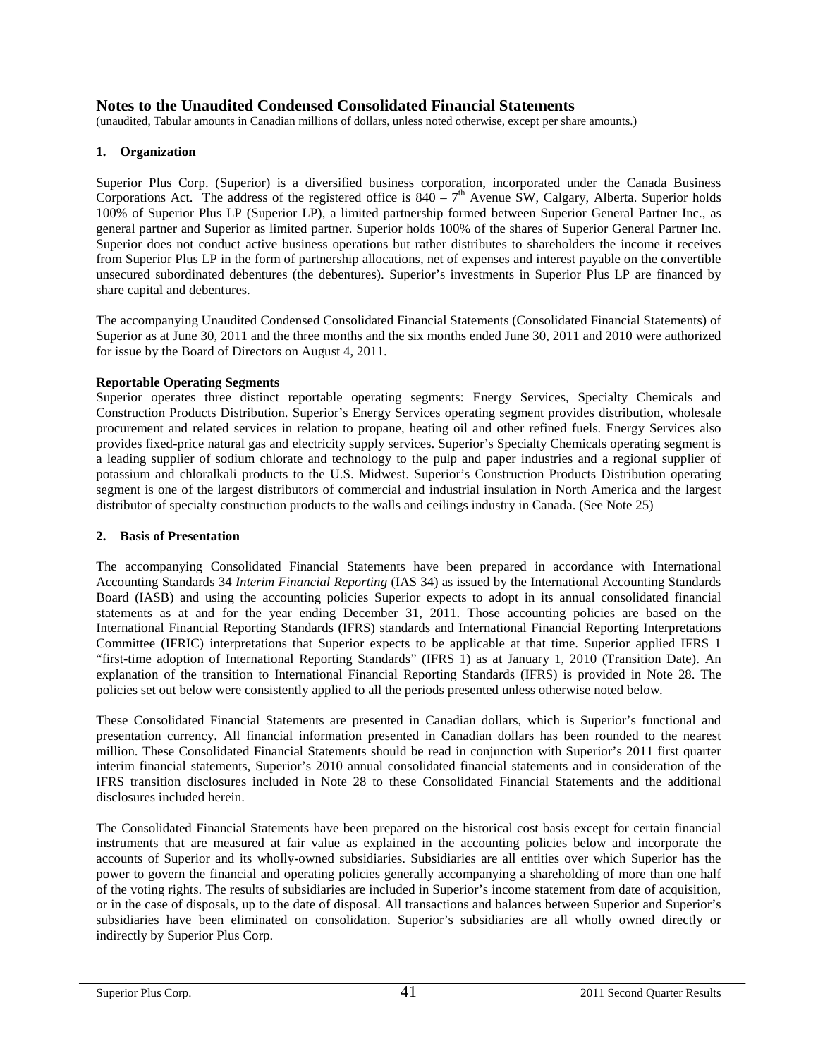# **Notes to the Unaudited Condensed Consolidated Financial Statements**

(unaudited, Tabular amounts in Canadian millions of dollars, unless noted otherwise, except per share amounts.)

### **1. Organization**

Superior Plus Corp. (Superior) is a diversified business corporation, incorporated under the Canada Business Corporations Act. The address of the registered office is  $840 - 7<sup>th</sup>$  Avenue SW, Calgary, Alberta. Superior holds 100% of Superior Plus LP (Superior LP), a limited partnership formed between Superior General Partner Inc., as general partner and Superior as limited partner. Superior holds 100% of the shares of Superior General Partner Inc. Superior does not conduct active business operations but rather distributes to shareholders the income it receives from Superior Plus LP in the form of partnership allocations, net of expenses and interest payable on the convertible unsecured subordinated debentures (the debentures). Superior's investments in Superior Plus LP are financed by share capital and debentures.

The accompanying Unaudited Condensed Consolidated Financial Statements (Consolidated Financial Statements) of Superior as at June 30, 2011 and the three months and the six months ended June 30, 2011 and 2010 were authorized for issue by the Board of Directors on August 4, 2011.

### **Reportable Operating Segments**

Superior operates three distinct reportable operating segments: Energy Services, Specialty Chemicals and Construction Products Distribution. Superior's Energy Services operating segment provides distribution, wholesale procurement and related services in relation to propane, heating oil and other refined fuels. Energy Services also provides fixed-price natural gas and electricity supply services. Superior's Specialty Chemicals operating segment is a leading supplier of sodium chlorate and technology to the pulp and paper industries and a regional supplier of potassium and chloralkali products to the U.S. Midwest. Superior's Construction Products Distribution operating segment is one of the largest distributors of commercial and industrial insulation in North America and the largest distributor of specialty construction products to the walls and ceilings industry in Canada. (See Note 25)

### **2. Basis of Presentation**

The accompanying Consolidated Financial Statements have been prepared in accordance with International Accounting Standards 34 *Interim Financial Reporting* (IAS 34) as issued by the International Accounting Standards Board (IASB) and using the accounting policies Superior expects to adopt in its annual consolidated financial statements as at and for the year ending December 31, 2011. Those accounting policies are based on the International Financial Reporting Standards (IFRS) standards and International Financial Reporting Interpretations Committee (IFRIC) interpretations that Superior expects to be applicable at that time. Superior applied IFRS 1 "first-time adoption of International Reporting Standards" (IFRS 1) as at January 1, 2010 (Transition Date). An explanation of the transition to International Financial Reporting Standards (IFRS) is provided in Note 28. The policies set out below were consistently applied to all the periods presented unless otherwise noted below.

These Consolidated Financial Statements are presented in Canadian dollars, which is Superior's functional and presentation currency. All financial information presented in Canadian dollars has been rounded to the nearest million. These Consolidated Financial Statements should be read in conjunction with Superior's 2011 first quarter interim financial statements, Superior's 2010 annual consolidated financial statements and in consideration of the IFRS transition disclosures included in Note 28 to these Consolidated Financial Statements and the additional disclosures included herein.

The Consolidated Financial Statements have been prepared on the historical cost basis except for certain financial instruments that are measured at fair value as explained in the accounting policies below and incorporate the accounts of Superior and its wholly-owned subsidiaries. Subsidiaries are all entities over which Superior has the power to govern the financial and operating policies generally accompanying a shareholding of more than one half of the voting rights. The results of subsidiaries are included in Superior's income statement from date of acquisition, or in the case of disposals, up to the date of disposal. All transactions and balances between Superior and Superior's subsidiaries have been eliminated on consolidation. Superior's subsidiaries are all wholly owned directly or indirectly by Superior Plus Corp.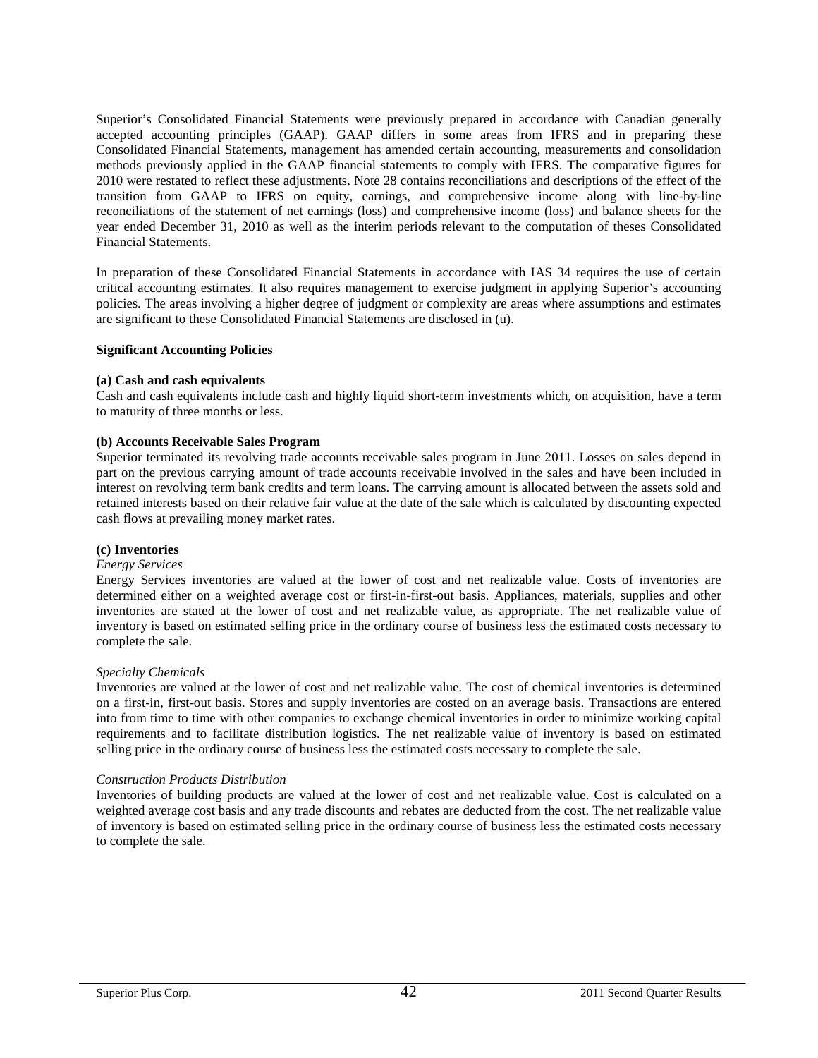Superior's Consolidated Financial Statements were previously prepared in accordance with Canadian generally accepted accounting principles (GAAP). GAAP differs in some areas from IFRS and in preparing these Consolidated Financial Statements, management has amended certain accounting, measurements and consolidation methods previously applied in the GAAP financial statements to comply with IFRS. The comparative figures for 2010 were restated to reflect these adjustments. Note 28 contains reconciliations and descriptions of the effect of the transition from GAAP to IFRS on equity, earnings, and comprehensive income along with line-by-line reconciliations of the statement of net earnings (loss) and comprehensive income (loss) and balance sheets for the year ended December 31, 2010 as well as the interim periods relevant to the computation of theses Consolidated Financial Statements.

In preparation of these Consolidated Financial Statements in accordance with IAS 34 requires the use of certain critical accounting estimates. It also requires management to exercise judgment in applying Superior's accounting policies. The areas involving a higher degree of judgment or complexity are areas where assumptions and estimates are significant to these Consolidated Financial Statements are disclosed in (u).

#### **Significant Accounting Policies**

#### **(a) Cash and cash equivalents**

Cash and cash equivalents include cash and highly liquid short-term investments which, on acquisition, have a term to maturity of three months or less.

### **(b) Accounts Receivable Sales Program**

Superior terminated its revolving trade accounts receivable sales program in June 2011. Losses on sales depend in part on the previous carrying amount of trade accounts receivable involved in the sales and have been included in interest on revolving term bank credits and term loans. The carrying amount is allocated between the assets sold and retained interests based on their relative fair value at the date of the sale which is calculated by discounting expected cash flows at prevailing money market rates.

#### **(c) Inventories**

### *Energy Services*

Energy Services inventories are valued at the lower of cost and net realizable value. Costs of inventories are determined either on a weighted average cost or first-in-first-out basis. Appliances, materials, supplies and other inventories are stated at the lower of cost and net realizable value, as appropriate. The net realizable value of inventory is based on estimated selling price in the ordinary course of business less the estimated costs necessary to complete the sale.

#### *Specialty Chemicals*

Inventories are valued at the lower of cost and net realizable value. The cost of chemical inventories is determined on a first-in, first-out basis. Stores and supply inventories are costed on an average basis. Transactions are entered into from time to time with other companies to exchange chemical inventories in order to minimize working capital requirements and to facilitate distribution logistics. The net realizable value of inventory is based on estimated selling price in the ordinary course of business less the estimated costs necessary to complete the sale.

#### *Construction Products Distribution*

Inventories of building products are valued at the lower of cost and net realizable value. Cost is calculated on a weighted average cost basis and any trade discounts and rebates are deducted from the cost. The net realizable value of inventory is based on estimated selling price in the ordinary course of business less the estimated costs necessary to complete the sale.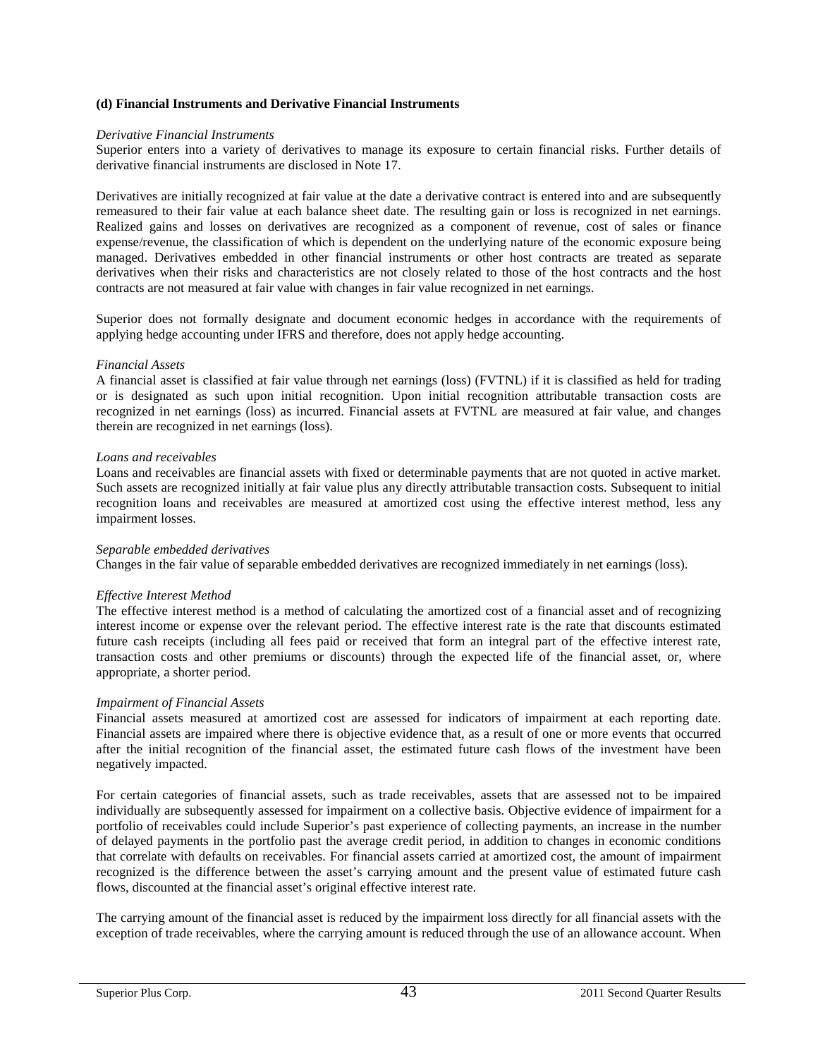### **(d) Financial Instruments and Derivative Financial Instruments**

#### *Derivative Financial Instruments*

Superior enters into a variety of derivatives to manage its exposure to certain financial risks. Further details of derivative financial instruments are disclosed in Note 17.

Derivatives are initially recognized at fair value at the date a derivative contract is entered into and are subsequently remeasured to their fair value at each balance sheet date. The resulting gain or loss is recognized in net earnings. Realized gains and losses on derivatives are recognized as a component of revenue, cost of sales or finance expense/revenue, the classification of which is dependent on the underlying nature of the economic exposure being managed. Derivatives embedded in other financial instruments or other host contracts are treated as separate derivatives when their risks and characteristics are not closely related to those of the host contracts and the host contracts are not measured at fair value with changes in fair value recognized in net earnings.

Superior does not formally designate and document economic hedges in accordance with the requirements of applying hedge accounting under IFRS and therefore, does not apply hedge accounting.

#### *Financial Assets*

A financial asset is classified at fair value through net earnings (loss) (FVTNL) if it is classified as held for trading or is designated as such upon initial recognition. Upon initial recognition attributable transaction costs are recognized in net earnings (loss) as incurred. Financial assets at FVTNL are measured at fair value, and changes therein are recognized in net earnings (loss).

#### *Loans and receivables*

Loans and receivables are financial assets with fixed or determinable payments that are not quoted in active market. Such assets are recognized initially at fair value plus any directly attributable transaction costs. Subsequent to initial recognition loans and receivables are measured at amortized cost using the effective interest method, less any impairment losses.

#### *Separable embedded derivatives*

Changes in the fair value of separable embedded derivatives are recognized immediately in net earnings (loss).

### *Effective Interest Method*

The effective interest method is a method of calculating the amortized cost of a financial asset and of recognizing interest income or expense over the relevant period. The effective interest rate is the rate that discounts estimated future cash receipts (including all fees paid or received that form an integral part of the effective interest rate, transaction costs and other premiums or discounts) through the expected life of the financial asset, or, where appropriate, a shorter period.

### *Impairment of Financial Assets*

Financial assets measured at amortized cost are assessed for indicators of impairment at each reporting date. Financial assets are impaired where there is objective evidence that, as a result of one or more events that occurred after the initial recognition of the financial asset, the estimated future cash flows of the investment have been negatively impacted.

For certain categories of financial assets, such as trade receivables, assets that are assessed not to be impaired individually are subsequently assessed for impairment on a collective basis. Objective evidence of impairment for a portfolio of receivables could include Superior's past experience of collecting payments, an increase in the number of delayed payments in the portfolio past the average credit period, in addition to changes in economic conditions that correlate with defaults on receivables. For financial assets carried at amortized cost, the amount of impairment recognized is the difference between the asset's carrying amount and the present value of estimated future cash flows, discounted at the financial asset's original effective interest rate.

The carrying amount of the financial asset is reduced by the impairment loss directly for all financial assets with the exception of trade receivables, where the carrying amount is reduced through the use of an allowance account. When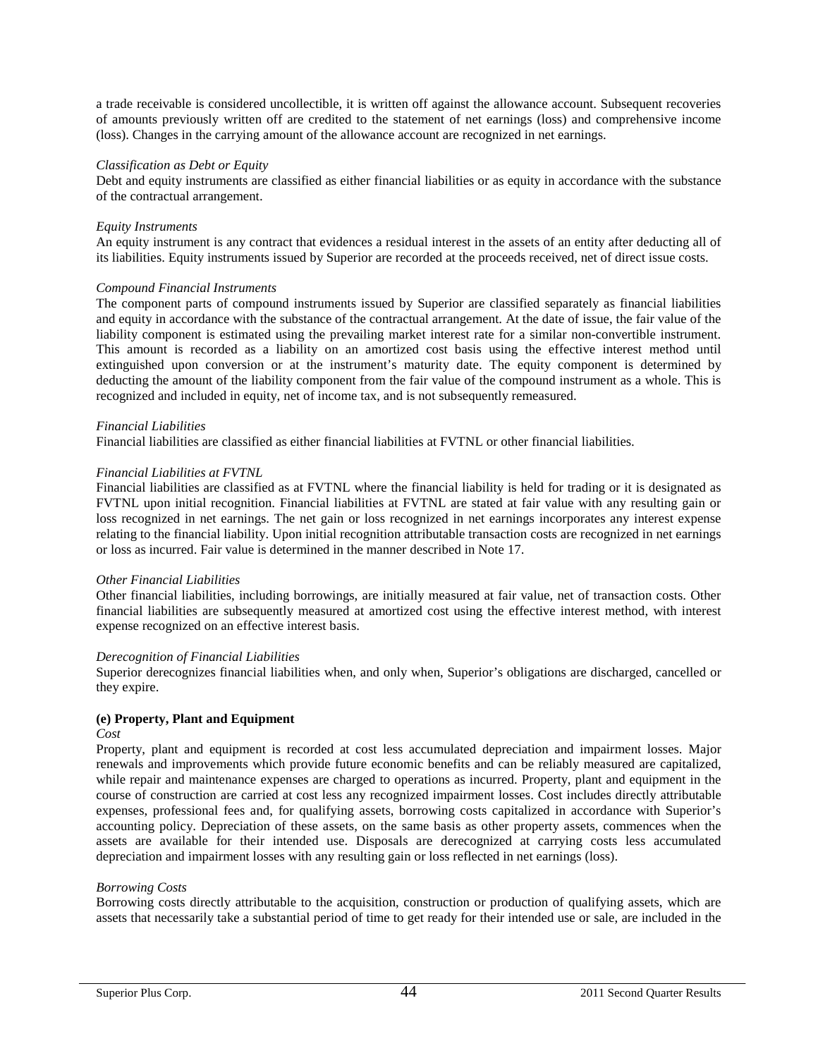a trade receivable is considered uncollectible, it is written off against the allowance account. Subsequent recoveries of amounts previously written off are credited to the statement of net earnings (loss) and comprehensive income (loss). Changes in the carrying amount of the allowance account are recognized in net earnings.

### *Classification as Debt or Equity*

Debt and equity instruments are classified as either financial liabilities or as equity in accordance with the substance of the contractual arrangement.

### *Equity Instruments*

An equity instrument is any contract that evidences a residual interest in the assets of an entity after deducting all of its liabilities. Equity instruments issued by Superior are recorded at the proceeds received, net of direct issue costs.

### *Compound Financial Instruments*

The component parts of compound instruments issued by Superior are classified separately as financial liabilities and equity in accordance with the substance of the contractual arrangement. At the date of issue, the fair value of the liability component is estimated using the prevailing market interest rate for a similar non-convertible instrument. This amount is recorded as a liability on an amortized cost basis using the effective interest method until extinguished upon conversion or at the instrument's maturity date. The equity component is determined by deducting the amount of the liability component from the fair value of the compound instrument as a whole. This is recognized and included in equity, net of income tax, and is not subsequently remeasured.

### *Financial Liabilities*

Financial liabilities are classified as either financial liabilities at FVTNL or other financial liabilities.

### *Financial Liabilities at FVTNL*

Financial liabilities are classified as at FVTNL where the financial liability is held for trading or it is designated as FVTNL upon initial recognition. Financial liabilities at FVTNL are stated at fair value with any resulting gain or loss recognized in net earnings. The net gain or loss recognized in net earnings incorporates any interest expense relating to the financial liability. Upon initial recognition attributable transaction costs are recognized in net earnings or loss as incurred. Fair value is determined in the manner described in Note 17.

### *Other Financial Liabilities*

Other financial liabilities, including borrowings, are initially measured at fair value, net of transaction costs. Other financial liabilities are subsequently measured at amortized cost using the effective interest method, with interest expense recognized on an effective interest basis.

### *Derecognition of Financial Liabilities*

Superior derecognizes financial liabilities when, and only when, Superior's obligations are discharged, cancelled or they expire.

## **(e) Property, Plant and Equipment**

*Cost* 

Property, plant and equipment is recorded at cost less accumulated depreciation and impairment losses. Major renewals and improvements which provide future economic benefits and can be reliably measured are capitalized, while repair and maintenance expenses are charged to operations as incurred. Property, plant and equipment in the course of construction are carried at cost less any recognized impairment losses. Cost includes directly attributable expenses, professional fees and, for qualifying assets, borrowing costs capitalized in accordance with Superior's accounting policy. Depreciation of these assets, on the same basis as other property assets, commences when the assets are available for their intended use. Disposals are derecognized at carrying costs less accumulated depreciation and impairment losses with any resulting gain or loss reflected in net earnings (loss).

### *Borrowing Costs*

Borrowing costs directly attributable to the acquisition, construction or production of qualifying assets, which are assets that necessarily take a substantial period of time to get ready for their intended use or sale, are included in the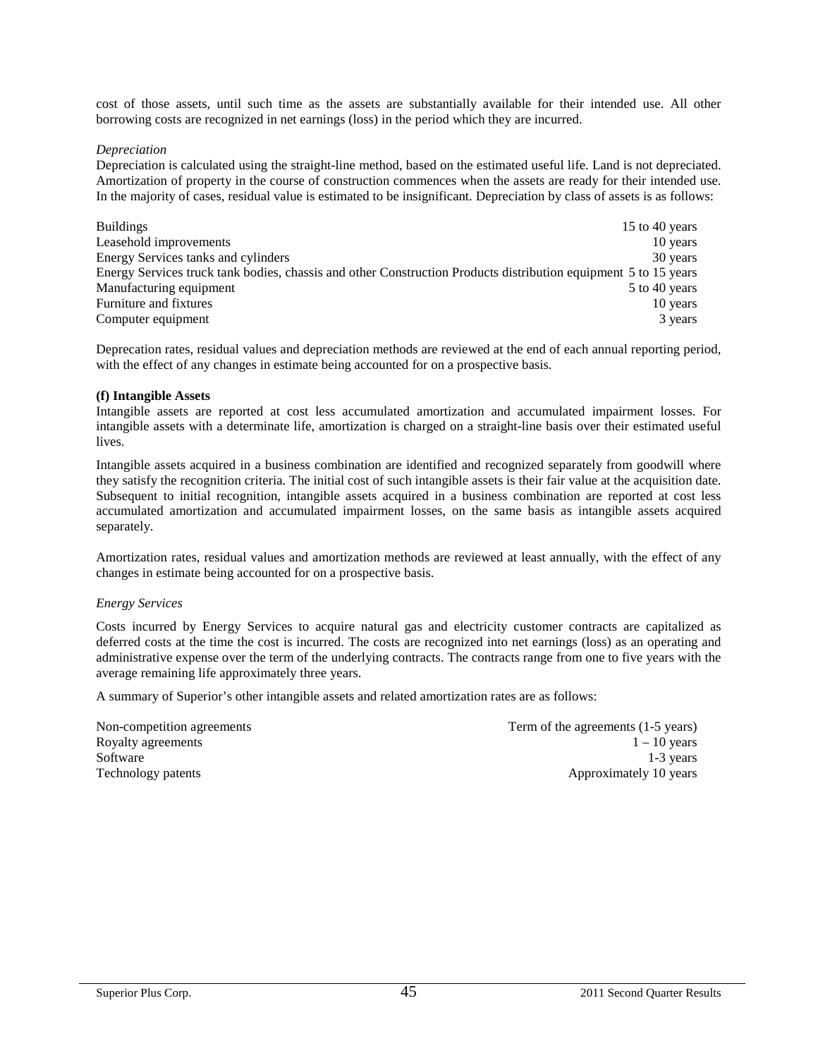cost of those assets, until such time as the assets are substantially available for their intended use. All other borrowing costs are recognized in net earnings (loss) in the period which they are incurred.

#### *Depreciation*

Depreciation is calculated using the straight-line method, based on the estimated useful life. Land is not depreciated. Amortization of property in the course of construction commences when the assets are ready for their intended use. In the majority of cases, residual value is estimated to be insignificant. Depreciation by class of assets is as follows:

| <b>Buildings</b>                                                                                                | 15 to 40 years |
|-----------------------------------------------------------------------------------------------------------------|----------------|
| Leasehold improvements                                                                                          | 10 years       |
| Energy Services tanks and cylinders                                                                             | 30 years       |
| Energy Services truck tank bodies, chassis and other Construction Products distribution equipment 5 to 15 years |                |
| Manufacturing equipment                                                                                         | 5 to 40 years  |
| Furniture and fixtures                                                                                          | 10 years       |
| Computer equipment                                                                                              | 3 years        |

Deprecation rates, residual values and depreciation methods are reviewed at the end of each annual reporting period, with the effect of any changes in estimate being accounted for on a prospective basis.

#### **(f) Intangible Assets**

Intangible assets are reported at cost less accumulated amortization and accumulated impairment losses. For intangible assets with a determinate life, amortization is charged on a straight-line basis over their estimated useful lives.

Intangible assets acquired in a business combination are identified and recognized separately from goodwill where they satisfy the recognition criteria. The initial cost of such intangible assets is their fair value at the acquisition date. Subsequent to initial recognition, intangible assets acquired in a business combination are reported at cost less accumulated amortization and accumulated impairment losses, on the same basis as intangible assets acquired separately.

Amortization rates, residual values and amortization methods are reviewed at least annually, with the effect of any changes in estimate being accounted for on a prospective basis.

#### *Energy Services*

Costs incurred by Energy Services to acquire natural gas and electricity customer contracts are capitalized as deferred costs at the time the cost is incurred. The costs are recognized into net earnings (loss) as an operating and administrative expense over the term of the underlying contracts. The contracts range from one to five years with the average remaining life approximately three years.

A summary of Superior's other intangible assets and related amortization rates are as follows:

Non-competition agreements Term of the agreements (1-5 years) Royalty agreements  $1 - 10$  years  $1 - 10$  years Software 1-3 years 12-3 years 12-3 years 12-3 years 12-3 years 12-3 years 12-3 years 12-3 years 12-3 years 12-3 years 12-3 years 12-3 years 12-3 years 12-3 years 12-3 years 12-3 years 12-3 years 12-3 years 12-3 years 12-1 Technology patents **Approximately 10 years** Approximately 10 years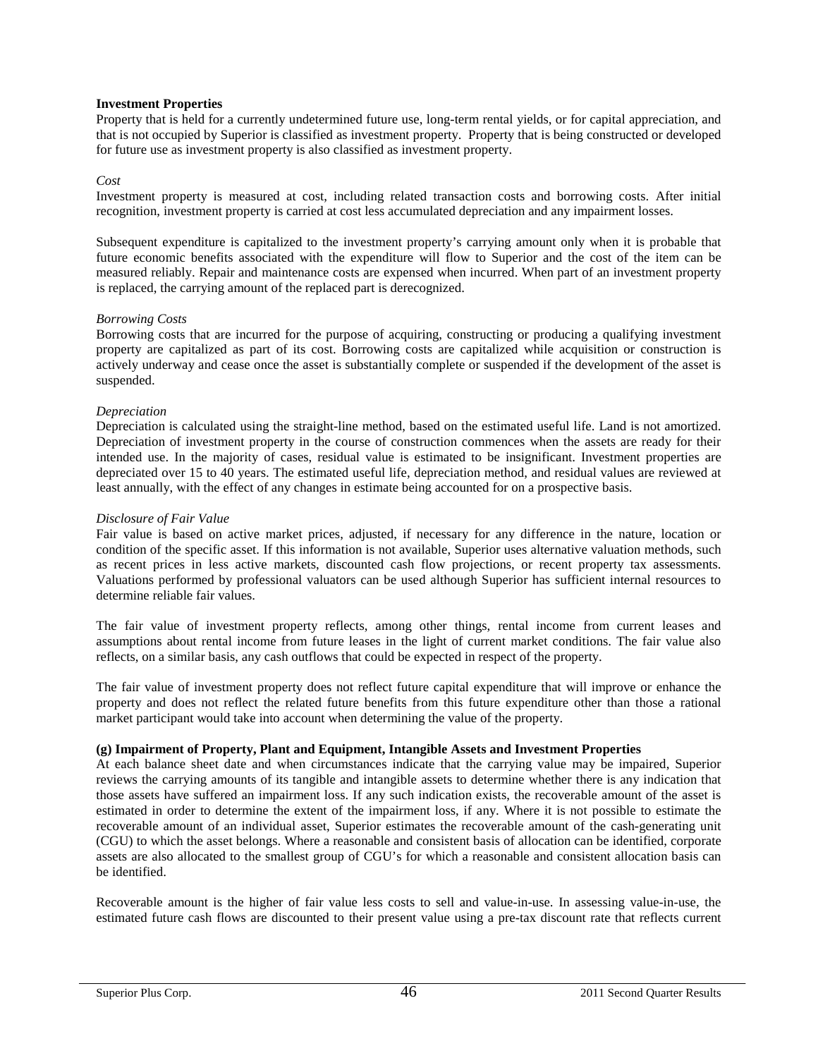### **Investment Properties**

Property that is held for a currently undetermined future use, long-term rental yields, or for capital appreciation, and that is not occupied by Superior is classified as investment property. Property that is being constructed or developed for future use as investment property is also classified as investment property.

### *Cost*

Investment property is measured at cost, including related transaction costs and borrowing costs. After initial recognition, investment property is carried at cost less accumulated depreciation and any impairment losses.

Subsequent expenditure is capitalized to the investment property's carrying amount only when it is probable that future economic benefits associated with the expenditure will flow to Superior and the cost of the item can be measured reliably. Repair and maintenance costs are expensed when incurred. When part of an investment property is replaced, the carrying amount of the replaced part is derecognized.

### *Borrowing Costs*

Borrowing costs that are incurred for the purpose of acquiring, constructing or producing a qualifying investment property are capitalized as part of its cost. Borrowing costs are capitalized while acquisition or construction is actively underway and cease once the asset is substantially complete or suspended if the development of the asset is suspended.

### *Depreciation*

Depreciation is calculated using the straight-line method, based on the estimated useful life. Land is not amortized. Depreciation of investment property in the course of construction commences when the assets are ready for their intended use. In the majority of cases, residual value is estimated to be insignificant. Investment properties are depreciated over 15 to 40 years. The estimated useful life, depreciation method, and residual values are reviewed at least annually, with the effect of any changes in estimate being accounted for on a prospective basis.

### *Disclosure of Fair Value*

Fair value is based on active market prices, adjusted, if necessary for any difference in the nature, location or condition of the specific asset. If this information is not available, Superior uses alternative valuation methods, such as recent prices in less active markets, discounted cash flow projections, or recent property tax assessments. Valuations performed by professional valuators can be used although Superior has sufficient internal resources to determine reliable fair values.

The fair value of investment property reflects, among other things, rental income from current leases and assumptions about rental income from future leases in the light of current market conditions. The fair value also reflects, on a similar basis, any cash outflows that could be expected in respect of the property.

The fair value of investment property does not reflect future capital expenditure that will improve or enhance the property and does not reflect the related future benefits from this future expenditure other than those a rational market participant would take into account when determining the value of the property.

### **(g) Impairment of Property, Plant and Equipment, Intangible Assets and Investment Properties**

At each balance sheet date and when circumstances indicate that the carrying value may be impaired, Superior reviews the carrying amounts of its tangible and intangible assets to determine whether there is any indication that those assets have suffered an impairment loss. If any such indication exists, the recoverable amount of the asset is estimated in order to determine the extent of the impairment loss, if any. Where it is not possible to estimate the recoverable amount of an individual asset, Superior estimates the recoverable amount of the cash-generating unit (CGU) to which the asset belongs. Where a reasonable and consistent basis of allocation can be identified, corporate assets are also allocated to the smallest group of CGU's for which a reasonable and consistent allocation basis can be identified.

Recoverable amount is the higher of fair value less costs to sell and value-in-use. In assessing value-in-use, the estimated future cash flows are discounted to their present value using a pre-tax discount rate that reflects current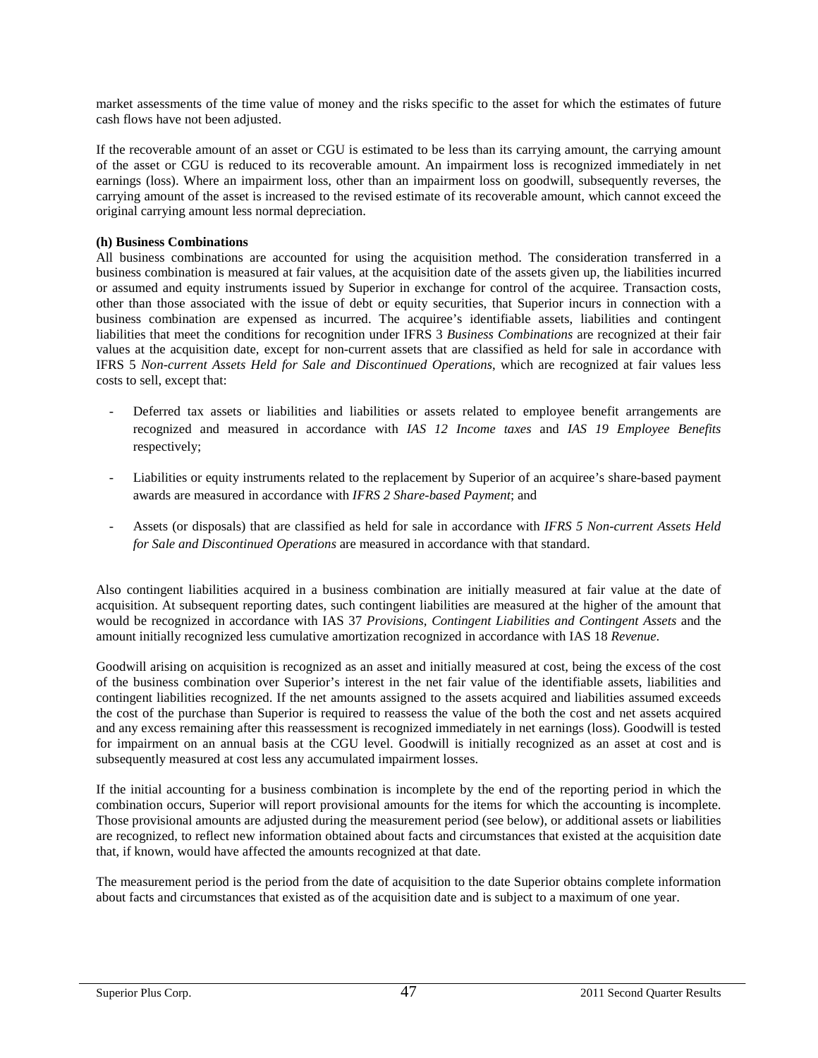market assessments of the time value of money and the risks specific to the asset for which the estimates of future cash flows have not been adjusted.

If the recoverable amount of an asset or CGU is estimated to be less than its carrying amount, the carrying amount of the asset or CGU is reduced to its recoverable amount. An impairment loss is recognized immediately in net earnings (loss). Where an impairment loss, other than an impairment loss on goodwill, subsequently reverses, the carrying amount of the asset is increased to the revised estimate of its recoverable amount, which cannot exceed the original carrying amount less normal depreciation.

### **(h) Business Combinations**

All business combinations are accounted for using the acquisition method. The consideration transferred in a business combination is measured at fair values, at the acquisition date of the assets given up, the liabilities incurred or assumed and equity instruments issued by Superior in exchange for control of the acquiree. Transaction costs, other than those associated with the issue of debt or equity securities, that Superior incurs in connection with a business combination are expensed as incurred. The acquiree's identifiable assets, liabilities and contingent liabilities that meet the conditions for recognition under IFRS 3 *Business Combinations* are recognized at their fair values at the acquisition date, except for non-current assets that are classified as held for sale in accordance with IFRS 5 *Non-current Assets Held for Sale and Discontinued Operations*, which are recognized at fair values less costs to sell, except that:

- Deferred tax assets or liabilities and liabilities or assets related to employee benefit arrangements are recognized and measured in accordance with *IAS 12 Income taxes* and *IAS 19 Employee Benefits* respectively;
- Liabilities or equity instruments related to the replacement by Superior of an acquiree's share-based payment awards are measured in accordance with *IFRS 2 Share-based Payment*; and
- Assets (or disposals) that are classified as held for sale in accordance with *IFRS 5 Non-current Assets Held for Sale and Discontinued Operations* are measured in accordance with that standard.

Also contingent liabilities acquired in a business combination are initially measured at fair value at the date of acquisition. At subsequent reporting dates, such contingent liabilities are measured at the higher of the amount that would be recognized in accordance with IAS 37 *Provisions, Contingent Liabilities and Contingent Assets* and the amount initially recognized less cumulative amortization recognized in accordance with IAS 18 *Revenue*.

Goodwill arising on acquisition is recognized as an asset and initially measured at cost, being the excess of the cost of the business combination over Superior's interest in the net fair value of the identifiable assets, liabilities and contingent liabilities recognized. If the net amounts assigned to the assets acquired and liabilities assumed exceeds the cost of the purchase than Superior is required to reassess the value of the both the cost and net assets acquired and any excess remaining after this reassessment is recognized immediately in net earnings (loss). Goodwill is tested for impairment on an annual basis at the CGU level. Goodwill is initially recognized as an asset at cost and is subsequently measured at cost less any accumulated impairment losses.

If the initial accounting for a business combination is incomplete by the end of the reporting period in which the combination occurs, Superior will report provisional amounts for the items for which the accounting is incomplete. Those provisional amounts are adjusted during the measurement period (see below), or additional assets or liabilities are recognized, to reflect new information obtained about facts and circumstances that existed at the acquisition date that, if known, would have affected the amounts recognized at that date.

The measurement period is the period from the date of acquisition to the date Superior obtains complete information about facts and circumstances that existed as of the acquisition date and is subject to a maximum of one year.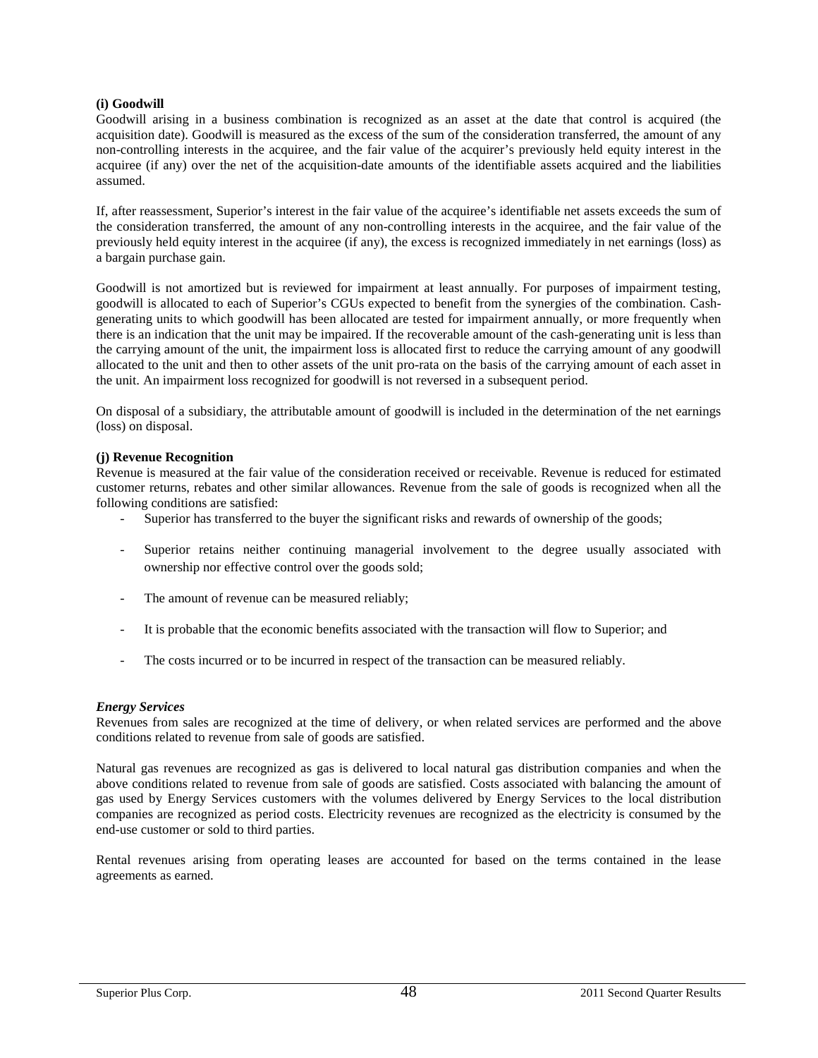### **(i) Goodwill**

Goodwill arising in a business combination is recognized as an asset at the date that control is acquired (the acquisition date). Goodwill is measured as the excess of the sum of the consideration transferred, the amount of any non-controlling interests in the acquiree, and the fair value of the acquirer's previously held equity interest in the acquiree (if any) over the net of the acquisition-date amounts of the identifiable assets acquired and the liabilities assumed.

If, after reassessment, Superior's interest in the fair value of the acquiree's identifiable net assets exceeds the sum of the consideration transferred, the amount of any non-controlling interests in the acquiree, and the fair value of the previously held equity interest in the acquiree (if any), the excess is recognized immediately in net earnings (loss) as a bargain purchase gain.

Goodwill is not amortized but is reviewed for impairment at least annually. For purposes of impairment testing, goodwill is allocated to each of Superior's CGUs expected to benefit from the synergies of the combination. Cashgenerating units to which goodwill has been allocated are tested for impairment annually, or more frequently when there is an indication that the unit may be impaired. If the recoverable amount of the cash-generating unit is less than the carrying amount of the unit, the impairment loss is allocated first to reduce the carrying amount of any goodwill allocated to the unit and then to other assets of the unit pro-rata on the basis of the carrying amount of each asset in the unit. An impairment loss recognized for goodwill is not reversed in a subsequent period.

On disposal of a subsidiary, the attributable amount of goodwill is included in the determination of the net earnings (loss) on disposal.

### **(j) Revenue Recognition**

Revenue is measured at the fair value of the consideration received or receivable. Revenue is reduced for estimated customer returns, rebates and other similar allowances. Revenue from the sale of goods is recognized when all the following conditions are satisfied:

- Superior has transferred to the buyer the significant risks and rewards of ownership of the goods;
- Superior retains neither continuing managerial involvement to the degree usually associated with ownership nor effective control over the goods sold;
- The amount of revenue can be measured reliably;
- It is probable that the economic benefits associated with the transaction will flow to Superior; and
- The costs incurred or to be incurred in respect of the transaction can be measured reliably.

### *Energy Services*

Revenues from sales are recognized at the time of delivery, or when related services are performed and the above conditions related to revenue from sale of goods are satisfied.

Natural gas revenues are recognized as gas is delivered to local natural gas distribution companies and when the above conditions related to revenue from sale of goods are satisfied. Costs associated with balancing the amount of gas used by Energy Services customers with the volumes delivered by Energy Services to the local distribution companies are recognized as period costs. Electricity revenues are recognized as the electricity is consumed by the end-use customer or sold to third parties.

Rental revenues arising from operating leases are accounted for based on the terms contained in the lease agreements as earned.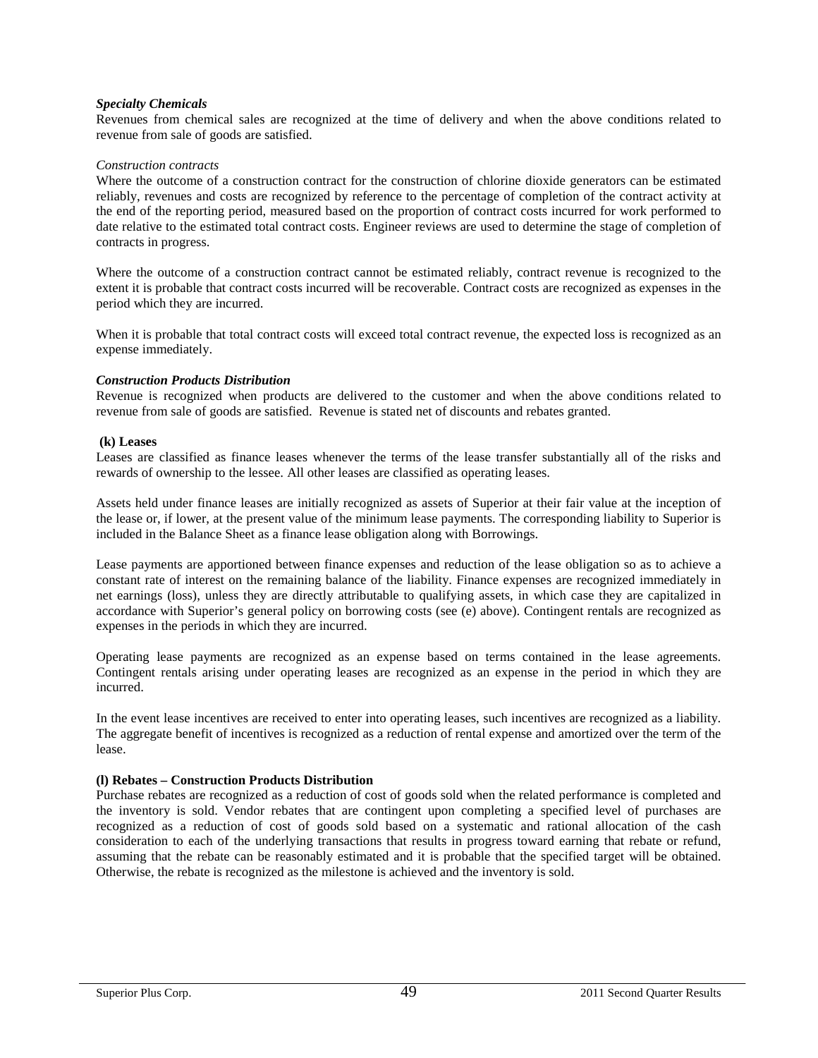### *Specialty Chemicals*

Revenues from chemical sales are recognized at the time of delivery and when the above conditions related to revenue from sale of goods are satisfied.

#### *Construction contracts*

Where the outcome of a construction contract for the construction of chlorine dioxide generators can be estimated reliably, revenues and costs are recognized by reference to the percentage of completion of the contract activity at the end of the reporting period, measured based on the proportion of contract costs incurred for work performed to date relative to the estimated total contract costs. Engineer reviews are used to determine the stage of completion of contracts in progress.

Where the outcome of a construction contract cannot be estimated reliably, contract revenue is recognized to the extent it is probable that contract costs incurred will be recoverable. Contract costs are recognized as expenses in the period which they are incurred.

When it is probable that total contract costs will exceed total contract revenue, the expected loss is recognized as an expense immediately.

#### *Construction Products Distribution*

Revenue is recognized when products are delivered to the customer and when the above conditions related to revenue from sale of goods are satisfied. Revenue is stated net of discounts and rebates granted.

#### **(k) Leases**

Leases are classified as finance leases whenever the terms of the lease transfer substantially all of the risks and rewards of ownership to the lessee. All other leases are classified as operating leases.

Assets held under finance leases are initially recognized as assets of Superior at their fair value at the inception of the lease or, if lower, at the present value of the minimum lease payments. The corresponding liability to Superior is included in the Balance Sheet as a finance lease obligation along with Borrowings.

Lease payments are apportioned between finance expenses and reduction of the lease obligation so as to achieve a constant rate of interest on the remaining balance of the liability. Finance expenses are recognized immediately in net earnings (loss), unless they are directly attributable to qualifying assets, in which case they are capitalized in accordance with Superior's general policy on borrowing costs (see (e) above). Contingent rentals are recognized as expenses in the periods in which they are incurred.

Operating lease payments are recognized as an expense based on terms contained in the lease agreements. Contingent rentals arising under operating leases are recognized as an expense in the period in which they are incurred.

In the event lease incentives are received to enter into operating leases, such incentives are recognized as a liability. The aggregate benefit of incentives is recognized as a reduction of rental expense and amortized over the term of the lease.

### **(l) Rebates – Construction Products Distribution**

Purchase rebates are recognized as a reduction of cost of goods sold when the related performance is completed and the inventory is sold. Vendor rebates that are contingent upon completing a specified level of purchases are recognized as a reduction of cost of goods sold based on a systematic and rational allocation of the cash consideration to each of the underlying transactions that results in progress toward earning that rebate or refund, assuming that the rebate can be reasonably estimated and it is probable that the specified target will be obtained. Otherwise, the rebate is recognized as the milestone is achieved and the inventory is sold.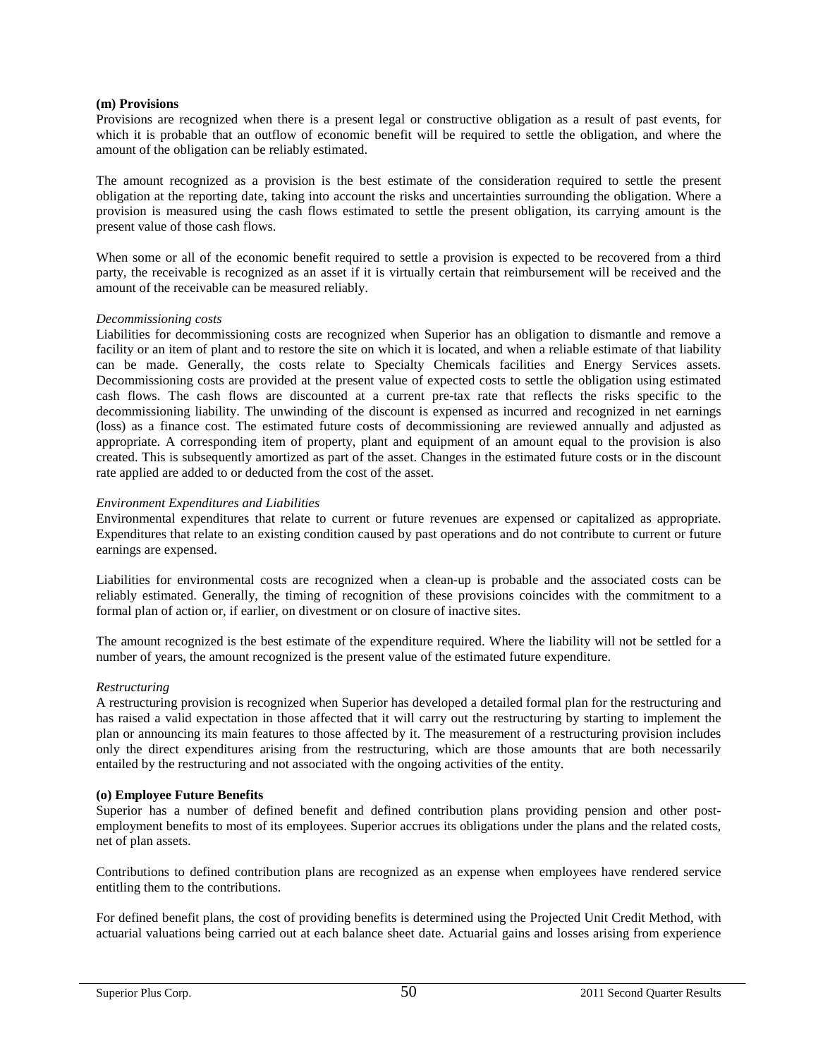### **(m) Provisions**

Provisions are recognized when there is a present legal or constructive obligation as a result of past events, for which it is probable that an outflow of economic benefit will be required to settle the obligation, and where the amount of the obligation can be reliably estimated.

The amount recognized as a provision is the best estimate of the consideration required to settle the present obligation at the reporting date, taking into account the risks and uncertainties surrounding the obligation. Where a provision is measured using the cash flows estimated to settle the present obligation, its carrying amount is the present value of those cash flows.

When some or all of the economic benefit required to settle a provision is expected to be recovered from a third party, the receivable is recognized as an asset if it is virtually certain that reimbursement will be received and the amount of the receivable can be measured reliably.

#### *Decommissioning costs*

Liabilities for decommissioning costs are recognized when Superior has an obligation to dismantle and remove a facility or an item of plant and to restore the site on which it is located, and when a reliable estimate of that liability can be made. Generally, the costs relate to Specialty Chemicals facilities and Energy Services assets. Decommissioning costs are provided at the present value of expected costs to settle the obligation using estimated cash flows. The cash flows are discounted at a current pre-tax rate that reflects the risks specific to the decommissioning liability. The unwinding of the discount is expensed as incurred and recognized in net earnings (loss) as a finance cost. The estimated future costs of decommissioning are reviewed annually and adjusted as appropriate. A corresponding item of property, plant and equipment of an amount equal to the provision is also created. This is subsequently amortized as part of the asset. Changes in the estimated future costs or in the discount rate applied are added to or deducted from the cost of the asset.

### *Environment Expenditures and Liabilities*

Environmental expenditures that relate to current or future revenues are expensed or capitalized as appropriate. Expenditures that relate to an existing condition caused by past operations and do not contribute to current or future earnings are expensed.

Liabilities for environmental costs are recognized when a clean-up is probable and the associated costs can be reliably estimated. Generally, the timing of recognition of these provisions coincides with the commitment to a formal plan of action or, if earlier, on divestment or on closure of inactive sites.

The amount recognized is the best estimate of the expenditure required. Where the liability will not be settled for a number of years, the amount recognized is the present value of the estimated future expenditure.

### *Restructuring*

A restructuring provision is recognized when Superior has developed a detailed formal plan for the restructuring and has raised a valid expectation in those affected that it will carry out the restructuring by starting to implement the plan or announcing its main features to those affected by it. The measurement of a restructuring provision includes only the direct expenditures arising from the restructuring, which are those amounts that are both necessarily entailed by the restructuring and not associated with the ongoing activities of the entity.

### **(o) Employee Future Benefits**

Superior has a number of defined benefit and defined contribution plans providing pension and other postemployment benefits to most of its employees. Superior accrues its obligations under the plans and the related costs, net of plan assets.

Contributions to defined contribution plans are recognized as an expense when employees have rendered service entitling them to the contributions.

For defined benefit plans, the cost of providing benefits is determined using the Projected Unit Credit Method, with actuarial valuations being carried out at each balance sheet date. Actuarial gains and losses arising from experience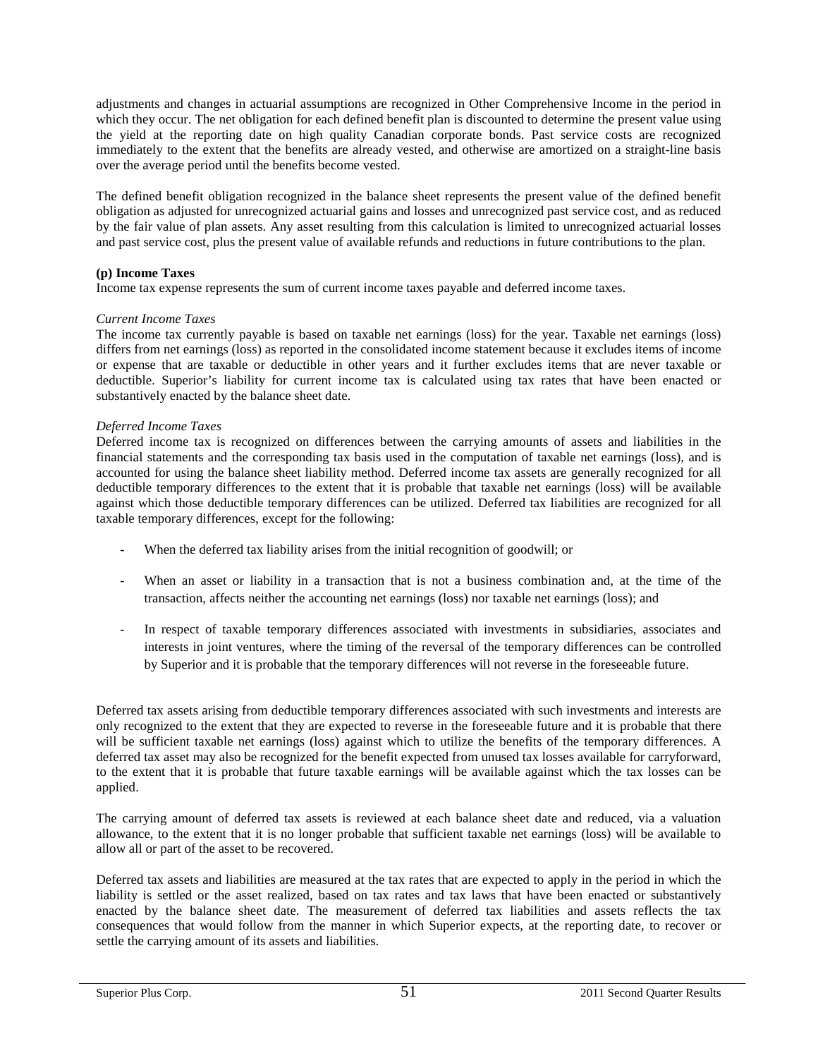adjustments and changes in actuarial assumptions are recognized in Other Comprehensive Income in the period in which they occur. The net obligation for each defined benefit plan is discounted to determine the present value using the yield at the reporting date on high quality Canadian corporate bonds. Past service costs are recognized immediately to the extent that the benefits are already vested, and otherwise are amortized on a straight-line basis over the average period until the benefits become vested.

The defined benefit obligation recognized in the balance sheet represents the present value of the defined benefit obligation as adjusted for unrecognized actuarial gains and losses and unrecognized past service cost, and as reduced by the fair value of plan assets. Any asset resulting from this calculation is limited to unrecognized actuarial losses and past service cost, plus the present value of available refunds and reductions in future contributions to the plan.

### **(p) Income Taxes**

Income tax expense represents the sum of current income taxes payable and deferred income taxes.

### *Current Income Taxes*

The income tax currently payable is based on taxable net earnings (loss) for the year. Taxable net earnings (loss) differs from net earnings (loss) as reported in the consolidated income statement because it excludes items of income or expense that are taxable or deductible in other years and it further excludes items that are never taxable or deductible. Superior's liability for current income tax is calculated using tax rates that have been enacted or substantively enacted by the balance sheet date.

### *Deferred Income Taxes*

Deferred income tax is recognized on differences between the carrying amounts of assets and liabilities in the financial statements and the corresponding tax basis used in the computation of taxable net earnings (loss), and is accounted for using the balance sheet liability method. Deferred income tax assets are generally recognized for all deductible temporary differences to the extent that it is probable that taxable net earnings (loss) will be available against which those deductible temporary differences can be utilized. Deferred tax liabilities are recognized for all taxable temporary differences, except for the following:

- When the deferred tax liability arises from the initial recognition of goodwill; or
- When an asset or liability in a transaction that is not a business combination and, at the time of the transaction, affects neither the accounting net earnings (loss) nor taxable net earnings (loss); and
- In respect of taxable temporary differences associated with investments in subsidiaries, associates and interests in joint ventures, where the timing of the reversal of the temporary differences can be controlled by Superior and it is probable that the temporary differences will not reverse in the foreseeable future.

Deferred tax assets arising from deductible temporary differences associated with such investments and interests are only recognized to the extent that they are expected to reverse in the foreseeable future and it is probable that there will be sufficient taxable net earnings (loss) against which to utilize the benefits of the temporary differences. A deferred tax asset may also be recognized for the benefit expected from unused tax losses available for carryforward, to the extent that it is probable that future taxable earnings will be available against which the tax losses can be applied.

The carrying amount of deferred tax assets is reviewed at each balance sheet date and reduced, via a valuation allowance, to the extent that it is no longer probable that sufficient taxable net earnings (loss) will be available to allow all or part of the asset to be recovered.

Deferred tax assets and liabilities are measured at the tax rates that are expected to apply in the period in which the liability is settled or the asset realized, based on tax rates and tax laws that have been enacted or substantively enacted by the balance sheet date. The measurement of deferred tax liabilities and assets reflects the tax consequences that would follow from the manner in which Superior expects, at the reporting date, to recover or settle the carrying amount of its assets and liabilities.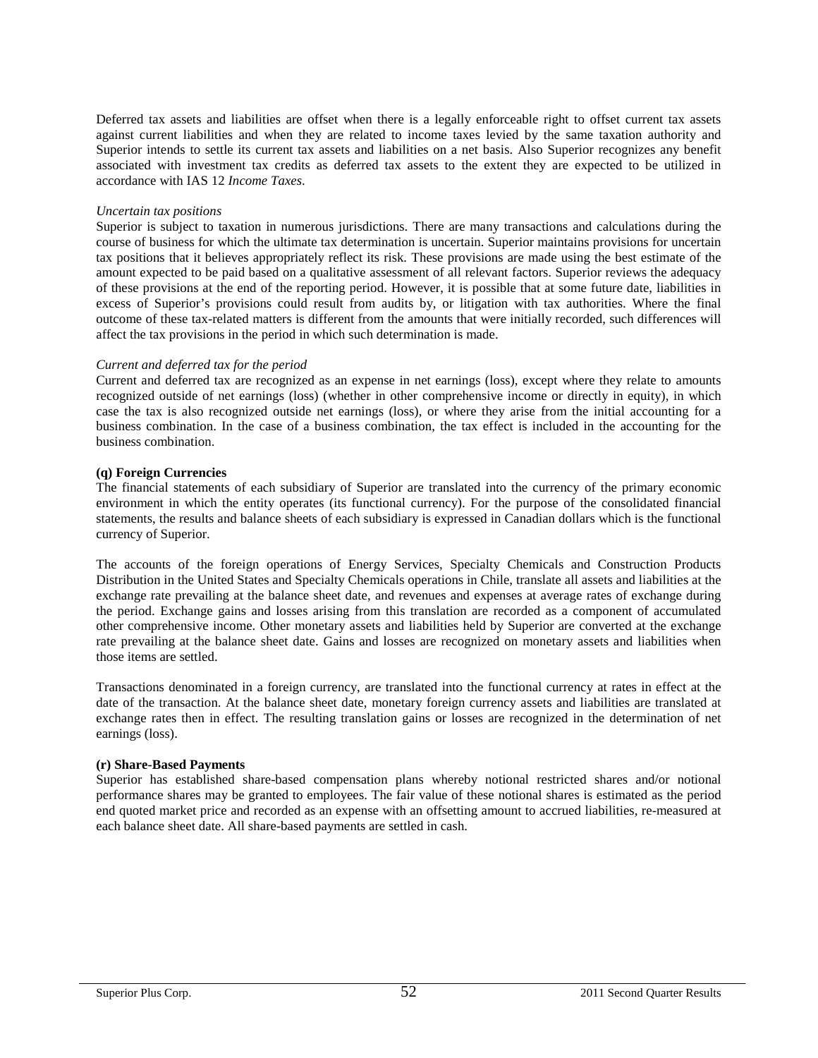Deferred tax assets and liabilities are offset when there is a legally enforceable right to offset current tax assets against current liabilities and when they are related to income taxes levied by the same taxation authority and Superior intends to settle its current tax assets and liabilities on a net basis. Also Superior recognizes any benefit associated with investment tax credits as deferred tax assets to the extent they are expected to be utilized in accordance with IAS 12 *Income Taxes*.

### *Uncertain tax positions*

Superior is subject to taxation in numerous jurisdictions. There are many transactions and calculations during the course of business for which the ultimate tax determination is uncertain. Superior maintains provisions for uncertain tax positions that it believes appropriately reflect its risk. These provisions are made using the best estimate of the amount expected to be paid based on a qualitative assessment of all relevant factors. Superior reviews the adequacy of these provisions at the end of the reporting period. However, it is possible that at some future date, liabilities in excess of Superior's provisions could result from audits by, or litigation with tax authorities. Where the final outcome of these tax-related matters is different from the amounts that were initially recorded, such differences will affect the tax provisions in the period in which such determination is made.

### *Current and deferred tax for the period*

Current and deferred tax are recognized as an expense in net earnings (loss), except where they relate to amounts recognized outside of net earnings (loss) (whether in other comprehensive income or directly in equity), in which case the tax is also recognized outside net earnings (loss), or where they arise from the initial accounting for a business combination. In the case of a business combination, the tax effect is included in the accounting for the business combination.

#### **(q) Foreign Currencies**

The financial statements of each subsidiary of Superior are translated into the currency of the primary economic environment in which the entity operates (its functional currency). For the purpose of the consolidated financial statements, the results and balance sheets of each subsidiary is expressed in Canadian dollars which is the functional currency of Superior.

The accounts of the foreign operations of Energy Services, Specialty Chemicals and Construction Products Distribution in the United States and Specialty Chemicals operations in Chile, translate all assets and liabilities at the exchange rate prevailing at the balance sheet date, and revenues and expenses at average rates of exchange during the period. Exchange gains and losses arising from this translation are recorded as a component of accumulated other comprehensive income. Other monetary assets and liabilities held by Superior are converted at the exchange rate prevailing at the balance sheet date. Gains and losses are recognized on monetary assets and liabilities when those items are settled.

Transactions denominated in a foreign currency, are translated into the functional currency at rates in effect at the date of the transaction. At the balance sheet date, monetary foreign currency assets and liabilities are translated at exchange rates then in effect. The resulting translation gains or losses are recognized in the determination of net earnings (loss).

#### **(r) Share-Based Payments**

Superior has established share-based compensation plans whereby notional restricted shares and/or notional performance shares may be granted to employees. The fair value of these notional shares is estimated as the period end quoted market price and recorded as an expense with an offsetting amount to accrued liabilities, re-measured at each balance sheet date. All share-based payments are settled in cash.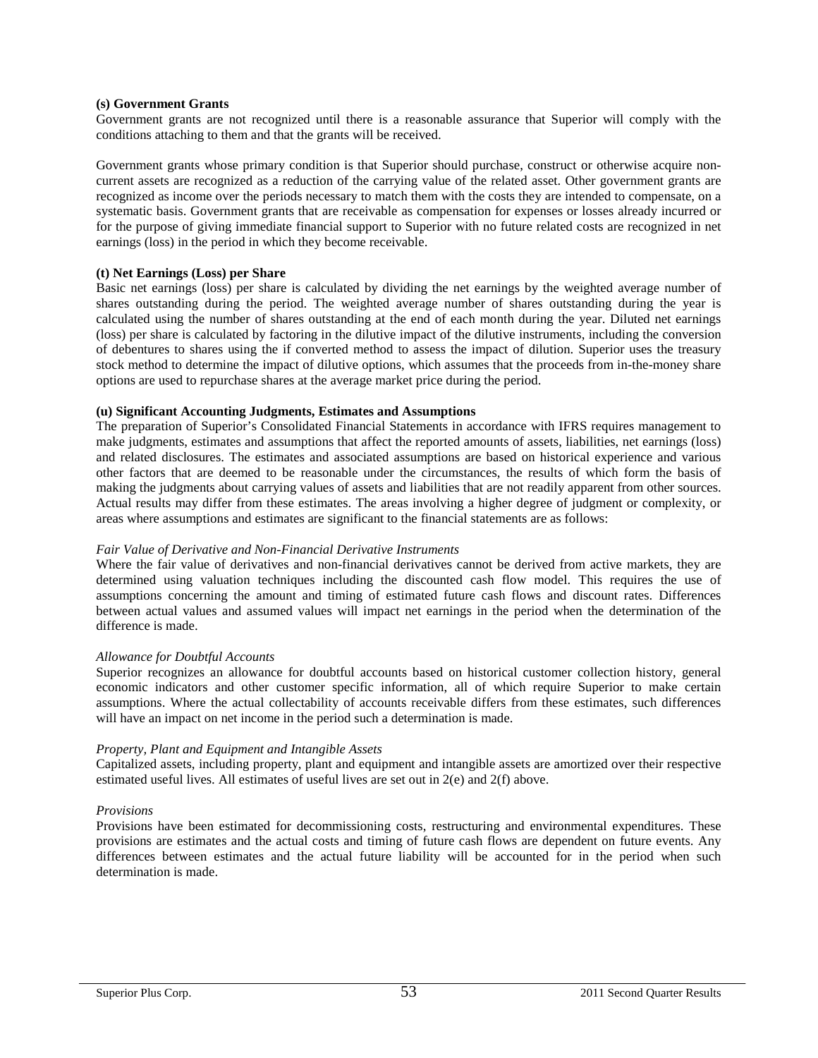#### **(s) Government Grants**

Government grants are not recognized until there is a reasonable assurance that Superior will comply with the conditions attaching to them and that the grants will be received.

Government grants whose primary condition is that Superior should purchase, construct or otherwise acquire noncurrent assets are recognized as a reduction of the carrying value of the related asset. Other government grants are recognized as income over the periods necessary to match them with the costs they are intended to compensate, on a systematic basis. Government grants that are receivable as compensation for expenses or losses already incurred or for the purpose of giving immediate financial support to Superior with no future related costs are recognized in net earnings (loss) in the period in which they become receivable.

#### **(t) Net Earnings (Loss) per Share**

Basic net earnings (loss) per share is calculated by dividing the net earnings by the weighted average number of shares outstanding during the period. The weighted average number of shares outstanding during the year is calculated using the number of shares outstanding at the end of each month during the year. Diluted net earnings (loss) per share is calculated by factoring in the dilutive impact of the dilutive instruments, including the conversion of debentures to shares using the if converted method to assess the impact of dilution. Superior uses the treasury stock method to determine the impact of dilutive options, which assumes that the proceeds from in-the-money share options are used to repurchase shares at the average market price during the period.

#### **(u) Significant Accounting Judgments, Estimates and Assumptions**

The preparation of Superior's Consolidated Financial Statements in accordance with IFRS requires management to make judgments, estimates and assumptions that affect the reported amounts of assets, liabilities, net earnings (loss) and related disclosures. The estimates and associated assumptions are based on historical experience and various other factors that are deemed to be reasonable under the circumstances, the results of which form the basis of making the judgments about carrying values of assets and liabilities that are not readily apparent from other sources. Actual results may differ from these estimates. The areas involving a higher degree of judgment or complexity, or areas where assumptions and estimates are significant to the financial statements are as follows:

### *Fair Value of Derivative and Non-Financial Derivative Instruments*

Where the fair value of derivatives and non-financial derivatives cannot be derived from active markets, they are determined using valuation techniques including the discounted cash flow model. This requires the use of assumptions concerning the amount and timing of estimated future cash flows and discount rates. Differences between actual values and assumed values will impact net earnings in the period when the determination of the difference is made.

#### *Allowance for Doubtful Accounts*

Superior recognizes an allowance for doubtful accounts based on historical customer collection history, general economic indicators and other customer specific information, all of which require Superior to make certain assumptions. Where the actual collectability of accounts receivable differs from these estimates, such differences will have an impact on net income in the period such a determination is made.

### *Property, Plant and Equipment and Intangible Assets*

Capitalized assets, including property, plant and equipment and intangible assets are amortized over their respective estimated useful lives. All estimates of useful lives are set out in 2(e) and 2(f) above.

### *Provisions*

Provisions have been estimated for decommissioning costs, restructuring and environmental expenditures. These provisions are estimates and the actual costs and timing of future cash flows are dependent on future events. Any differences between estimates and the actual future liability will be accounted for in the period when such determination is made.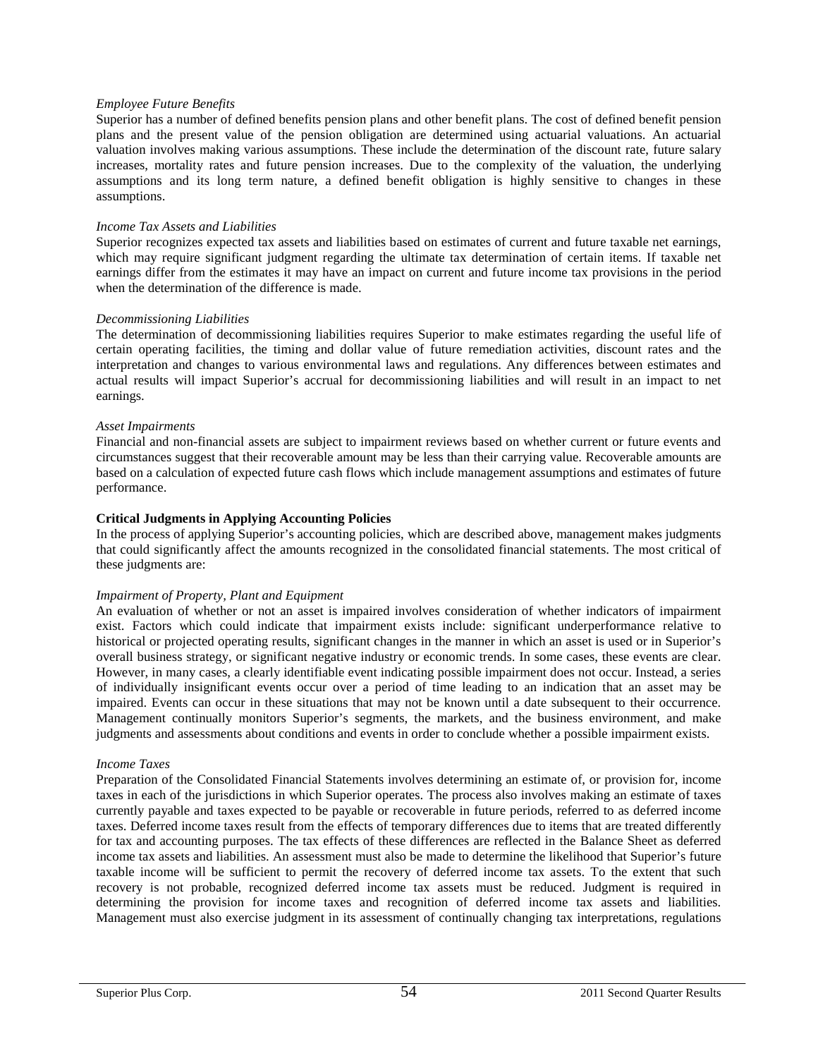### *Employee Future Benefits*

Superior has a number of defined benefits pension plans and other benefit plans. The cost of defined benefit pension plans and the present value of the pension obligation are determined using actuarial valuations. An actuarial valuation involves making various assumptions. These include the determination of the discount rate, future salary increases, mortality rates and future pension increases. Due to the complexity of the valuation, the underlying assumptions and its long term nature, a defined benefit obligation is highly sensitive to changes in these assumptions.

#### *Income Tax Assets and Liabilities*

Superior recognizes expected tax assets and liabilities based on estimates of current and future taxable net earnings, which may require significant judgment regarding the ultimate tax determination of certain items. If taxable net earnings differ from the estimates it may have an impact on current and future income tax provisions in the period when the determination of the difference is made.

#### *Decommissioning Liabilities*

The determination of decommissioning liabilities requires Superior to make estimates regarding the useful life of certain operating facilities, the timing and dollar value of future remediation activities, discount rates and the interpretation and changes to various environmental laws and regulations. Any differences between estimates and actual results will impact Superior's accrual for decommissioning liabilities and will result in an impact to net earnings.

#### *Asset Impairments*

Financial and non-financial assets are subject to impairment reviews based on whether current or future events and circumstances suggest that their recoverable amount may be less than their carrying value. Recoverable amounts are based on a calculation of expected future cash flows which include management assumptions and estimates of future performance.

### **Critical Judgments in Applying Accounting Policies**

In the process of applying Superior's accounting policies, which are described above, management makes judgments that could significantly affect the amounts recognized in the consolidated financial statements. The most critical of these judgments are:

### *Impairment of Property, Plant and Equipment*

An evaluation of whether or not an asset is impaired involves consideration of whether indicators of impairment exist. Factors which could indicate that impairment exists include: significant underperformance relative to historical or projected operating results, significant changes in the manner in which an asset is used or in Superior's overall business strategy, or significant negative industry or economic trends. In some cases, these events are clear. However, in many cases, a clearly identifiable event indicating possible impairment does not occur. Instead, a series of individually insignificant events occur over a period of time leading to an indication that an asset may be impaired. Events can occur in these situations that may not be known until a date subsequent to their occurrence. Management continually monitors Superior's segments, the markets, and the business environment, and make judgments and assessments about conditions and events in order to conclude whether a possible impairment exists.

### *Income Taxes*

Preparation of the Consolidated Financial Statements involves determining an estimate of, or provision for, income taxes in each of the jurisdictions in which Superior operates. The process also involves making an estimate of taxes currently payable and taxes expected to be payable or recoverable in future periods, referred to as deferred income taxes. Deferred income taxes result from the effects of temporary differences due to items that are treated differently for tax and accounting purposes. The tax effects of these differences are reflected in the Balance Sheet as deferred income tax assets and liabilities. An assessment must also be made to determine the likelihood that Superior's future taxable income will be sufficient to permit the recovery of deferred income tax assets. To the extent that such recovery is not probable, recognized deferred income tax assets must be reduced. Judgment is required in determining the provision for income taxes and recognition of deferred income tax assets and liabilities. Management must also exercise judgment in its assessment of continually changing tax interpretations, regulations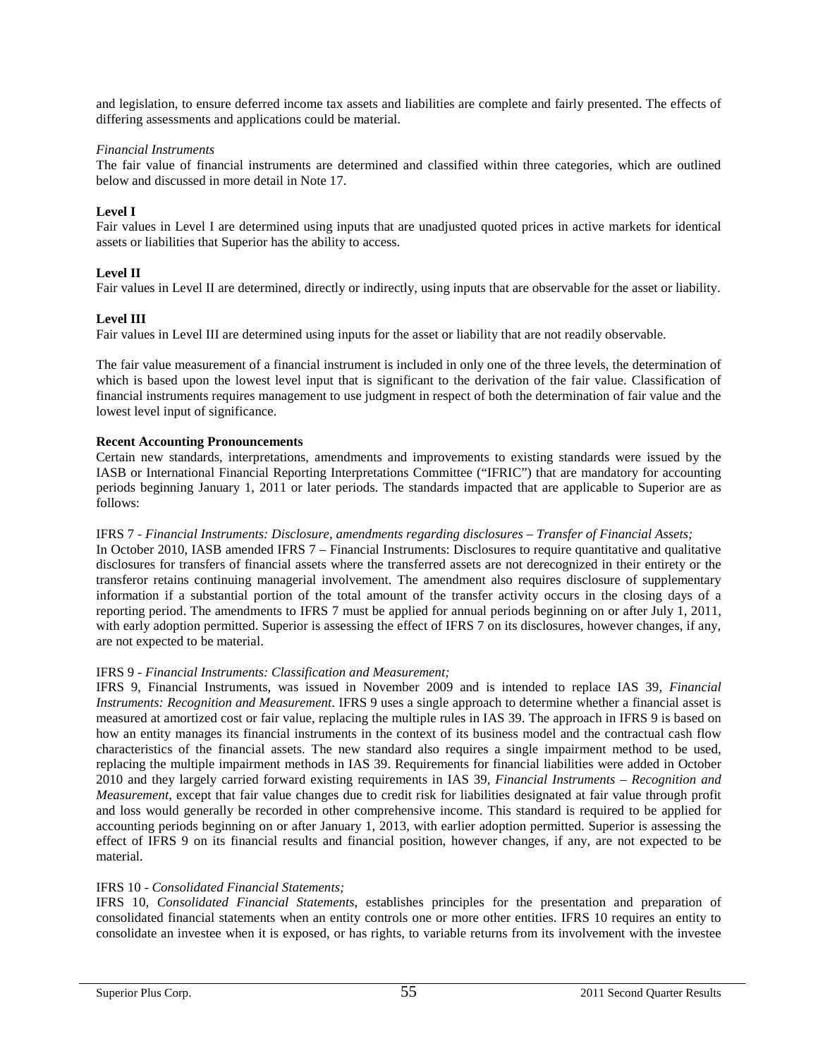and legislation, to ensure deferred income tax assets and liabilities are complete and fairly presented. The effects of differing assessments and applications could be material.

### *Financial Instruments*

The fair value of financial instruments are determined and classified within three categories, which are outlined below and discussed in more detail in Note 17.

## **Level I**

Fair values in Level I are determined using inputs that are unadjusted quoted prices in active markets for identical assets or liabilities that Superior has the ability to access.

### **Level II**

Fair values in Level II are determined, directly or indirectly, using inputs that are observable for the asset or liability.

### **Level III**

Fair values in Level III are determined using inputs for the asset or liability that are not readily observable.

The fair value measurement of a financial instrument is included in only one of the three levels, the determination of which is based upon the lowest level input that is significant to the derivation of the fair value. Classification of financial instruments requires management to use judgment in respect of both the determination of fair value and the lowest level input of significance.

### **Recent Accounting Pronouncements**

Certain new standards, interpretations, amendments and improvements to existing standards were issued by the IASB or International Financial Reporting Interpretations Committee ("IFRIC") that are mandatory for accounting periods beginning January 1, 2011 or later periods. The standards impacted that are applicable to Superior are as follows:

### IFRS 7 - *Financial Instruments: Disclosure, amendments regarding disclosures – Transfer of Financial Assets;*

In October 2010, IASB amended IFRS 7 – Financial Instruments: Disclosures to require quantitative and qualitative disclosures for transfers of financial assets where the transferred assets are not derecognized in their entirety or the transferor retains continuing managerial involvement. The amendment also requires disclosure of supplementary information if a substantial portion of the total amount of the transfer activity occurs in the closing days of a reporting period. The amendments to IFRS 7 must be applied for annual periods beginning on or after July 1, 2011, with early adoption permitted. Superior is assessing the effect of IFRS 7 on its disclosures, however changes, if any, are not expected to be material.

### IFRS 9 - *Financial Instruments: Classification and Measurement;*

IFRS 9, Financial Instruments, was issued in November 2009 and is intended to replace IAS 39*, Financial Instruments: Recognition and Measurement*. IFRS 9 uses a single approach to determine whether a financial asset is measured at amortized cost or fair value, replacing the multiple rules in IAS 39. The approach in IFRS 9 is based on how an entity manages its financial instruments in the context of its business model and the contractual cash flow characteristics of the financial assets. The new standard also requires a single impairment method to be used, replacing the multiple impairment methods in IAS 39. Requirements for financial liabilities were added in October 2010 and they largely carried forward existing requirements in IAS 39, *Financial Instruments – Recognition and Measurement*, except that fair value changes due to credit risk for liabilities designated at fair value through profit and loss would generally be recorded in other comprehensive income. This standard is required to be applied for accounting periods beginning on or after January 1, 2013, with earlier adoption permitted. Superior is assessing the effect of IFRS 9 on its financial results and financial position, however changes, if any, are not expected to be material.

### IFRS 10 - *Consolidated Financial Statements;*

IFRS 10*, Consolidated Financial Statements*, establishes principles for the presentation and preparation of consolidated financial statements when an entity controls one or more other entities. IFRS 10 requires an entity to consolidate an investee when it is exposed, or has rights, to variable returns from its involvement with the investee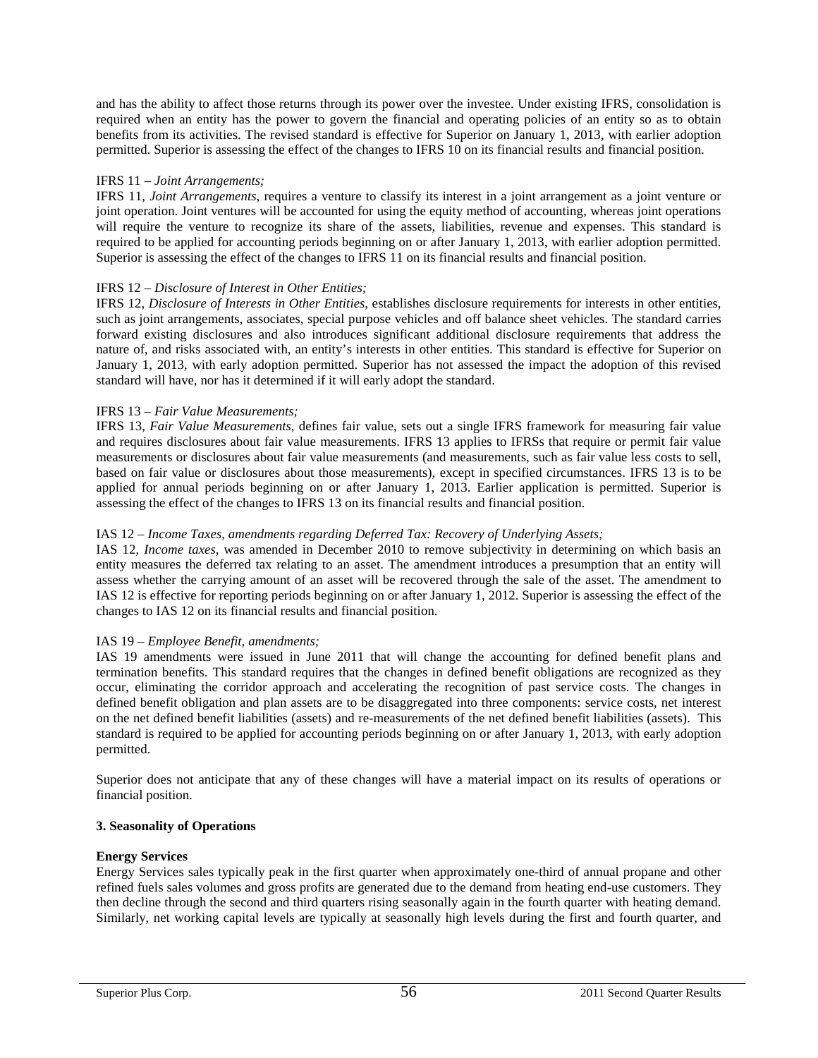and has the ability to affect those returns through its power over the investee. Under existing IFRS, consolidation is required when an entity has the power to govern the financial and operating policies of an entity so as to obtain benefits from its activities. The revised standard is effective for Superior on January 1, 2013, with earlier adoption permitted. Superior is assessing the effect of the changes to IFRS 10 on its financial results and financial position.

### IFRS 11 – *Joint Arrangements;*

IFRS 11, *Joint Arrangements*, requires a venture to classify its interest in a joint arrangement as a joint venture or joint operation. Joint ventures will be accounted for using the equity method of accounting, whereas joint operations will require the venture to recognize its share of the assets, liabilities, revenue and expenses. This standard is required to be applied for accounting periods beginning on or after January 1, 2013, with earlier adoption permitted. Superior is assessing the effect of the changes to IFRS 11 on its financial results and financial position.

### IFRS 12 – *Disclosure of Interest in Other Entities;*

IFRS 12, *Disclosure of Interests in Other Entities*, establishes disclosure requirements for interests in other entities, such as joint arrangements, associates, special purpose vehicles and off balance sheet vehicles. The standard carries forward existing disclosures and also introduces significant additional disclosure requirements that address the nature of, and risks associated with, an entity's interests in other entities. This standard is effective for Superior on January 1, 2013, with early adoption permitted. Superior has not assessed the impact the adoption of this revised standard will have, nor has it determined if it will early adopt the standard.

### IFRS 13 *– Fair Value Measurements;*

IFRS 13*, Fair Value Measurements*, defines fair value, sets out a single IFRS framework for measuring fair value and requires disclosures about fair value measurements. IFRS 13 applies to IFRSs that require or permit fair value measurements or disclosures about fair value measurements (and measurements, such as fair value less costs to sell, based on fair value or disclosures about those measurements), except in specified circumstances. IFRS 13 is to be applied for annual periods beginning on or after January 1, 2013. Earlier application is permitted. Superior is assessing the effect of the changes to IFRS 13 on its financial results and financial position.

### IAS 12 – *Income Taxes, amendments regarding Deferred Tax: Recovery of Underlying Assets;*

IAS 12, *Income taxes,* was amended in December 2010 to remove subjectivity in determining on which basis an entity measures the deferred tax relating to an asset. The amendment introduces a presumption that an entity will assess whether the carrying amount of an asset will be recovered through the sale of the asset. The amendment to IAS 12 is effective for reporting periods beginning on or after January 1, 2012. Superior is assessing the effect of the changes to IAS 12 on its financial results and financial position.

### IAS 19 – *Employee Benefit, amendments;*

IAS 19 amendments were issued in June 2011 that will change the accounting for defined benefit plans and termination benefits. This standard requires that the changes in defined benefit obligations are recognized as they occur, eliminating the corridor approach and accelerating the recognition of past service costs. The changes in defined benefit obligation and plan assets are to be disaggregated into three components: service costs, net interest on the net defined benefit liabilities (assets) and re-measurements of the net defined benefit liabilities (assets). This standard is required to be applied for accounting periods beginning on or after January 1, 2013, with early adoption permitted.

Superior does not anticipate that any of these changes will have a material impact on its results of operations or financial position.

### **3. Seasonality of Operations**

### **Energy Services**

Energy Services sales typically peak in the first quarter when approximately one-third of annual propane and other refined fuels sales volumes and gross profits are generated due to the demand from heating end-use customers. They then decline through the second and third quarters rising seasonally again in the fourth quarter with heating demand. Similarly, net working capital levels are typically at seasonally high levels during the first and fourth quarter, and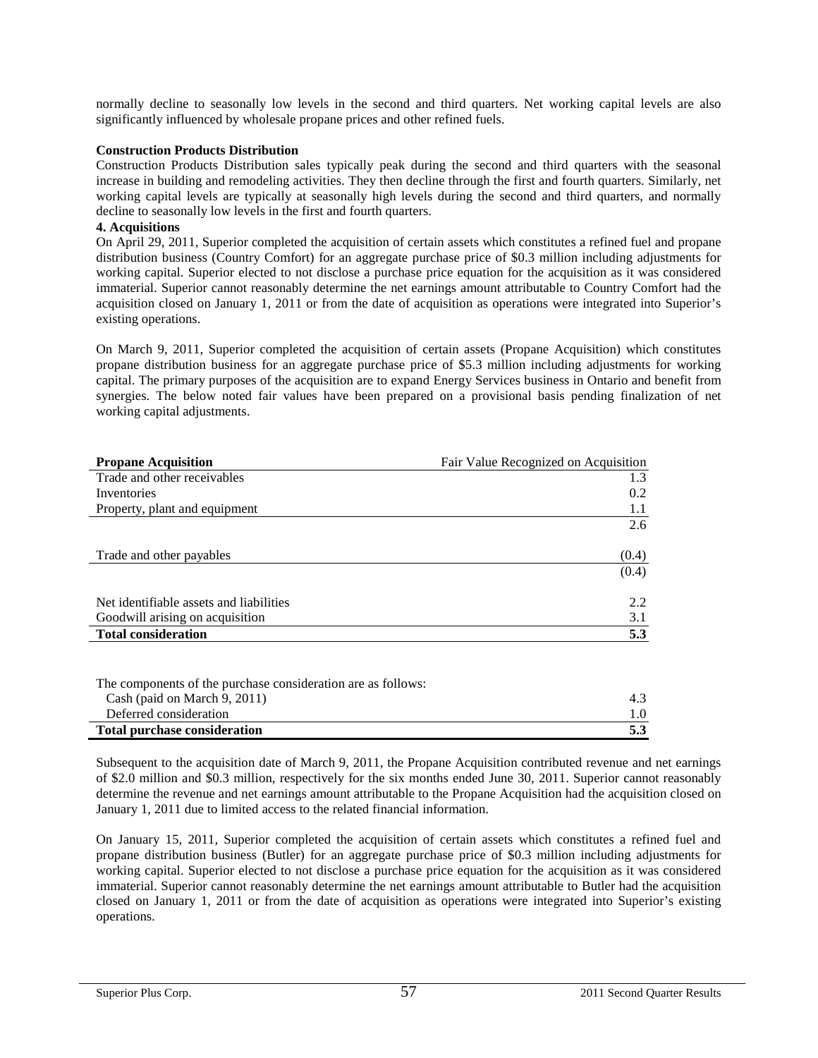normally decline to seasonally low levels in the second and third quarters. Net working capital levels are also significantly influenced by wholesale propane prices and other refined fuels.

### **Construction Products Distribution**

Construction Products Distribution sales typically peak during the second and third quarters with the seasonal increase in building and remodeling activities. They then decline through the first and fourth quarters. Similarly, net working capital levels are typically at seasonally high levels during the second and third quarters, and normally decline to seasonally low levels in the first and fourth quarters.

### **4. Acquisitions**

On April 29, 2011, Superior completed the acquisition of certain assets which constitutes a refined fuel and propane distribution business (Country Comfort) for an aggregate purchase price of \$0.3 million including adjustments for working capital. Superior elected to not disclose a purchase price equation for the acquisition as it was considered immaterial. Superior cannot reasonably determine the net earnings amount attributable to Country Comfort had the acquisition closed on January 1, 2011 or from the date of acquisition as operations were integrated into Superior's existing operations.

On March 9, 2011, Superior completed the acquisition of certain assets (Propane Acquisition) which constitutes propane distribution business for an aggregate purchase price of \$5.3 million including adjustments for working capital. The primary purposes of the acquisition are to expand Energy Services business in Ontario and benefit from synergies. The below noted fair values have been prepared on a provisional basis pending finalization of net working capital adjustments.

| <b>Propane Acquisition</b>              | Fair Value Recognized on Acquisition |
|-----------------------------------------|--------------------------------------|
| Trade and other receivables             | 1.3                                  |
| Inventories                             | 0.2                                  |
| Property, plant and equipment           | 1.1                                  |
|                                         | 2.6                                  |
| Trade and other payables                | (0.4)                                |
|                                         | (0.4)                                |
| Net identifiable assets and liabilities | 2.2                                  |
| Goodwill arising on acquisition         | 3.1                                  |
| <b>Total consideration</b>              | 5.3                                  |

| The components of the purchase consideration are as follows: |     |
|--------------------------------------------------------------|-----|
| Cash (paid on March 9, 2011)                                 | 4.1 |
| Deferred consideration                                       |     |
| <b>Total purchase consideration</b>                          | 5.3 |

Subsequent to the acquisition date of March 9, 2011, the Propane Acquisition contributed revenue and net earnings of \$2.0 million and \$0.3 million, respectively for the six months ended June 30, 2011. Superior cannot reasonably determine the revenue and net earnings amount attributable to the Propane Acquisition had the acquisition closed on January 1, 2011 due to limited access to the related financial information.

On January 15, 2011, Superior completed the acquisition of certain assets which constitutes a refined fuel and propane distribution business (Butler) for an aggregate purchase price of \$0.3 million including adjustments for working capital. Superior elected to not disclose a purchase price equation for the acquisition as it was considered immaterial. Superior cannot reasonably determine the net earnings amount attributable to Butler had the acquisition closed on January 1, 2011 or from the date of acquisition as operations were integrated into Superior's existing operations.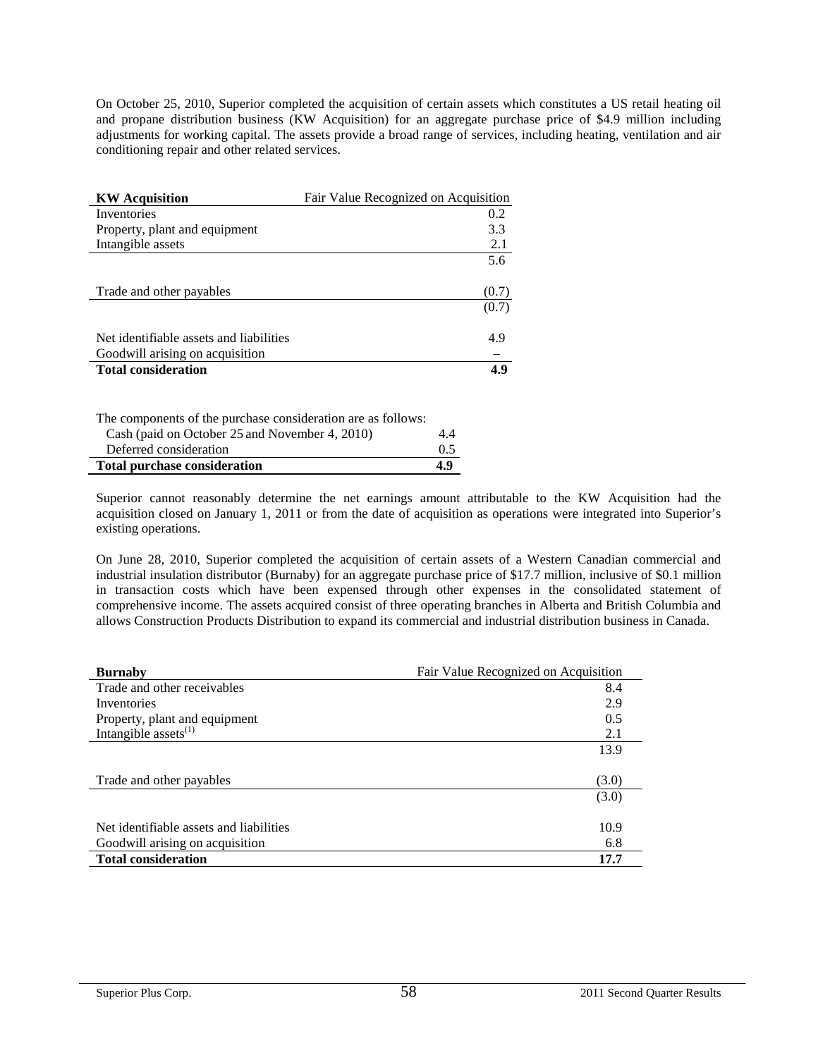On October 25, 2010, Superior completed the acquisition of certain assets which constitutes a US retail heating oil and propane distribution business (KW Acquisition) for an aggregate purchase price of \$4.9 million including adjustments for working capital. The assets provide a broad range of services, including heating, ventilation and air conditioning repair and other related services.

| <b>KW</b> Acquisition                   | Fair Value Recognized on Acquisition |
|-----------------------------------------|--------------------------------------|
| Inventories                             | 0.2                                  |
| Property, plant and equipment           | 3.3                                  |
| Intangible assets                       | 2.1                                  |
|                                         | 5.6                                  |
|                                         |                                      |
| Trade and other payables                | (0.7)                                |
|                                         | (0.7)                                |
| Net identifiable assets and liabilities | 4.9                                  |
| Goodwill arising on acquisition         |                                      |
| <b>Total consideration</b>              | 4.9                                  |

| The components of the purchase consideration are as follows: |     |
|--------------------------------------------------------------|-----|
| Cash (paid on October 25 and November 4, 2010)               | 4.4 |
| Deferred consideration                                       | 0.5 |
| <b>Total purchase consideration</b>                          | 4.9 |

Superior cannot reasonably determine the net earnings amount attributable to the KW Acquisition had the acquisition closed on January 1, 2011 or from the date of acquisition as operations were integrated into Superior's existing operations.

On June 28, 2010, Superior completed the acquisition of certain assets of a Western Canadian commercial and industrial insulation distributor (Burnaby) for an aggregate purchase price of \$17.7 million, inclusive of \$0.1 million in transaction costs which have been expensed through other expenses in the consolidated statement of comprehensive income. The assets acquired consist of three operating branches in Alberta and British Columbia and allows Construction Products Distribution to expand its commercial and industrial distribution business in Canada.

| <b>Burnaby</b>                          | Fair Value Recognized on Acquisition |
|-----------------------------------------|--------------------------------------|
| Trade and other receivables             | 8.4                                  |
| Inventories                             | 2.9                                  |
| Property, plant and equipment           | 0.5                                  |
| Intangible assets <sup>(1)</sup>        | 2.1                                  |
|                                         | 13.9                                 |
|                                         |                                      |
| Trade and other payables                | (3.0)                                |
|                                         | (3.0)                                |
|                                         |                                      |
| Net identifiable assets and liabilities | 10.9                                 |
| Goodwill arising on acquisition         | 6.8                                  |
| <b>Total consideration</b>              | 17.7                                 |
|                                         |                                      |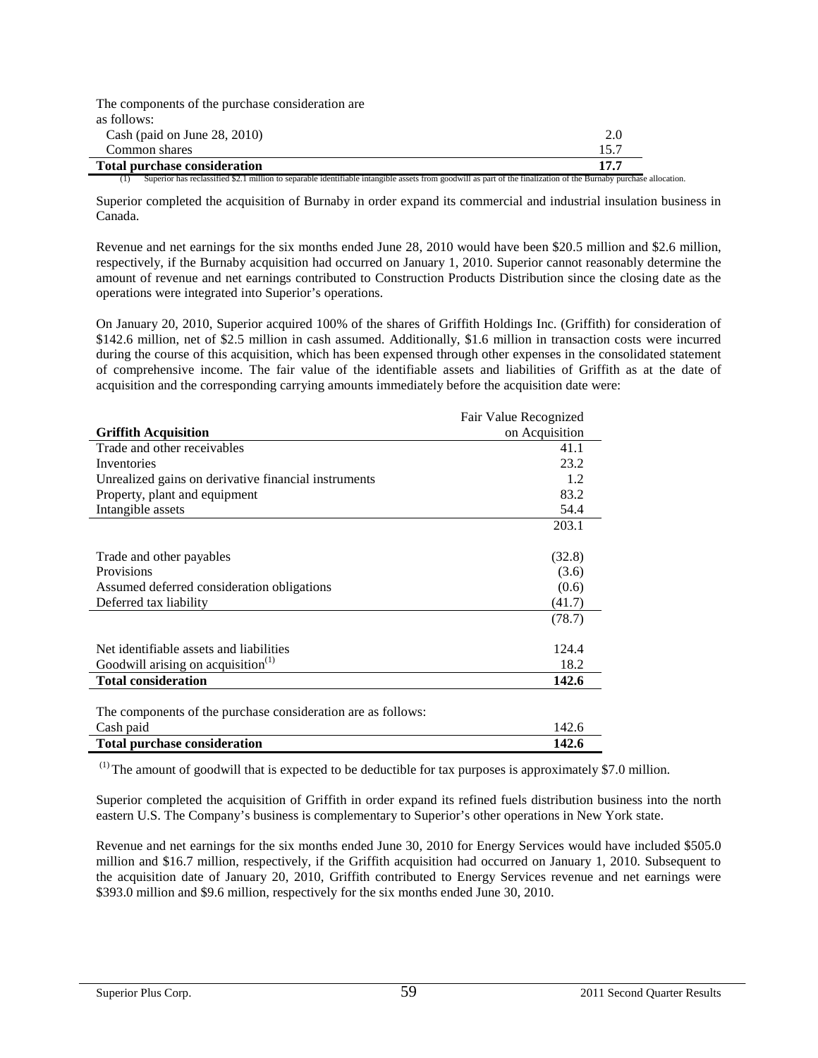| The components of the purchase consideration are                                                                                                                         |      |
|--------------------------------------------------------------------------------------------------------------------------------------------------------------------------|------|
| as follows:                                                                                                                                                              |      |
| Cash (paid on June 28, 2010)                                                                                                                                             | 2.0  |
| Common shares                                                                                                                                                            | 15.7 |
| <b>Total purchase consideration</b>                                                                                                                                      | 17.7 |
| Superior has reclassified \$2.1 million to separable identifiable intangible assets from goodwill as part of the finalization of the Burnaby purchase allocation.<br>(1) |      |

Superior completed the acquisition of Burnaby in order expand its commercial and industrial insulation business in Canada.

Revenue and net earnings for the six months ended June 28, 2010 would have been \$20.5 million and \$2.6 million, respectively, if the Burnaby acquisition had occurred on January 1, 2010. Superior cannot reasonably determine the amount of revenue and net earnings contributed to Construction Products Distribution since the closing date as the operations were integrated into Superior's operations.

On January 20, 2010, Superior acquired 100% of the shares of Griffith Holdings Inc. (Griffith) for consideration of \$142.6 million, net of \$2.5 million in cash assumed. Additionally, \$1.6 million in transaction costs were incurred during the course of this acquisition, which has been expensed through other expenses in the consolidated statement of comprehensive income. The fair value of the identifiable assets and liabilities of Griffith as at the date of acquisition and the corresponding carrying amounts immediately before the acquisition date were:

|                                                              | Fair Value Recognized |
|--------------------------------------------------------------|-----------------------|
| <b>Griffith Acquisition</b>                                  | on Acquisition        |
| Trade and other receivables                                  | 41.1                  |
| Inventories                                                  | 23.2                  |
| Unrealized gains on derivative financial instruments         | 1.2                   |
| Property, plant and equipment                                | 83.2                  |
| Intangible assets                                            | 54.4                  |
|                                                              | 203.1                 |
| Trade and other payables                                     | (32.8)                |
| <b>Provisions</b>                                            | (3.6)                 |
| Assumed deferred consideration obligations                   | (0.6)                 |
| Deferred tax liability                                       | (41.7)                |
|                                                              | (78.7)                |
| Net identifiable assets and liabilities                      | 124.4                 |
| Goodwill arising on acquisition <sup>(1)</sup>               | 18.2                  |
| <b>Total consideration</b>                                   | 142.6                 |
|                                                              |                       |
| The components of the purchase consideration are as follows: |                       |
| Cash paid                                                    | 142.6                 |
| <b>Total purchase consideration</b>                          | 142.6                 |

 $<sup>(1)</sup>$  The amount of goodwill that is expected to be deductible for tax purposes is approximately \$7.0 million.</sup>

Superior completed the acquisition of Griffith in order expand its refined fuels distribution business into the north eastern U.S. The Company's business is complementary to Superior's other operations in New York state.

Revenue and net earnings for the six months ended June 30, 2010 for Energy Services would have included \$505.0 million and \$16.7 million, respectively, if the Griffith acquisition had occurred on January 1, 2010. Subsequent to the acquisition date of January 20, 2010, Griffith contributed to Energy Services revenue and net earnings were \$393.0 million and \$9.6 million, respectively for the six months ended June 30, 2010.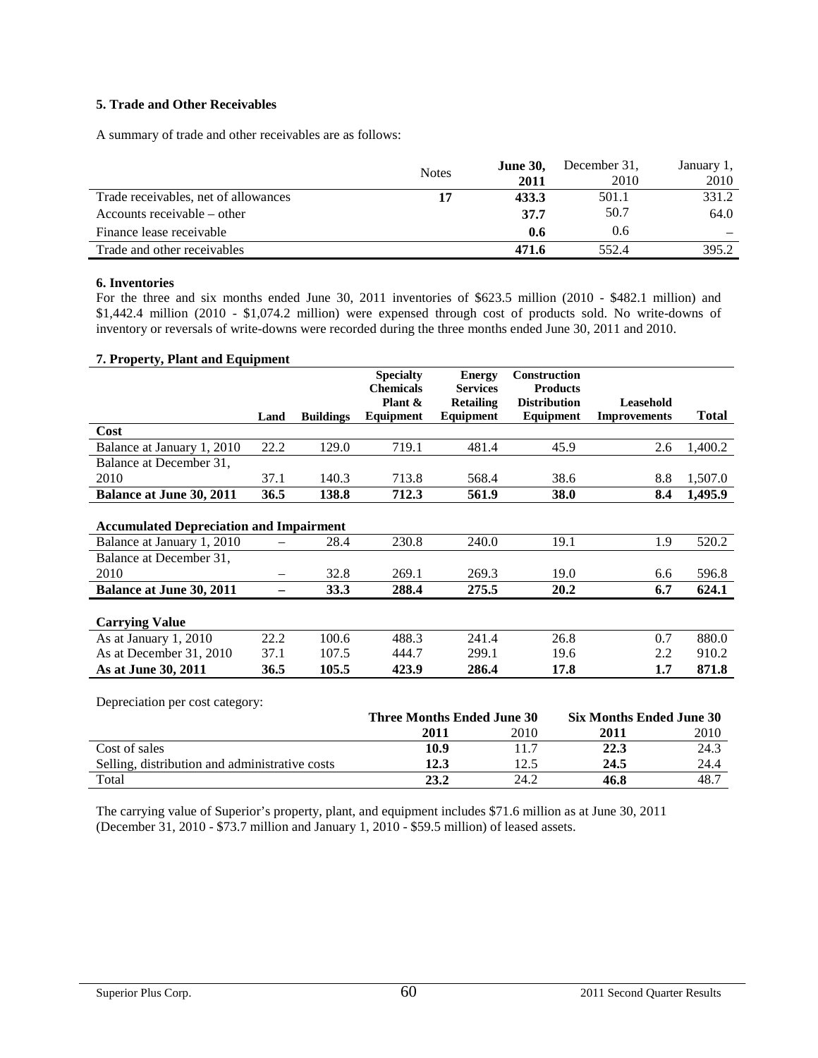### **5. Trade and Other Receivables**

A summary of trade and other receivables are as follows:

|                                      | <b>Notes</b> | <b>June 30,</b> | December 31, | January 1, |
|--------------------------------------|--------------|-----------------|--------------|------------|
|                                      |              | 2011            | 2010         | 2010       |
| Trade receivables, net of allowances |              | 433.3           | 501.1        | 331.2      |
| Accounts receivable – other          |              | 37.7            | 50.7         | 64.0       |
| Finance lease receivable             |              | 0.6             | 0.6          |            |
| Trade and other receivables          |              | 471.6           | 552.4        | 395.2      |

### **6. Inventories**

For the three and six months ended June 30, 2011 inventories of \$623.5 million (2010 - \$482.1 million) and \$1,442.4 million (2010 - \$1,074.2 million) were expensed through cost of products sold. No write-downs of inventory or reversals of write-downs were recorded during the three months ended June 30, 2011 and 2010.

#### **7. Property, Plant and Equipment Land Buildings Equipment Specialty Chemicals Plant & Energy Services Retailing Equipment Construction Products Distribution Equipment Leasehold Improvements Total Cost**  Balance at January 1, 2010 22.2 129.0 719.1 481.4 45.9 2.6 1,400.2 Balance at December 31, 2010 37.1 140.3 713.8 568.4 38.6 8.8 1,507.0 **Balance at June 30, 2011 36.5 138.8 712.3 561.9 38.0 8.4 1,495.9 Accumulated Depreciation and Impairment**  Balance at January 1, 2010 – 28.4 230.8 240.0 19.1 1.9 520.2 Balance at December 31, 2010 – 32.8 269.1 269.3 19.0 6.6 596.8 **Balance at June 30, 2011 – 33.3 288.4 275.5 20.2 6.7 624.1 Carrying Value**  As at January 1, 2010 22.2 100.6 488.3 241.4 26.8 0.7 880.0<br>As at December 31, 2010 37.1 107.5 444.7 299.1 19.6 2.2 910.2 As at December 31, 2010 37.1 107.5 444.7 299.1 19.6 2.2 **As at June 30, 2011 36.5 105.5 423.9 286.4 17.8 1.7 871.8**

| Depreciation per cost category:                |                                   |      |                                 |      |
|------------------------------------------------|-----------------------------------|------|---------------------------------|------|
|                                                | <b>Three Months Ended June 30</b> |      | <b>Six Months Ended June 30</b> |      |
|                                                | 2011                              | 2010 | 2011                            | 2010 |
| Cost of sales                                  | 10.9                              | 11.7 | 22.3                            | 24.3 |
| Selling, distribution and administrative costs | 12.3                              | 12.5 | 24.5                            | 24.4 |
| Total                                          | 23.2                              | 24.2 | 46.8                            | 48.7 |

The carrying value of Superior's property, plant, and equipment includes \$71.6 million as at June 30, 2011 (December 31, 2010 - \$73.7 million and January 1, 2010 - \$59.5 million) of leased assets.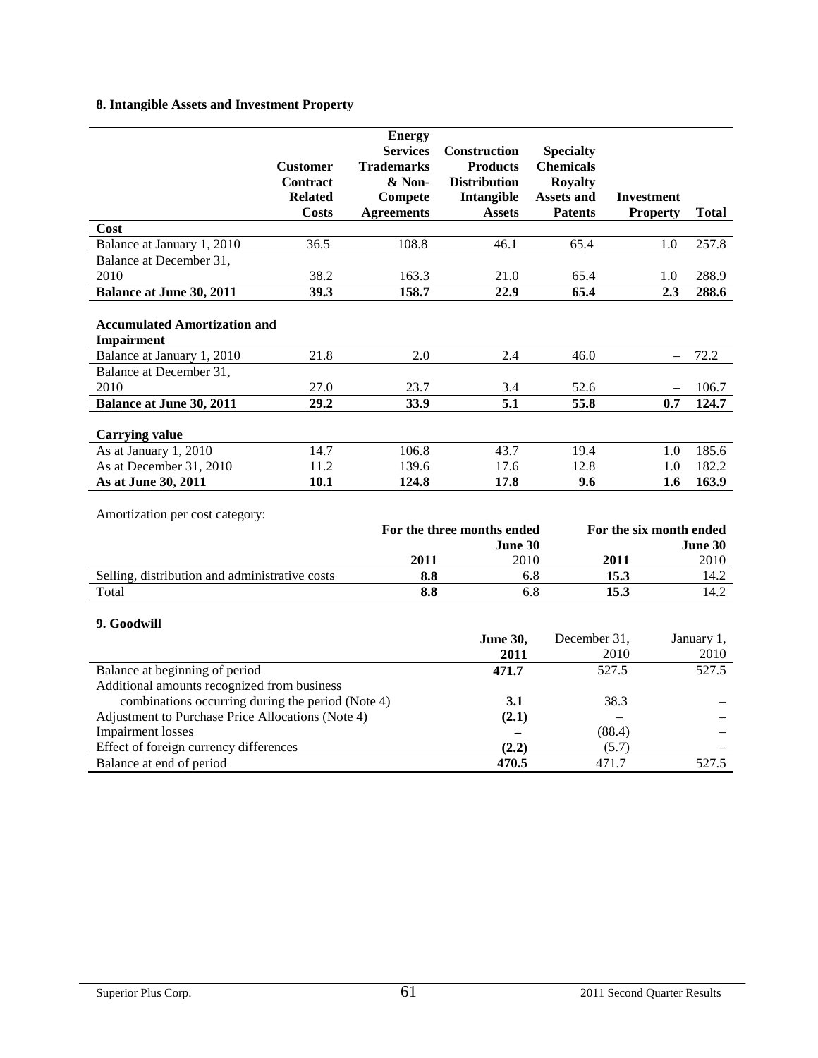### **8. Intangible Assets and Investment Property**

|                                                                               |                 | <b>Energy</b>                        |                                 |                                      |                          |              |
|-------------------------------------------------------------------------------|-----------------|--------------------------------------|---------------------------------|--------------------------------------|--------------------------|--------------|
|                                                                               | <b>Customer</b> | <b>Services</b><br><b>Trademarks</b> | Construction<br><b>Products</b> | <b>Specialty</b><br><b>Chemicals</b> |                          |              |
|                                                                               | Contract        | & Non-                               | <b>Distribution</b>             | <b>Royalty</b>                       |                          |              |
|                                                                               | <b>Related</b>  | <b>Compete</b>                       | Intangible                      | <b>Assets and</b>                    | <b>Investment</b>        |              |
|                                                                               | Costs           | <b>Agreements</b>                    | <b>Assets</b>                   | <b>Patents</b>                       | <b>Property</b>          | <b>Total</b> |
| Cost                                                                          |                 |                                      |                                 |                                      |                          |              |
| Balance at January 1, 2010                                                    | 36.5            | 108.8                                | 46.1                            | 65.4                                 | 1.0                      | 257.8        |
| Balance at December 31,                                                       |                 |                                      |                                 |                                      |                          |              |
| 2010                                                                          | 38.2            | 163.3                                | 21.0                            | 65.4                                 | 1.0                      | 288.9        |
| <b>Balance at June 30, 2011</b>                                               | 39.3            | 158.7                                | 22.9                            | 65.4                                 | 2.3                      | 288.6        |
| <b>Accumulated Amortization and</b><br>Impairment                             |                 |                                      |                                 |                                      |                          |              |
| Balance at January 1, 2010                                                    | 21.8            | 2.0                                  | 2.4                             | 46.0                                 | $\overline{\phantom{0}}$ | 72.2         |
| Balance at December 31,                                                       |                 |                                      |                                 |                                      |                          |              |
| 2010                                                                          | 27.0            | 23.7                                 | 3.4                             | 52.6                                 |                          | 106.7        |
| Balance at June 30, 2011                                                      | 29.2            | 33.9                                 | $\overline{5.1}$                | 55.8                                 | $\overline{0.7}$         | 124.7        |
| <b>Carrying value</b>                                                         |                 |                                      |                                 |                                      |                          |              |
| As at January 1, 2010                                                         | 14.7            | 106.8                                | 43.7                            | 19.4                                 | 1.0                      | 185.6        |
| As at December 31, 2010                                                       | 11.2            | 139.6                                | 17.6                            | 12.8                                 | 1.0                      | 182.2        |
| As at June 30, 2011                                                           | 10.1            | 124.8                                | 17.8                            | 9.6                                  | 1.6                      | 163.9        |
| Amortization per cost category:                                               |                 |                                      | For the three months ended      |                                      | For the six month ended  |              |
|                                                                               |                 |                                      | June 30                         |                                      |                          | June 30      |
|                                                                               |                 | 2011                                 | 2010                            |                                      | 2011                     | 2010         |
| Selling, distribution and administrative costs                                |                 | 8.8                                  | 6.8                             |                                      | 15.3                     | 14.2         |
| Total                                                                         |                 | 8.8                                  | 6.8                             |                                      | 15.3                     | 14.2         |
| 9. Goodwill                                                                   |                 |                                      |                                 |                                      |                          |              |
|                                                                               |                 |                                      | <b>June 30,</b>                 | December 31,                         |                          | January 1,   |
|                                                                               |                 |                                      | 2011                            |                                      | 2010                     | 2010         |
| Balance at beginning of period<br>Additional amounts recognized from business |                 |                                      | 471.7                           |                                      | 527.5                    | 527.5        |
| combinations occurring during the period (Note 4)                             |                 |                                      | 3.1                             |                                      | 38.3                     |              |
| Adjustment to Purchase Price Allocations (Note 4)                             |                 |                                      | (2.1)                           |                                      |                          |              |
| <b>Impairment</b> losses                                                      |                 |                                      |                                 |                                      | (88.4)                   |              |

Impairment losses (88.4) – Effect of foreign currency differences (2.2) (5.7) – Effect of foreign currency differences **(2.2)** (5.7) – Balance at end of period **470.5** 471.7 527.5 Balance at end of period **470.5** 471.7 527.5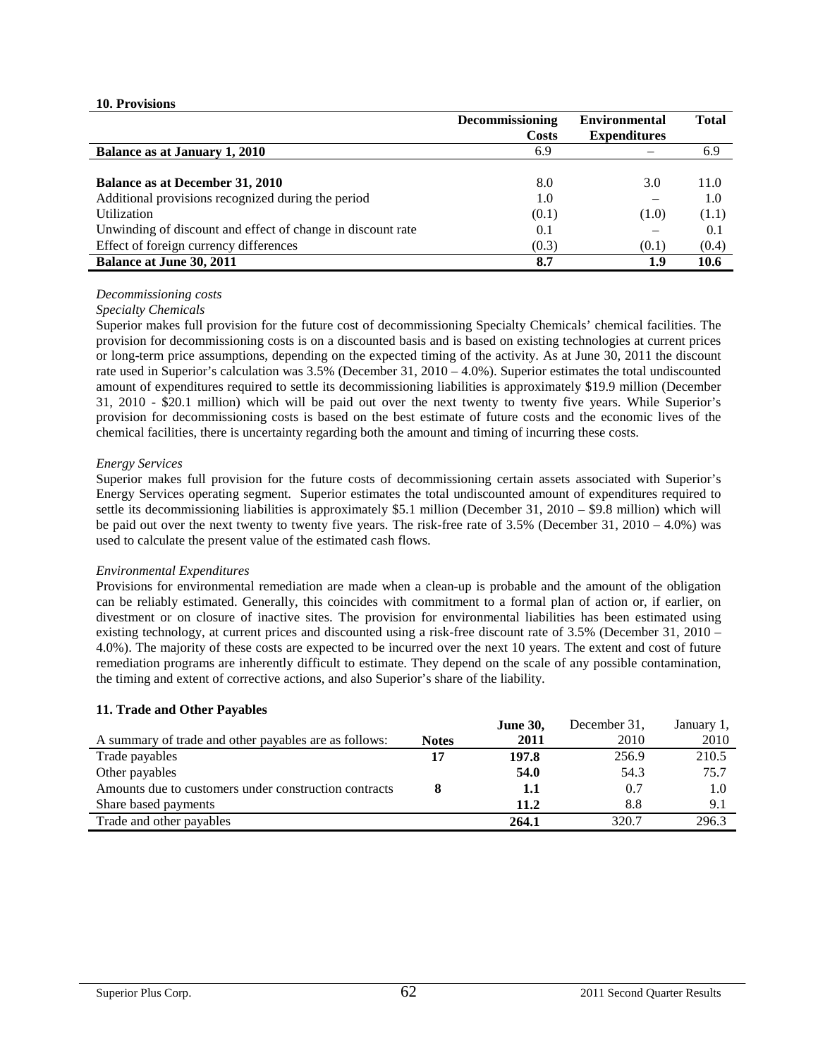#### **10. Provisions**

|                                                             | Decommissioning<br><b>Costs</b> | <b>Environmental</b><br><b>Expenditures</b> | Total |
|-------------------------------------------------------------|---------------------------------|---------------------------------------------|-------|
| <b>Balance as at January 1, 2010</b>                        | 6.9                             |                                             | 6.9   |
|                                                             |                                 |                                             |       |
| <b>Balance as at December 31, 2010</b>                      | 8.0                             | 3.0                                         | 11.0  |
| Additional provisions recognized during the period          | 1.0                             |                                             | 1.0   |
| Utilization                                                 | (0.1)                           | (1.0)                                       | (1.1) |
| Unwinding of discount and effect of change in discount rate | 0.1                             |                                             | 0.1   |
| Effect of foreign currency differences                      | (0.3)                           | (0.1)                                       | (0.4) |
| <b>Balance at June 30, 2011</b>                             | 8.7                             | 1.9                                         | 10.6  |

### *Decommissioning costs*

### *Specialty Chemicals*

Superior makes full provision for the future cost of decommissioning Specialty Chemicals' chemical facilities. The provision for decommissioning costs is on a discounted basis and is based on existing technologies at current prices or long-term price assumptions, depending on the expected timing of the activity. As at June 30, 2011 the discount rate used in Superior's calculation was 3.5% (December 31, 2010 – 4.0%). Superior estimates the total undiscounted amount of expenditures required to settle its decommissioning liabilities is approximately \$19.9 million (December 31, 2010 - \$20.1 million) which will be paid out over the next twenty to twenty five years. While Superior's provision for decommissioning costs is based on the best estimate of future costs and the economic lives of the chemical facilities, there is uncertainty regarding both the amount and timing of incurring these costs.

### *Energy Services*

Superior makes full provision for the future costs of decommissioning certain assets associated with Superior's Energy Services operating segment. Superior estimates the total undiscounted amount of expenditures required to settle its decommissioning liabilities is approximately \$5.1 million (December 31, 2010 – \$9.8 million) which will be paid out over the next twenty to twenty five years. The risk-free rate of 3.5% (December 31, 2010 – 4.0%) was used to calculate the present value of the estimated cash flows.

#### *Environmental Expenditures*

Provisions for environmental remediation are made when a clean-up is probable and the amount of the obligation can be reliably estimated. Generally, this coincides with commitment to a formal plan of action or, if earlier, on divestment or on closure of inactive sites. The provision for environmental liabilities has been estimated using existing technology, at current prices and discounted using a risk-free discount rate of 3.5% (December 31, 2010 – 4.0%). The majority of these costs are expected to be incurred over the next 10 years. The extent and cost of future remediation programs are inherently difficult to estimate. They depend on the scale of any possible contamination, the timing and extent of corrective actions, and also Superior's share of the liability.

### **11. Trade and Other Payables**

|                                                       |              | <b>June 30,</b> | December 31. | January 1, |
|-------------------------------------------------------|--------------|-----------------|--------------|------------|
| A summary of trade and other payables are as follows: | <b>Notes</b> | 2011            | 2010         | 2010       |
| Trade payables                                        | 17           | 197.8           | 256.9        | 210.5      |
| Other payables                                        |              | 54.0            | 54.3         | 75.7       |
| Amounts due to customers under construction contracts |              | 1.1             | 0.7          | 1.0        |
| Share based payments                                  |              | 11.2            | 8.8          | 9.1        |
| Trade and other payables                              |              | 264.1           | 320.7        | 296.3      |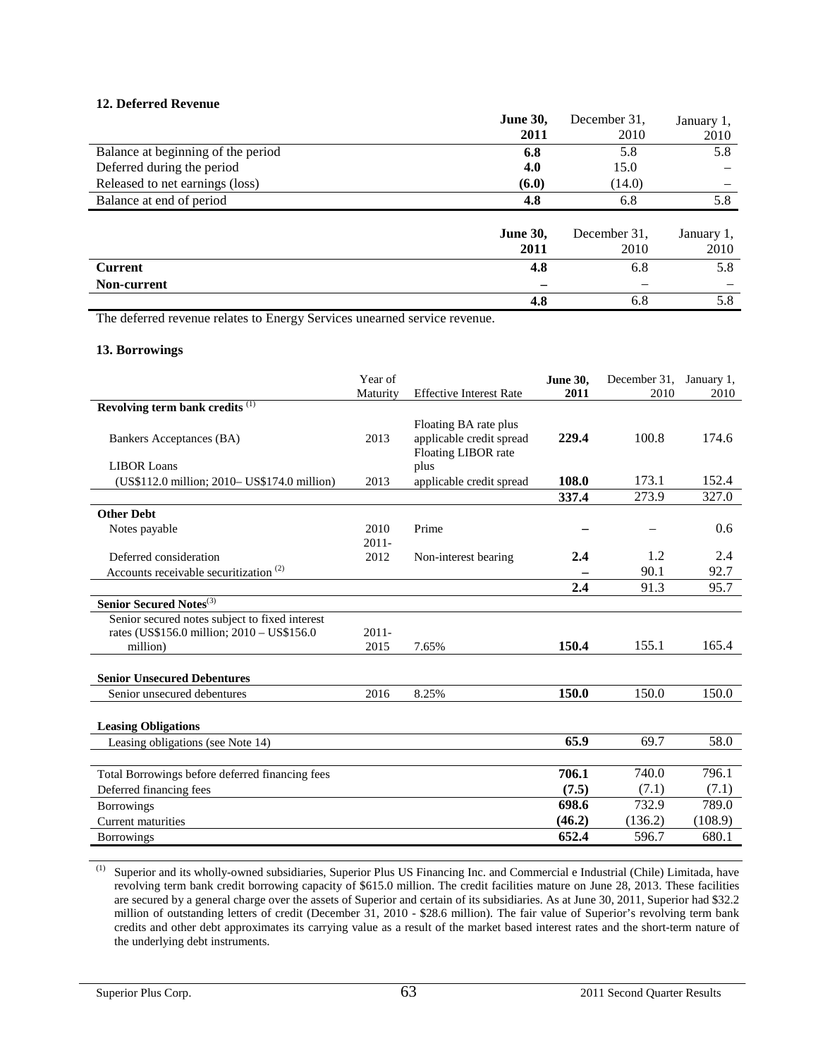### **12. Deferred Revenue**

|                                    | <b>June 30,</b> | December 31. | January 1, |
|------------------------------------|-----------------|--------------|------------|
|                                    | 2011            | 2010         | 2010       |
| Balance at beginning of the period | 6.8             | 5.8          | 5.8        |
| Deferred during the period         | 4.0             | 15.0         |            |
| Released to net earnings (loss)    | (6.0)           | (14.0)       |            |
| Balance at end of period           | 4.8             | 6.8          |            |
|                                    |                 |              |            |

|                | <b>June 30,</b><br>2011 | December 31,<br>2010 | January 1,<br>2010       |
|----------------|-------------------------|----------------------|--------------------------|
| <b>Current</b> | 4.8                     | 6.8                  | 5.8                      |
| Non-current    | -                       |                      | $\overline{\phantom{0}}$ |
|                | 4.8                     | 6.8                  | 5.8                      |

The deferred revenue relates to Energy Services unearned service revenue.

#### **13. Borrowings**

|                                                                                              | Year of          |                                                                          | <b>June 30,</b> | December 31, | January 1, |
|----------------------------------------------------------------------------------------------|------------------|--------------------------------------------------------------------------|-----------------|--------------|------------|
|                                                                                              | Maturity         | <b>Effective Interest Rate</b>                                           | 2011            | 2010         | 2010       |
| Revolving term bank credits <sup>(1)</sup>                                                   |                  |                                                                          |                 |              |            |
| Bankers Acceptances (BA)                                                                     | 2013             | Floating BA rate plus<br>applicable credit spread<br>Floating LIBOR rate | 229.4           | 100.8        | 174.6      |
| <b>LIBOR</b> Loans                                                                           |                  | plus                                                                     |                 |              |            |
| (US\$112.0 million; 2010- US\$174.0 million)                                                 | 2013             | applicable credit spread                                                 | 108.0           | 173.1        | 152.4      |
|                                                                                              |                  |                                                                          | 337.4           | 273.9        | 327.0      |
| <b>Other Debt</b>                                                                            |                  |                                                                          |                 |              |            |
| Notes payable                                                                                | 2010<br>$2011 -$ | Prime                                                                    |                 |              | 0.6        |
| Deferred consideration                                                                       | 2012             | Non-interest bearing                                                     | 2.4             | 1.2          | 2.4        |
| Accounts receivable securitization <sup>(2)</sup>                                            |                  |                                                                          |                 | 90.1         | 92.7       |
|                                                                                              |                  |                                                                          | 2.4             | 91.3         | 95.7       |
| Senior Secured Notes <sup>(3)</sup>                                                          |                  |                                                                          |                 |              |            |
| Senior secured notes subject to fixed interest<br>rates (US\$156.0 million; 2010 - US\$156.0 | $2011 -$         |                                                                          |                 | 155.1        | 165.4      |
| million)                                                                                     | 2015             | 7.65%                                                                    | 150.4           |              |            |
| <b>Senior Unsecured Debentures</b>                                                           |                  |                                                                          |                 |              |            |
| Senior unsecured debentures                                                                  | 2016             | 8.25%                                                                    | 150.0           | 150.0        | 150.0      |
| <b>Leasing Obligations</b>                                                                   |                  |                                                                          |                 |              |            |
| Leasing obligations (see Note 14)                                                            |                  |                                                                          | 65.9            | 69.7         | 58.0       |
|                                                                                              |                  |                                                                          |                 |              |            |
| Total Borrowings before deferred financing fees                                              |                  |                                                                          | 706.1           | 740.0        | 796.1      |
| Deferred financing fees                                                                      |                  |                                                                          | (7.5)           | (7.1)        | (7.1)      |
| <b>Borrowings</b>                                                                            |                  |                                                                          | 698.6           | 732.9        | 789.0      |
| Current maturities                                                                           |                  |                                                                          | (46.2)          | (136.2)      | (108.9)    |
| <b>Borrowings</b>                                                                            |                  |                                                                          | 652.4           | 596.7        | 680.1      |

(1) Superior and its wholly-owned subsidiaries, Superior Plus US Financing Inc. and Commercial e Industrial (Chile) Limitada, have revolving term bank credit borrowing capacity of \$615.0 million. The credit facilities mature on June 28, 2013. These facilities are secured by a general charge over the assets of Superior and certain of its subsidiaries. As at June 30, 2011, Superior had \$32.2 million of outstanding letters of credit (December 31, 2010 - \$28.6 million). The fair value of Superior's revolving term bank credits and other debt approximates its carrying value as a result of the market based interest rates and the short-term nature of the underlying debt instruments.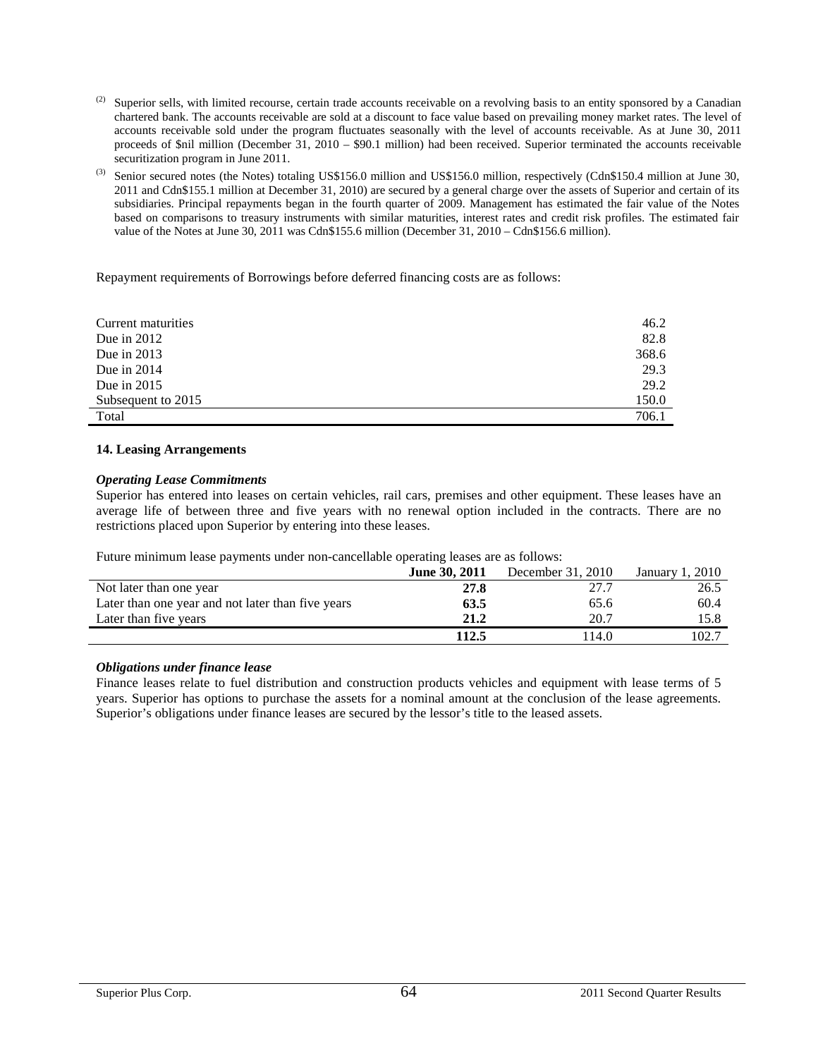- <sup>(2)</sup> Superior sells, with limited recourse, certain trade accounts receivable on a revolving basis to an entity sponsored by a Canadian chartered bank. The accounts receivable are sold at a discount to face value based on prevailing money market rates. The level of accounts receivable sold under the program fluctuates seasonally with the level of accounts receivable. As at June 30, 2011 proceeds of \$nil million (December 31, 2010 – \$90.1 million) had been received. Superior terminated the accounts receivable securitization program in June 2011.
- <sup>(3)</sup> Senior secured notes (the Notes) totaling US\$156.0 million and US\$156.0 million, respectively (Cdn\$150.4 million at June 30, 2011 and Cdn\$155.1 million at December 31, 2010) are secured by a general charge over the assets of Superior and certain of its subsidiaries. Principal repayments began in the fourth quarter of 2009. Management has estimated the fair value of the Notes based on comparisons to treasury instruments with similar maturities, interest rates and credit risk profiles. The estimated fair value of the Notes at June 30, 2011 was Cdn\$155.6 million (December 31, 2010 – Cdn\$156.6 million).

Repayment requirements of Borrowings before deferred financing costs are as follows:

| Current maturities | 46.2  |
|--------------------|-------|
| Due in $2012$      | 82.8  |
| Due in $2013$      | 368.6 |
| Due in $2014$      | 29.3  |
| Due in $2015$      | 29.2  |
| Subsequent to 2015 | 150.0 |
| Total              | 706.1 |

### **14. Leasing Arrangements**

### *Operating Lease Commitments*

Superior has entered into leases on certain vehicles, rail cars, premises and other equipment. These leases have an average life of between three and five years with no renewal option included in the contracts. There are no restrictions placed upon Superior by entering into these leases.

Future minimum lease payments under non-cancellable operating leases are as follows:

|                                                   | June 30, 2011 | December 31, 2010 | January 1, 2010 |
|---------------------------------------------------|---------------|-------------------|-----------------|
| Not later than one year                           | 27.8          | 27.7              | 26.5            |
| Later than one year and not later than five years | 63.5          | 65.6              | 60.4            |
| Later than five years                             | 21.2          | 20.7              | 15.8            |
|                                                   | 112.5         | 114.0             | 102.7           |

### *Obligations under finance lease*

Finance leases relate to fuel distribution and construction products vehicles and equipment with lease terms of 5 years. Superior has options to purchase the assets for a nominal amount at the conclusion of the lease agreements. Superior's obligations under finance leases are secured by the lessor's title to the leased assets.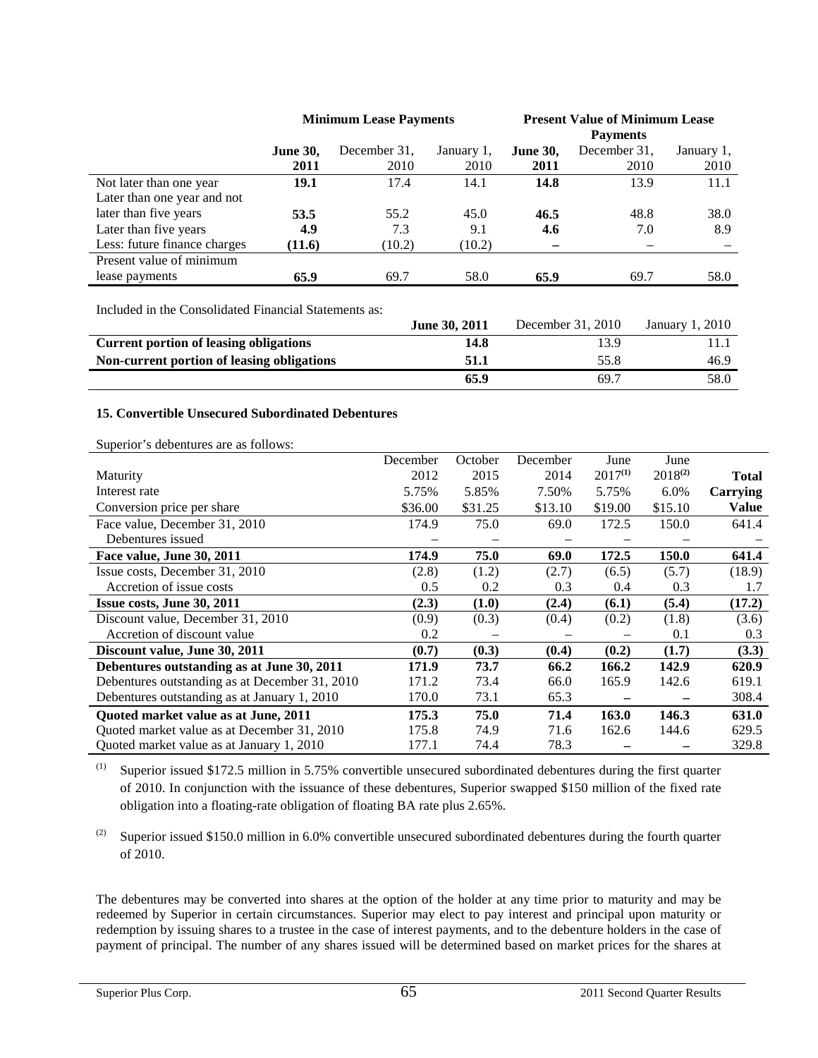| <b>Minimum Lease Payments</b> |              |            |                 | <b>Payments</b> |                                       |
|-------------------------------|--------------|------------|-----------------|-----------------|---------------------------------------|
| <b>June 30,</b>               | December 31. | January 1, | <b>June 30,</b> | December 31,    | January 1,                            |
| 2011                          | 2010         | 2010       | 2011            | 2010            | 2010                                  |
| 19.1                          | 17.4         | 14.1       | 14.8            | 13.9            | 11.1                                  |
|                               |              |            |                 |                 |                                       |
| 53.5                          | 55.2         | 45.0       | 46.5            | 48.8            | 38.0                                  |
| 4.9                           | 7.3          | 9.1        | 4.6             | 7.0             | 8.9                                   |
| (11.6)                        | (10.2)       | (10.2)     |                 |                 |                                       |
|                               |              |            |                 |                 |                                       |
| 65.9                          | 69.7         | 58.0       | 65.9            | 69.7            | 58.0                                  |
|                               |              |            |                 |                 | <b>Present Value of Minimum Lease</b> |

Included in the Consolidated Financial Statements as:

|                                               | June 30, 2011 | December 31, 2010 | January 1, 2010 |
|-----------------------------------------------|---------------|-------------------|-----------------|
| <b>Current portion of leasing obligations</b> | 14.8          | 13.9              |                 |
| Non-current portion of leasing obligations    | 51.1          | 55.8              | 46.9            |
|                                               | 65.9          | 69.7              | 58.0            |

### **15. Convertible Unsecured Subordinated Debentures**

Superior's debentures are as follows:

|                                                | December | October | December | June         | June         |              |
|------------------------------------------------|----------|---------|----------|--------------|--------------|--------------|
| <b>Maturity</b>                                | 2012     | 2015    | 2014     | $2017^{(1)}$ | $2018^{(2)}$ | Total        |
| Interest rate                                  | 5.75%    | 5.85%   | 7.50%    | 5.75%        | $6.0\%$      | Carrying     |
| Conversion price per share                     | \$36.00  | \$31.25 | \$13.10  | \$19.00      | \$15.10      | <b>Value</b> |
| Face value, December 31, 2010                  | 174.9    | 75.0    | 69.0     | 172.5        | 150.0        | 641.4        |
| Debentures issued                              |          |         |          |              |              |              |
| Face value, June 30, 2011                      | 174.9    | 75.0    | 69.0     | 172.5        | 150.0        | 641.4        |
| Issue costs, December 31, 2010                 | (2.8)    | (1.2)   | (2.7)    | (6.5)        | (5.7)        | (18.9)       |
| Accretion of issue costs                       | 0.5      | 0.2     | 0.3      | 0.4          | 0.3          | 1.7          |
| Issue costs, June 30, 2011                     | (2.3)    | (1.0)   | (2.4)    | (6.1)        | (5.4)        | (17.2)       |
| Discount value, December 31, 2010              | (0.9)    | (0.3)   | (0.4)    | (0.2)        | (1.8)        | (3.6)        |
| Accretion of discount value                    | 0.2      |         |          |              | 0.1          | 0.3          |
| Discount value, June 30, 2011                  | (0.7)    | (0.3)   | (0.4)    | (0.2)        | (1.7)        | (3.3)        |
| Debentures outstanding as at June 30, 2011     | 171.9    | 73.7    | 66.2     | 166.2        | 142.9        | 620.9        |
| Debentures outstanding as at December 31, 2010 | 171.2    | 73.4    | 66.0     | 165.9        | 142.6        | 619.1        |
| Debentures outstanding as at January 1, 2010   | 170.0    | 73.1    | 65.3     |              |              | 308.4        |
| Quoted market value as at June, 2011           | 175.3    | 75.0    | 71.4     | 163.0        | 146.3        | 631.0        |
| Quoted market value as at December 31, 2010    | 175.8    | 74.9    | 71.6     | 162.6        | 144.6        | 629.5        |
| Ouoted market value as at January 1, 2010      | 177.1    | 74.4    | 78.3     |              |              | 329.8        |

(1) Superior issued \$172.5 million in 5.75% convertible unsecured subordinated debentures during the first quarter of 2010. In conjunction with the issuance of these debentures, Superior swapped \$150 million of the fixed rate obligation into a floating-rate obligation of floating BA rate plus 2.65%.

(2) Superior issued \$150.0 million in 6.0% convertible unsecured subordinated debentures during the fourth quarter of 2010.

The debentures may be converted into shares at the option of the holder at any time prior to maturity and may be redeemed by Superior in certain circumstances. Superior may elect to pay interest and principal upon maturity or redemption by issuing shares to a trustee in the case of interest payments, and to the debenture holders in the case of payment of principal. The number of any shares issued will be determined based on market prices for the shares at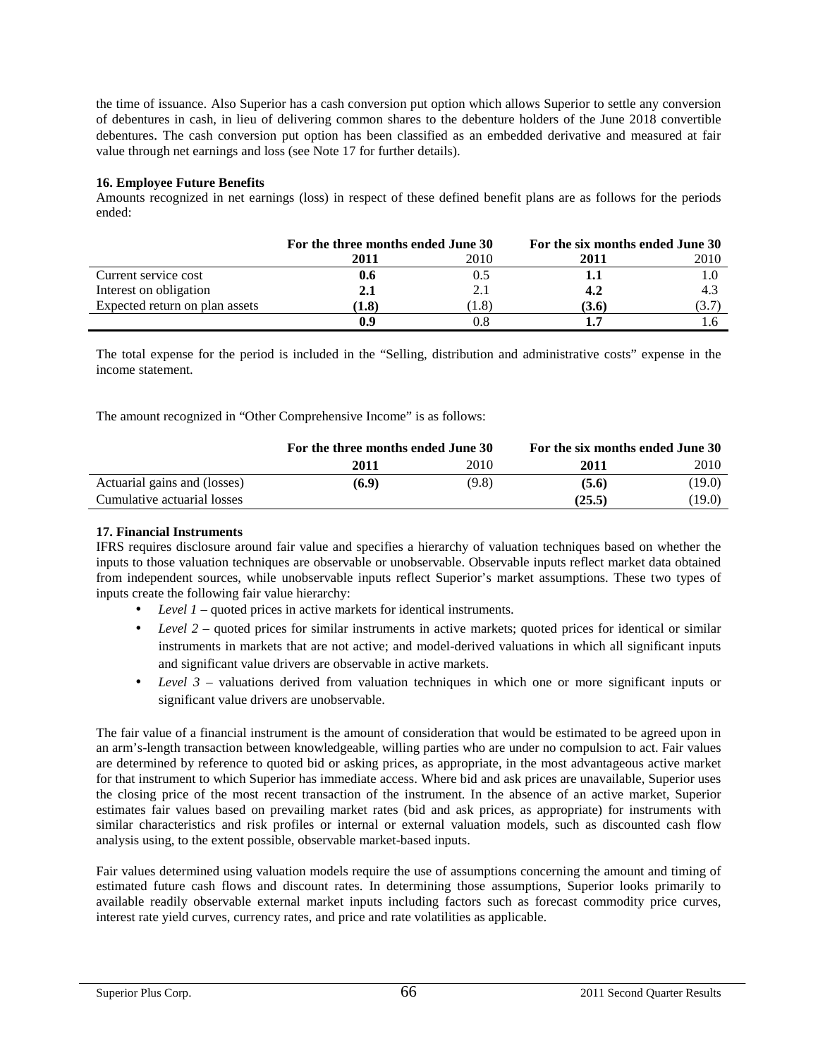the time of issuance. Also Superior has a cash conversion put option which allows Superior to settle any conversion of debentures in cash, in lieu of delivering common shares to the debenture holders of the June 2018 convertible debentures. The cash conversion put option has been classified as an embedded derivative and measured at fair value through net earnings and loss (see Note 17 for further details).

## **16. Employee Future Benefits**

Amounts recognized in net earnings (loss) in respect of these defined benefit plans are as follows for the periods ended:

|                                | For the three months ended June 30 |      | For the six months ended June 30 |       |
|--------------------------------|------------------------------------|------|----------------------------------|-------|
|                                | 2011                               | 2010 | 2011                             | 2010  |
| Current service cost           | 0.6                                |      |                                  |       |
| Interest on obligation         | 2.1                                |      |                                  | 4.3   |
| Expected return on plan assets | (1.8)                              | 1.8) | (3.6)                            | (3.7) |
|                                | 0.9                                |      |                                  |       |

The total expense for the period is included in the "Selling, distribution and administrative costs" expense in the income statement.

The amount recognized in "Other Comprehensive Income" is as follows:

|                              | For the three months ended June 30 |       | For the six months ended June 30 |        |  |
|------------------------------|------------------------------------|-------|----------------------------------|--------|--|
|                              | 2011                               | 2010  | 2011                             | 2010   |  |
| Actuarial gains and (losses) | (6.9)                              | (9.8) | (5.6)                            | (19.0) |  |
| Cumulative actuarial losses  |                                    |       | (25.5)                           | (19.0) |  |

## **17. Financial Instruments**

IFRS requires disclosure around fair value and specifies a hierarchy of valuation techniques based on whether the inputs to those valuation techniques are observable or unobservable. Observable inputs reflect market data obtained from independent sources, while unobservable inputs reflect Superior's market assumptions. These two types of inputs create the following fair value hierarchy:

- *Level 1* quoted prices in active markets for identical instruments.
- *Level 2* quoted prices for similar instruments in active markets; quoted prices for identical or similar instruments in markets that are not active; and model-derived valuations in which all significant inputs and significant value drivers are observable in active markets.
- *Level 3* valuations derived from valuation techniques in which one or more significant inputs or significant value drivers are unobservable.

The fair value of a financial instrument is the amount of consideration that would be estimated to be agreed upon in an arm's-length transaction between knowledgeable, willing parties who are under no compulsion to act. Fair values are determined by reference to quoted bid or asking prices, as appropriate, in the most advantageous active market for that instrument to which Superior has immediate access. Where bid and ask prices are unavailable, Superior uses the closing price of the most recent transaction of the instrument. In the absence of an active market, Superior estimates fair values based on prevailing market rates (bid and ask prices, as appropriate) for instruments with similar characteristics and risk profiles or internal or external valuation models, such as discounted cash flow analysis using, to the extent possible, observable market-based inputs.

Fair values determined using valuation models require the use of assumptions concerning the amount and timing of estimated future cash flows and discount rates. In determining those assumptions, Superior looks primarily to available readily observable external market inputs including factors such as forecast commodity price curves, interest rate yield curves, currency rates, and price and rate volatilities as applicable.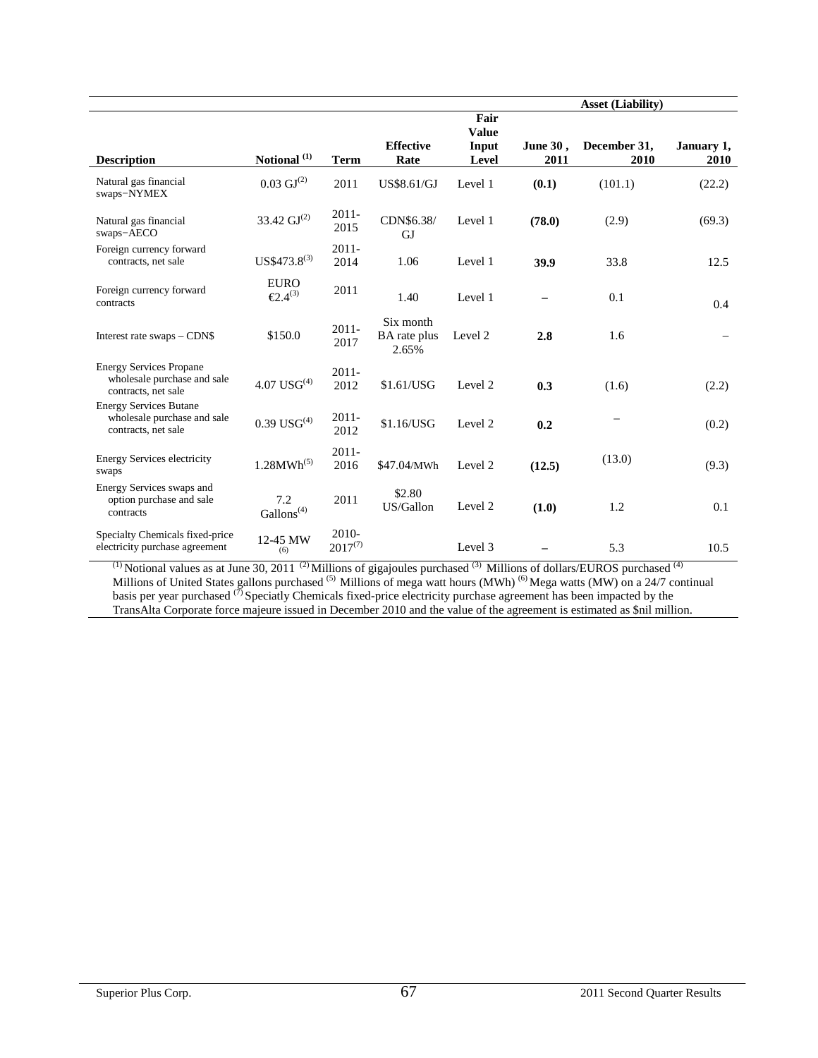|                                                                                      |                                            |                         |                                    |                                        |                  | <b>Asset (Liability)</b> |                    |
|--------------------------------------------------------------------------------------|--------------------------------------------|-------------------------|------------------------------------|----------------------------------------|------------------|--------------------------|--------------------|
| <b>Description</b>                                                                   | Notional <sup>(1)</sup>                    | <b>Term</b>             | <b>Effective</b><br>Rate           | Fair<br><b>Value</b><br>Input<br>Level | June 30,<br>2011 | December 31,<br>2010     | January 1,<br>2010 |
| Natural gas financial<br>swaps-NYMEX                                                 | $0.03 \text{ GJ}^{(2)}$                    | 2011                    | <b>US\$8.61/GJ</b>                 | Level 1                                | (0.1)            | (101.1)                  | (22.2)             |
| Natural gas financial<br>swaps-AECO                                                  | 33.42 $GI^{(2)}$                           | $2011 -$<br>2015        | CDN\$6.38/<br>GJ                   | Level 1                                | (78.0)           | (2.9)                    | (69.3)             |
| Foreign currency forward<br>contracts, net sale                                      | $US$473.8^{(3)}$                           | $2011 -$<br>2014        | 1.06                               | Level 1                                | 39.9             | 33.8                     | 12.5               |
| Foreign currency forward<br>contracts                                                | <b>EURO</b><br>$\epsilon$ 2.4 <sup>3</sup> | 2011                    | 1.40                               | Level 1                                |                  | 0.1                      | 0.4                |
| Interest rate swaps - CDN\$                                                          | \$150.0                                    | $2011 -$<br>2017        | Six month<br>BA rate plus<br>2.65% | Level 2                                | 2.8              | 1.6                      |                    |
| <b>Energy Services Propane</b><br>wholesale purchase and sale<br>contracts, net sale | $4.07$ USG <sup>(4)</sup>                  | $2011 -$<br>2012        | \$1.61/USG                         | Level 2                                | 0.3              | (1.6)                    | (2.2)              |
| <b>Energy Services Butane</b><br>wholesale purchase and sale<br>contracts, net sale  | $0.39$ USG <sup>(4)</sup>                  | $2011 -$<br>2012        | \$1.16/USG                         | Level 2                                | 0.2              |                          | (0.2)              |
| <b>Energy Services electricity</b><br>swaps                                          | $1.28MWh^{(5)}$                            | $2011 -$<br>2016        | \$47.04/MWh                        | Level 2                                | (12.5)           | (13.0)                   | (9.3)              |
| Energy Services swaps and<br>option purchase and sale<br>contracts                   | 7.2<br>$\mathrm{Gallons}^{(4)}$            | 2011                    | \$2.80<br>US/Gallon                | Level 2                                | (1.0)            | 1.2                      | 0.1                |
| Specialty Chemicals fixed-price<br>electricity purchase agreement                    | 12-45 MW<br>(6)                            | $2010-$<br>$2017^{(7)}$ |                                    | Level 3                                |                  | 5.3                      | 10.5               |

<sup>(1)</sup> Notional values as at June 30, 2011<sup>(2)</sup> Millions of gigajoules purchased <sup>(3)</sup> Millions of dollars/EUROS purchased <sup>(4)</sup> Millions of United States gallons purchased  $^{(5)}$  Millions of mega watt hours (MWh)  $^{(6)}$ Mega watts (MW) on a 24/7 continual basis per year purchased  $^{(7)}$  Speciatly Chemicals fixed-price electricity purchase agreement has been impacted by the TransAlta Corporate force majeure issued in December 2010 and the value of the agreement is estimated as \$nil million.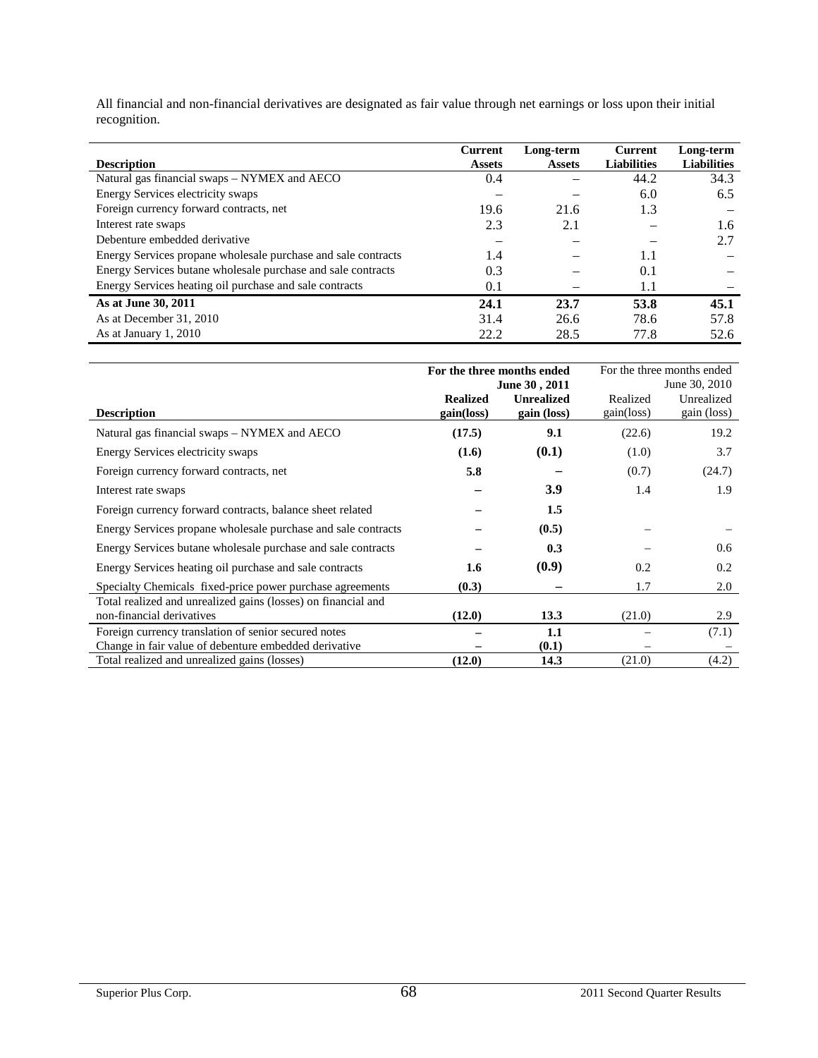All financial and non-financial derivatives are designated as fair value through net earnings or loss upon their initial recognition.

| <b>Description</b>                                            | <b>Current</b><br><b>Assets</b> | Long-term<br><b>Assets</b> | <b>Current</b><br><b>Liabilities</b> | Long-term<br><b>Liabilities</b> |
|---------------------------------------------------------------|---------------------------------|----------------------------|--------------------------------------|---------------------------------|
| Natural gas financial swaps - NYMEX and AECO                  | 0.4                             |                            | 44.2                                 | 34.3                            |
| Energy Services electricity swaps                             |                                 |                            | 6.0                                  | 6.5                             |
| Foreign currency forward contracts, net                       | 19.6                            | 21.6                       | 1.3                                  |                                 |
| Interest rate swaps                                           | 2.3                             | 2.1                        |                                      | 1.6                             |
| Debenture embedded derivative                                 |                                 |                            |                                      | 2.7                             |
| Energy Services propane wholesale purchase and sale contracts | 1.4                             |                            | 1.1                                  |                                 |
| Energy Services butane wholesale purchase and sale contracts  | 0.3                             |                            | 0.1                                  |                                 |
| Energy Services heating oil purchase and sale contracts       | 0.1                             |                            | 1.1                                  |                                 |
| As at June 30, 2011                                           | 24.1                            | 23.7                       | 53.8                                 | 45.1                            |
| As at December 31, 2010                                       | 31.4                            | 26.6                       | 78.6                                 | 57.8                            |
| As at January 1, 2010                                         | 22.2                            | 28.5                       | 77.8                                 | 52.6                            |

|                                                                                            | For the three months ended    | June 30, 2011                    |                        | For the three months ended<br>June 30, 2010 |
|--------------------------------------------------------------------------------------------|-------------------------------|----------------------------------|------------------------|---------------------------------------------|
| <b>Description</b>                                                                         | <b>Realized</b><br>gain(loss) | <b>Unrealized</b><br>gain (loss) | Realized<br>gain(loss) | Unrealized<br>gain (loss)                   |
| Natural gas financial swaps – NYMEX and AECO                                               | (17.5)                        | 9.1                              | (22.6)                 | 19.2                                        |
| Energy Services electricity swaps                                                          | (1.6)                         | (0.1)                            | (1.0)                  | 3.7                                         |
| Foreign currency forward contracts, net                                                    | 5.8                           |                                  | (0.7)                  | (24.7)                                      |
| Interest rate swaps                                                                        |                               | 3.9                              | 1.4                    | 1.9                                         |
| Foreign currency forward contracts, balance sheet related                                  |                               | 1.5                              |                        |                                             |
| Energy Services propane wholesale purchase and sale contracts                              |                               | (0.5)                            |                        |                                             |
| Energy Services butane wholesale purchase and sale contracts                               |                               | 0.3                              |                        | 0.6                                         |
| Energy Services heating oil purchase and sale contracts                                    | 1.6                           | (0.9)                            | 0.2                    | 0.2                                         |
| Specialty Chemicals fixed-price power purchase agreements                                  | (0.3)                         |                                  | 1.7                    | 2.0                                         |
| Total realized and unrealized gains (losses) on financial and<br>non-financial derivatives | (12.0)                        | 13.3                             | (21.0)                 | 2.9                                         |
| Foreign currency translation of senior secured notes                                       |                               | 1.1                              |                        | (7.1)                                       |
| Change in fair value of debenture embedded derivative                                      |                               | (0.1)                            |                        |                                             |
| Total realized and unrealized gains (losses)                                               | (12.0)                        | 14.3                             | (21.0)                 | (4.2)                                       |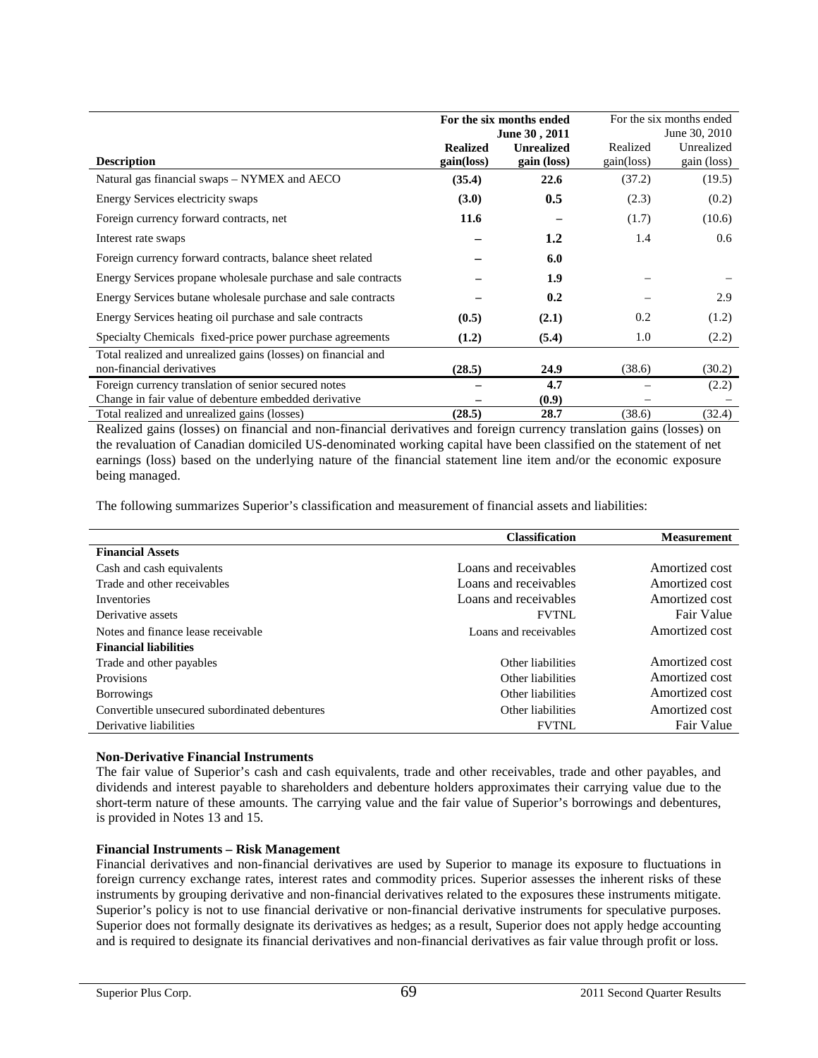|                                                               | For the six months ended |                   | For the six months ended |             |  |
|---------------------------------------------------------------|--------------------------|-------------------|--------------------------|-------------|--|
|                                                               |                          | June 30, 2011     | June 30, 2010            |             |  |
|                                                               | <b>Realized</b>          | <b>Unrealized</b> | Realized                 | Unrealized  |  |
| <b>Description</b>                                            | gain(loss)               | gain (loss)       | gain(loss)               | gain (loss) |  |
| Natural gas financial swaps – NYMEX and AECO                  | (35.4)                   | 22.6              | (37.2)                   | (19.5)      |  |
| Energy Services electricity swaps                             | (3.0)                    | 0.5               | (2.3)                    | (0.2)       |  |
| Foreign currency forward contracts, net                       | 11.6                     |                   | (1.7)                    | (10.6)      |  |
| Interest rate swaps                                           |                          | 1.2               | 1.4                      | 0.6         |  |
| Foreign currency forward contracts, balance sheet related     |                          | 6.0               |                          |             |  |
| Energy Services propane wholesale purchase and sale contracts |                          | 1.9               |                          |             |  |
| Energy Services butane wholesale purchase and sale contracts  |                          | 0.2               |                          | 2.9         |  |
| Energy Services heating oil purchase and sale contracts       | (0.5)                    | (2.1)             | 0.2                      | (1.2)       |  |
| Specialty Chemicals fixed-price power purchase agreements     | (1.2)                    | (5.4)             | 1.0                      | (2.2)       |  |
| Total realized and unrealized gains (losses) on financial and |                          |                   |                          |             |  |
| non-financial derivatives                                     | (28.5)                   | 24.9              | (38.6)                   | (30.2)      |  |
| Foreign currency translation of senior secured notes          |                          | 4.7               |                          | (2.2)       |  |
| Change in fair value of debenture embedded derivative         |                          | (0.9)             |                          |             |  |
| Total realized and unrealized gains (losses)                  | (28.5)                   | 28.7              | (38.6)                   | (32.4)      |  |

Realized gains (losses) on financial and non-financial derivatives and foreign currency translation gains (losses) on the revaluation of Canadian domiciled US-denominated working capital have been classified on the statement of net earnings (loss) based on the underlying nature of the financial statement line item and/or the economic exposure being managed.

The following summarizes Superior's classification and measurement of financial assets and liabilities:

|                                               | <b>Classification</b> | <b>Measurement</b> |
|-----------------------------------------------|-----------------------|--------------------|
| <b>Financial Assets</b>                       |                       |                    |
| Cash and cash equivalents                     | Loans and receivables | Amortized cost     |
| Trade and other receivables                   | Loans and receivables | Amortized cost     |
| Inventories                                   | Loans and receivables | Amortized cost     |
| Derivative assets                             | <b>FVTNL</b>          | Fair Value         |
| Notes and finance lease receivable            | Loans and receivables | Amortized cost     |
| <b>Financial liabilities</b>                  |                       |                    |
| Trade and other payables                      | Other liabilities     | Amortized cost     |
| Provisions                                    | Other liabilities     | Amortized cost     |
| <b>Borrowings</b>                             | Other liabilities     | Amortized cost     |
| Convertible unsecured subordinated debentures | Other liabilities     | Amortized cost     |
| Derivative liabilities                        | <b>FVTNL</b>          | Fair Value         |

## **Non-Derivative Financial Instruments**

The fair value of Superior's cash and cash equivalents, trade and other receivables, trade and other payables, and dividends and interest payable to shareholders and debenture holders approximates their carrying value due to the short-term nature of these amounts. The carrying value and the fair value of Superior's borrowings and debentures, is provided in Notes 13 and 15.

### **Financial Instruments – Risk Management**

Financial derivatives and non-financial derivatives are used by Superior to manage its exposure to fluctuations in foreign currency exchange rates, interest rates and commodity prices. Superior assesses the inherent risks of these instruments by grouping derivative and non-financial derivatives related to the exposures these instruments mitigate. Superior's policy is not to use financial derivative or non-financial derivative instruments for speculative purposes. Superior does not formally designate its derivatives as hedges; as a result, Superior does not apply hedge accounting and is required to designate its financial derivatives and non-financial derivatives as fair value through profit or loss.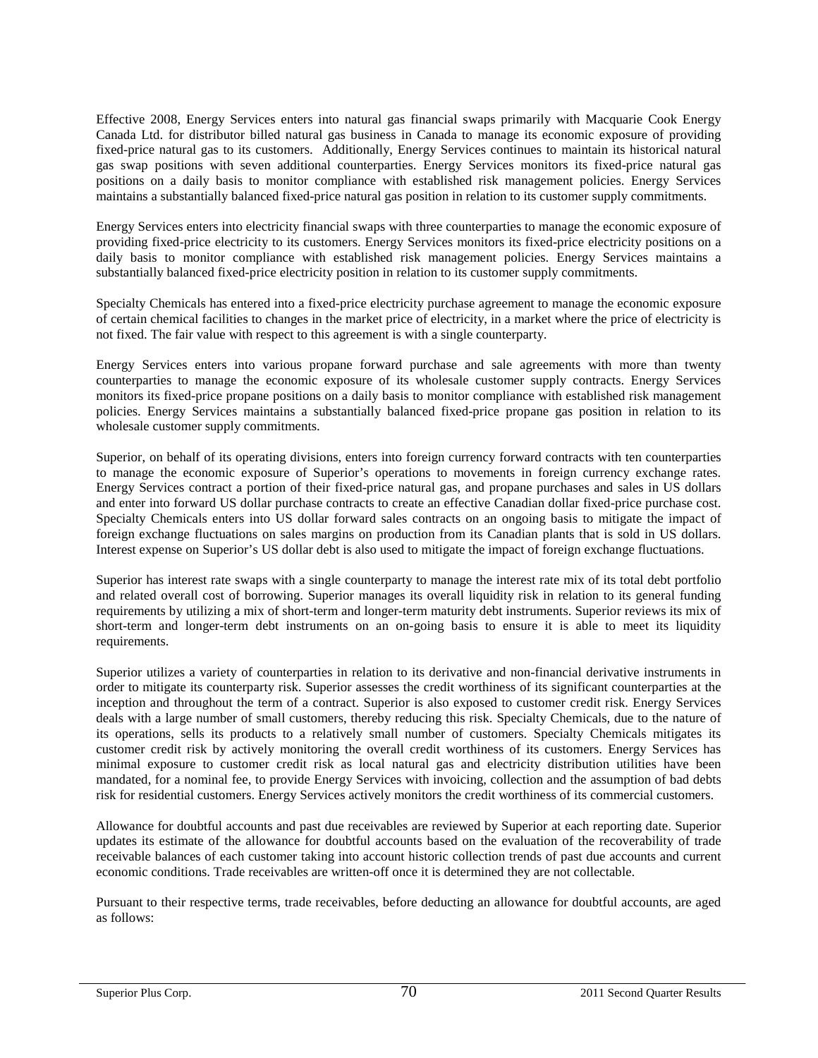Effective 2008, Energy Services enters into natural gas financial swaps primarily with Macquarie Cook Energy Canada Ltd. for distributor billed natural gas business in Canada to manage its economic exposure of providing fixed-price natural gas to its customers. Additionally, Energy Services continues to maintain its historical natural gas swap positions with seven additional counterparties. Energy Services monitors its fixed-price natural gas positions on a daily basis to monitor compliance with established risk management policies. Energy Services maintains a substantially balanced fixed-price natural gas position in relation to its customer supply commitments.

Energy Services enters into electricity financial swaps with three counterparties to manage the economic exposure of providing fixed-price electricity to its customers. Energy Services monitors its fixed-price electricity positions on a daily basis to monitor compliance with established risk management policies. Energy Services maintains a substantially balanced fixed-price electricity position in relation to its customer supply commitments.

Specialty Chemicals has entered into a fixed-price electricity purchase agreement to manage the economic exposure of certain chemical facilities to changes in the market price of electricity, in a market where the price of electricity is not fixed. The fair value with respect to this agreement is with a single counterparty.

Energy Services enters into various propane forward purchase and sale agreements with more than twenty counterparties to manage the economic exposure of its wholesale customer supply contracts. Energy Services monitors its fixed-price propane positions on a daily basis to monitor compliance with established risk management policies. Energy Services maintains a substantially balanced fixed-price propane gas position in relation to its wholesale customer supply commitments.

Superior, on behalf of its operating divisions, enters into foreign currency forward contracts with ten counterparties to manage the economic exposure of Superior's operations to movements in foreign currency exchange rates. Energy Services contract a portion of their fixed-price natural gas, and propane purchases and sales in US dollars and enter into forward US dollar purchase contracts to create an effective Canadian dollar fixed-price purchase cost. Specialty Chemicals enters into US dollar forward sales contracts on an ongoing basis to mitigate the impact of foreign exchange fluctuations on sales margins on production from its Canadian plants that is sold in US dollars. Interest expense on Superior's US dollar debt is also used to mitigate the impact of foreign exchange fluctuations.

Superior has interest rate swaps with a single counterparty to manage the interest rate mix of its total debt portfolio and related overall cost of borrowing. Superior manages its overall liquidity risk in relation to its general funding requirements by utilizing a mix of short-term and longer-term maturity debt instruments. Superior reviews its mix of short-term and longer-term debt instruments on an on-going basis to ensure it is able to meet its liquidity requirements.

Superior utilizes a variety of counterparties in relation to its derivative and non-financial derivative instruments in order to mitigate its counterparty risk. Superior assesses the credit worthiness of its significant counterparties at the inception and throughout the term of a contract. Superior is also exposed to customer credit risk. Energy Services deals with a large number of small customers, thereby reducing this risk. Specialty Chemicals, due to the nature of its operations, sells its products to a relatively small number of customers. Specialty Chemicals mitigates its customer credit risk by actively monitoring the overall credit worthiness of its customers. Energy Services has minimal exposure to customer credit risk as local natural gas and electricity distribution utilities have been mandated, for a nominal fee, to provide Energy Services with invoicing, collection and the assumption of bad debts risk for residential customers. Energy Services actively monitors the credit worthiness of its commercial customers.

Allowance for doubtful accounts and past due receivables are reviewed by Superior at each reporting date. Superior updates its estimate of the allowance for doubtful accounts based on the evaluation of the recoverability of trade receivable balances of each customer taking into account historic collection trends of past due accounts and current economic conditions. Trade receivables are written-off once it is determined they are not collectable.

Pursuant to their respective terms, trade receivables, before deducting an allowance for doubtful accounts, are aged as follows: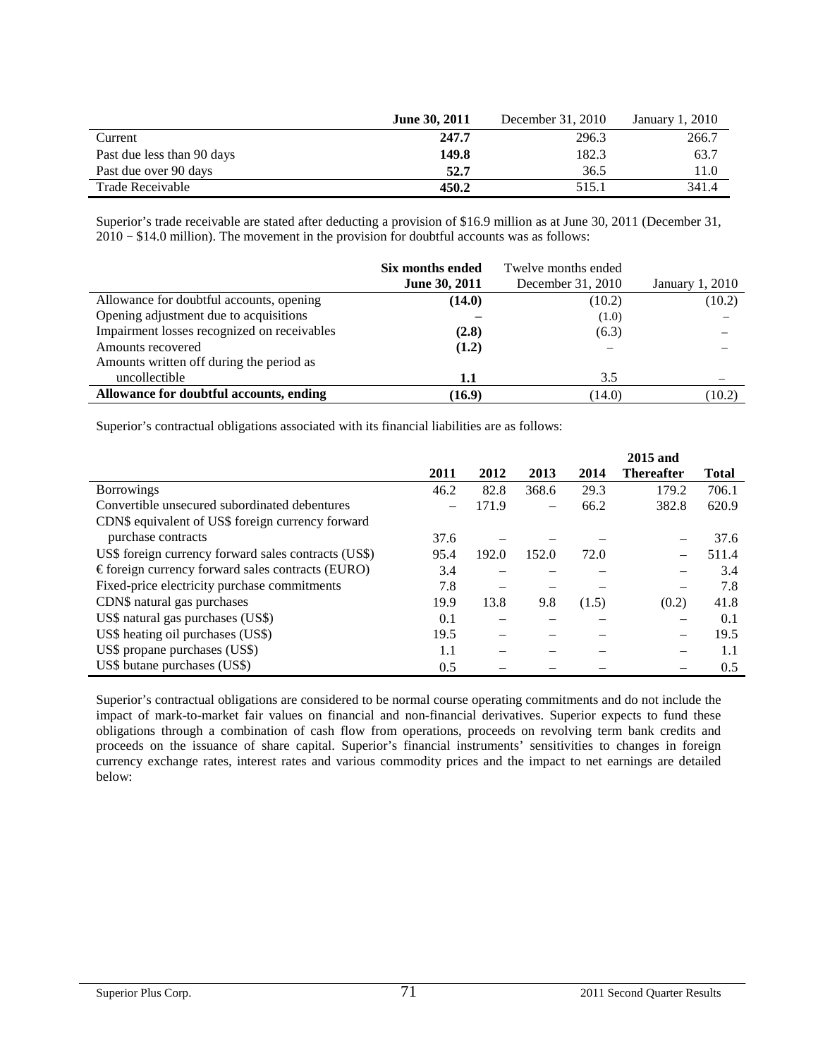|                            | <b>June 30, 2011</b> | December 31, 2010 | January 1, 2010 |
|----------------------------|----------------------|-------------------|-----------------|
| Current                    | 247.7                | 296.3             | 266.7           |
| Past due less than 90 days | 149.8                | 182.3             | 63.7            |
| Past due over 90 days      | 52.7                 | 36.5              | 11.0            |
| Trade Receivable           | 450.2                | 515.1             | 341.4           |

Superior's trade receivable are stated after deducting a provision of \$16.9 million as at June 30, 2011 (December 31, 2010 – \$14.0 million). The movement in the provision for doubtful accounts was as follows:

|                                             | Twelve months ended<br>Six months ended |                   |                 |
|---------------------------------------------|-----------------------------------------|-------------------|-----------------|
|                                             | June 30, 2011                           | December 31, 2010 | January 1, 2010 |
| Allowance for doubtful accounts, opening    | (14.0)                                  | (10.2)            | (10.2)          |
| Opening adjustment due to acquisitions      |                                         | (1.0)             |                 |
| Impairment losses recognized on receivables | (2.8)                                   | (6.3)             |                 |
| Amounts recovered                           | (1.2)                                   |                   |                 |
| Amounts written off during the period as    |                                         |                   |                 |
| uncollectible                               | 1.1                                     | 3.5               |                 |
| Allowance for doubtful accounts, ending     | (16.9)                                  | (14.0)            | (10.2)          |

Superior's contractual obligations associated with its financial liabilities are as follows:

|                                                            |      |       |       |       | 2015 and          |              |
|------------------------------------------------------------|------|-------|-------|-------|-------------------|--------------|
|                                                            | 2011 | 2012  | 2013  | 2014  | <b>Thereafter</b> | <b>Total</b> |
| <b>Borrowings</b>                                          | 46.2 | 82.8  | 368.6 | 29.3  | 179.2             | 706.1        |
| Convertible unsecured subordinated debentures              |      | 171.9 |       | 66.2  | 382.8             | 620.9        |
| CDN\$ equivalent of US\$ foreign currency forward          |      |       |       |       |                   |              |
| purchase contracts                                         | 37.6 |       |       |       |                   | 37.6         |
| US\$ foreign currency forward sales contracts (US\$)       | 95.4 | 192.0 | 152.0 | 72.0  |                   | 511.4        |
| $\epsilon$ foreign currency forward sales contracts (EURO) | 3.4  |       |       |       |                   | 3.4          |
| Fixed-price electricity purchase commitments               | 7.8  |       |       |       |                   | 7.8          |
| CDN\$ natural gas purchases                                | 19.9 | 13.8  | 9.8   | (1.5) | (0.2)             | 41.8         |
| US\$ natural gas purchases (US\$)                          | 0.1  |       |       |       |                   | 0.1          |
| US\$ heating oil purchases (US\$)                          | 19.5 |       |       |       |                   | 19.5         |
| US\$ propane purchases (US\$)                              | 1.1  |       |       |       |                   | 1.1          |
| US\$ butane purchases (US\$)                               | 0.5  |       |       |       |                   | 0.5          |

Superior's contractual obligations are considered to be normal course operating commitments and do not include the impact of mark-to-market fair values on financial and non-financial derivatives. Superior expects to fund these obligations through a combination of cash flow from operations, proceeds on revolving term bank credits and proceeds on the issuance of share capital. Superior's financial instruments' sensitivities to changes in foreign currency exchange rates, interest rates and various commodity prices and the impact to net earnings are detailed below: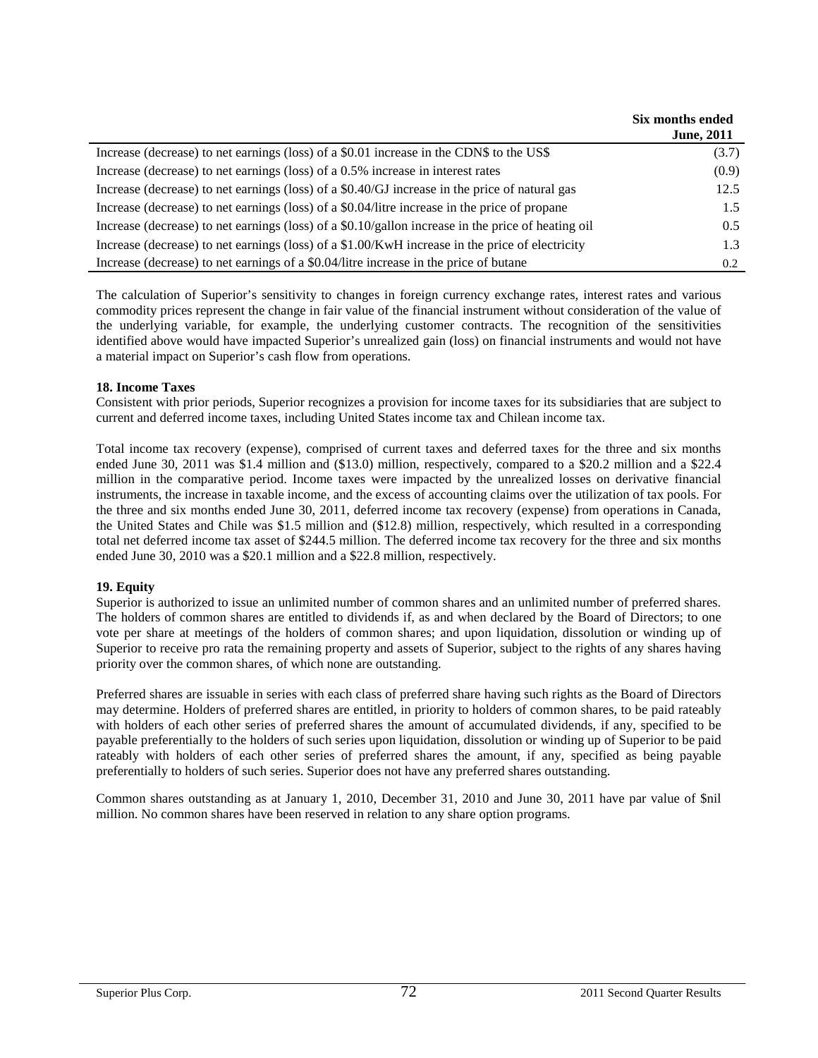|                                                                                                    | Six months ended  |
|----------------------------------------------------------------------------------------------------|-------------------|
|                                                                                                    | <b>June, 2011</b> |
| Increase (decrease) to net earnings (loss) of a \$0.01 increase in the CDN\$ to the US\$           | (3.7)             |
| Increase (decrease) to net earnings (loss) of a 0.5% increase in interest rates                    | (0.9)             |
| Increase (decrease) to net earnings (loss) of a \$0.40/GJ increase in the price of natural gas     | 12.5              |
| Increase (decrease) to net earnings (loss) of a \$0.04/litre increase in the price of propane      | 1.5               |
| Increase (decrease) to net earnings (loss) of a \$0.10/gallon increase in the price of heating oil | 0.5               |
| Increase (decrease) to net earnings (loss) of a $$1.00/KwH$ increase in the price of electricity   | 1.3               |
| Increase (decrease) to net earnings of a \$0.04/litre increase in the price of butane              | 0.2               |

The calculation of Superior's sensitivity to changes in foreign currency exchange rates, interest rates and various commodity prices represent the change in fair value of the financial instrument without consideration of the value of the underlying variable, for example, the underlying customer contracts. The recognition of the sensitivities identified above would have impacted Superior's unrealized gain (loss) on financial instruments and would not have a material impact on Superior's cash flow from operations.

### **18. Income Taxes**

Consistent with prior periods, Superior recognizes a provision for income taxes for its subsidiaries that are subject to current and deferred income taxes, including United States income tax and Chilean income tax.

Total income tax recovery (expense), comprised of current taxes and deferred taxes for the three and six months ended June 30, 2011 was \$1.4 million and (\$13.0) million, respectively, compared to a \$20.2 million and a \$22.4 million in the comparative period. Income taxes were impacted by the unrealized losses on derivative financial instruments, the increase in taxable income, and the excess of accounting claims over the utilization of tax pools. For the three and six months ended June 30, 2011, deferred income tax recovery (expense) from operations in Canada, the United States and Chile was \$1.5 million and (\$12.8) million, respectively, which resulted in a corresponding total net deferred income tax asset of \$244.5 million. The deferred income tax recovery for the three and six months ended June 30, 2010 was a \$20.1 million and a \$22.8 million, respectively.

### **19. Equity**

Superior is authorized to issue an unlimited number of common shares and an unlimited number of preferred shares. The holders of common shares are entitled to dividends if, as and when declared by the Board of Directors; to one vote per share at meetings of the holders of common shares; and upon liquidation, dissolution or winding up of Superior to receive pro rata the remaining property and assets of Superior, subject to the rights of any shares having priority over the common shares, of which none are outstanding.

Preferred shares are issuable in series with each class of preferred share having such rights as the Board of Directors may determine. Holders of preferred shares are entitled, in priority to holders of common shares, to be paid rateably with holders of each other series of preferred shares the amount of accumulated dividends, if any, specified to be payable preferentially to the holders of such series upon liquidation, dissolution or winding up of Superior to be paid rateably with holders of each other series of preferred shares the amount, if any, specified as being payable preferentially to holders of such series. Superior does not have any preferred shares outstanding.

Common shares outstanding as at January 1, 2010, December 31, 2010 and June 30, 2011 have par value of \$nil million. No common shares have been reserved in relation to any share option programs.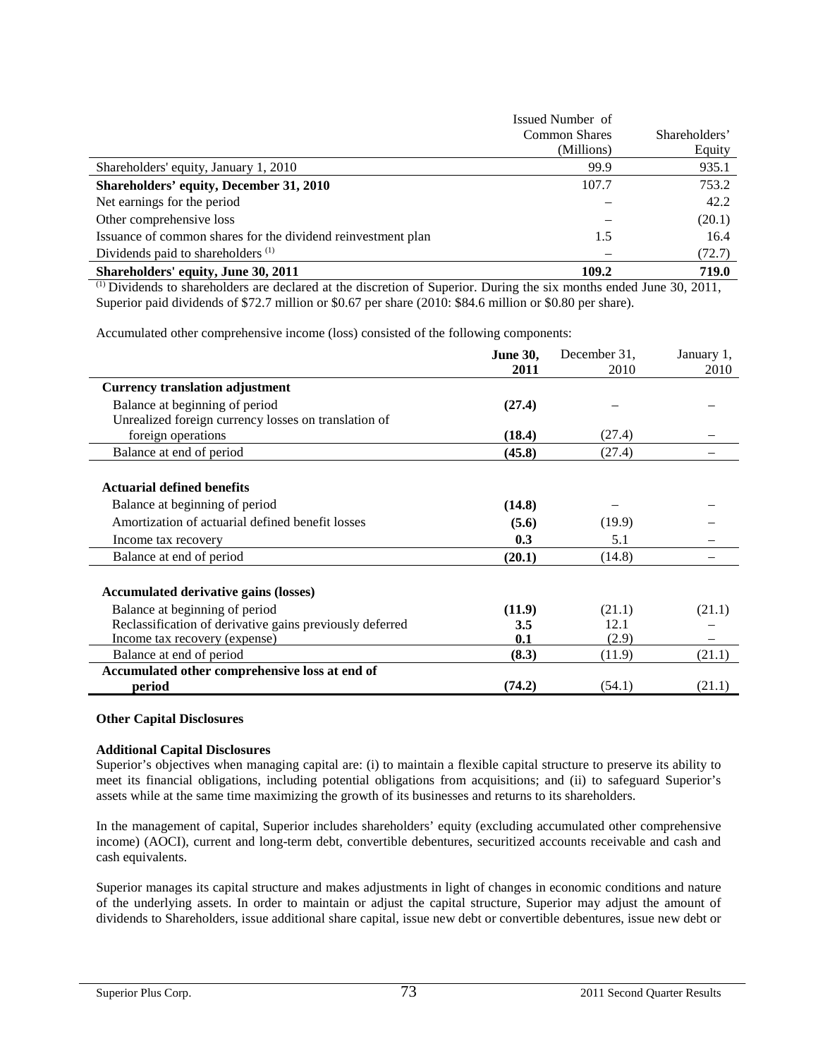|                                                              | Issued Number of     |               |
|--------------------------------------------------------------|----------------------|---------------|
|                                                              | <b>Common Shares</b> | Shareholders' |
|                                                              | (Millions)           | Equity        |
| Shareholders' equity, January 1, 2010                        | 99.9                 | 935.1         |
| <b>Shareholders' equity, December 31, 2010</b>               | 107.7                | 753.2         |
| Net earnings for the period                                  |                      | 42.2          |
| Other comprehensive loss                                     |                      | (20.1)        |
| Issuance of common shares for the dividend reinvestment plan | 1.5                  | 16.4          |
| Dividends paid to shareholders <sup>(1)</sup>                |                      | (72.7)        |
| Shareholders' equity, June 30, 2011                          | 109.2                | 719.0         |

(1) Dividends to shareholders are declared at the discretion of Superior. During the six months ended June 30, 2011, Superior paid dividends of \$72.7 million or \$0.67 per share (2010: \$84.6 million or \$0.80 per share).

Accumulated other comprehensive income (loss) consisted of the following components:

|                                                          | <b>June 30,</b> | December 31. | January 1, |
|----------------------------------------------------------|-----------------|--------------|------------|
|                                                          | 2011            | 2010         | 2010       |
| <b>Currency translation adjustment</b>                   |                 |              |            |
| Balance at beginning of period                           | (27.4)          |              |            |
| Unrealized foreign currency losses on translation of     |                 |              |            |
| foreign operations                                       | (18.4)          | (27.4)       |            |
| Balance at end of period                                 | (45.8)          | (27.4)       |            |
|                                                          |                 |              |            |
| <b>Actuarial defined benefits</b>                        |                 |              |            |
| Balance at beginning of period                           | (14.8)          |              |            |
| Amortization of actuarial defined benefit losses         | (5.6)           | (19.9)       |            |
| Income tax recovery                                      | 0.3             | 5.1          |            |
| Balance at end of period                                 | (20.1)          | (14.8)       |            |
|                                                          |                 |              |            |
| <b>Accumulated derivative gains (losses)</b>             |                 |              |            |
| Balance at beginning of period                           | (11.9)          | (21.1)       | (21.1)     |
| Reclassification of derivative gains previously deferred | 3.5             | 12.1         |            |
| Income tax recovery (expense)                            | 0.1             | (2.9)        |            |
| Balance at end of period                                 | (8.3)           | (11.9)       | (21.1)     |
| Accumulated other comprehensive loss at end of           |                 |              |            |
| period                                                   | (74.2)          | (54.1)       | (21.1)     |

## **Other Capital Disclosures**

## **Additional Capital Disclosures**

Superior's objectives when managing capital are: (i) to maintain a flexible capital structure to preserve its ability to meet its financial obligations, including potential obligations from acquisitions; and (ii) to safeguard Superior's assets while at the same time maximizing the growth of its businesses and returns to its shareholders.

In the management of capital, Superior includes shareholders' equity (excluding accumulated other comprehensive income) (AOCI), current and long-term debt, convertible debentures, securitized accounts receivable and cash and cash equivalents.

Superior manages its capital structure and makes adjustments in light of changes in economic conditions and nature of the underlying assets. In order to maintain or adjust the capital structure, Superior may adjust the amount of dividends to Shareholders, issue additional share capital, issue new debt or convertible debentures, issue new debt or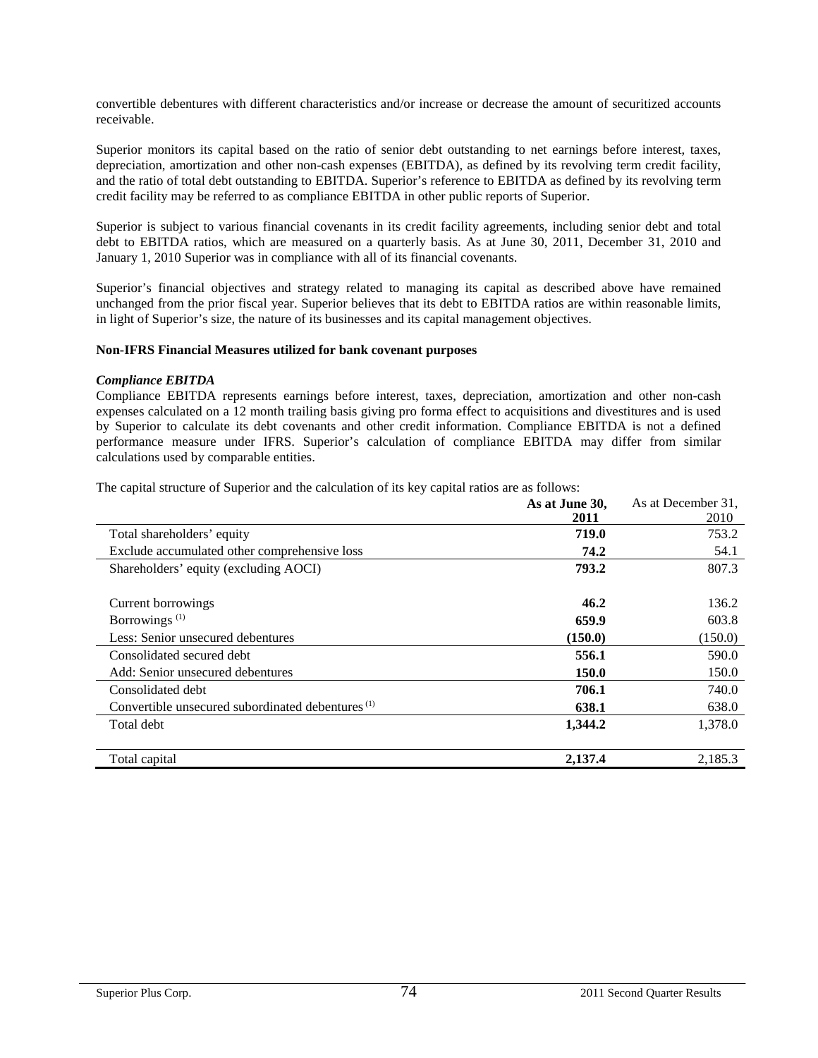convertible debentures with different characteristics and/or increase or decrease the amount of securitized accounts receivable.

Superior monitors its capital based on the ratio of senior debt outstanding to net earnings before interest, taxes, depreciation, amortization and other non-cash expenses (EBITDA), as defined by its revolving term credit facility, and the ratio of total debt outstanding to EBITDA. Superior's reference to EBITDA as defined by its revolving term credit facility may be referred to as compliance EBITDA in other public reports of Superior.

Superior is subject to various financial covenants in its credit facility agreements, including senior debt and total debt to EBITDA ratios, which are measured on a quarterly basis. As at June 30, 2011, December 31, 2010 and January 1, 2010 Superior was in compliance with all of its financial covenants.

Superior's financial objectives and strategy related to managing its capital as described above have remained unchanged from the prior fiscal year. Superior believes that its debt to EBITDA ratios are within reasonable limits, in light of Superior's size, the nature of its businesses and its capital management objectives.

#### **Non-IFRS Financial Measures utilized for bank covenant purposes**

#### *Compliance EBITDA*

Compliance EBITDA represents earnings before interest, taxes, depreciation, amortization and other non-cash expenses calculated on a 12 month trailing basis giving pro forma effect to acquisitions and divestitures and is used by Superior to calculate its debt covenants and other credit information. Compliance EBITDA is not a defined performance measure under IFRS. Superior's calculation of compliance EBITDA may differ from similar calculations used by comparable entities.

The capital structure of Superior and the calculation of its key capital ratios are as follows:

|                                                              | As at June 30, | As at December 31, |
|--------------------------------------------------------------|----------------|--------------------|
|                                                              | 2011           | 2010               |
| Total shareholders' equity                                   | 719.0          | 753.2              |
| Exclude accumulated other comprehensive loss                 | 74.2           | 54.1               |
| Shareholders' equity (excluding AOCI)                        | 793.2          | 807.3              |
| Current borrowings                                           | 46.2           | 136.2              |
| Borrowings <sup>(1)</sup>                                    | 659.9          | 603.8              |
| Less: Senior unsecured debentures                            | (150.0)        | (150.0)            |
| Consolidated secured debt                                    | 556.1          | 590.0              |
| Add: Senior unsecured debentures                             | 150.0          | 150.0              |
| Consolidated debt                                            | 706.1          | 740.0              |
| Convertible unsecured subordinated debentures <sup>(1)</sup> | 638.1          | 638.0              |
| Total debt                                                   | 1,344.2        | 1,378.0            |
| Total capital                                                | 2,137.4        | 2,185.3            |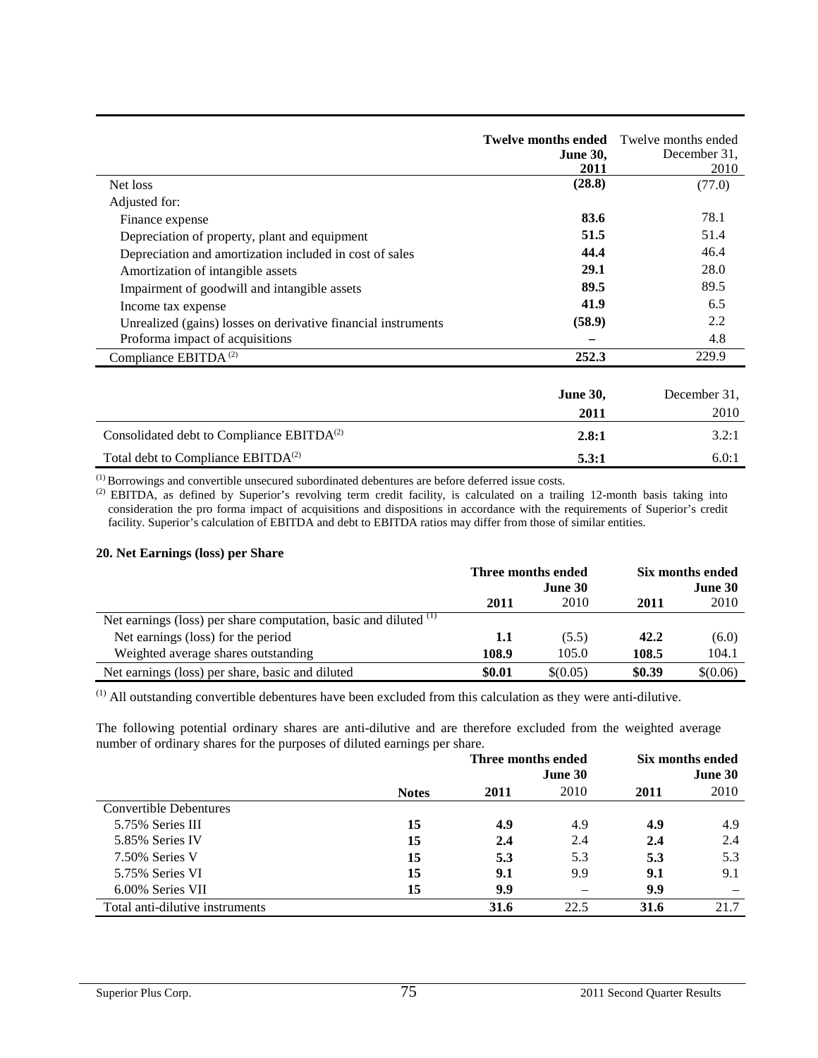|                                                               | <b>Twelve months ended</b> | Twelve months ended |
|---------------------------------------------------------------|----------------------------|---------------------|
|                                                               | <b>June 30,</b>            | December 31,        |
|                                                               | 2011                       | 2010                |
| Net loss                                                      | (28.8)                     | (77.0)              |
| Adjusted for:                                                 |                            |                     |
| Finance expense                                               | 83.6                       | 78.1                |
| Depreciation of property, plant and equipment                 | 51.5                       | 51.4                |
| Depreciation and amortization included in cost of sales       | 44.4                       | 46.4                |
| Amortization of intangible assets                             | 29.1                       | 28.0                |
| Impairment of goodwill and intangible assets                  | 89.5                       | 89.5                |
| Income tax expense                                            | 41.9                       | 6.5                 |
| Unrealized (gains) losses on derivative financial instruments | (58.9)                     | 2.2                 |
| Proforma impact of acquisitions                               |                            | 4.8                 |
| Compliance EBITDA <sup>(2)</sup>                              | 252.3                      | 229.9               |
|                                                               |                            |                     |
|                                                               | <b>June 30,</b>            | December 31,        |
|                                                               | 2011                       | 2010                |
| Consolidated debt to Compliance EBITDA <sup>(2)</sup>         | 2.8:1                      | 3.2:1               |
| Total debt to Compliance $EBITDA^{(2)}$                       | 5.3:1                      | 6.0:1               |

<sup>(1)</sup> Borrowings and convertible unsecured subordinated debentures are before deferred issue costs.

 $^{(2)}$  EBITDA, as defined by Superior's revolving term credit facility, is calculated on a trailing 12-month basis taking into consideration the pro forma impact of acquisitions and dispositions in accordance with the requirements of Superior's credit facility. Superior's calculation of EBITDA and debt to EBITDA ratios may differ from those of similar entities.

## **20. Net Earnings (loss) per Share**

|                                                                             | Three months ended<br>June 30 |          |        | Six months ended<br>June 30 |
|-----------------------------------------------------------------------------|-------------------------------|----------|--------|-----------------------------|
|                                                                             | 2011                          | 2010     | 2011   | 2010                        |
| Net earnings (loss) per share computation, basic and diluted <sup>(1)</sup> |                               |          |        |                             |
| Net earnings (loss) for the period                                          | 1.1                           | (5.5)    | 42.2   | (6.0)                       |
| Weighted average shares outstanding                                         | 108.9                         | 105.0    | 108.5  | 104.1                       |
| Net earnings (loss) per share, basic and diluted                            | \$0.01                        | \$(0.05) | \$0.39 | \$(0.06)                    |

(1) All outstanding convertible debentures have been excluded from this calculation as they were anti-dilutive.

The following potential ordinary shares are anti-dilutive and are therefore excluded from the weighted average number of ordinary shares for the purposes of diluted earnings per share.

|                                 |              | Three months ended<br>June 30 |      | Six months ended<br>June 30 |      |  |
|---------------------------------|--------------|-------------------------------|------|-----------------------------|------|--|
|                                 | <b>Notes</b> | 2011                          | 2010 | 2011                        | 2010 |  |
| Convertible Debentures          |              |                               |      |                             |      |  |
| 5.75% Series III                | 15           | 4.9                           | 4.9  | 4.9                         | 4.9  |  |
| 5.85% Series IV                 | 15           | 2.4                           | 2.4  | 2.4                         | 2.4  |  |
| 7.50% Series V                  | 15           | 5.3                           | 5.3  | 5.3                         | 5.3  |  |
| 5.75% Series VI                 | 15           | 9.1                           | 9.9  | 9.1                         | 9.1  |  |
| 6.00% Series VII                | 15           | 9.9                           |      | 9.9                         |      |  |
| Total anti-dilutive instruments |              | 31.6                          | 22.5 | 31.6                        | 21.7 |  |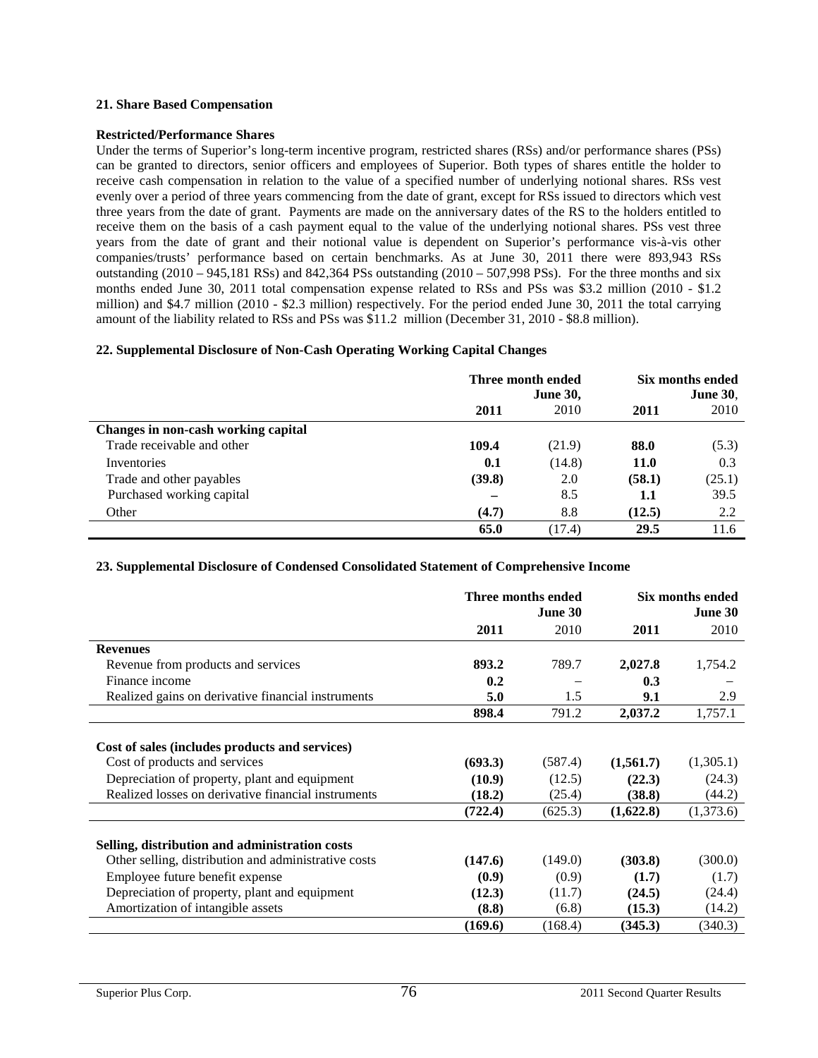## **21. Share Based Compensation**

## **Restricted/Performance Shares**

Under the terms of Superior's long-term incentive program, restricted shares (RSs) and/or performance shares (PSs) can be granted to directors, senior officers and employees of Superior. Both types of shares entitle the holder to receive cash compensation in relation to the value of a specified number of underlying notional shares. RSs vest evenly over a period of three years commencing from the date of grant, except for RSs issued to directors which vest three years from the date of grant. Payments are made on the anniversary dates of the RS to the holders entitled to receive them on the basis of a cash payment equal to the value of the underlying notional shares. PSs vest three years from the date of grant and their notional value is dependent on Superior's performance vis-à-vis other companies/trusts' performance based on certain benchmarks. As at June 30, 2011 there were 893,943 RSs outstanding  $(2010 - 945,181$  RSs) and 842,364 PSs outstanding  $(2010 - 507,998$  PSs). For the three months and six months ended June 30, 2011 total compensation expense related to RSs and PSs was \$3.2 million (2010 - \$1.2 million) and \$4.7 million (2010 - \$2.3 million) respectively. For the period ended June 30, 2011 the total carrying amount of the liability related to RSs and PSs was \$11.2 million (December 31, 2010 - \$8.8 million).

# **22. Supplemental Disclosure of Non-Cash Operating Working Capital Changes**

|                                     | Three month ended<br><b>June 30,</b> |        |             | Six months ended<br><b>June 30,</b> |
|-------------------------------------|--------------------------------------|--------|-------------|-------------------------------------|
|                                     | 2011                                 | 2010   | 2011        | 2010                                |
| Changes in non-cash working capital |                                      |        |             |                                     |
| Trade receivable and other          | 109.4                                | (21.9) | 88.0        | (5.3)                               |
| Inventories                         | 0.1                                  | (14.8) | <b>11.0</b> | 0.3                                 |
| Trade and other payables            | (39.8)                               | 2.0    | (58.1)      | (25.1)                              |
| Purchased working capital           |                                      | 8.5    | 1.1         | 39.5                                |
| Other                               | (4.7)                                | 8.8    | (12.5)      | 2.2                                 |
|                                     | 65.0                                 | (17.4) | 29.5        | 11.6                                |

# **23. Supplemental Disclosure of Condensed Consolidated Statement of Comprehensive Income**

|                                                                                                                                                                                         | Three months ended          |                             | Six months ended              |                               |  |
|-----------------------------------------------------------------------------------------------------------------------------------------------------------------------------------------|-----------------------------|-----------------------------|-------------------------------|-------------------------------|--|
|                                                                                                                                                                                         | June 30                     |                             |                               | June 30                       |  |
|                                                                                                                                                                                         | 2011                        | 2010                        | 2011                          | 2010                          |  |
| <b>Revenues</b>                                                                                                                                                                         |                             |                             |                               |                               |  |
| Revenue from products and services                                                                                                                                                      | 893.2                       | 789.7                       | 2,027.8                       | 1,754.2                       |  |
| Finance income                                                                                                                                                                          | 0.2                         |                             | 0.3                           |                               |  |
| Realized gains on derivative financial instruments                                                                                                                                      | 5.0                         | 1.5                         | 9.1                           | 2.9                           |  |
|                                                                                                                                                                                         | 898.4                       | 791.2                       | 2,037.2                       | 1,757.1                       |  |
| Cost of sales (includes products and services)<br>Cost of products and services<br>Depreciation of property, plant and equipment<br>Realized losses on derivative financial instruments | (693.3)<br>(10.9)<br>(18.2) | (587.4)<br>(12.5)<br>(25.4) | (1,561.7)<br>(22.3)<br>(38.8) | (1,305.1)<br>(24.3)<br>(44.2) |  |
|                                                                                                                                                                                         | (722.4)                     | (625.3)                     | (1,622.8)                     | (1,373.6)                     |  |
| Selling, distribution and administration costs                                                                                                                                          |                             |                             |                               |                               |  |
| Other selling, distribution and administrative costs                                                                                                                                    | (147.6)                     | (149.0)                     | (303.8)                       | (300.0)                       |  |
| Employee future benefit expense                                                                                                                                                         | (0.9)                       | (0.9)                       | (1.7)                         | (1.7)                         |  |
| Depreciation of property, plant and equipment                                                                                                                                           | (12.3)                      | (11.7)                      | (24.5)                        | (24.4)                        |  |
| Amortization of intangible assets                                                                                                                                                       | (8.8)                       | (6.8)                       | (15.3)                        | (14.2)                        |  |
|                                                                                                                                                                                         | (169.6)                     | (168.4)                     | (345.3)                       | (340.3)                       |  |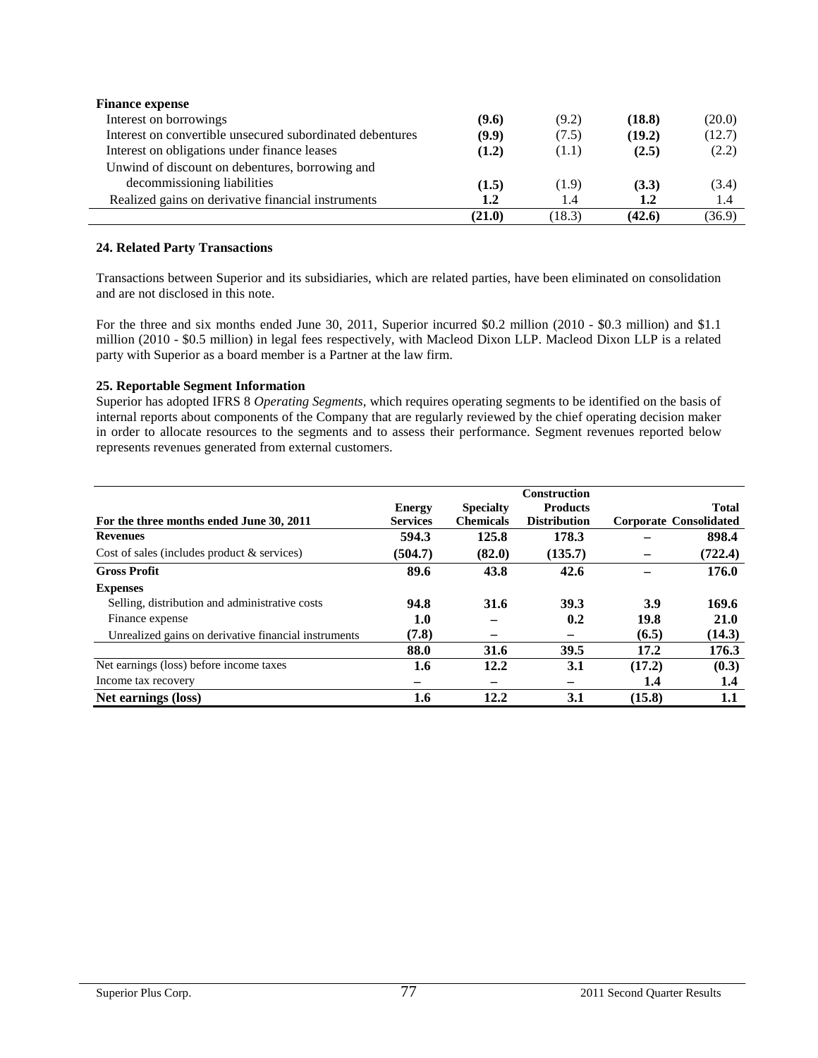| <b>Finance expense</b>                                    |         |        |        |        |
|-----------------------------------------------------------|---------|--------|--------|--------|
| Interest on borrowings                                    | (9.6)   | (9.2)  | (18.8) | (20.0) |
| Interest on convertible unsecured subordinated debentures | (9.9)   | (7.5)  | (19.2) | (12.7) |
| Interest on obligations under finance leases              | (1.2)   | (1.1)  | (2.5)  | (2.2)  |
| Unwind of discount on debentures, borrowing and           |         |        |        |        |
| decommissioning liabilities                               | (1.5)   | (1.9)  | (3.3)  | (3.4)  |
| Realized gains on derivative financial instruments        | $1.2\,$ | 1.4    | 1.2    | 1.4    |
|                                                           | (21.0)  | (18.3) | (42.6) | (36.9) |

#### **24. Related Party Transactions**

Transactions between Superior and its subsidiaries, which are related parties, have been eliminated on consolidation and are not disclosed in this note.

For the three and six months ended June 30, 2011, Superior incurred \$0.2 million (2010 - \$0.3 million) and \$1.1 million (2010 - \$0.5 million) in legal fees respectively, with Macleod Dixon LLP. Macleod Dixon LLP is a related party with Superior as a board member is a Partner at the law firm.

#### **25. Reportable Segment Information**

Superior has adopted IFRS 8 *Operating Segments*, which requires operating segments to be identified on the basis of internal reports about components of the Company that are regularly reviewed by the chief operating decision maker in order to allocate resources to the segments and to assess their performance. Segment revenues reported below represents revenues generated from external customers.

|                                                      |                 |                  | <b>Construction</b> |        |                               |
|------------------------------------------------------|-----------------|------------------|---------------------|--------|-------------------------------|
|                                                      | <b>Energy</b>   | <b>Specialty</b> | <b>Products</b>     |        | <b>Total</b>                  |
| For the three months ended June 30, 2011             | <b>Services</b> | <b>Chemicals</b> | <b>Distribution</b> |        | <b>Corporate Consolidated</b> |
| <b>Revenues</b>                                      | 594.3           | 125.8            | 178.3               |        | 898.4                         |
| Cost of sales (includes product $&$ services)        | (504.7)         | (82.0)           | (135.7)             |        | (722.4)                       |
| <b>Gross Profit</b>                                  | 89.6            | 43.8             | 42.6                |        | 176.0                         |
| <b>Expenses</b>                                      |                 |                  |                     |        |                               |
| Selling, distribution and administrative costs       | 94.8            | 31.6             | 39.3                | 3.9    | 169.6                         |
| Finance expense                                      | 1.0             |                  | 0.2                 | 19.8   | 21.0                          |
| Unrealized gains on derivative financial instruments | (7.8)           |                  |                     | (6.5)  | (14.3)                        |
|                                                      | 88.0            | 31.6             | 39.5                | 17.2   | 176.3                         |
| Net earnings (loss) before income taxes              | 1.6             | 12.2             | 3.1                 | (17.2) | (0.3)                         |
| Income tax recovery                                  | -               |                  |                     | 1.4    | 1.4                           |
| Net earnings (loss)                                  | 1.6             | 12.2             | 3.1                 | (15.8) | $1.1\,$                       |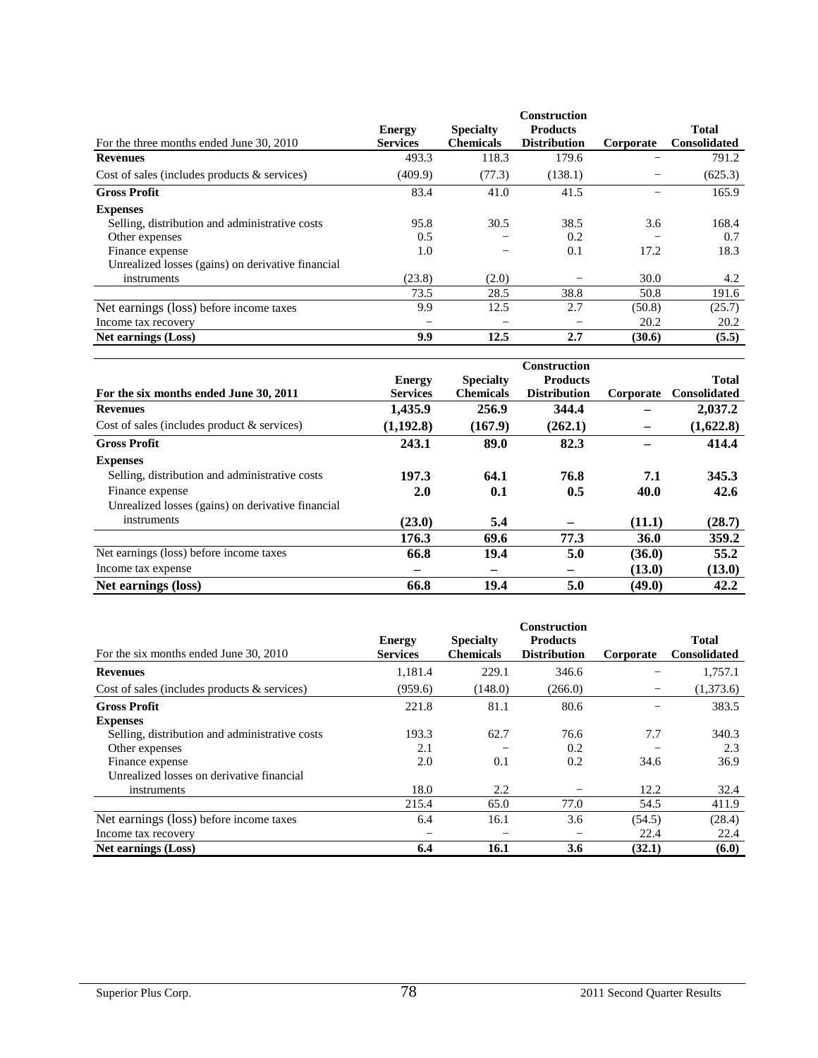|                                                   |                 |                  | <b>Construction</b> |           |                     |
|---------------------------------------------------|-----------------|------------------|---------------------|-----------|---------------------|
|                                                   | <b>Energy</b>   | <b>Specialty</b> | <b>Products</b>     |           | Total               |
| For the three months ended June 30, 2010          | <b>Services</b> | <b>Chemicals</b> | <b>Distribution</b> | Corporate | <b>Consolidated</b> |
| <b>Revenues</b>                                   | 493.3           | 118.3            | 179.6               |           | 791.2               |
| Cost of sales (includes products $\&$ services)   | (409.9)         | (77.3)           | (138.1)             |           | (625.3)             |
| <b>Gross Profit</b>                               | 83.4            | 41.0             | 41.5                |           | 165.9               |
| <b>Expenses</b>                                   |                 |                  |                     |           |                     |
| Selling, distribution and administrative costs    | 95.8            | 30.5             | 38.5                | 3.6       | 168.4               |
| Other expenses                                    | 0.5             |                  | 0.2                 |           | 0.7                 |
| Finance expense                                   | 1.0             |                  | 0.1                 | 17.2      | 18.3                |
| Unrealized losses (gains) on derivative financial |                 |                  |                     |           |                     |
| instruments                                       | (23.8)          | (2.0)            |                     | 30.0      | 4.2                 |
|                                                   | 73.5            | 28.5             | 38.8                | 50.8      | 191.6               |
| Net earnings (loss) before income taxes           | 9.9             | 12.5             | 2.7                 | (50.8)    | (25.7)              |
| Income tax recovery                               |                 |                  |                     | 20.2      | 20.2                |
| <b>Net earnings (Loss)</b>                        | 9.9             | 12.5             | 2.7                 | (30.6)    | (5.5)               |

|                                                   |                 |                  | Construction        |           |                     |
|---------------------------------------------------|-----------------|------------------|---------------------|-----------|---------------------|
|                                                   | <b>Energy</b>   | <b>Specialty</b> | <b>Products</b>     |           | <b>Total</b>        |
| For the six months ended June 30, 2011            | <b>Services</b> | <b>Chemicals</b> | <b>Distribution</b> | Corporate | <b>Consolidated</b> |
| <b>Revenues</b>                                   | 1,435.9         | 256.9            | 344.4               |           | 2,037.2             |
| Cost of sales (includes product $&$ services)     | (1,192.8)       | (167.9)          | (262.1)             |           | (1,622.8)           |
| <b>Gross Profit</b>                               | 243.1           | 89.0             | 82.3                |           | 414.4               |
| <b>Expenses</b>                                   |                 |                  |                     |           |                     |
| Selling, distribution and administrative costs    | 197.3           | 64.1             | 76.8                | 7.1       | 345.3               |
| Finance expense                                   | 2.0             | 0.1              | 0.5                 | 40.0      | 42.6                |
| Unrealized losses (gains) on derivative financial |                 |                  |                     |           |                     |
| instruments                                       | (23.0)          | 5.4              |                     | (11.1)    | (28.7)              |
|                                                   | 176.3           | 69.6             | 77.3                | 36.0      | 359.2               |
| Net earnings (loss) before income taxes           | 66.8            | 19.4             | 5.0                 | (36.0)    | 55.2                |
| Income tax expense                                |                 | -                |                     | (13.0)    | (13.0)              |
| Net earnings (loss)                               | 66.8            | 19.4             | 5.0                 | (49.0)    | 42.2                |

|                                                 | <b>Energy</b>   | <b>Specialty</b> | <b>Products</b>     |                 | <b>Total</b>        |
|-------------------------------------------------|-----------------|------------------|---------------------|-----------------|---------------------|
| For the six months ended June 30, 2010          | <b>Services</b> | <b>Chemicals</b> | <b>Distribution</b> | Corporate       | <b>Consolidated</b> |
| <b>Revenues</b>                                 | 1,181.4         | 229.1            | 346.6               |                 | 1,757.1             |
| Cost of sales (includes products $\&$ services) | (959.6)         | (148.0)          | (266.0)             | $\qquad \qquad$ | (1,373.6)           |
| <b>Gross Profit</b>                             | 221.8           | 81.1             | 80.6                |                 | 383.5               |
| <b>Expenses</b>                                 |                 |                  |                     |                 |                     |
| Selling, distribution and administrative costs  | 193.3           | 62.7             | 76.6                | 7.7             | 340.3               |
| Other expenses                                  | 2.1             |                  | 0.2                 |                 | 2.3                 |
| Finance expense                                 | 2.0             | 0.1              | 0.2                 | 34.6            | 36.9                |
| Unrealized losses on derivative financial       |                 |                  |                     |                 |                     |
| instruments                                     | 18.0            | 2.2              |                     | 12.2            | 32.4                |
|                                                 | 215.4           | 65.0             | 77.0                | 54.5            | 411.9               |
| Net earnings (loss) before income taxes         | 6.4             | 16.1             | 3.6                 | (54.5)          | (28.4)              |
| Income tax recovery                             |                 |                  |                     | 22.4            | 22.4                |
| <b>Net earnings (Loss)</b>                      | 6.4             | 16.1             | 3.6                 | (32.1)          | (6.0)               |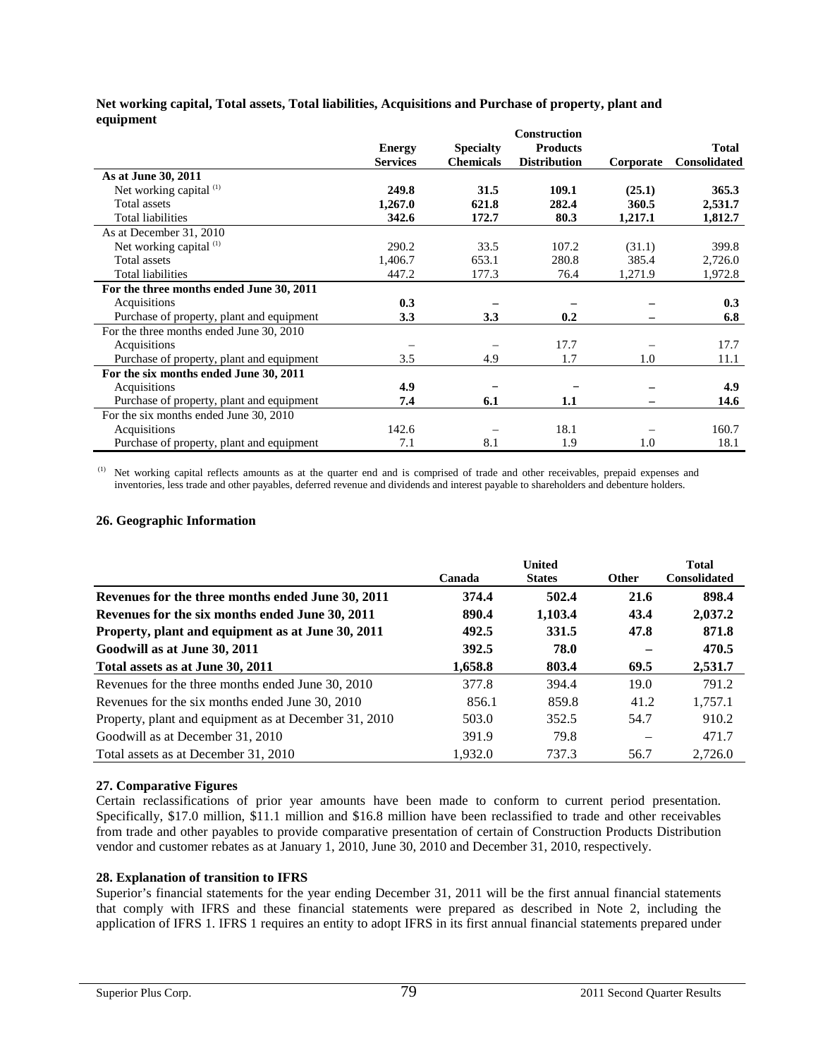|                                           |                 |                  | <b>Construction</b> |           |              |
|-------------------------------------------|-----------------|------------------|---------------------|-----------|--------------|
|                                           | <b>Energy</b>   | <b>Specialty</b> | <b>Products</b>     |           | <b>Total</b> |
|                                           | <b>Services</b> | <b>Chemicals</b> | <b>Distribution</b> | Corporate | Consolidated |
| As at June 30, 2011                       |                 |                  |                     |           |              |
| Net working capital <sup>(1)</sup>        | 249.8           | 31.5             | 109.1               | (25.1)    | 365.3        |
| Total assets                              | 1,267.0         | 621.8            | 282.4               | 360.5     | 2,531.7      |
| <b>Total liabilities</b>                  | 342.6           | 172.7            | 80.3                | 1,217.1   | 1,812.7      |
| As at December 31, 2010                   |                 |                  |                     |           |              |
| Net working capital <sup>(1)</sup>        | 290.2           | 33.5             | 107.2               | (31.1)    | 399.8        |
| Total assets                              | 1,406.7         | 653.1            | 280.8               | 385.4     | 2,726.0      |
| <b>Total liabilities</b>                  | 447.2           | 177.3            | 76.4                | 1,271.9   | 1,972.8      |
| For the three months ended June 30, 2011  |                 |                  |                     |           |              |
| Acquisitions                              | 0.3             |                  |                     |           | 0.3          |
| Purchase of property, plant and equipment | 3.3             | 3.3              | 0.2                 |           | 6.8          |
| For the three months ended June 30, 2010  |                 |                  |                     |           |              |
| Acquisitions                              |                 |                  | 17.7                |           | 17.7         |
| Purchase of property, plant and equipment | 3.5             | 4.9              | 1.7                 | 1.0       | 11.1         |
| For the six months ended June 30, 2011    |                 |                  |                     |           |              |
| Acquisitions                              | 4.9             |                  |                     |           | 4.9          |
| Purchase of property, plant and equipment | 7.4             | 6.1              | 1.1                 |           | 14.6         |
| For the six months ended June 30, 2010    |                 |                  |                     |           |              |
| Acquisitions                              | 142.6           |                  | 18.1                |           | 160.7        |
| Purchase of property, plant and equipment | 7.1             | 8.1              | 1.9                 | 1.0       | 18.1         |

## **Net working capital, Total assets, Total liabilities, Acquisitions and Purchase of property, plant and equipment**

 (1) Net working capital reflects amounts as at the quarter end and is comprised of trade and other receivables, prepaid expenses and inventories, less trade and other payables, deferred revenue and dividends and interest payable to shareholders and debenture holders.

## **26. Geographic Information**

|                                                       | Canada  | <b>United</b><br><b>States</b> | <b>Other</b> | <b>Total</b><br><b>Consolidated</b> |
|-------------------------------------------------------|---------|--------------------------------|--------------|-------------------------------------|
| Revenues for the three months ended June 30, 2011     | 374.4   | 502.4                          | 21.6         | 898.4                               |
| Revenues for the six months ended June 30, 2011       | 890.4   | 1,103.4                        | 43.4         | 2,037.2                             |
| Property, plant and equipment as at June 30, 2011     | 492.5   | 331.5                          | 47.8         | 871.8                               |
| Goodwill as at June 30, 2011                          | 392.5   | 78.0                           |              | 470.5                               |
| Total assets as at June 30, 2011                      | 1,658.8 | 803.4                          | 69.5         | 2,531.7                             |
| Revenues for the three months ended June 30, 2010     | 377.8   | 394.4                          | 19.0         | 791.2                               |
| Revenues for the six months ended June 30, 2010       | 856.1   | 859.8                          | 41.2         | 1,757.1                             |
| Property, plant and equipment as at December 31, 2010 | 503.0   | 352.5                          | 54.7         | 910.2                               |
| Goodwill as at December 31, 2010                      | 391.9   | 79.8                           |              | 471.7                               |
| Total assets as at December 31, 2010                  | 1,932.0 | 737.3                          | 56.7         | 2,726.0                             |

# **27. Comparative Figures**

Certain reclassifications of prior year amounts have been made to conform to current period presentation. Specifically, \$17.0 million, \$11.1 million and \$16.8 million have been reclassified to trade and other receivables from trade and other payables to provide comparative presentation of certain of Construction Products Distribution vendor and customer rebates as at January 1, 2010, June 30, 2010 and December 31, 2010, respectively.

## **28. Explanation of transition to IFRS**

Superior's financial statements for the year ending December 31, 2011 will be the first annual financial statements that comply with IFRS and these financial statements were prepared as described in Note 2, including the application of IFRS 1. IFRS 1 requires an entity to adopt IFRS in its first annual financial statements prepared under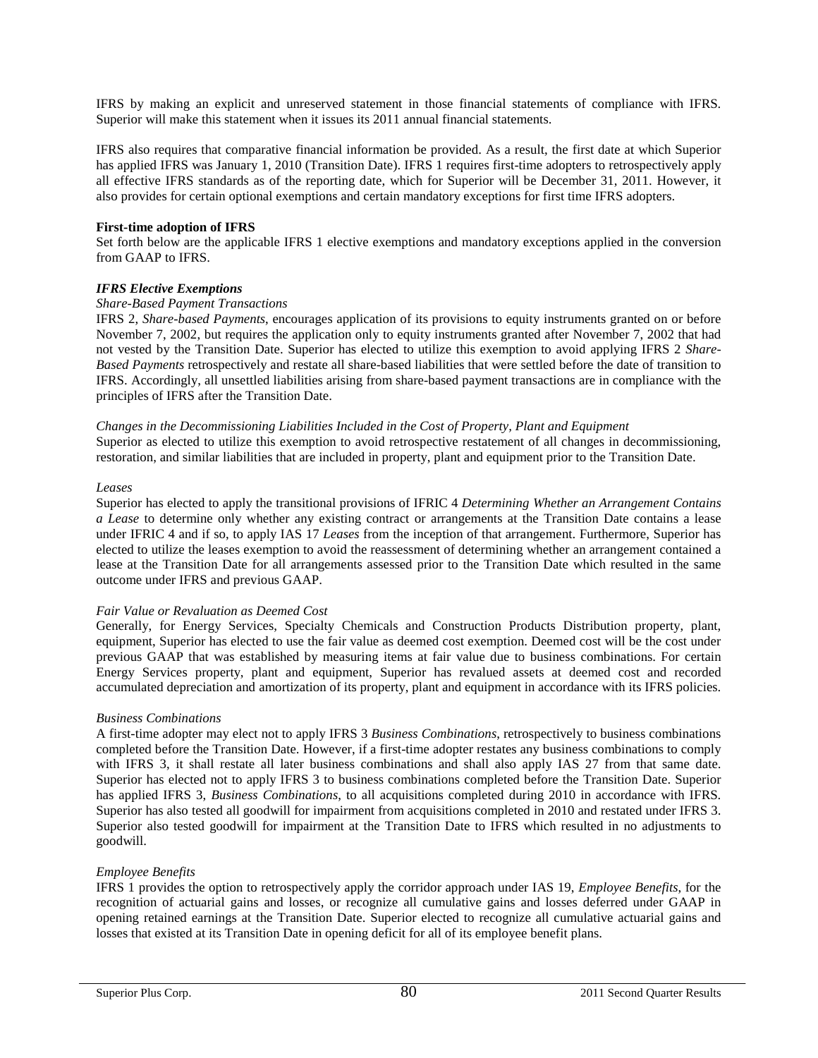IFRS by making an explicit and unreserved statement in those financial statements of compliance with IFRS. Superior will make this statement when it issues its 2011 annual financial statements.

IFRS also requires that comparative financial information be provided. As a result, the first date at which Superior has applied IFRS was January 1, 2010 (Transition Date). IFRS 1 requires first-time adopters to retrospectively apply all effective IFRS standards as of the reporting date, which for Superior will be December 31, 2011. However, it also provides for certain optional exemptions and certain mandatory exceptions for first time IFRS adopters.

#### **First-time adoption of IFRS**

Set forth below are the applicable IFRS 1 elective exemptions and mandatory exceptions applied in the conversion from GAAP to IFRS.

## *IFRS Elective Exemptions*

#### *Share-Based Payment Transactions*

IFRS 2, *Share-based Payments*, encourages application of its provisions to equity instruments granted on or before November 7, 2002, but requires the application only to equity instruments granted after November 7, 2002 that had not vested by the Transition Date. Superior has elected to utilize this exemption to avoid applying IFRS 2 *Share-Based Payments* retrospectively and restate all share-based liabilities that were settled before the date of transition to IFRS. Accordingly, all unsettled liabilities arising from share-based payment transactions are in compliance with the principles of IFRS after the Transition Date.

*Changes in the Decommissioning Liabilities Included in the Cost of Property, Plant and Equipment*  Superior as elected to utilize this exemption to avoid retrospective restatement of all changes in decommissioning, restoration, and similar liabilities that are included in property, plant and equipment prior to the Transition Date.

#### *Leases*

Superior has elected to apply the transitional provisions of IFRIC 4 *Determining Whether an Arrangement Contains a Lease* to determine only whether any existing contract or arrangements at the Transition Date contains a lease under IFRIC 4 and if so, to apply IAS 17 *Leases* from the inception of that arrangement. Furthermore, Superior has elected to utilize the leases exemption to avoid the reassessment of determining whether an arrangement contained a lease at the Transition Date for all arrangements assessed prior to the Transition Date which resulted in the same outcome under IFRS and previous GAAP.

#### *Fair Value or Revaluation as Deemed Cost*

Generally, for Energy Services, Specialty Chemicals and Construction Products Distribution property, plant, equipment, Superior has elected to use the fair value as deemed cost exemption. Deemed cost will be the cost under previous GAAP that was established by measuring items at fair value due to business combinations. For certain Energy Services property, plant and equipment, Superior has revalued assets at deemed cost and recorded accumulated depreciation and amortization of its property, plant and equipment in accordance with its IFRS policies.

#### *Business Combinations*

A first-time adopter may elect not to apply IFRS 3 *Business Combinations*, retrospectively to business combinations completed before the Transition Date. However, if a first-time adopter restates any business combinations to comply with IFRS 3, it shall restate all later business combinations and shall also apply IAS 27 from that same date. Superior has elected not to apply IFRS 3 to business combinations completed before the Transition Date. Superior has applied IFRS 3, *Business Combinations*, to all acquisitions completed during 2010 in accordance with IFRS. Superior has also tested all goodwill for impairment from acquisitions completed in 2010 and restated under IFRS 3. Superior also tested goodwill for impairment at the Transition Date to IFRS which resulted in no adjustments to goodwill.

## *Employee Benefits*

IFRS 1 provides the option to retrospectively apply the corridor approach under IAS 19, *Employee Benefits*, for the recognition of actuarial gains and losses, or recognize all cumulative gains and losses deferred under GAAP in opening retained earnings at the Transition Date. Superior elected to recognize all cumulative actuarial gains and losses that existed at its Transition Date in opening deficit for all of its employee benefit plans.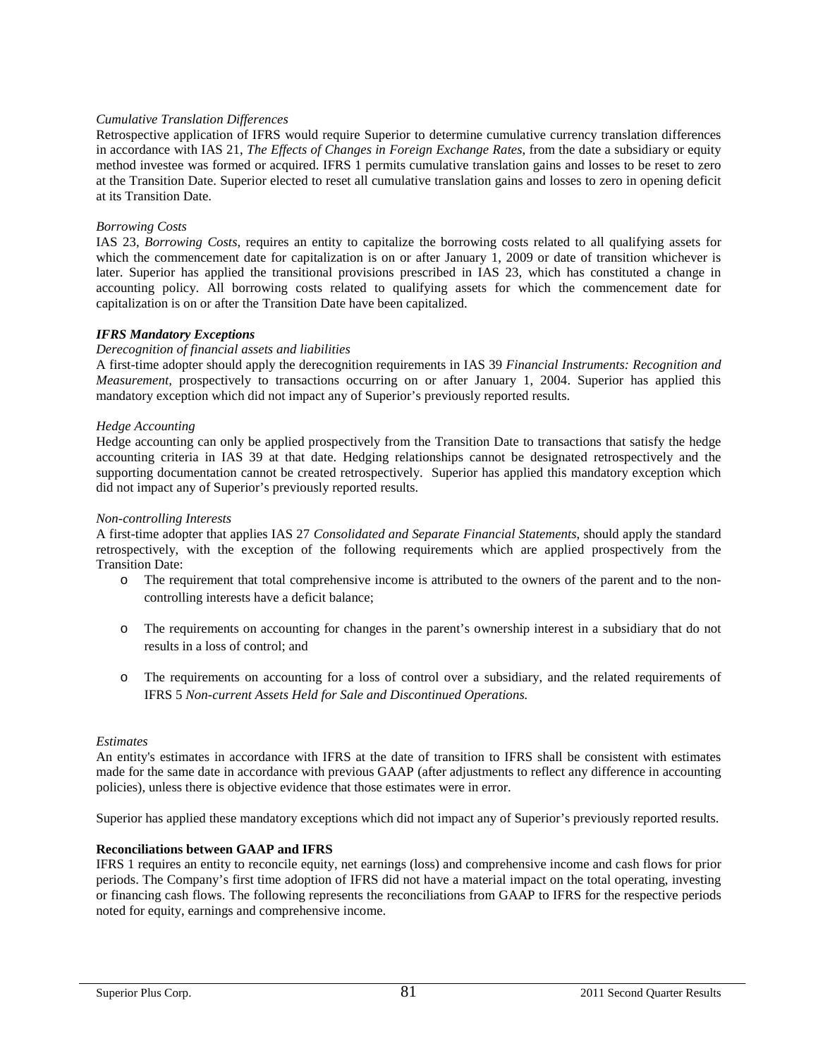## *Cumulative Translation Differences*

Retrospective application of IFRS would require Superior to determine cumulative currency translation differences in accordance with IAS 21, *The Effects of Changes in Foreign Exchange Rates*, from the date a subsidiary or equity method investee was formed or acquired. IFRS 1 permits cumulative translation gains and losses to be reset to zero at the Transition Date. Superior elected to reset all cumulative translation gains and losses to zero in opening deficit at its Transition Date.

## *Borrowing Costs*

IAS 23, *Borrowing Costs*, requires an entity to capitalize the borrowing costs related to all qualifying assets for which the commencement date for capitalization is on or after January 1, 2009 or date of transition whichever is later. Superior has applied the transitional provisions prescribed in IAS 23, which has constituted a change in accounting policy. All borrowing costs related to qualifying assets for which the commencement date for capitalization is on or after the Transition Date have been capitalized.

## *IFRS Mandatory Exceptions*

## *Derecognition of financial assets and liabilities*

A first-time adopter should apply the derecognition requirements in IAS 39 *Financial Instruments: Recognition and Measurement,* prospectively to transactions occurring on or after January 1, 2004. Superior has applied this mandatory exception which did not impact any of Superior's previously reported results.

## *Hedge Accounting*

Hedge accounting can only be applied prospectively from the Transition Date to transactions that satisfy the hedge accounting criteria in IAS 39 at that date. Hedging relationships cannot be designated retrospectively and the supporting documentation cannot be created retrospectively. Superior has applied this mandatory exception which did not impact any of Superior's previously reported results.

## *Non-controlling Interests*

A first-time adopter that applies IAS 27 *Consolidated and Separate Financial Statements*, should apply the standard retrospectively, with the exception of the following requirements which are applied prospectively from the Transition Date:

- o The requirement that total comprehensive income is attributed to the owners of the parent and to the noncontrolling interests have a deficit balance;
- o The requirements on accounting for changes in the parent's ownership interest in a subsidiary that do not results in a loss of control; and
- o The requirements on accounting for a loss of control over a subsidiary, and the related requirements of IFRS 5 *Non-current Assets Held for Sale and Discontinued Operations.*

## *Estimates*

An entity's estimates in accordance with IFRS at the date of transition to IFRS shall be consistent with estimates made for the same date in accordance with previous GAAP (after adjustments to reflect any difference in accounting policies), unless there is objective evidence that those estimates were in error.

Superior has applied these mandatory exceptions which did not impact any of Superior's previously reported results.

## **Reconciliations between GAAP and IFRS**

IFRS 1 requires an entity to reconcile equity, net earnings (loss) and comprehensive income and cash flows for prior periods. The Company's first time adoption of IFRS did not have a material impact on the total operating, investing or financing cash flows. The following represents the reconciliations from GAAP to IFRS for the respective periods noted for equity, earnings and comprehensive income.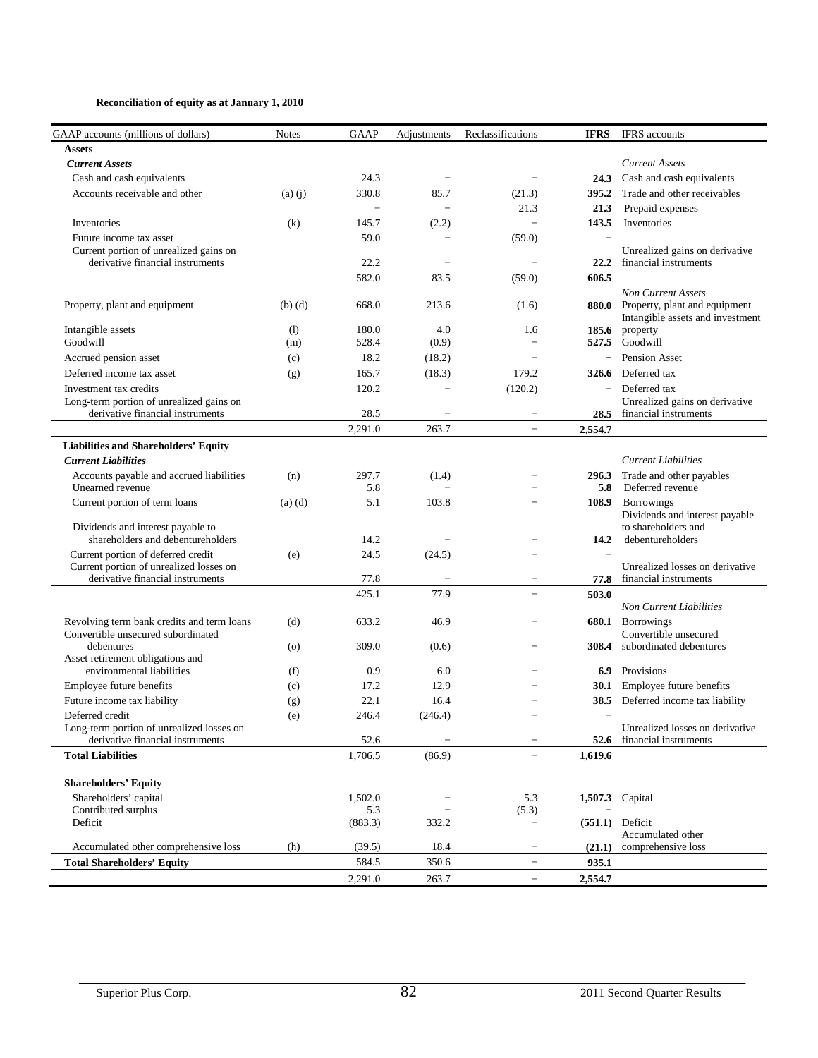## **Reconciliation of equity as at January 1, 2010**

| <b>Assets</b><br><b>Current Assets</b><br><b>Current Assets</b><br>24.3<br>Cash and cash equivalents<br>24.3 Cash and cash equivalents<br>Accounts receivable and other<br>330.8<br>Trade and other receivables<br>85.7<br>(21.3)<br>395.2<br>$(a)$ $(i)$<br>21.3<br>21.3<br>Prepaid expenses<br>$\overline{\phantom{0}}$<br>145.7<br>Inventories<br>(k)<br>(2.2)<br>143.5<br>Inventories<br>59.0<br>Future income tax asset<br>(59.0)<br>Current portion of unrealized gains on<br>Unrealized gains on derivative<br>derivative financial instruments<br>22.2<br>financial instruments<br>22.2<br>$\overline{\phantom{0}}$<br>83.5<br>582.0<br>(59.0)<br>606.5<br>Non Current Assets<br>668.0<br>213.6<br>880.0<br>Property, plant and equipment<br>Property, plant and equipment<br>$(b)$ $(d)$<br>(1.6)<br>Intangible assets and investment<br>180.0<br>Intangible assets<br>(1)<br>4.0<br>185.6<br>property<br>1.6<br>Goodwill<br>Goodwill<br>528.4<br>(0.9)<br>527.5<br>(m)<br>Accrued pension asset<br>18.2<br>(18.2)<br>Pension Asset<br>(c)<br>Ē,<br>Deferred income tax asset<br>165.7<br>(18.3)<br>179.2<br>Deferred tax<br>(g)<br>326.6<br>Deferred tax<br>Investment tax credits<br>120.2<br>(120.2)<br>$\overline{\phantom{0}}$<br>$\overline{\phantom{0}}$<br>Long-term portion of unrealized gains on<br>Unrealized gains on derivative<br>derivative financial instruments<br>28.5<br>financial instruments<br>28.5<br>$\overline{\phantom{0}}$<br>$\overline{\phantom{0}}$<br>2,291.0<br>263.7<br>2,554.7<br>$\overline{\phantom{m}}$<br>Liabilities and Shareholders' Equity<br><b>Current Liabilities</b><br><b>Current Liabilities</b><br>Accounts payable and accrued liabilities<br>297.7<br>Trade and other payables<br>(n)<br>(1.4)<br>296.3<br>Deferred revenue<br>Unearned revenue<br>5.8<br>5.8<br>5.1<br>103.8<br>108.9<br>$(a)$ $(d)$<br><b>Borrowings</b><br>Current portion of term loans<br>Dividends and interest payable<br>to shareholders and<br>Dividends and interest payable to<br>shareholders and debentureholders<br>14.2<br>14.2<br>debentureholders<br>Current portion of deferred credit<br>(e)<br>24.5<br>(24.5)<br>Current portion of unrealized losses on<br>Unrealized losses on derivative<br>77.8<br>77.8<br>derivative financial instruments<br>financial instruments<br>503.0<br>425.1<br>77.9<br>Non Current Liabilities<br>Borrowings<br>Revolving term bank credits and term loans<br>633.2<br>46.9<br>(d)<br>680.1<br>Convertible unsecured<br>Convertible unsecured subordinated<br>subordinated debentures<br>debentures<br>309.0<br>(0.6)<br>308.4<br>$\circ$<br>Asset retirement obligations and<br>environmental liabilities<br>0.9<br>6.0<br>6.9<br>Provisions<br>(f)<br>17.2<br>Employee future benefits<br>12.9<br>Employee future benefits<br>(c)<br><b>30.1</b><br>22.1<br>16.4<br>38.5 Deferred income tax liability<br>Future income tax liability<br>(g)<br>Deferred credit<br>246.4<br>(246.4)<br>(e)<br>$\overline{\phantom{0}}$<br>Long-term portion of unrealized losses on<br>Unrealized losses on derivative<br>derivative financial instruments<br>52.6<br>52.6<br>financial instruments<br><b>Total Liabilities</b><br>1,706.5<br>(86.9)<br>1,619.6<br><b>Shareholders' Equity</b><br>Shareholders' capital<br>1,502.0<br>1,507.3 Capital<br>5.3<br>5.3<br>(5.3)<br>Contributed surplus<br>Deficit<br>(883.3)<br>332.2<br>$(551.1)$ Deficit<br>$\qquad \qquad -$<br>Accumulated other<br>Accumulated other comprehensive loss<br>(39.5)<br>18.4<br>(21.1)<br>comprehensive loss<br>(h)<br>$\overline{\phantom{0}}$<br>935.1<br><b>Total Shareholders' Equity</b><br>584.5<br>350.6<br>$\overline{\phantom{m}}$ | GAAP accounts (millions of dollars) | <b>Notes</b> | <b>GAAP</b> | Adjustments | Reclassifications | <b>IFRS</b> | IFRS accounts |
|----------------------------------------------------------------------------------------------------------------------------------------------------------------------------------------------------------------------------------------------------------------------------------------------------------------------------------------------------------------------------------------------------------------------------------------------------------------------------------------------------------------------------------------------------------------------------------------------------------------------------------------------------------------------------------------------------------------------------------------------------------------------------------------------------------------------------------------------------------------------------------------------------------------------------------------------------------------------------------------------------------------------------------------------------------------------------------------------------------------------------------------------------------------------------------------------------------------------------------------------------------------------------------------------------------------------------------------------------------------------------------------------------------------------------------------------------------------------------------------------------------------------------------------------------------------------------------------------------------------------------------------------------------------------------------------------------------------------------------------------------------------------------------------------------------------------------------------------------------------------------------------------------------------------------------------------------------------------------------------------------------------------------------------------------------------------------------------------------------------------------------------------------------------------------------------------------------------------------------------------------------------------------------------------------------------------------------------------------------------------------------------------------------------------------------------------------------------------------------------------------------------------------------------------------------------------------------------------------------------------------------------------------------------------------------------------------------------------------------------------------------------------------------------------------------------------------------------------------------------------------------------------------------------------------------------------------------------------------------------------------------------------------------------------------------------------------------------------------------------------------------------------------------------------------------------------------------------------------------------------------------------------------------------------------------------------------------------------------------------------------------------------------------------------------------------------------------------------------------------------------------------------------------------------------------------------------------------------------------------------------------------------------------------------------------------------|-------------------------------------|--------------|-------------|-------------|-------------------|-------------|---------------|
|                                                                                                                                                                                                                                                                                                                                                                                                                                                                                                                                                                                                                                                                                                                                                                                                                                                                                                                                                                                                                                                                                                                                                                                                                                                                                                                                                                                                                                                                                                                                                                                                                                                                                                                                                                                                                                                                                                                                                                                                                                                                                                                                                                                                                                                                                                                                                                                                                                                                                                                                                                                                                                                                                                                                                                                                                                                                                                                                                                                                                                                                                                                                                                                                                                                                                                                                                                                                                                                                                                                                                                                                                                                                                              |                                     |              |             |             |                   |             |               |
|                                                                                                                                                                                                                                                                                                                                                                                                                                                                                                                                                                                                                                                                                                                                                                                                                                                                                                                                                                                                                                                                                                                                                                                                                                                                                                                                                                                                                                                                                                                                                                                                                                                                                                                                                                                                                                                                                                                                                                                                                                                                                                                                                                                                                                                                                                                                                                                                                                                                                                                                                                                                                                                                                                                                                                                                                                                                                                                                                                                                                                                                                                                                                                                                                                                                                                                                                                                                                                                                                                                                                                                                                                                                                              |                                     |              |             |             |                   |             |               |
|                                                                                                                                                                                                                                                                                                                                                                                                                                                                                                                                                                                                                                                                                                                                                                                                                                                                                                                                                                                                                                                                                                                                                                                                                                                                                                                                                                                                                                                                                                                                                                                                                                                                                                                                                                                                                                                                                                                                                                                                                                                                                                                                                                                                                                                                                                                                                                                                                                                                                                                                                                                                                                                                                                                                                                                                                                                                                                                                                                                                                                                                                                                                                                                                                                                                                                                                                                                                                                                                                                                                                                                                                                                                                              |                                     |              |             |             |                   |             |               |
|                                                                                                                                                                                                                                                                                                                                                                                                                                                                                                                                                                                                                                                                                                                                                                                                                                                                                                                                                                                                                                                                                                                                                                                                                                                                                                                                                                                                                                                                                                                                                                                                                                                                                                                                                                                                                                                                                                                                                                                                                                                                                                                                                                                                                                                                                                                                                                                                                                                                                                                                                                                                                                                                                                                                                                                                                                                                                                                                                                                                                                                                                                                                                                                                                                                                                                                                                                                                                                                                                                                                                                                                                                                                                              |                                     |              |             |             |                   |             |               |
|                                                                                                                                                                                                                                                                                                                                                                                                                                                                                                                                                                                                                                                                                                                                                                                                                                                                                                                                                                                                                                                                                                                                                                                                                                                                                                                                                                                                                                                                                                                                                                                                                                                                                                                                                                                                                                                                                                                                                                                                                                                                                                                                                                                                                                                                                                                                                                                                                                                                                                                                                                                                                                                                                                                                                                                                                                                                                                                                                                                                                                                                                                                                                                                                                                                                                                                                                                                                                                                                                                                                                                                                                                                                                              |                                     |              |             |             |                   |             |               |
|                                                                                                                                                                                                                                                                                                                                                                                                                                                                                                                                                                                                                                                                                                                                                                                                                                                                                                                                                                                                                                                                                                                                                                                                                                                                                                                                                                                                                                                                                                                                                                                                                                                                                                                                                                                                                                                                                                                                                                                                                                                                                                                                                                                                                                                                                                                                                                                                                                                                                                                                                                                                                                                                                                                                                                                                                                                                                                                                                                                                                                                                                                                                                                                                                                                                                                                                                                                                                                                                                                                                                                                                                                                                                              |                                     |              |             |             |                   |             |               |
|                                                                                                                                                                                                                                                                                                                                                                                                                                                                                                                                                                                                                                                                                                                                                                                                                                                                                                                                                                                                                                                                                                                                                                                                                                                                                                                                                                                                                                                                                                                                                                                                                                                                                                                                                                                                                                                                                                                                                                                                                                                                                                                                                                                                                                                                                                                                                                                                                                                                                                                                                                                                                                                                                                                                                                                                                                                                                                                                                                                                                                                                                                                                                                                                                                                                                                                                                                                                                                                                                                                                                                                                                                                                                              |                                     |              |             |             |                   |             |               |
|                                                                                                                                                                                                                                                                                                                                                                                                                                                                                                                                                                                                                                                                                                                                                                                                                                                                                                                                                                                                                                                                                                                                                                                                                                                                                                                                                                                                                                                                                                                                                                                                                                                                                                                                                                                                                                                                                                                                                                                                                                                                                                                                                                                                                                                                                                                                                                                                                                                                                                                                                                                                                                                                                                                                                                                                                                                                                                                                                                                                                                                                                                                                                                                                                                                                                                                                                                                                                                                                                                                                                                                                                                                                                              |                                     |              |             |             |                   |             |               |
|                                                                                                                                                                                                                                                                                                                                                                                                                                                                                                                                                                                                                                                                                                                                                                                                                                                                                                                                                                                                                                                                                                                                                                                                                                                                                                                                                                                                                                                                                                                                                                                                                                                                                                                                                                                                                                                                                                                                                                                                                                                                                                                                                                                                                                                                                                                                                                                                                                                                                                                                                                                                                                                                                                                                                                                                                                                                                                                                                                                                                                                                                                                                                                                                                                                                                                                                                                                                                                                                                                                                                                                                                                                                                              |                                     |              |             |             |                   |             |               |
|                                                                                                                                                                                                                                                                                                                                                                                                                                                                                                                                                                                                                                                                                                                                                                                                                                                                                                                                                                                                                                                                                                                                                                                                                                                                                                                                                                                                                                                                                                                                                                                                                                                                                                                                                                                                                                                                                                                                                                                                                                                                                                                                                                                                                                                                                                                                                                                                                                                                                                                                                                                                                                                                                                                                                                                                                                                                                                                                                                                                                                                                                                                                                                                                                                                                                                                                                                                                                                                                                                                                                                                                                                                                                              |                                     |              |             |             |                   |             |               |
|                                                                                                                                                                                                                                                                                                                                                                                                                                                                                                                                                                                                                                                                                                                                                                                                                                                                                                                                                                                                                                                                                                                                                                                                                                                                                                                                                                                                                                                                                                                                                                                                                                                                                                                                                                                                                                                                                                                                                                                                                                                                                                                                                                                                                                                                                                                                                                                                                                                                                                                                                                                                                                                                                                                                                                                                                                                                                                                                                                                                                                                                                                                                                                                                                                                                                                                                                                                                                                                                                                                                                                                                                                                                                              |                                     |              |             |             |                   |             |               |
|                                                                                                                                                                                                                                                                                                                                                                                                                                                                                                                                                                                                                                                                                                                                                                                                                                                                                                                                                                                                                                                                                                                                                                                                                                                                                                                                                                                                                                                                                                                                                                                                                                                                                                                                                                                                                                                                                                                                                                                                                                                                                                                                                                                                                                                                                                                                                                                                                                                                                                                                                                                                                                                                                                                                                                                                                                                                                                                                                                                                                                                                                                                                                                                                                                                                                                                                                                                                                                                                                                                                                                                                                                                                                              |                                     |              |             |             |                   |             |               |
|                                                                                                                                                                                                                                                                                                                                                                                                                                                                                                                                                                                                                                                                                                                                                                                                                                                                                                                                                                                                                                                                                                                                                                                                                                                                                                                                                                                                                                                                                                                                                                                                                                                                                                                                                                                                                                                                                                                                                                                                                                                                                                                                                                                                                                                                                                                                                                                                                                                                                                                                                                                                                                                                                                                                                                                                                                                                                                                                                                                                                                                                                                                                                                                                                                                                                                                                                                                                                                                                                                                                                                                                                                                                                              |                                     |              |             |             |                   |             |               |
|                                                                                                                                                                                                                                                                                                                                                                                                                                                                                                                                                                                                                                                                                                                                                                                                                                                                                                                                                                                                                                                                                                                                                                                                                                                                                                                                                                                                                                                                                                                                                                                                                                                                                                                                                                                                                                                                                                                                                                                                                                                                                                                                                                                                                                                                                                                                                                                                                                                                                                                                                                                                                                                                                                                                                                                                                                                                                                                                                                                                                                                                                                                                                                                                                                                                                                                                                                                                                                                                                                                                                                                                                                                                                              |                                     |              |             |             |                   |             |               |
|                                                                                                                                                                                                                                                                                                                                                                                                                                                                                                                                                                                                                                                                                                                                                                                                                                                                                                                                                                                                                                                                                                                                                                                                                                                                                                                                                                                                                                                                                                                                                                                                                                                                                                                                                                                                                                                                                                                                                                                                                                                                                                                                                                                                                                                                                                                                                                                                                                                                                                                                                                                                                                                                                                                                                                                                                                                                                                                                                                                                                                                                                                                                                                                                                                                                                                                                                                                                                                                                                                                                                                                                                                                                                              |                                     |              |             |             |                   |             |               |
|                                                                                                                                                                                                                                                                                                                                                                                                                                                                                                                                                                                                                                                                                                                                                                                                                                                                                                                                                                                                                                                                                                                                                                                                                                                                                                                                                                                                                                                                                                                                                                                                                                                                                                                                                                                                                                                                                                                                                                                                                                                                                                                                                                                                                                                                                                                                                                                                                                                                                                                                                                                                                                                                                                                                                                                                                                                                                                                                                                                                                                                                                                                                                                                                                                                                                                                                                                                                                                                                                                                                                                                                                                                                                              |                                     |              |             |             |                   |             |               |
|                                                                                                                                                                                                                                                                                                                                                                                                                                                                                                                                                                                                                                                                                                                                                                                                                                                                                                                                                                                                                                                                                                                                                                                                                                                                                                                                                                                                                                                                                                                                                                                                                                                                                                                                                                                                                                                                                                                                                                                                                                                                                                                                                                                                                                                                                                                                                                                                                                                                                                                                                                                                                                                                                                                                                                                                                                                                                                                                                                                                                                                                                                                                                                                                                                                                                                                                                                                                                                                                                                                                                                                                                                                                                              |                                     |              |             |             |                   |             |               |
|                                                                                                                                                                                                                                                                                                                                                                                                                                                                                                                                                                                                                                                                                                                                                                                                                                                                                                                                                                                                                                                                                                                                                                                                                                                                                                                                                                                                                                                                                                                                                                                                                                                                                                                                                                                                                                                                                                                                                                                                                                                                                                                                                                                                                                                                                                                                                                                                                                                                                                                                                                                                                                                                                                                                                                                                                                                                                                                                                                                                                                                                                                                                                                                                                                                                                                                                                                                                                                                                                                                                                                                                                                                                                              |                                     |              |             |             |                   |             |               |
|                                                                                                                                                                                                                                                                                                                                                                                                                                                                                                                                                                                                                                                                                                                                                                                                                                                                                                                                                                                                                                                                                                                                                                                                                                                                                                                                                                                                                                                                                                                                                                                                                                                                                                                                                                                                                                                                                                                                                                                                                                                                                                                                                                                                                                                                                                                                                                                                                                                                                                                                                                                                                                                                                                                                                                                                                                                                                                                                                                                                                                                                                                                                                                                                                                                                                                                                                                                                                                                                                                                                                                                                                                                                                              |                                     |              |             |             |                   |             |               |
|                                                                                                                                                                                                                                                                                                                                                                                                                                                                                                                                                                                                                                                                                                                                                                                                                                                                                                                                                                                                                                                                                                                                                                                                                                                                                                                                                                                                                                                                                                                                                                                                                                                                                                                                                                                                                                                                                                                                                                                                                                                                                                                                                                                                                                                                                                                                                                                                                                                                                                                                                                                                                                                                                                                                                                                                                                                                                                                                                                                                                                                                                                                                                                                                                                                                                                                                                                                                                                                                                                                                                                                                                                                                                              |                                     |              |             |             |                   |             |               |
|                                                                                                                                                                                                                                                                                                                                                                                                                                                                                                                                                                                                                                                                                                                                                                                                                                                                                                                                                                                                                                                                                                                                                                                                                                                                                                                                                                                                                                                                                                                                                                                                                                                                                                                                                                                                                                                                                                                                                                                                                                                                                                                                                                                                                                                                                                                                                                                                                                                                                                                                                                                                                                                                                                                                                                                                                                                                                                                                                                                                                                                                                                                                                                                                                                                                                                                                                                                                                                                                                                                                                                                                                                                                                              |                                     |              |             |             |                   |             |               |
|                                                                                                                                                                                                                                                                                                                                                                                                                                                                                                                                                                                                                                                                                                                                                                                                                                                                                                                                                                                                                                                                                                                                                                                                                                                                                                                                                                                                                                                                                                                                                                                                                                                                                                                                                                                                                                                                                                                                                                                                                                                                                                                                                                                                                                                                                                                                                                                                                                                                                                                                                                                                                                                                                                                                                                                                                                                                                                                                                                                                                                                                                                                                                                                                                                                                                                                                                                                                                                                                                                                                                                                                                                                                                              |                                     |              |             |             |                   |             |               |
|                                                                                                                                                                                                                                                                                                                                                                                                                                                                                                                                                                                                                                                                                                                                                                                                                                                                                                                                                                                                                                                                                                                                                                                                                                                                                                                                                                                                                                                                                                                                                                                                                                                                                                                                                                                                                                                                                                                                                                                                                                                                                                                                                                                                                                                                                                                                                                                                                                                                                                                                                                                                                                                                                                                                                                                                                                                                                                                                                                                                                                                                                                                                                                                                                                                                                                                                                                                                                                                                                                                                                                                                                                                                                              |                                     |              |             |             |                   |             |               |
|                                                                                                                                                                                                                                                                                                                                                                                                                                                                                                                                                                                                                                                                                                                                                                                                                                                                                                                                                                                                                                                                                                                                                                                                                                                                                                                                                                                                                                                                                                                                                                                                                                                                                                                                                                                                                                                                                                                                                                                                                                                                                                                                                                                                                                                                                                                                                                                                                                                                                                                                                                                                                                                                                                                                                                                                                                                                                                                                                                                                                                                                                                                                                                                                                                                                                                                                                                                                                                                                                                                                                                                                                                                                                              |                                     |              |             |             |                   |             |               |
|                                                                                                                                                                                                                                                                                                                                                                                                                                                                                                                                                                                                                                                                                                                                                                                                                                                                                                                                                                                                                                                                                                                                                                                                                                                                                                                                                                                                                                                                                                                                                                                                                                                                                                                                                                                                                                                                                                                                                                                                                                                                                                                                                                                                                                                                                                                                                                                                                                                                                                                                                                                                                                                                                                                                                                                                                                                                                                                                                                                                                                                                                                                                                                                                                                                                                                                                                                                                                                                                                                                                                                                                                                                                                              |                                     |              |             |             |                   |             |               |
|                                                                                                                                                                                                                                                                                                                                                                                                                                                                                                                                                                                                                                                                                                                                                                                                                                                                                                                                                                                                                                                                                                                                                                                                                                                                                                                                                                                                                                                                                                                                                                                                                                                                                                                                                                                                                                                                                                                                                                                                                                                                                                                                                                                                                                                                                                                                                                                                                                                                                                                                                                                                                                                                                                                                                                                                                                                                                                                                                                                                                                                                                                                                                                                                                                                                                                                                                                                                                                                                                                                                                                                                                                                                                              |                                     |              |             |             |                   |             |               |
|                                                                                                                                                                                                                                                                                                                                                                                                                                                                                                                                                                                                                                                                                                                                                                                                                                                                                                                                                                                                                                                                                                                                                                                                                                                                                                                                                                                                                                                                                                                                                                                                                                                                                                                                                                                                                                                                                                                                                                                                                                                                                                                                                                                                                                                                                                                                                                                                                                                                                                                                                                                                                                                                                                                                                                                                                                                                                                                                                                                                                                                                                                                                                                                                                                                                                                                                                                                                                                                                                                                                                                                                                                                                                              |                                     |              |             |             |                   |             |               |
|                                                                                                                                                                                                                                                                                                                                                                                                                                                                                                                                                                                                                                                                                                                                                                                                                                                                                                                                                                                                                                                                                                                                                                                                                                                                                                                                                                                                                                                                                                                                                                                                                                                                                                                                                                                                                                                                                                                                                                                                                                                                                                                                                                                                                                                                                                                                                                                                                                                                                                                                                                                                                                                                                                                                                                                                                                                                                                                                                                                                                                                                                                                                                                                                                                                                                                                                                                                                                                                                                                                                                                                                                                                                                              |                                     |              |             |             |                   |             |               |
|                                                                                                                                                                                                                                                                                                                                                                                                                                                                                                                                                                                                                                                                                                                                                                                                                                                                                                                                                                                                                                                                                                                                                                                                                                                                                                                                                                                                                                                                                                                                                                                                                                                                                                                                                                                                                                                                                                                                                                                                                                                                                                                                                                                                                                                                                                                                                                                                                                                                                                                                                                                                                                                                                                                                                                                                                                                                                                                                                                                                                                                                                                                                                                                                                                                                                                                                                                                                                                                                                                                                                                                                                                                                                              |                                     |              |             |             |                   |             |               |
|                                                                                                                                                                                                                                                                                                                                                                                                                                                                                                                                                                                                                                                                                                                                                                                                                                                                                                                                                                                                                                                                                                                                                                                                                                                                                                                                                                                                                                                                                                                                                                                                                                                                                                                                                                                                                                                                                                                                                                                                                                                                                                                                                                                                                                                                                                                                                                                                                                                                                                                                                                                                                                                                                                                                                                                                                                                                                                                                                                                                                                                                                                                                                                                                                                                                                                                                                                                                                                                                                                                                                                                                                                                                                              |                                     |              |             |             |                   |             |               |
|                                                                                                                                                                                                                                                                                                                                                                                                                                                                                                                                                                                                                                                                                                                                                                                                                                                                                                                                                                                                                                                                                                                                                                                                                                                                                                                                                                                                                                                                                                                                                                                                                                                                                                                                                                                                                                                                                                                                                                                                                                                                                                                                                                                                                                                                                                                                                                                                                                                                                                                                                                                                                                                                                                                                                                                                                                                                                                                                                                                                                                                                                                                                                                                                                                                                                                                                                                                                                                                                                                                                                                                                                                                                                              |                                     |              |             |             |                   |             |               |
|                                                                                                                                                                                                                                                                                                                                                                                                                                                                                                                                                                                                                                                                                                                                                                                                                                                                                                                                                                                                                                                                                                                                                                                                                                                                                                                                                                                                                                                                                                                                                                                                                                                                                                                                                                                                                                                                                                                                                                                                                                                                                                                                                                                                                                                                                                                                                                                                                                                                                                                                                                                                                                                                                                                                                                                                                                                                                                                                                                                                                                                                                                                                                                                                                                                                                                                                                                                                                                                                                                                                                                                                                                                                                              |                                     |              |             |             |                   |             |               |
|                                                                                                                                                                                                                                                                                                                                                                                                                                                                                                                                                                                                                                                                                                                                                                                                                                                                                                                                                                                                                                                                                                                                                                                                                                                                                                                                                                                                                                                                                                                                                                                                                                                                                                                                                                                                                                                                                                                                                                                                                                                                                                                                                                                                                                                                                                                                                                                                                                                                                                                                                                                                                                                                                                                                                                                                                                                                                                                                                                                                                                                                                                                                                                                                                                                                                                                                                                                                                                                                                                                                                                                                                                                                                              |                                     |              |             |             |                   |             |               |
|                                                                                                                                                                                                                                                                                                                                                                                                                                                                                                                                                                                                                                                                                                                                                                                                                                                                                                                                                                                                                                                                                                                                                                                                                                                                                                                                                                                                                                                                                                                                                                                                                                                                                                                                                                                                                                                                                                                                                                                                                                                                                                                                                                                                                                                                                                                                                                                                                                                                                                                                                                                                                                                                                                                                                                                                                                                                                                                                                                                                                                                                                                                                                                                                                                                                                                                                                                                                                                                                                                                                                                                                                                                                                              |                                     |              |             |             |                   |             |               |
|                                                                                                                                                                                                                                                                                                                                                                                                                                                                                                                                                                                                                                                                                                                                                                                                                                                                                                                                                                                                                                                                                                                                                                                                                                                                                                                                                                                                                                                                                                                                                                                                                                                                                                                                                                                                                                                                                                                                                                                                                                                                                                                                                                                                                                                                                                                                                                                                                                                                                                                                                                                                                                                                                                                                                                                                                                                                                                                                                                                                                                                                                                                                                                                                                                                                                                                                                                                                                                                                                                                                                                                                                                                                                              |                                     |              |             |             |                   |             |               |
|                                                                                                                                                                                                                                                                                                                                                                                                                                                                                                                                                                                                                                                                                                                                                                                                                                                                                                                                                                                                                                                                                                                                                                                                                                                                                                                                                                                                                                                                                                                                                                                                                                                                                                                                                                                                                                                                                                                                                                                                                                                                                                                                                                                                                                                                                                                                                                                                                                                                                                                                                                                                                                                                                                                                                                                                                                                                                                                                                                                                                                                                                                                                                                                                                                                                                                                                                                                                                                                                                                                                                                                                                                                                                              |                                     |              |             |             |                   |             |               |
|                                                                                                                                                                                                                                                                                                                                                                                                                                                                                                                                                                                                                                                                                                                                                                                                                                                                                                                                                                                                                                                                                                                                                                                                                                                                                                                                                                                                                                                                                                                                                                                                                                                                                                                                                                                                                                                                                                                                                                                                                                                                                                                                                                                                                                                                                                                                                                                                                                                                                                                                                                                                                                                                                                                                                                                                                                                                                                                                                                                                                                                                                                                                                                                                                                                                                                                                                                                                                                                                                                                                                                                                                                                                                              |                                     |              |             |             |                   |             |               |
|                                                                                                                                                                                                                                                                                                                                                                                                                                                                                                                                                                                                                                                                                                                                                                                                                                                                                                                                                                                                                                                                                                                                                                                                                                                                                                                                                                                                                                                                                                                                                                                                                                                                                                                                                                                                                                                                                                                                                                                                                                                                                                                                                                                                                                                                                                                                                                                                                                                                                                                                                                                                                                                                                                                                                                                                                                                                                                                                                                                                                                                                                                                                                                                                                                                                                                                                                                                                                                                                                                                                                                                                                                                                                              |                                     |              |             |             |                   |             |               |
|                                                                                                                                                                                                                                                                                                                                                                                                                                                                                                                                                                                                                                                                                                                                                                                                                                                                                                                                                                                                                                                                                                                                                                                                                                                                                                                                                                                                                                                                                                                                                                                                                                                                                                                                                                                                                                                                                                                                                                                                                                                                                                                                                                                                                                                                                                                                                                                                                                                                                                                                                                                                                                                                                                                                                                                                                                                                                                                                                                                                                                                                                                                                                                                                                                                                                                                                                                                                                                                                                                                                                                                                                                                                                              |                                     |              |             |             |                   |             |               |
|                                                                                                                                                                                                                                                                                                                                                                                                                                                                                                                                                                                                                                                                                                                                                                                                                                                                                                                                                                                                                                                                                                                                                                                                                                                                                                                                                                                                                                                                                                                                                                                                                                                                                                                                                                                                                                                                                                                                                                                                                                                                                                                                                                                                                                                                                                                                                                                                                                                                                                                                                                                                                                                                                                                                                                                                                                                                                                                                                                                                                                                                                                                                                                                                                                                                                                                                                                                                                                                                                                                                                                                                                                                                                              |                                     |              |             |             |                   |             |               |
|                                                                                                                                                                                                                                                                                                                                                                                                                                                                                                                                                                                                                                                                                                                                                                                                                                                                                                                                                                                                                                                                                                                                                                                                                                                                                                                                                                                                                                                                                                                                                                                                                                                                                                                                                                                                                                                                                                                                                                                                                                                                                                                                                                                                                                                                                                                                                                                                                                                                                                                                                                                                                                                                                                                                                                                                                                                                                                                                                                                                                                                                                                                                                                                                                                                                                                                                                                                                                                                                                                                                                                                                                                                                                              |                                     |              |             |             |                   |             |               |
|                                                                                                                                                                                                                                                                                                                                                                                                                                                                                                                                                                                                                                                                                                                                                                                                                                                                                                                                                                                                                                                                                                                                                                                                                                                                                                                                                                                                                                                                                                                                                                                                                                                                                                                                                                                                                                                                                                                                                                                                                                                                                                                                                                                                                                                                                                                                                                                                                                                                                                                                                                                                                                                                                                                                                                                                                                                                                                                                                                                                                                                                                                                                                                                                                                                                                                                                                                                                                                                                                                                                                                                                                                                                                              |                                     |              |             |             |                   |             |               |
|                                                                                                                                                                                                                                                                                                                                                                                                                                                                                                                                                                                                                                                                                                                                                                                                                                                                                                                                                                                                                                                                                                                                                                                                                                                                                                                                                                                                                                                                                                                                                                                                                                                                                                                                                                                                                                                                                                                                                                                                                                                                                                                                                                                                                                                                                                                                                                                                                                                                                                                                                                                                                                                                                                                                                                                                                                                                                                                                                                                                                                                                                                                                                                                                                                                                                                                                                                                                                                                                                                                                                                                                                                                                                              |                                     |              |             |             |                   |             |               |
|                                                                                                                                                                                                                                                                                                                                                                                                                                                                                                                                                                                                                                                                                                                                                                                                                                                                                                                                                                                                                                                                                                                                                                                                                                                                                                                                                                                                                                                                                                                                                                                                                                                                                                                                                                                                                                                                                                                                                                                                                                                                                                                                                                                                                                                                                                                                                                                                                                                                                                                                                                                                                                                                                                                                                                                                                                                                                                                                                                                                                                                                                                                                                                                                                                                                                                                                                                                                                                                                                                                                                                                                                                                                                              |                                     |              |             |             |                   |             |               |
|                                                                                                                                                                                                                                                                                                                                                                                                                                                                                                                                                                                                                                                                                                                                                                                                                                                                                                                                                                                                                                                                                                                                                                                                                                                                                                                                                                                                                                                                                                                                                                                                                                                                                                                                                                                                                                                                                                                                                                                                                                                                                                                                                                                                                                                                                                                                                                                                                                                                                                                                                                                                                                                                                                                                                                                                                                                                                                                                                                                                                                                                                                                                                                                                                                                                                                                                                                                                                                                                                                                                                                                                                                                                                              |                                     |              |             |             |                   |             |               |
|                                                                                                                                                                                                                                                                                                                                                                                                                                                                                                                                                                                                                                                                                                                                                                                                                                                                                                                                                                                                                                                                                                                                                                                                                                                                                                                                                                                                                                                                                                                                                                                                                                                                                                                                                                                                                                                                                                                                                                                                                                                                                                                                                                                                                                                                                                                                                                                                                                                                                                                                                                                                                                                                                                                                                                                                                                                                                                                                                                                                                                                                                                                                                                                                                                                                                                                                                                                                                                                                                                                                                                                                                                                                                              |                                     |              |             |             |                   |             |               |
|                                                                                                                                                                                                                                                                                                                                                                                                                                                                                                                                                                                                                                                                                                                                                                                                                                                                                                                                                                                                                                                                                                                                                                                                                                                                                                                                                                                                                                                                                                                                                                                                                                                                                                                                                                                                                                                                                                                                                                                                                                                                                                                                                                                                                                                                                                                                                                                                                                                                                                                                                                                                                                                                                                                                                                                                                                                                                                                                                                                                                                                                                                                                                                                                                                                                                                                                                                                                                                                                                                                                                                                                                                                                                              |                                     |              |             |             |                   |             |               |
|                                                                                                                                                                                                                                                                                                                                                                                                                                                                                                                                                                                                                                                                                                                                                                                                                                                                                                                                                                                                                                                                                                                                                                                                                                                                                                                                                                                                                                                                                                                                                                                                                                                                                                                                                                                                                                                                                                                                                                                                                                                                                                                                                                                                                                                                                                                                                                                                                                                                                                                                                                                                                                                                                                                                                                                                                                                                                                                                                                                                                                                                                                                                                                                                                                                                                                                                                                                                                                                                                                                                                                                                                                                                                              |                                     |              |             |             |                   |             |               |
|                                                                                                                                                                                                                                                                                                                                                                                                                                                                                                                                                                                                                                                                                                                                                                                                                                                                                                                                                                                                                                                                                                                                                                                                                                                                                                                                                                                                                                                                                                                                                                                                                                                                                                                                                                                                                                                                                                                                                                                                                                                                                                                                                                                                                                                                                                                                                                                                                                                                                                                                                                                                                                                                                                                                                                                                                                                                                                                                                                                                                                                                                                                                                                                                                                                                                                                                                                                                                                                                                                                                                                                                                                                                                              |                                     |              |             |             |                   |             |               |
|                                                                                                                                                                                                                                                                                                                                                                                                                                                                                                                                                                                                                                                                                                                                                                                                                                                                                                                                                                                                                                                                                                                                                                                                                                                                                                                                                                                                                                                                                                                                                                                                                                                                                                                                                                                                                                                                                                                                                                                                                                                                                                                                                                                                                                                                                                                                                                                                                                                                                                                                                                                                                                                                                                                                                                                                                                                                                                                                                                                                                                                                                                                                                                                                                                                                                                                                                                                                                                                                                                                                                                                                                                                                                              |                                     |              |             |             |                   |             |               |
|                                                                                                                                                                                                                                                                                                                                                                                                                                                                                                                                                                                                                                                                                                                                                                                                                                                                                                                                                                                                                                                                                                                                                                                                                                                                                                                                                                                                                                                                                                                                                                                                                                                                                                                                                                                                                                                                                                                                                                                                                                                                                                                                                                                                                                                                                                                                                                                                                                                                                                                                                                                                                                                                                                                                                                                                                                                                                                                                                                                                                                                                                                                                                                                                                                                                                                                                                                                                                                                                                                                                                                                                                                                                                              |                                     |              |             |             |                   |             |               |
|                                                                                                                                                                                                                                                                                                                                                                                                                                                                                                                                                                                                                                                                                                                                                                                                                                                                                                                                                                                                                                                                                                                                                                                                                                                                                                                                                                                                                                                                                                                                                                                                                                                                                                                                                                                                                                                                                                                                                                                                                                                                                                                                                                                                                                                                                                                                                                                                                                                                                                                                                                                                                                                                                                                                                                                                                                                                                                                                                                                                                                                                                                                                                                                                                                                                                                                                                                                                                                                                                                                                                                                                                                                                                              |                                     |              | 2,291.0     | 263.7       | $\qquad \qquad -$ | 2,554.7     |               |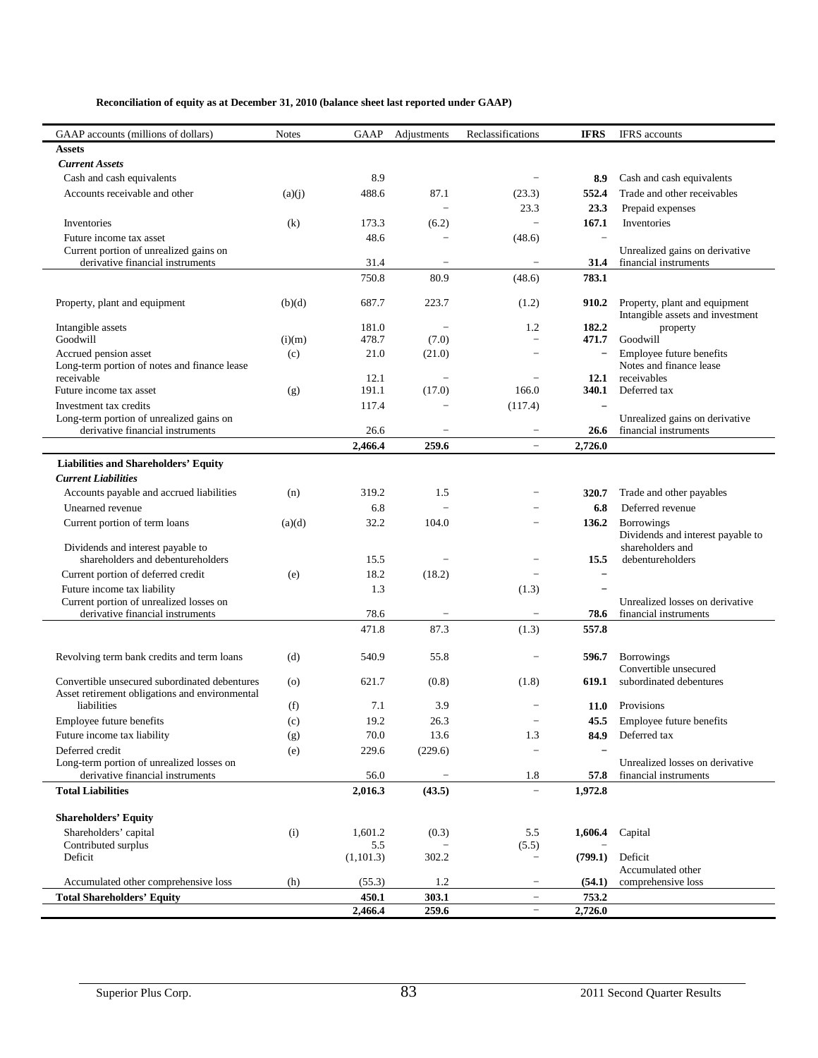**Reconciliation of equity as at December 31, 2010 (balance sheet last reported under GAAP)** 

| GAAP accounts (millions of dollars)                                        | <b>Notes</b> | GAAP          | Adjustments              | Reclassifications        | <b>IFRS</b>   | <b>IFRS</b> accounts                                              |
|----------------------------------------------------------------------------|--------------|---------------|--------------------------|--------------------------|---------------|-------------------------------------------------------------------|
| <b>Assets</b>                                                              |              |               |                          |                          |               |                                                                   |
| <b>Current Assets</b>                                                      |              |               |                          |                          |               |                                                                   |
| Cash and cash equivalents                                                  |              | 8.9           |                          | $\overline{\phantom{0}}$ | 8.9           | Cash and cash equivalents                                         |
| Accounts receivable and other                                              | (a)(j)       | 488.6         | 87.1                     | (23.3)                   | 552.4         | Trade and other receivables                                       |
|                                                                            |              |               | $\overline{\phantom{0}}$ | 23.3                     | 23.3          | Prepaid expenses                                                  |
| Inventories                                                                | (k)          | 173.3         | (6.2)                    | L,                       | 167.1         | Inventories                                                       |
| Future income tax asset                                                    |              | 48.6          |                          | (48.6)                   |               |                                                                   |
| Current portion of unrealized gains on<br>derivative financial instruments |              | 31.4          |                          | $\overline{\phantom{0}}$ |               | Unrealized gains on derivative<br>financial instruments           |
|                                                                            |              |               |                          |                          | 31.4          |                                                                   |
|                                                                            |              | 750.8         | 80.9                     | (48.6)                   | 783.1         |                                                                   |
| Property, plant and equipment                                              | (b)(d)       | 687.7         | 223.7                    | (1.2)                    | 910.2         | Property, plant and equipment<br>Intangible assets and investment |
| Intangible assets                                                          |              | 181.0         |                          | 1.2                      | 182.2         | property                                                          |
| Goodwill                                                                   | (i)(m)       | 478.7         | (7.0)                    | $\equiv$                 | 471.7         | Goodwill                                                          |
| Accrued pension asset                                                      | (c)          | 21.0          | (21.0)                   |                          |               | Employee future benefits                                          |
| Long-term portion of notes and finance lease                               |              |               |                          |                          |               | Notes and finance lease                                           |
| receivable<br>Future income tax asset                                      |              | 12.1<br>191.1 | (17.0)                   | $\equiv$<br>166.0        | 12.1<br>340.1 | receivables<br>Deferred tax                                       |
|                                                                            | (g)          |               |                          |                          |               |                                                                   |
| Investment tax credits<br>Long-term portion of unrealized gains on         |              | 117.4         |                          | (117.4)                  |               |                                                                   |
| derivative financial instruments                                           |              | 26.6          |                          | $\overline{\phantom{0}}$ | 26.6          | Unrealized gains on derivative<br>financial instruments           |
|                                                                            |              | 2,466.4       | 259.6                    | $\equiv$                 | 2,726.0       |                                                                   |
| <b>Liabilities and Shareholders' Equity</b>                                |              |               |                          |                          |               |                                                                   |
| <b>Current Liabilities</b>                                                 |              |               |                          |                          |               |                                                                   |
|                                                                            |              | 319.2         | 1.5                      |                          | 320.7         |                                                                   |
| Accounts payable and accrued liabilities                                   | (n)          |               |                          | $\overline{\phantom{0}}$ |               | Trade and other payables                                          |
| Unearned revenue                                                           |              | 6.8           |                          |                          | 6.8           | Deferred revenue                                                  |
| Current portion of term loans                                              | (a)(d)       | 32.2          | 104.0                    | $\overline{\phantom{0}}$ | 136.2         | <b>Borrowings</b><br>Dividends and interest payable to            |
| Dividends and interest payable to                                          |              |               |                          |                          |               | shareholders and                                                  |
| shareholders and debentureholders                                          |              | 15.5          |                          |                          | 15.5          | debentureholders                                                  |
| Current portion of deferred credit                                         | (e)          | 18.2          | (18.2)                   | L.                       |               |                                                                   |
| Future income tax liability                                                |              | 1.3           |                          | (1.3)                    |               |                                                                   |
| Current portion of unrealized losses on                                    |              |               |                          |                          |               | Unrealized losses on derivative                                   |
| derivative financial instruments                                           |              | 78.6          |                          | $\overline{\phantom{0}}$ | 78.6          | financial instruments                                             |
|                                                                            |              | 471.8         | 87.3                     | (1.3)                    | 557.8         |                                                                   |
| Revolving term bank credits and term loans                                 |              | 540.9         | 55.8                     | $\overline{\phantom{0}}$ | 596.7         | <b>Borrowings</b>                                                 |
|                                                                            | (d)          |               |                          |                          |               | Convertible unsecured                                             |
| Convertible unsecured subordinated debentures                              | $\circ$      | 621.7         | (0.8)                    | (1.8)                    | 619.1         | subordinated debentures                                           |
| Asset retirement obligations and environmental                             |              |               |                          |                          |               |                                                                   |
| liabilities                                                                | (f)          | 7.1           | 3.9                      |                          |               | 11.0 Provisions                                                   |
| Employee future benefits                                                   | (c)          | 19.2          | 26.3                     |                          |               | 45.5 Employee future benefits                                     |
| Future income tax liability                                                | (g)          | 70.0          | 13.6                     | 1.3                      | 84.9          | Deferred tax                                                      |
| Deferred credit                                                            | (e)          | 229.6         | (229.6)                  | $\overline{\phantom{0}}$ |               |                                                                   |
| Long-term portion of unrealized losses on                                  |              |               |                          |                          |               | Unrealized losses on derivative                                   |
| derivative financial instruments                                           |              | 56.0          |                          | 1.8                      | 57.8          | financial instruments                                             |
| <b>Total Liabilities</b>                                                   |              | 2,016.3       | (43.5)                   | $\overline{\phantom{0}}$ | 1,972.8       |                                                                   |
| <b>Shareholders' Equity</b>                                                |              |               |                          |                          |               |                                                                   |
| Shareholders' capital                                                      | (i)          | 1,601.2       | (0.3)                    | 5.5                      | 1,606.4       | Capital                                                           |
| Contributed surplus                                                        |              | 5.5           |                          | (5.5)                    |               |                                                                   |
| Deficit                                                                    |              | (1,101.3)     | 302.2                    | $\qquad \qquad -$        | (799.1)       | Deficit                                                           |
|                                                                            |              |               |                          |                          |               | Accumulated other                                                 |
| Accumulated other comprehensive loss                                       | (h)          | (55.3)        | 1.2                      | $\qquad \qquad -$        | (54.1)        | comprehensive loss                                                |
| <b>Total Shareholders' Equity</b>                                          |              | 450.1         | 303.1                    | $\qquad \qquad -$        | 753.2         |                                                                   |
|                                                                            |              | 2,466.4       | 259.6                    | $\equiv$                 | 2,726.0       |                                                                   |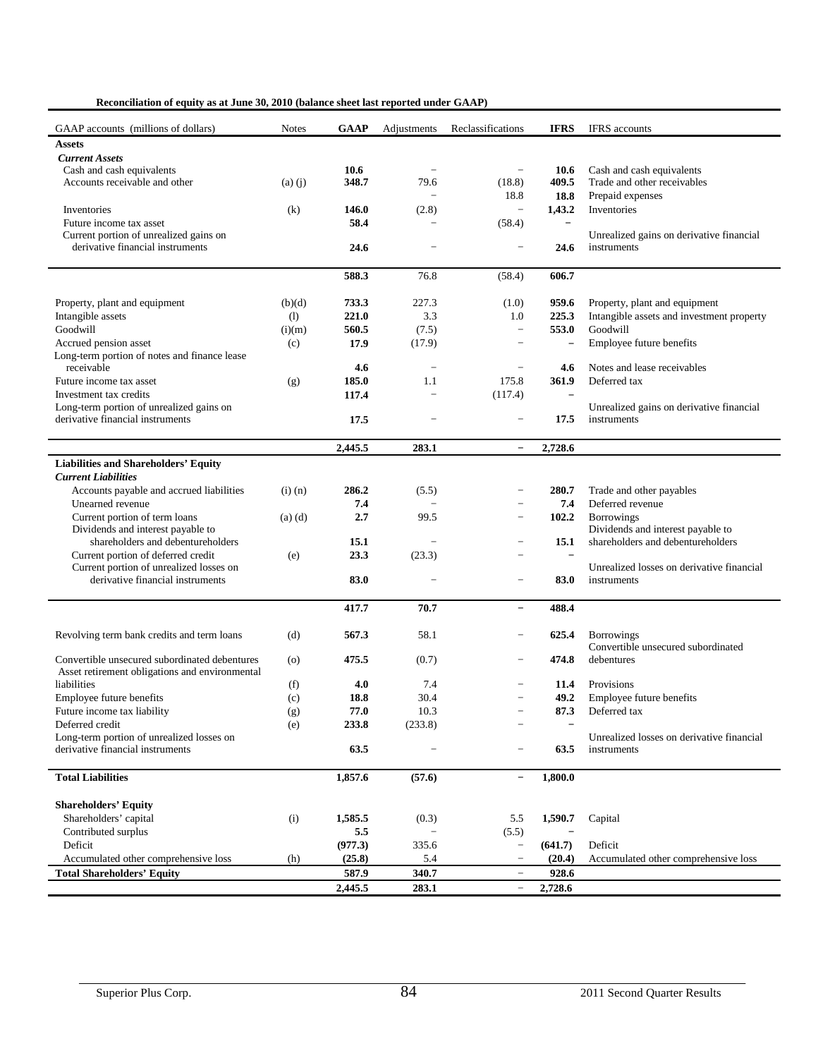| GAAP accounts (millions of dollars)            | <b>Notes</b> | <b>GAAP</b> | Adjustments              | Reclassifications        | <b>IFRS</b>       | <b>IFRS</b> accounts                      |
|------------------------------------------------|--------------|-------------|--------------------------|--------------------------|-------------------|-------------------------------------------|
| <b>Assets</b>                                  |              |             |                          |                          |                   |                                           |
| <b>Current Assets</b>                          |              |             |                          |                          |                   |                                           |
| Cash and cash equivalents                      |              | 10.6        |                          |                          | 10.6              | Cash and cash equivalents                 |
| Accounts receivable and other                  | $(a)$ $(i)$  | 348.7       | 79.6                     | (18.8)                   | 409.5             | Trade and other receivables               |
|                                                |              |             | $\qquad \qquad -$        | 18.8                     | 18.8              | Prepaid expenses                          |
| Inventories                                    | (k)          | 146.0       | (2.8)                    | $\qquad \qquad -$        | 1,43.2            | Inventories                               |
| Future income tax asset                        |              | 58.4        |                          | (58.4)                   |                   |                                           |
| Current portion of unrealized gains on         |              |             |                          |                          |                   | Unrealized gains on derivative financial  |
| derivative financial instruments               |              | 24.6        | ÷                        |                          | 24.6              | instruments                               |
|                                                |              |             |                          |                          |                   |                                           |
|                                                |              | 588.3       | 76.8                     | (58.4)                   | 606.7             |                                           |
|                                                |              |             |                          |                          |                   |                                           |
| Property, plant and equipment                  | (b)(d)       | 733.3       | 227.3                    | (1.0)                    | 959.6             | Property, plant and equipment             |
| Intangible assets                              | (1)          | 221.0       | 3.3                      | 1.0                      | 225.3             | Intangible assets and investment property |
| Goodwill                                       | (i)(m)       | 560.5       | (7.5)                    | $\overline{\phantom{0}}$ | 553.0             | Goodwill                                  |
| Accrued pension asset                          | (c)          | 17.9        | (17.9)                   | $\equiv$                 | $\qquad \qquad -$ | Employee future benefits                  |
| Long-term portion of notes and finance lease   |              |             |                          |                          |                   |                                           |
| receivable                                     |              | 4.6         | $\overline{\phantom{0}}$ |                          | 4.6               | Notes and lease receivables               |
| Future income tax asset                        | (g)          | 185.0       | 1.1                      | 175.8                    | 361.9             | Deferred tax                              |
| Investment tax credits                         |              | 117.4       | $\overline{\phantom{0}}$ | (117.4)                  |                   |                                           |
| Long-term portion of unrealized gains on       |              |             |                          |                          |                   | Unrealized gains on derivative financial  |
| derivative financial instruments               |              | 17.5        |                          | $\overline{\phantom{0}}$ | 17.5              | instruments                               |
|                                                |              |             |                          |                          |                   |                                           |
|                                                |              | 2,445.5     | 283.1                    | $\qquad \qquad -$        | 2,728.6           |                                           |
| Liabilities and Shareholders' Equity           |              |             |                          |                          |                   |                                           |
| <b>Current Liabilities</b>                     |              |             |                          |                          |                   |                                           |
| Accounts payable and accrued liabilities       | $(i)$ $(n)$  | 286.2       | (5.5)                    |                          | 280.7             | Trade and other payables                  |
| Unearned revenue                               |              | 7.4         |                          | L,                       | 7.4               | Deferred revenue                          |
| Current portion of term loans                  | $(a)$ $(d)$  | 2.7         | 99.5                     | $\overline{\phantom{0}}$ | 102.2             | Borrowings                                |
| Dividends and interest payable to              |              |             |                          |                          |                   | Dividends and interest payable to         |
| shareholders and debentureholders              |              | 15.1        | $\overline{\phantom{0}}$ | $\qquad \qquad -$        | 15.1              | shareholders and debentureholders         |
| Current portion of deferred credit             | (e)          | 23.3        | (23.3)                   | $\equiv$                 |                   |                                           |
| Current portion of unrealized losses on        |              |             |                          |                          |                   | Unrealized losses on derivative financial |
| derivative financial instruments               |              | 83.0        |                          | $\qquad \qquad -$        | 83.0              | instruments                               |
|                                                |              |             |                          |                          |                   |                                           |
|                                                |              | 417.7       | 70.7                     | $\overline{\phantom{0}}$ | 488.4             |                                           |
|                                                |              |             |                          |                          |                   |                                           |
| Revolving term bank credits and term loans     | (d)          | 567.3       | 58.1                     | $\overline{\phantom{0}}$ | 625.4             | <b>Borrowings</b>                         |
|                                                |              |             |                          |                          |                   | Convertible unsecured subordinated        |
| Convertible unsecured subordinated debentures  | $\circ$      | 475.5       | (0.7)                    |                          | 474.8             | debentures                                |
| Asset retirement obligations and environmental |              | 4.0         |                          |                          | 11.4              |                                           |
| liabilities                                    | (f)          |             | 7.4                      |                          |                   | Provisions                                |
| Employee future benefits                       | (c)          | 18.8        | 30.4                     | $\equiv$                 | 49.2              | Employee future benefits                  |
| Future income tax liability                    | (g)          | 77.0        | 10.3                     |                          |                   | 87.3 Deferred tax                         |
| Deferred credit                                | (e)          | 233.8       | (233.8)                  | $\qquad \qquad -$        |                   |                                           |
| Long-term portion of unrealized losses on      |              |             |                          |                          |                   | Unrealized losses on derivative financial |
| derivative financial instruments               |              | 63.5        |                          | $\qquad \qquad -$        | 63.5              | instruments                               |
|                                                |              |             |                          |                          |                   |                                           |
| <b>Total Liabilities</b>                       |              | 1,857.6     | (57.6)                   | $\overline{\phantom{0}}$ | 1,800.0           |                                           |
| <b>Shareholders' Equity</b>                    |              |             |                          |                          |                   |                                           |
| Shareholders' capital                          | (i)          | 1,585.5     | (0.3)                    | 5.5                      | 1,590.7           | Capital                                   |
| Contributed surplus                            |              | 5.5         | $\qquad \qquad -$        |                          |                   |                                           |
|                                                |              |             |                          | (5.5)                    |                   |                                           |
| Deficit                                        |              | (977.3)     | 335.6                    | $\qquad \qquad -$        | (641.7)           | Deficit                                   |
| Accumulated other comprehensive loss           | (h)          | (25.8)      | 5.4                      |                          | (20.4)            | Accumulated other comprehensive loss      |
| <b>Total Shareholders' Equity</b>              |              | 587.9       | 340.7                    |                          | 928.6             |                                           |
|                                                |              | 2,445.5     | 283.1                    | $\overline{\phantom{a}}$ | 2,728.6           |                                           |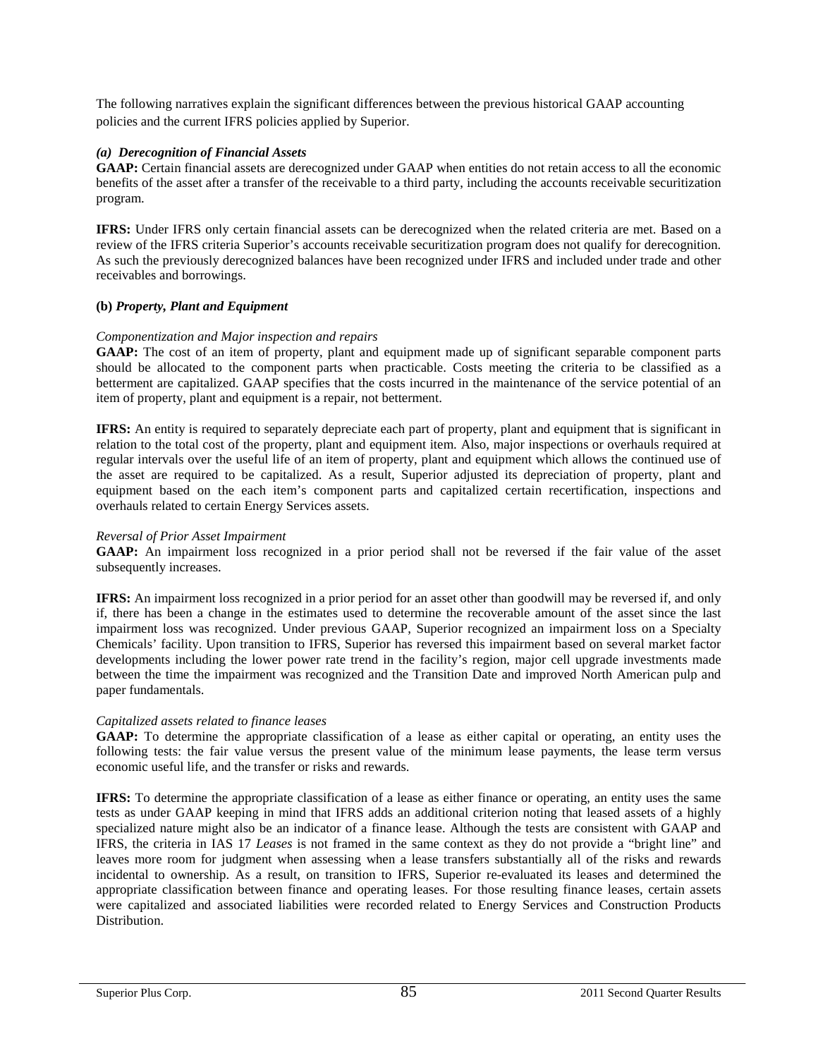The following narratives explain the significant differences between the previous historical GAAP accounting policies and the current IFRS policies applied by Superior.

# *(a) Derecognition of Financial Assets*

**GAAP:** Certain financial assets are derecognized under GAAP when entities do not retain access to all the economic benefits of the asset after a transfer of the receivable to a third party, including the accounts receivable securitization program.

**IFRS:** Under IFRS only certain financial assets can be derecognized when the related criteria are met. Based on a review of the IFRS criteria Superior's accounts receivable securitization program does not qualify for derecognition. As such the previously derecognized balances have been recognized under IFRS and included under trade and other receivables and borrowings.

# **(b)** *Property, Plant and Equipment*

# *Componentization and Major inspection and repairs*

**GAAP:** The cost of an item of property, plant and equipment made up of significant separable component parts should be allocated to the component parts when practicable. Costs meeting the criteria to be classified as a betterment are capitalized. GAAP specifies that the costs incurred in the maintenance of the service potential of an item of property, plant and equipment is a repair, not betterment.

**IFRS:** An entity is required to separately depreciate each part of property, plant and equipment that is significant in relation to the total cost of the property, plant and equipment item. Also, major inspections or overhauls required at regular intervals over the useful life of an item of property, plant and equipment which allows the continued use of the asset are required to be capitalized. As a result, Superior adjusted its depreciation of property, plant and equipment based on the each item's component parts and capitalized certain recertification, inspections and overhauls related to certain Energy Services assets.

# *Reversal of Prior Asset Impairment*

**GAAP:** An impairment loss recognized in a prior period shall not be reversed if the fair value of the asset subsequently increases.

**IFRS:** An impairment loss recognized in a prior period for an asset other than goodwill may be reversed if, and only if, there has been a change in the estimates used to determine the recoverable amount of the asset since the last impairment loss was recognized. Under previous GAAP, Superior recognized an impairment loss on a Specialty Chemicals' facility. Upon transition to IFRS, Superior has reversed this impairment based on several market factor developments including the lower power rate trend in the facility's region, major cell upgrade investments made between the time the impairment was recognized and the Transition Date and improved North American pulp and paper fundamentals.

# *Capitalized assets related to finance leases*

**GAAP:** To determine the appropriate classification of a lease as either capital or operating, an entity uses the following tests: the fair value versus the present value of the minimum lease payments, the lease term versus economic useful life, and the transfer or risks and rewards.

**IFRS:** To determine the appropriate classification of a lease as either finance or operating, an entity uses the same tests as under GAAP keeping in mind that IFRS adds an additional criterion noting that leased assets of a highly specialized nature might also be an indicator of a finance lease. Although the tests are consistent with GAAP and IFRS, the criteria in IAS 17 *Leases* is not framed in the same context as they do not provide a "bright line" and leaves more room for judgment when assessing when a lease transfers substantially all of the risks and rewards incidental to ownership. As a result, on transition to IFRS, Superior re-evaluated its leases and determined the appropriate classification between finance and operating leases. For those resulting finance leases, certain assets were capitalized and associated liabilities were recorded related to Energy Services and Construction Products Distribution.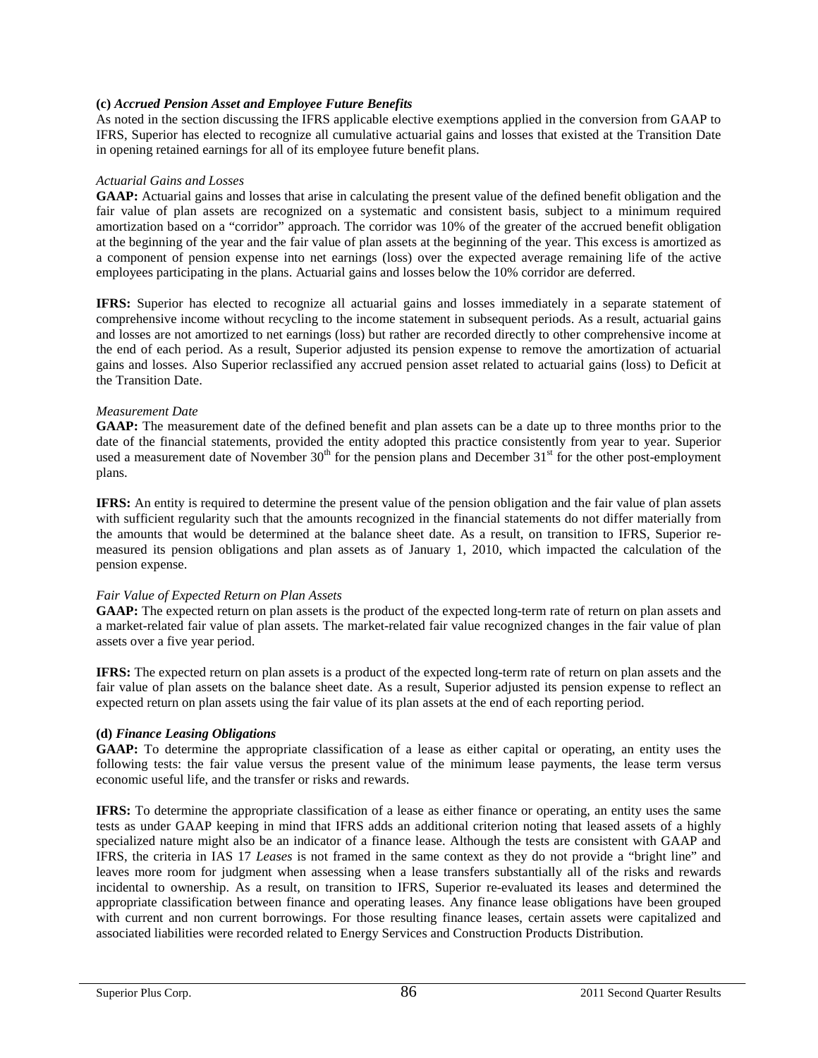# **(c)** *Accrued Pension Asset and Employee Future Benefits*

As noted in the section discussing the IFRS applicable elective exemptions applied in the conversion from GAAP to IFRS, Superior has elected to recognize all cumulative actuarial gains and losses that existed at the Transition Date in opening retained earnings for all of its employee future benefit plans.

## *Actuarial Gains and Losses*

**GAAP:** Actuarial gains and losses that arise in calculating the present value of the defined benefit obligation and the fair value of plan assets are recognized on a systematic and consistent basis, subject to a minimum required amortization based on a "corridor" approach. The corridor was 10% of the greater of the accrued benefit obligation at the beginning of the year and the fair value of plan assets at the beginning of the year. This excess is amortized as a component of pension expense into net earnings (loss) over the expected average remaining life of the active employees participating in the plans. Actuarial gains and losses below the 10% corridor are deferred.

**IFRS:** Superior has elected to recognize all actuarial gains and losses immediately in a separate statement of comprehensive income without recycling to the income statement in subsequent periods. As a result, actuarial gains and losses are not amortized to net earnings (loss) but rather are recorded directly to other comprehensive income at the end of each period. As a result, Superior adjusted its pension expense to remove the amortization of actuarial gains and losses. Also Superior reclassified any accrued pension asset related to actuarial gains (loss) to Deficit at the Transition Date.

#### *Measurement Date*

**GAAP:** The measurement date of the defined benefit and plan assets can be a date up to three months prior to the date of the financial statements, provided the entity adopted this practice consistently from year to year. Superior used a measurement date of November 30<sup>th</sup> for the pension plans and December 31<sup>st</sup> for the other post-employment plans.

**IFRS:** An entity is required to determine the present value of the pension obligation and the fair value of plan assets with sufficient regularity such that the amounts recognized in the financial statements do not differ materially from the amounts that would be determined at the balance sheet date. As a result, on transition to IFRS, Superior remeasured its pension obligations and plan assets as of January 1, 2010, which impacted the calculation of the pension expense.

## *Fair Value of Expected Return on Plan Assets*

**GAAP:** The expected return on plan assets is the product of the expected long-term rate of return on plan assets and a market-related fair value of plan assets. The market-related fair value recognized changes in the fair value of plan assets over a five year period.

**IFRS:** The expected return on plan assets is a product of the expected long-term rate of return on plan assets and the fair value of plan assets on the balance sheet date. As a result, Superior adjusted its pension expense to reflect an expected return on plan assets using the fair value of its plan assets at the end of each reporting period.

## **(d)** *Finance Leasing Obligations*

**GAAP:** To determine the appropriate classification of a lease as either capital or operating, an entity uses the following tests: the fair value versus the present value of the minimum lease payments, the lease term versus economic useful life, and the transfer or risks and rewards.

**IFRS:** To determine the appropriate classification of a lease as either finance or operating, an entity uses the same tests as under GAAP keeping in mind that IFRS adds an additional criterion noting that leased assets of a highly specialized nature might also be an indicator of a finance lease. Although the tests are consistent with GAAP and IFRS, the criteria in IAS 17 *Leases* is not framed in the same context as they do not provide a "bright line" and leaves more room for judgment when assessing when a lease transfers substantially all of the risks and rewards incidental to ownership. As a result, on transition to IFRS, Superior re-evaluated its leases and determined the appropriate classification between finance and operating leases. Any finance lease obligations have been grouped with current and non current borrowings. For those resulting finance leases, certain assets were capitalized and associated liabilities were recorded related to Energy Services and Construction Products Distribution.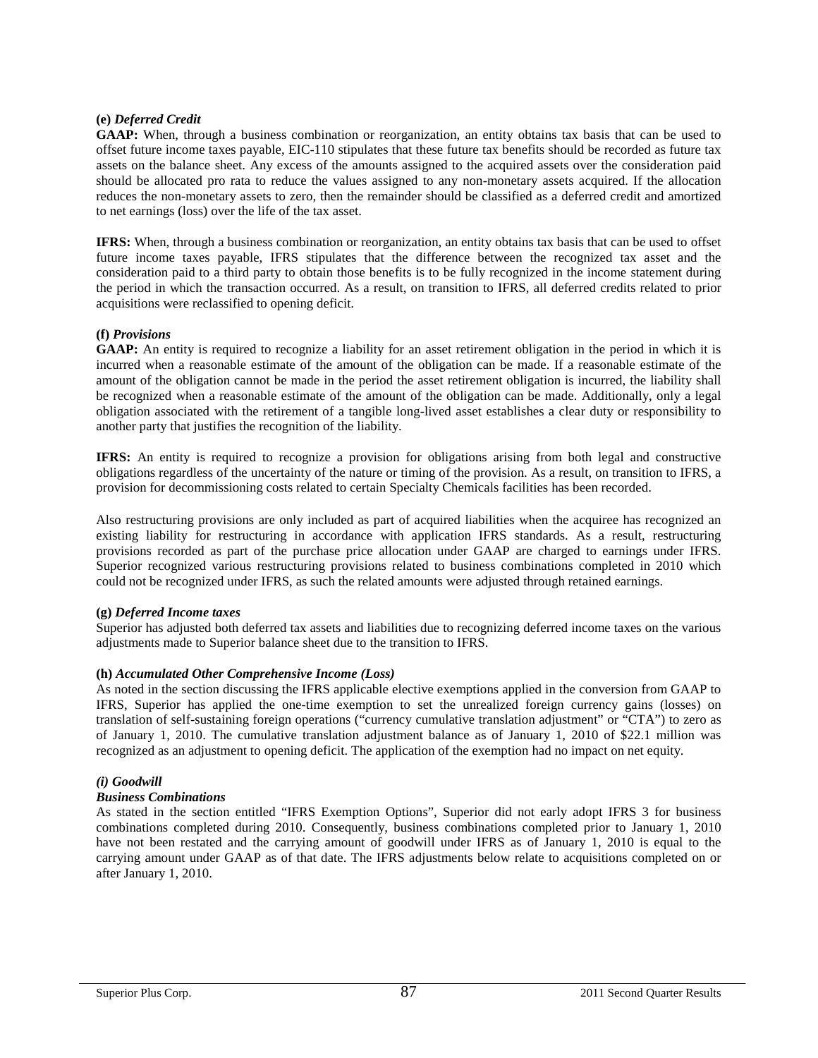## **(e)** *Deferred Credit*

**GAAP:** When, through a business combination or reorganization, an entity obtains tax basis that can be used to offset future income taxes payable, EIC-110 stipulates that these future tax benefits should be recorded as future tax assets on the balance sheet. Any excess of the amounts assigned to the acquired assets over the consideration paid should be allocated pro rata to reduce the values assigned to any non-monetary assets acquired. If the allocation reduces the non-monetary assets to zero, then the remainder should be classified as a deferred credit and amortized to net earnings (loss) over the life of the tax asset.

**IFRS:** When, through a business combination or reorganization, an entity obtains tax basis that can be used to offset future income taxes payable, IFRS stipulates that the difference between the recognized tax asset and the consideration paid to a third party to obtain those benefits is to be fully recognized in the income statement during the period in which the transaction occurred. As a result, on transition to IFRS, all deferred credits related to prior acquisitions were reclassified to opening deficit.

## **(f)** *Provisions*

**GAAP:** An entity is required to recognize a liability for an asset retirement obligation in the period in which it is incurred when a reasonable estimate of the amount of the obligation can be made. If a reasonable estimate of the amount of the obligation cannot be made in the period the asset retirement obligation is incurred, the liability shall be recognized when a reasonable estimate of the amount of the obligation can be made. Additionally, only a legal obligation associated with the retirement of a tangible long-lived asset establishes a clear duty or responsibility to another party that justifies the recognition of the liability.

**IFRS:** An entity is required to recognize a provision for obligations arising from both legal and constructive obligations regardless of the uncertainty of the nature or timing of the provision. As a result, on transition to IFRS, a provision for decommissioning costs related to certain Specialty Chemicals facilities has been recorded.

Also restructuring provisions are only included as part of acquired liabilities when the acquiree has recognized an existing liability for restructuring in accordance with application IFRS standards. As a result, restructuring provisions recorded as part of the purchase price allocation under GAAP are charged to earnings under IFRS. Superior recognized various restructuring provisions related to business combinations completed in 2010 which could not be recognized under IFRS, as such the related amounts were adjusted through retained earnings.

## **(g)** *Deferred Income taxes*

Superior has adjusted both deferred tax assets and liabilities due to recognizing deferred income taxes on the various adjustments made to Superior balance sheet due to the transition to IFRS.

## **(h)** *Accumulated Other Comprehensive Income (Loss)*

As noted in the section discussing the IFRS applicable elective exemptions applied in the conversion from GAAP to IFRS, Superior has applied the one-time exemption to set the unrealized foreign currency gains (losses) on translation of self-sustaining foreign operations ("currency cumulative translation adjustment" or "CTA") to zero as of January 1, 2010. The cumulative translation adjustment balance as of January 1, 2010 of \$22.1 million was recognized as an adjustment to opening deficit. The application of the exemption had no impact on net equity.

## *(i) Goodwill*

# *Business Combinations*

As stated in the section entitled "IFRS Exemption Options", Superior did not early adopt IFRS 3 for business combinations completed during 2010. Consequently, business combinations completed prior to January 1, 2010 have not been restated and the carrying amount of goodwill under IFRS as of January 1, 2010 is equal to the carrying amount under GAAP as of that date. The IFRS adjustments below relate to acquisitions completed on or after January 1, 2010.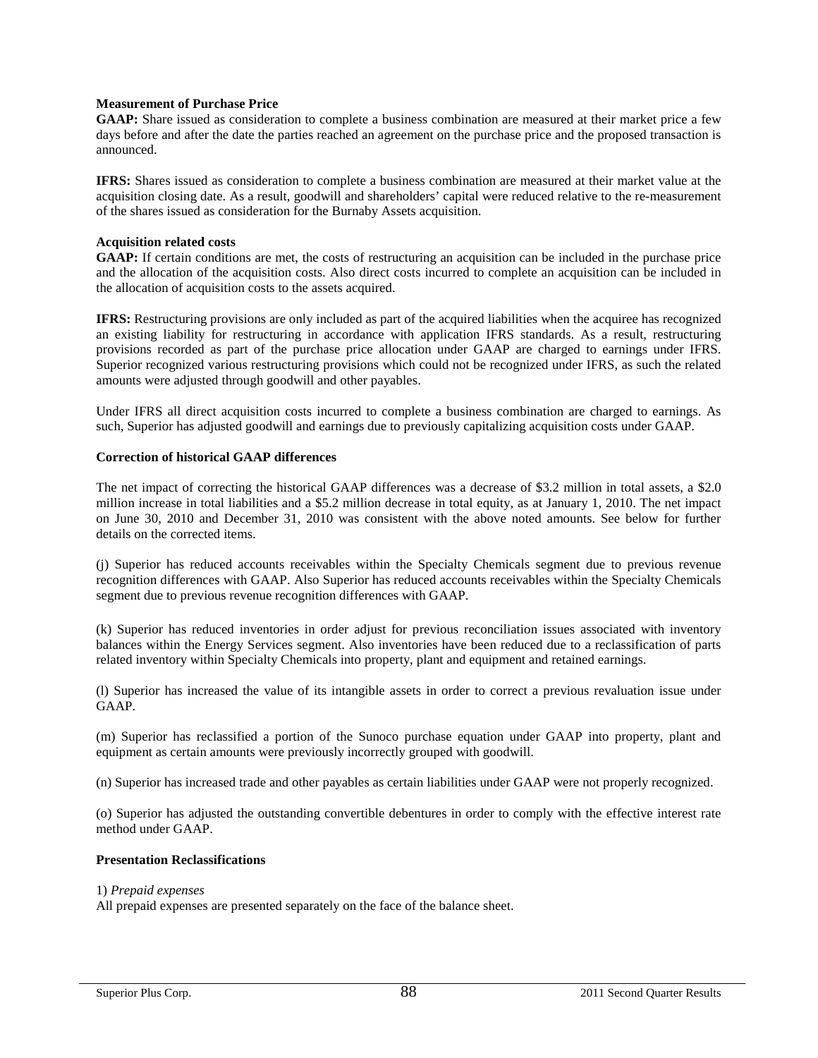## **Measurement of Purchase Price**

**GAAP:** Share issued as consideration to complete a business combination are measured at their market price a few days before and after the date the parties reached an agreement on the purchase price and the proposed transaction is announced.

**IFRS:** Shares issued as consideration to complete a business combination are measured at their market value at the acquisition closing date. As a result, goodwill and shareholders' capital were reduced relative to the re-measurement of the shares issued as consideration for the Burnaby Assets acquisition.

#### **Acquisition related costs**

**GAAP:** If certain conditions are met, the costs of restructuring an acquisition can be included in the purchase price and the allocation of the acquisition costs. Also direct costs incurred to complete an acquisition can be included in the allocation of acquisition costs to the assets acquired.

**IFRS:** Restructuring provisions are only included as part of the acquired liabilities when the acquiree has recognized an existing liability for restructuring in accordance with application IFRS standards. As a result, restructuring provisions recorded as part of the purchase price allocation under GAAP are charged to earnings under IFRS. Superior recognized various restructuring provisions which could not be recognized under IFRS, as such the related amounts were adjusted through goodwill and other payables.

Under IFRS all direct acquisition costs incurred to complete a business combination are charged to earnings. As such, Superior has adjusted goodwill and earnings due to previously capitalizing acquisition costs under GAAP.

#### **Correction of historical GAAP differences**

The net impact of correcting the historical GAAP differences was a decrease of \$3.2 million in total assets, a \$2.0 million increase in total liabilities and a \$5.2 million decrease in total equity, as at January 1, 2010. The net impact on June 30, 2010 and December 31, 2010 was consistent with the above noted amounts. See below for further details on the corrected items.

(j) Superior has reduced accounts receivables within the Specialty Chemicals segment due to previous revenue recognition differences with GAAP. Also Superior has reduced accounts receivables within the Specialty Chemicals segment due to previous revenue recognition differences with GAAP.

(k) Superior has reduced inventories in order adjust for previous reconciliation issues associated with inventory balances within the Energy Services segment. Also inventories have been reduced due to a reclassification of parts related inventory within Specialty Chemicals into property, plant and equipment and retained earnings.

(l) Superior has increased the value of its intangible assets in order to correct a previous revaluation issue under GAAP.

(m) Superior has reclassified a portion of the Sunoco purchase equation under GAAP into property, plant and equipment as certain amounts were previously incorrectly grouped with goodwill.

(n) Superior has increased trade and other payables as certain liabilities under GAAP were not properly recognized.

(o) Superior has adjusted the outstanding convertible debentures in order to comply with the effective interest rate method under GAAP.

## **Presentation Reclassifications**

#### 1) *Prepaid expenses*

All prepaid expenses are presented separately on the face of the balance sheet.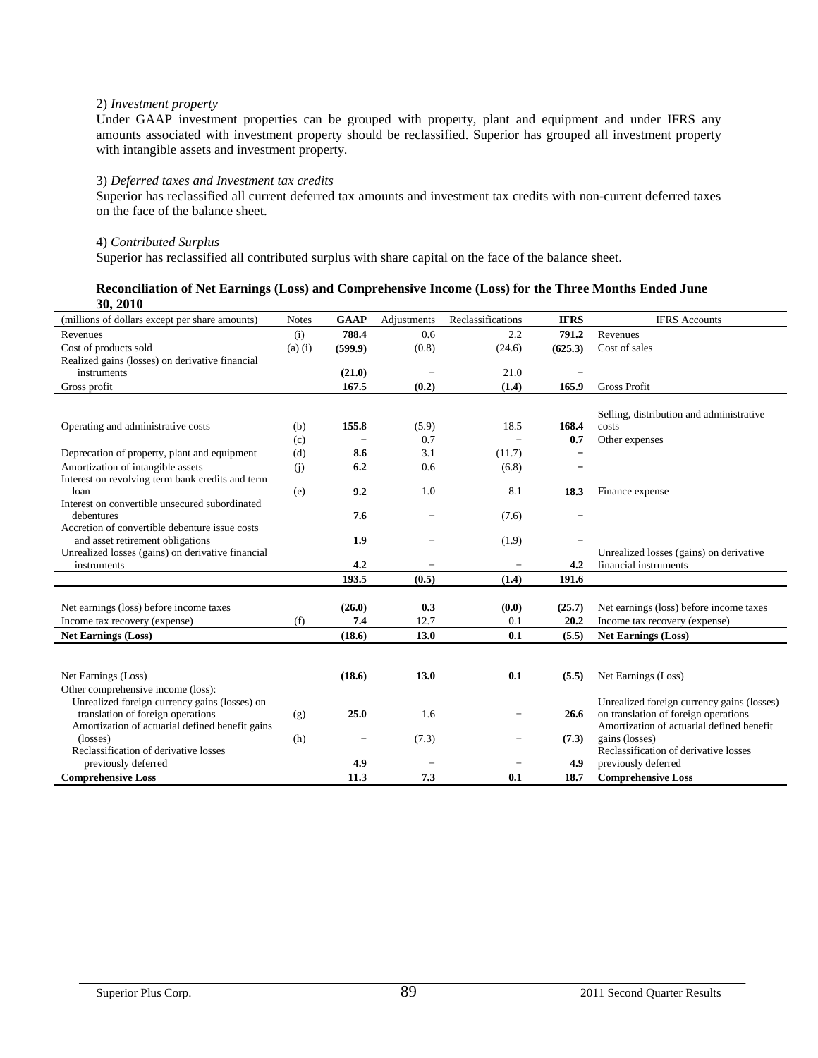#### 2) *Investment property*

Under GAAP investment properties can be grouped with property, plant and equipment and under IFRS any amounts associated with investment property should be reclassified. Superior has grouped all investment property with intangible assets and investment property.

#### 3) *Deferred taxes and Investment tax credits*

Superior has reclassified all current deferred tax amounts and investment tax credits with non-current deferred taxes on the face of the balance sheet.

#### 4) *Contributed Surplus*

Superior has reclassified all contributed surplus with share capital on the face of the balance sheet.

| Reconciliation of Net Earnings (Loss) and Comprehensive Income (Loss) for the Three Months Ended June |  |  |
|-------------------------------------------------------------------------------------------------------|--|--|
| 30, 2010                                                                                              |  |  |

| <b>Notes</b>                                    | <b>GAAP</b>              | Adjustments                                                       | Reclassifications                          | <b>IFRS</b>                                                                 | <b>IFRS</b> Accounts                                                               |
|-------------------------------------------------|--------------------------|-------------------------------------------------------------------|--------------------------------------------|-----------------------------------------------------------------------------|------------------------------------------------------------------------------------|
| (i)                                             | 788.4                    | 0.6                                                               | 2.2                                        | 791.2                                                                       | Revenues                                                                           |
| $(a)$ $(i)$                                     | (599.9)                  | (0.8)                                                             | (24.6)                                     | (625.3)                                                                     | Cost of sales                                                                      |
|                                                 |                          |                                                                   |                                            |                                                                             |                                                                                    |
|                                                 | (21.0)                   | $\overline{\phantom{0}}$                                          | 21.0                                       |                                                                             |                                                                                    |
|                                                 | 167.5                    | (0.2)                                                             | (1.4)                                      | 165.9                                                                       | <b>Gross Profit</b>                                                                |
|                                                 |                          |                                                                   |                                            |                                                                             |                                                                                    |
|                                                 |                          |                                                                   |                                            |                                                                             | Selling, distribution and administrative                                           |
| (b)                                             | 155.8                    | (5.9)                                                             | 18.5                                       | 168.4                                                                       | costs                                                                              |
| (c)                                             | $\overline{\phantom{0}}$ | 0.7                                                               | $\overline{\phantom{0}}$                   | 0.7                                                                         | Other expenses                                                                     |
| (d)                                             | 8.6                      | 3.1                                                               | (11.7)                                     |                                                                             |                                                                                    |
|                                                 | 6.2                      | 0.6                                                               | (6.8)                                      |                                                                             |                                                                                    |
|                                                 |                          |                                                                   |                                            |                                                                             |                                                                                    |
| (e)                                             | 9.2                      | 1.0                                                               | 8.1                                        | 18.3                                                                        | Finance expense                                                                    |
|                                                 |                          |                                                                   |                                            |                                                                             |                                                                                    |
|                                                 | 7.6                      | $\overline{\phantom{0}}$                                          | (7.6)                                      | -                                                                           |                                                                                    |
|                                                 |                          |                                                                   |                                            |                                                                             |                                                                                    |
|                                                 |                          | $\overline{\phantom{0}}$                                          | (1.9)                                      |                                                                             |                                                                                    |
|                                                 |                          |                                                                   |                                            |                                                                             | Unrealized losses (gains) on derivative                                            |
|                                                 |                          | $\overline{\phantom{m}}$                                          |                                            |                                                                             | financial instruments                                                              |
|                                                 | 193.5                    | (0.5)                                                             | (1.4)                                      | 191.6                                                                       |                                                                                    |
|                                                 |                          |                                                                   |                                            |                                                                             |                                                                                    |
|                                                 |                          |                                                                   |                                            |                                                                             | Net earnings (loss) before income taxes                                            |
|                                                 |                          |                                                                   |                                            |                                                                             | Income tax recovery (expense)                                                      |
|                                                 | (18.6)                   | 13.0                                                              | 0.1                                        | (5.5)                                                                       | <b>Net Earnings (Loss)</b>                                                         |
|                                                 |                          |                                                                   |                                            |                                                                             |                                                                                    |
|                                                 |                          |                                                                   |                                            |                                                                             | Net Earnings (Loss)                                                                |
|                                                 |                          |                                                                   |                                            |                                                                             |                                                                                    |
|                                                 |                          |                                                                   |                                            |                                                                             |                                                                                    |
|                                                 |                          |                                                                   |                                            |                                                                             | Unrealized foreign currency gains (losses)<br>on translation of foreign operations |
|                                                 |                          |                                                                   |                                            |                                                                             | Amortization of actuarial defined benefit                                          |
|                                                 |                          |                                                                   |                                            |                                                                             | gains (losses)                                                                     |
|                                                 |                          |                                                                   |                                            |                                                                             | Reclassification of derivative losses                                              |
|                                                 |                          | $\qquad \qquad$                                                   | $\overline{\phantom{0}}$                   |                                                                             | previously deferred                                                                |
|                                                 |                          |                                                                   |                                            |                                                                             | <b>Comprehensive Loss</b>                                                          |
| Amortization of actuarial defined benefit gains | (i)<br>(f)<br>(g)<br>(h) | 1.9<br>4.2<br>(26.0)<br>7.4<br>(18.6)<br>25.0<br>-<br>4.9<br>11.3 | 0.3<br>12.7<br>13.0<br>1.6<br>(7.3)<br>7.3 | (0.0)<br>0.1<br>0.1<br>$\overline{\phantom{0}}$<br>$\qquad \qquad -$<br>0.1 | 4.2<br>(25.7)<br>20.2<br>(5.5)<br>26.6<br>(7.3)<br>4.9<br>18.7                     |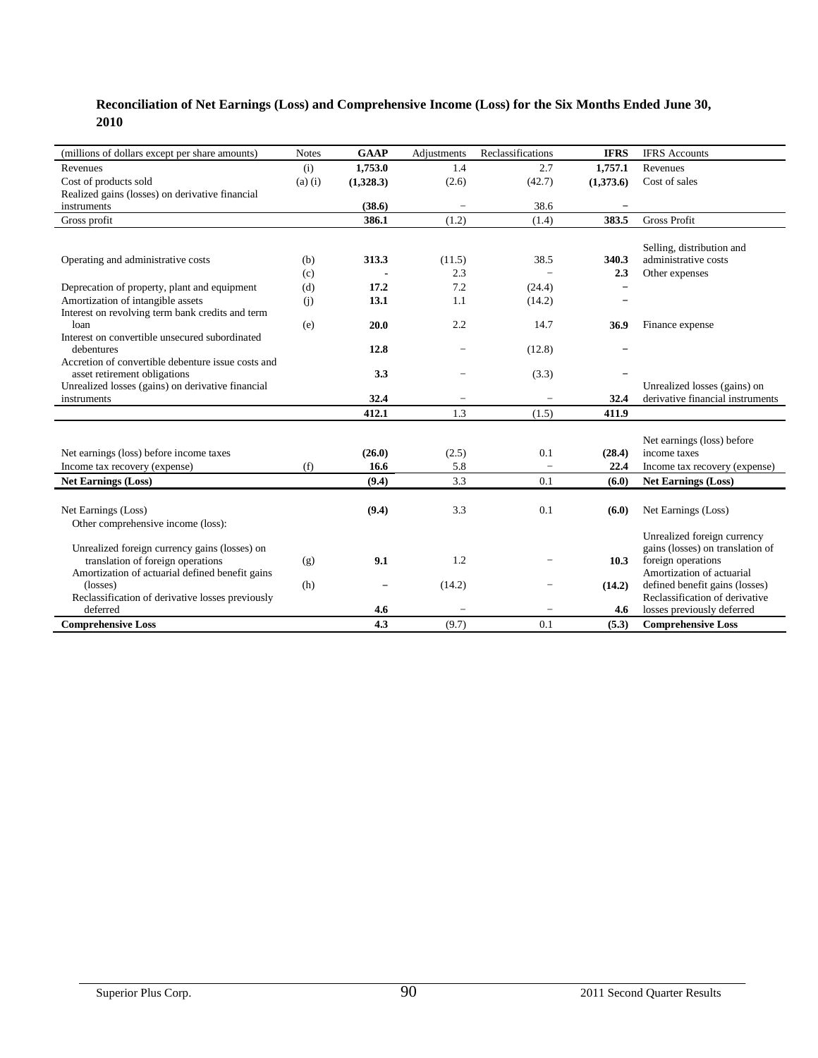# **Reconciliation of Net Earnings (Loss) and Comprehensive Income (Loss) for the Six Months Ended June 30, 2010**

| (millions of dollars except per share amounts)     | <b>Notes</b> | <b>GAAP</b> | Adjustments | Reclassifications        | <b>IFRS</b> | <b>IFRS Accounts</b>             |
|----------------------------------------------------|--------------|-------------|-------------|--------------------------|-------------|----------------------------------|
| Revenues                                           | (i)          | 1,753.0     | 1.4         | 2.7                      | 1,757.1     | Revenues                         |
| Cost of products sold                              | $(a)$ $(i)$  | (1,328.3)   | (2.6)       | (42.7)                   | (1,373.6)   | Cost of sales                    |
| Realized gains (losses) on derivative financial    |              |             |             |                          |             |                                  |
| instruments                                        |              | (38.6)      |             | 38.6                     |             |                                  |
| Gross profit                                       |              | 386.1       | (1.2)       | (1.4)                    | 383.5       | <b>Gross Profit</b>              |
|                                                    |              |             |             |                          |             |                                  |
|                                                    |              |             |             |                          |             | Selling, distribution and        |
| Operating and administrative costs                 | (b)          | 313.3       | (11.5)      | 38.5                     | 340.3       | administrative costs             |
|                                                    | (c)          |             | 2.3         |                          | 2.3         | Other expenses                   |
| Deprecation of property, plant and equipment       | (d)          | 17.2        | 7.2         | (24.4)                   |             |                                  |
| Amortization of intangible assets                  | (j)          | 13.1        | 1.1         | (14.2)                   |             |                                  |
| Interest on revolving term bank credits and term   |              |             |             |                          |             |                                  |
| loan                                               | (e)          | 20.0        | 2.2         | 14.7                     | 36.9        | Finance expense                  |
| Interest on convertible unsecured subordinated     |              |             |             |                          |             |                                  |
| debentures                                         |              | 12.8        |             | (12.8)                   |             |                                  |
| Accretion of convertible debenture issue costs and |              |             |             |                          |             |                                  |
| asset retirement obligations                       |              | 3.3         |             | (3.3)                    |             |                                  |
| Unrealized losses (gains) on derivative financial  |              |             |             |                          |             | Unrealized losses (gains) on     |
| instruments                                        |              | 32.4        |             | $\overline{\phantom{0}}$ | 32.4        | derivative financial instruments |
|                                                    |              | 412.1       | 1.3         | (1.5)                    | 411.9       |                                  |
|                                                    |              |             |             |                          |             |                                  |
|                                                    |              |             |             |                          |             | Net earnings (loss) before       |
| Net earnings (loss) before income taxes            |              | (26.0)      | (2.5)       | 0.1                      | (28.4)      | income taxes                     |
| Income tax recovery (expense)                      | (f)          | 16.6        | 5.8         | $\qquad \qquad -$        | 22.4        | Income tax recovery (expense)    |
| <b>Net Earnings (Loss)</b>                         |              | (9.4)       | 3.3         | 0.1                      | (6.0)       | <b>Net Earnings (Loss)</b>       |
|                                                    |              |             |             |                          |             |                                  |
| Net Earnings (Loss)                                |              | (9.4)       | 3.3         | 0.1                      | (6.0)       | Net Earnings (Loss)              |
| Other comprehensive income (loss):                 |              |             |             |                          |             |                                  |
|                                                    |              |             |             |                          |             | Unrealized foreign currency      |
| Unrealized foreign currency gains (losses) on      |              |             |             |                          |             | gains (losses) on translation of |
| translation of foreign operations                  | (g)          | 9.1         | 1.2         |                          | 10.3        | foreign operations               |
| Amortization of actuarial defined benefit gains    |              |             |             |                          |             | Amortization of actuarial        |
| (losses)                                           | (h)          |             | (14.2)      |                          | (14.2)      | defined benefit gains (losses)   |
| Reclassification of derivative losses previously   |              |             |             |                          |             | Reclassification of derivative   |
| deferred                                           |              | 4.6         |             |                          | 4.6         | losses previously deferred       |
| <b>Comprehensive Loss</b>                          |              | 4.3         | (9.7)       | 0.1                      | (5.3)       | <b>Comprehensive Loss</b>        |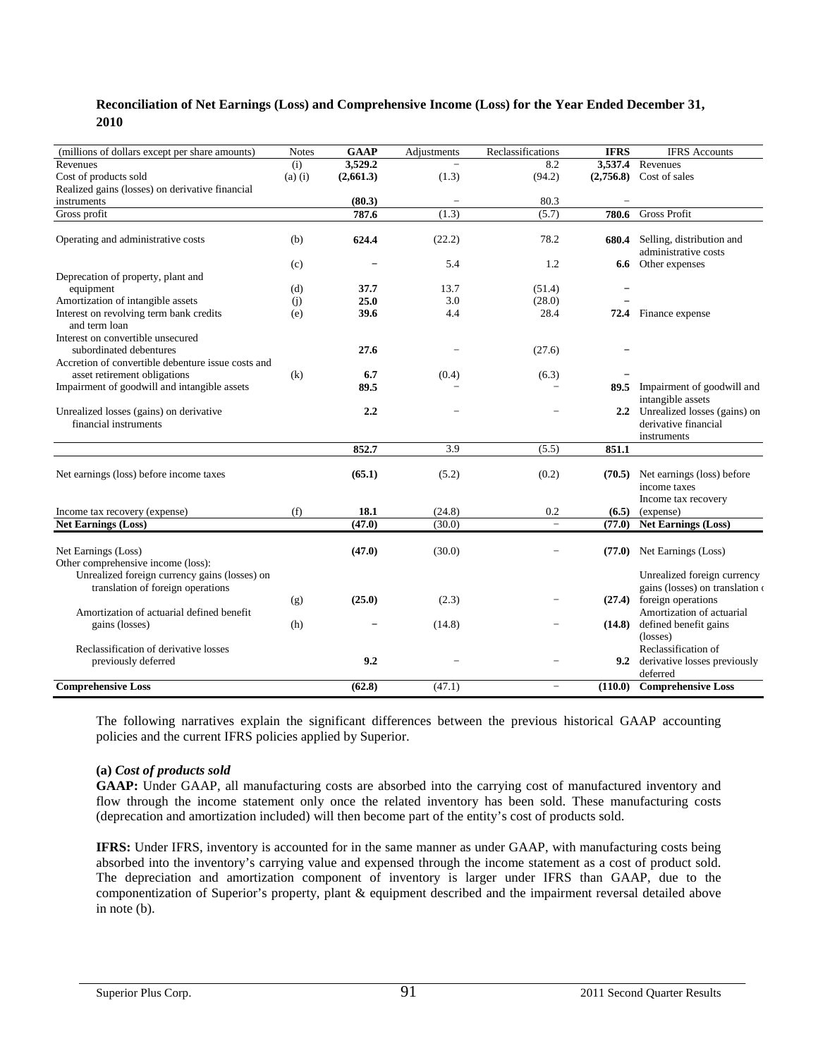# **Reconciliation of Net Earnings (Loss) and Comprehensive Income (Loss) for the Year Ended December 31, 2010**

| (millions of dollars except per share amounts)                                     | <b>Notes</b> | <b>GAAP</b> | Adjustments | Reclassifications        | <b>IFRS</b> | <b>IFRS</b> Accounts                                                    |
|------------------------------------------------------------------------------------|--------------|-------------|-------------|--------------------------|-------------|-------------------------------------------------------------------------|
| Revenues                                                                           | (i)          | 3.529.2     |             | 8.2                      | 3.537.4     | Revenues                                                                |
| Cost of products sold                                                              | $(a)$ $(i)$  | (2,661.3)   | (1.3)       | (94.2)                   |             | $(2,756.8)$ Cost of sales                                               |
| Realized gains (losses) on derivative financial                                    |              |             |             |                          |             |                                                                         |
| instruments                                                                        |              | (80.3)      |             | 80.3                     |             |                                                                         |
| Gross profit                                                                       |              | 787.6       | (1.3)       | (5.7)                    | 780.6       | <b>Gross Profit</b>                                                     |
|                                                                                    |              |             |             |                          |             |                                                                         |
| Operating and administrative costs                                                 | (b)          | 624.4       | (22.2)      | 78.2                     | 680.4       | Selling, distribution and<br>administrative costs                       |
|                                                                                    | (c)          |             | 5.4         | 1.2                      | 6.6         | Other expenses                                                          |
| Deprecation of property, plant and                                                 |              |             |             |                          |             |                                                                         |
| equipment                                                                          | (d)          | 37.7        | 13.7        | (51.4)                   |             |                                                                         |
| Amortization of intangible assets                                                  | (i)          | 25.0        | 3.0         | (28.0)                   |             |                                                                         |
| Interest on revolving term bank credits<br>and term loan                           | (e)          | 39.6        | 4.4         | 28.4                     | 72.4        | Finance expense                                                         |
| Interest on convertible unsecured                                                  |              |             |             |                          |             |                                                                         |
| subordinated debentures                                                            |              | 27.6        |             | (27.6)                   |             |                                                                         |
| Accretion of convertible debenture issue costs and                                 |              |             |             |                          |             |                                                                         |
| asset retirement obligations                                                       | (k)          | 6.7         | (0.4)       | (6.3)                    |             |                                                                         |
| Impairment of goodwill and intangible assets                                       |              | 89.5        |             |                          |             | 89.5 Impairment of goodwill and<br>intangible assets                    |
| Unrealized losses (gains) on derivative<br>financial instruments                   |              | 2.2         |             |                          |             | 2.2 Unrealized losses (gains) on<br>derivative financial<br>instruments |
|                                                                                    |              | 852.7       | 3.9         | (5.5)                    | 851.1       |                                                                         |
| Net earnings (loss) before income taxes                                            |              | (65.1)      | (5.2)       | (0.2)                    | (70.5)      | Net earnings (loss) before<br>income taxes<br>Income tax recovery       |
| Income tax recovery (expense)                                                      | (f)          | 18.1        | (24.8)      | 0.2                      | (6.5)       | (expense)                                                               |
| <b>Net Earnings (Loss)</b>                                                         |              | (47.0)      | (30.0)      | $\equiv$                 | (77.0)      | <b>Net Earnings (Loss)</b>                                              |
|                                                                                    |              |             |             |                          |             |                                                                         |
| Net Earnings (Loss)<br>Other comprehensive income (loss):                          |              | (47.0)      | (30.0)      |                          |             | $(77.0)$ Net Earnings (Loss)                                            |
| Unrealized foreign currency gains (losses) on<br>translation of foreign operations |              |             |             |                          |             | Unrealized foreign currency<br>gains (losses) on translation o          |
| Amortization of actuarial defined benefit                                          | (g)          | (25.0)      | (2.3)       |                          |             | (27.4) foreign operations<br>Amortization of actuarial                  |
| gains (losses)                                                                     | (h)          |             | (14.8)      |                          | (14.8)      | defined benefit gains<br>(losses)                                       |
| Reclassification of derivative losses<br>previously deferred                       |              | 9.2         |             |                          |             | Reclassification of<br>9.2 derivative losses previously<br>deferred     |
| <b>Comprehensive Loss</b>                                                          |              | (62.8)      | (47.1)      | $\overline{\phantom{0}}$ | (110.0)     | <b>Comprehensive Loss</b>                                               |

The following narratives explain the significant differences between the previous historical GAAP accounting policies and the current IFRS policies applied by Superior.

## **(a)** *Cost of products sold*

**GAAP:** Under GAAP, all manufacturing costs are absorbed into the carrying cost of manufactured inventory and flow through the income statement only once the related inventory has been sold. These manufacturing costs (deprecation and amortization included) will then become part of the entity's cost of products sold.

**IFRS:** Under IFRS, inventory is accounted for in the same manner as under GAAP, with manufacturing costs being absorbed into the inventory's carrying value and expensed through the income statement as a cost of product sold. The depreciation and amortization component of inventory is larger under IFRS than GAAP, due to the componentization of Superior's property, plant & equipment described and the impairment reversal detailed above in note (b).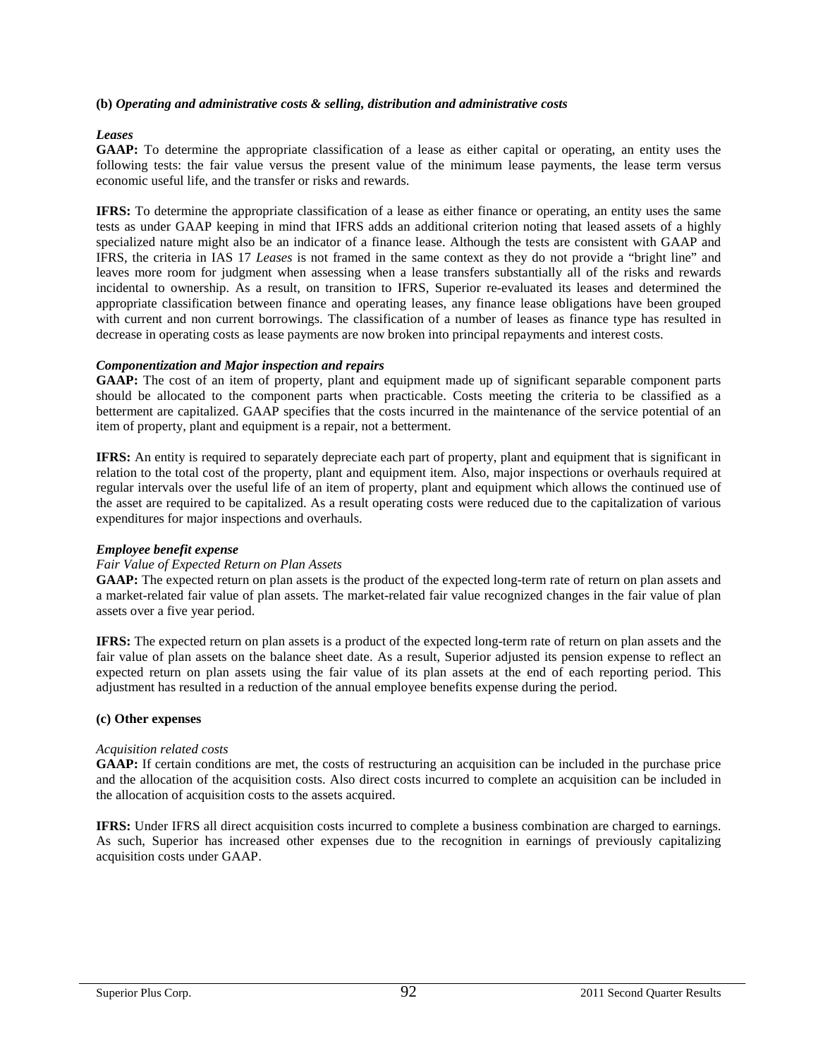#### **(b)** *Operating and administrative costs & selling, distribution and administrative costs*

## *Leases*

**GAAP:** To determine the appropriate classification of a lease as either capital or operating, an entity uses the following tests: the fair value versus the present value of the minimum lease payments, the lease term versus economic useful life, and the transfer or risks and rewards.

**IFRS:** To determine the appropriate classification of a lease as either finance or operating, an entity uses the same tests as under GAAP keeping in mind that IFRS adds an additional criterion noting that leased assets of a highly specialized nature might also be an indicator of a finance lease. Although the tests are consistent with GAAP and IFRS, the criteria in IAS 17 *Leases* is not framed in the same context as they do not provide a "bright line" and leaves more room for judgment when assessing when a lease transfers substantially all of the risks and rewards incidental to ownership. As a result, on transition to IFRS, Superior re-evaluated its leases and determined the appropriate classification between finance and operating leases, any finance lease obligations have been grouped with current and non current borrowings. The classification of a number of leases as finance type has resulted in decrease in operating costs as lease payments are now broken into principal repayments and interest costs.

#### *Componentization and Major inspection and repairs*

**GAAP:** The cost of an item of property, plant and equipment made up of significant separable component parts should be allocated to the component parts when practicable. Costs meeting the criteria to be classified as a betterment are capitalized. GAAP specifies that the costs incurred in the maintenance of the service potential of an item of property, plant and equipment is a repair, not a betterment.

**IFRS:** An entity is required to separately depreciate each part of property, plant and equipment that is significant in relation to the total cost of the property, plant and equipment item. Also, major inspections or overhauls required at regular intervals over the useful life of an item of property, plant and equipment which allows the continued use of the asset are required to be capitalized. As a result operating costs were reduced due to the capitalization of various expenditures for major inspections and overhauls.

## *Employee benefit expense*

## *Fair Value of Expected Return on Plan Assets*

**GAAP:** The expected return on plan assets is the product of the expected long-term rate of return on plan assets and a market-related fair value of plan assets. The market-related fair value recognized changes in the fair value of plan assets over a five year period.

**IFRS:** The expected return on plan assets is a product of the expected long-term rate of return on plan assets and the fair value of plan assets on the balance sheet date. As a result, Superior adjusted its pension expense to reflect an expected return on plan assets using the fair value of its plan assets at the end of each reporting period. This adjustment has resulted in a reduction of the annual employee benefits expense during the period.

#### **(c) Other expenses**

## *Acquisition related costs*

**GAAP:** If certain conditions are met, the costs of restructuring an acquisition can be included in the purchase price and the allocation of the acquisition costs. Also direct costs incurred to complete an acquisition can be included in the allocation of acquisition costs to the assets acquired.

**IFRS:** Under IFRS all direct acquisition costs incurred to complete a business combination are charged to earnings. As such, Superior has increased other expenses due to the recognition in earnings of previously capitalizing acquisition costs under GAAP.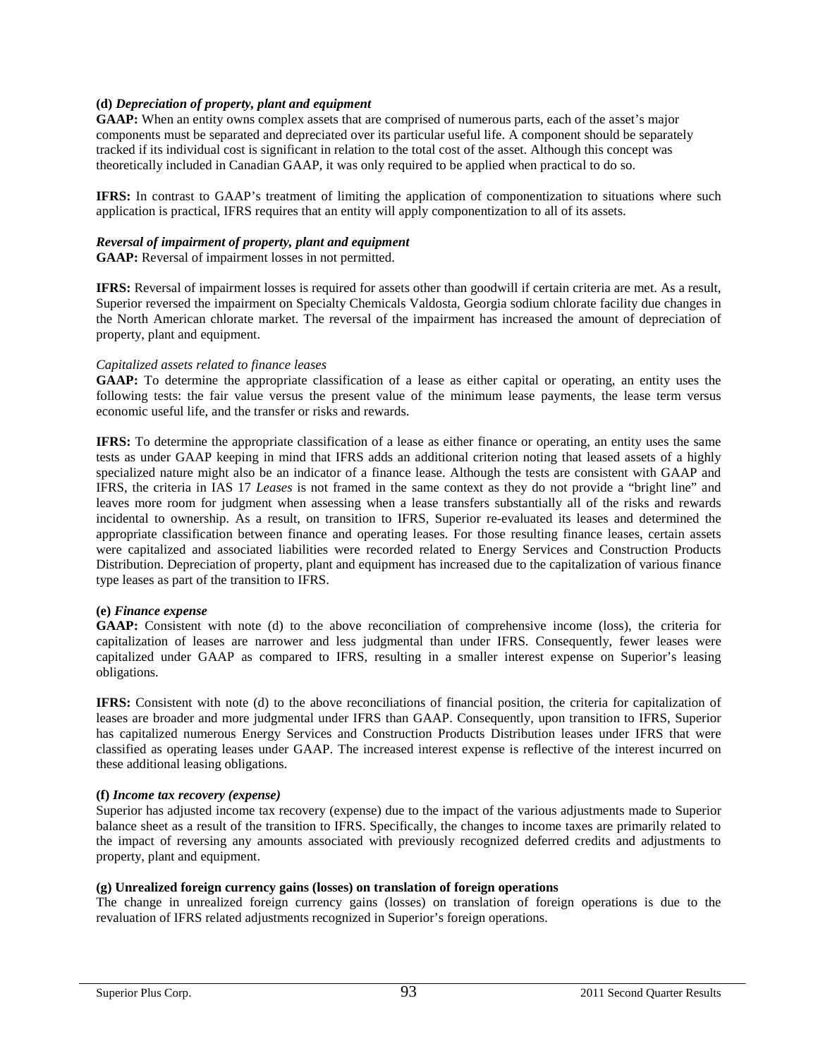## **(d)** *Depreciation of property, plant and equipment*

**GAAP:** When an entity owns complex assets that are comprised of numerous parts, each of the asset's major components must be separated and depreciated over its particular useful life. A component should be separately tracked if its individual cost is significant in relation to the total cost of the asset. Although this concept was theoretically included in Canadian GAAP, it was only required to be applied when practical to do so.

**IFRS:** In contrast to GAAP's treatment of limiting the application of componentization to situations where such application is practical, IFRS requires that an entity will apply componentization to all of its assets.

## *Reversal of impairment of property, plant and equipment*

**GAAP:** Reversal of impairment losses in not permitted.

**IFRS:** Reversal of impairment losses is required for assets other than goodwill if certain criteria are met. As a result, Superior reversed the impairment on Specialty Chemicals Valdosta, Georgia sodium chlorate facility due changes in the North American chlorate market. The reversal of the impairment has increased the amount of depreciation of property, plant and equipment.

#### *Capitalized assets related to finance leases*

**GAAP:** To determine the appropriate classification of a lease as either capital or operating, an entity uses the following tests: the fair value versus the present value of the minimum lease payments, the lease term versus economic useful life, and the transfer or risks and rewards.

**IFRS:** To determine the appropriate classification of a lease as either finance or operating, an entity uses the same tests as under GAAP keeping in mind that IFRS adds an additional criterion noting that leased assets of a highly specialized nature might also be an indicator of a finance lease. Although the tests are consistent with GAAP and IFRS, the criteria in IAS 17 *Leases* is not framed in the same context as they do not provide a "bright line" and leaves more room for judgment when assessing when a lease transfers substantially all of the risks and rewards incidental to ownership. As a result, on transition to IFRS, Superior re-evaluated its leases and determined the appropriate classification between finance and operating leases. For those resulting finance leases, certain assets were capitalized and associated liabilities were recorded related to Energy Services and Construction Products Distribution. Depreciation of property, plant and equipment has increased due to the capitalization of various finance type leases as part of the transition to IFRS.

## **(e)** *Finance expense*

**GAAP:** Consistent with note (d) to the above reconciliation of comprehensive income (loss), the criteria for capitalization of leases are narrower and less judgmental than under IFRS. Consequently, fewer leases were capitalized under GAAP as compared to IFRS, resulting in a smaller interest expense on Superior's leasing obligations.

**IFRS:** Consistent with note (d) to the above reconciliations of financial position, the criteria for capitalization of leases are broader and more judgmental under IFRS than GAAP. Consequently, upon transition to IFRS, Superior has capitalized numerous Energy Services and Construction Products Distribution leases under IFRS that were classified as operating leases under GAAP. The increased interest expense is reflective of the interest incurred on these additional leasing obligations.

## **(f)** *Income tax recovery (expense)*

Superior has adjusted income tax recovery (expense) due to the impact of the various adjustments made to Superior balance sheet as a result of the transition to IFRS. Specifically, the changes to income taxes are primarily related to the impact of reversing any amounts associated with previously recognized deferred credits and adjustments to property, plant and equipment.

## **(g) Unrealized foreign currency gains (losses) on translation of foreign operations**

The change in unrealized foreign currency gains (losses) on translation of foreign operations is due to the revaluation of IFRS related adjustments recognized in Superior's foreign operations.